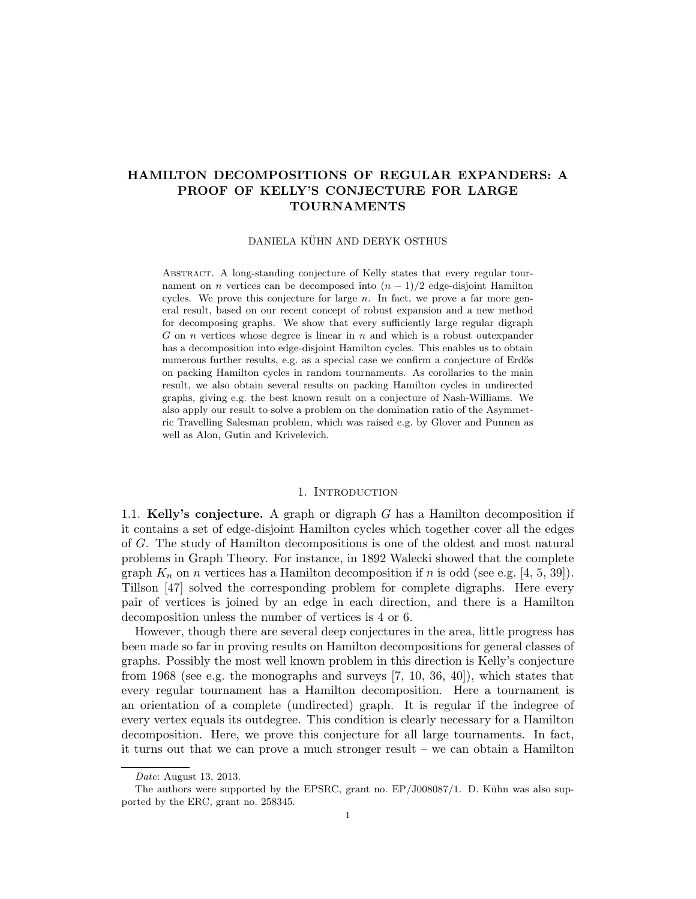# HAMILTON DECOMPOSITIONS OF REGULAR EXPANDERS: A PROOF OF KELLY'S CONJECTURE FOR LARGE TOURNAMENTS

#### DANIELA KÜHN AND DERYK OSTHUS

Abstract. A long-standing conjecture of Kelly states that every regular tournament on *n* vertices can be decomposed into  $(n - 1)/2$  edge-disjoint Hamilton cycles. We prove this conjecture for large  $n$ . In fact, we prove a far more general result, based on our recent concept of robust expansion and a new method for decomposing graphs. We show that every sufficiently large regular digraph G on n vertices whose degree is linear in  $n$  and which is a robust outexpander has a decomposition into edge-disjoint Hamilton cycles. This enables us to obtain numerous further results, e.g. as a special case we confirm a conjecture of Erdős on packing Hamilton cycles in random tournaments. As corollaries to the main result, we also obtain several results on packing Hamilton cycles in undirected graphs, giving e.g. the best known result on a conjecture of Nash-Williams. We also apply our result to solve a problem on the domination ratio of the Asymmetric Travelling Salesman problem, which was raised e.g. by Glover and Punnen as well as Alon, Gutin and Krivelevich.

### 1. INTRODUCTION

1.1. Kelly's conjecture. A graph or digraph G has a Hamilton decomposition if it contains a set of edge-disjoint Hamilton cycles which together cover all the edges of G. The study of Hamilton decompositions is one of the oldest and most natural problems in Graph Theory. For instance, in 1892 Walecki showed that the complete graph  $K_n$  on n vertices has a Hamilton decomposition if n is odd (see e.g. [4, 5, 39]). Tillson [47] solved the corresponding problem for complete digraphs. Here every pair of vertices is joined by an edge in each direction, and there is a Hamilton decomposition unless the number of vertices is 4 or 6.

However, though there are several deep conjectures in the area, little progress has been made so far in proving results on Hamilton decompositions for general classes of graphs. Possibly the most well known problem in this direction is Kelly's conjecture from 1968 (see e.g. the monographs and surveys [7, 10, 36, 40]), which states that every regular tournament has a Hamilton decomposition. Here a tournament is an orientation of a complete (undirected) graph. It is regular if the indegree of every vertex equals its outdegree. This condition is clearly necessary for a Hamilton decomposition. Here, we prove this conjecture for all large tournaments. In fact, it turns out that we can prove a much stronger result – we can obtain a Hamilton

Date: August 13, 2013.

The authors were supported by the EPSRC, grant no.  $EP/J008087/1$ . D. Kühn was also supported by the ERC, grant no. 258345.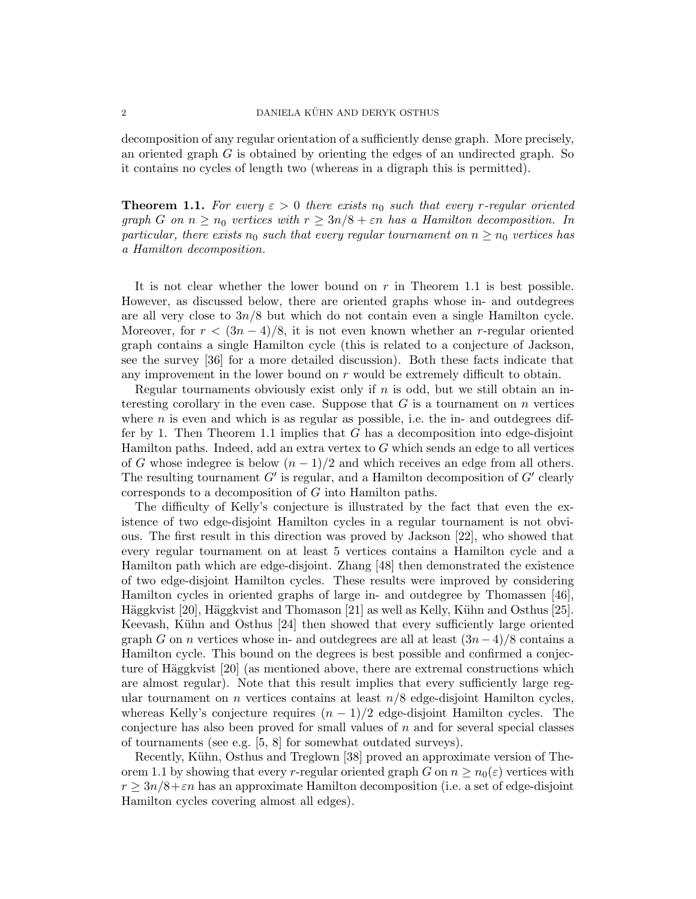decomposition of any regular orientation of a sufficiently dense graph. More precisely, an oriented graph  $G$  is obtained by orienting the edges of an undirected graph. So it contains no cycles of length two (whereas in a digraph this is permitted).

**Theorem 1.1.** For every  $\varepsilon > 0$  there exists  $n_0$  such that every r-regular oriented graph G on  $n \geq n_0$  vertices with  $r \geq 3n/8 + \varepsilon n$  has a Hamilton decomposition. In particular, there exists  $n_0$  such that every regular tournament on  $n \geq n_0$  vertices has a Hamilton decomposition.

It is not clear whether the lower bound on  $r$  in Theorem 1.1 is best possible. However, as discussed below, there are oriented graphs whose in- and outdegrees are all very close to  $3n/8$  but which do not contain even a single Hamilton cycle. Moreover, for  $r < (3n-4)/8$ , it is not even known whether an r-regular oriented graph contains a single Hamilton cycle (this is related to a conjecture of Jackson, see the survey [36] for a more detailed discussion). Both these facts indicate that any improvement in the lower bound on  $r$  would be extremely difficult to obtain.

Regular tournaments obviously exist only if  $n$  is odd, but we still obtain an interesting corollary in the even case. Suppose that  $G$  is a tournament on  $n$  vertices where  $n$  is even and which is as regular as possible, i.e. the in- and outdegrees differ by 1. Then Theorem 1.1 implies that  $G$  has a decomposition into edge-disjoint Hamilton paths. Indeed, add an extra vertex to  $G$  which sends an edge to all vertices of G whose indegree is below  $(n - 1)/2$  and which receives an edge from all others. The resulting tournament  $G'$  is regular, and a Hamilton decomposition of  $G'$  clearly corresponds to a decomposition of G into Hamilton paths.

The difficulty of Kelly's conjecture is illustrated by the fact that even the existence of two edge-disjoint Hamilton cycles in a regular tournament is not obvious. The first result in this direction was proved by Jackson [22], who showed that every regular tournament on at least 5 vertices contains a Hamilton cycle and a Hamilton path which are edge-disjoint. Zhang [48] then demonstrated the existence of two edge-disjoint Hamilton cycles. These results were improved by considering Hamilton cycles in oriented graphs of large in- and outdegree by Thomassen [46], Häggkvist  $[20]$ , Häggkvist and Thomason  $[21]$  as well as Kelly, Kühn and Osthus  $[25]$ . Keevash, Kühn and Osthus [24] then showed that every sufficiently large oriented graph G on n vertices whose in- and outdegrees are all at least  $(3n-4)/8$  contains a Hamilton cycle. This bound on the degrees is best possible and confirmed a conjecture of Häggkvist  $[20]$  (as mentioned above, there are extremal constructions which are almost regular). Note that this result implies that every sufficiently large regular tournament on *n* vertices contains at least  $n/8$  edge-disjoint Hamilton cycles, whereas Kelly's conjecture requires  $(n - 1)/2$  edge-disjoint Hamilton cycles. The conjecture has also been proved for small values of  $n$  and for several special classes of tournaments (see e.g. [5, 8] for somewhat outdated surveys).

Recently, Kühn, Osthus and Treglown [38] proved an approximate version of Theorem 1.1 by showing that every r-regular oriented graph G on  $n \geq n_0(\varepsilon)$  vertices with  $r \geq 3n/8 + \epsilon n$  has an approximate Hamilton decomposition (i.e. a set of edge-disjoint Hamilton cycles covering almost all edges).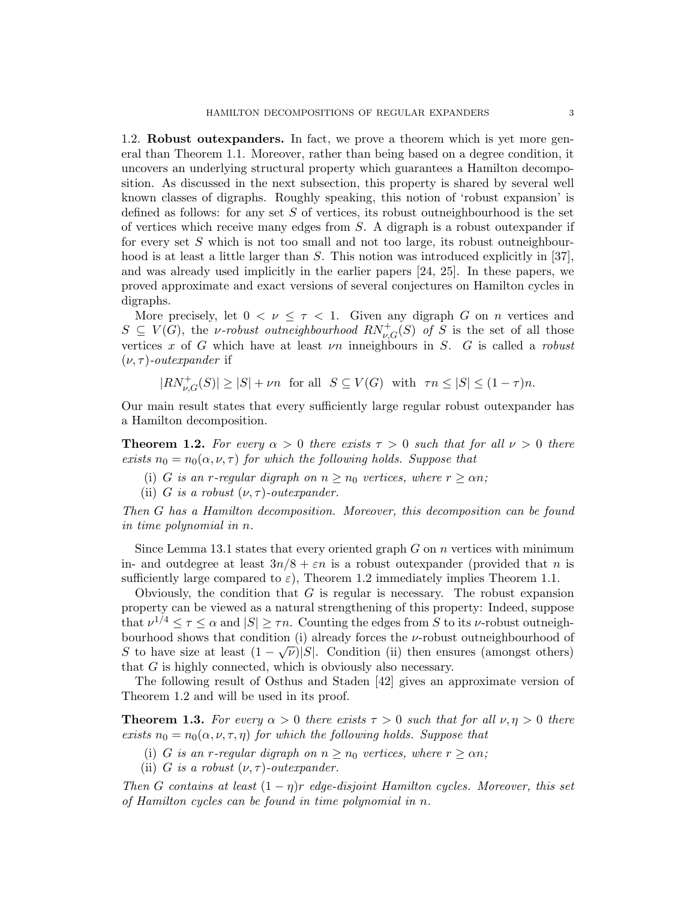1.2. Robust outexpanders. In fact, we prove a theorem which is yet more general than Theorem 1.1. Moreover, rather than being based on a degree condition, it uncovers an underlying structural property which guarantees a Hamilton decomposition. As discussed in the next subsection, this property is shared by several well known classes of digraphs. Roughly speaking, this notion of 'robust expansion' is defined as follows: for any set  $S$  of vertices, its robust outneighbourhood is the set of vertices which receive many edges from S. A digraph is a robust outexpander if for every set  $S$  which is not too small and not too large, its robust outneighbourhood is at least a little larger than S. This notion was introduced explicitly in [37], and was already used implicitly in the earlier papers [24, 25]. In these papers, we proved approximate and exact versions of several conjectures on Hamilton cycles in digraphs.

More precisely, let  $0 < \nu \leq \tau < 1$ . Given any digraph G on n vertices and  $S \subseteq V(G)$ , the *v*-robust outneighbourhood  $RN_{\nu,G}^+(S)$  of S is the set of all those vertices x of G which have at least  $\nu$ n inneighbours in S. G is called a robust  $(\nu, \tau)$ -outexpander if

 $|RN_{\nu,G}^+(S)| \geq |S| + \nu n$  for all  $S \subseteq V(G)$  with  $\tau n \leq |S| \leq (1 - \tau)n$ .

Our main result states that every sufficiently large regular robust outexpander has a Hamilton decomposition.

**Theorem 1.2.** For every  $\alpha > 0$  there exists  $\tau > 0$  such that for all  $\nu > 0$  there exists  $n_0 = n_0(\alpha, \nu, \tau)$  for which the following holds. Suppose that

- (i) G is an r-regular digraph on  $n \geq n_0$  vertices, where  $r \geq \alpha n$ ;
- (ii) G is a robust  $(\nu, \tau)$ -outexpander.

Then G has a Hamilton decomposition. Moreover, this decomposition can be found in time polynomial in n.

Since Lemma 13.1 states that every oriented graph  $G$  on  $n$  vertices with minimum in- and outdegree at least  $3n/8 + \varepsilon n$  is a robust outexpander (provided that n is sufficiently large compared to  $\varepsilon$ ), Theorem 1.2 immediately implies Theorem 1.1.

Obviously, the condition that  $G$  is regular is necessary. The robust expansion property can be viewed as a natural strengthening of this property: Indeed, suppose that  $\nu^{1/4} \leq \tau \leq \alpha$  and  $|S| \geq \tau n$ . Counting the edges from S to its *v*-robust outneighbourhood shows that condition (i) already forces the *v*-robust outneighbourhood of S to have size at least  $(1 - \sqrt{\nu})|S|$ . Condition (ii) then ensures (amongst others) that G is highly connected, which is obviously also necessary.

The following result of Osthus and Staden [42] gives an approximate version of Theorem 1.2 and will be used in its proof.

**Theorem 1.3.** For every  $\alpha > 0$  there exists  $\tau > 0$  such that for all  $\nu, \eta > 0$  there exists  $n_0 = n_0(\alpha, \nu, \tau, \eta)$  for which the following holds. Suppose that

- (i) G is an r-regular digraph on  $n \geq n_0$  vertices, where  $r \geq \alpha n$ ;
- (ii) G is a robust  $(\nu, \tau)$ -outexpander.

Then G contains at least  $(1 - \eta)r$  edge-disjoint Hamilton cycles. Moreover, this set of Hamilton cycles can be found in time polynomial in n.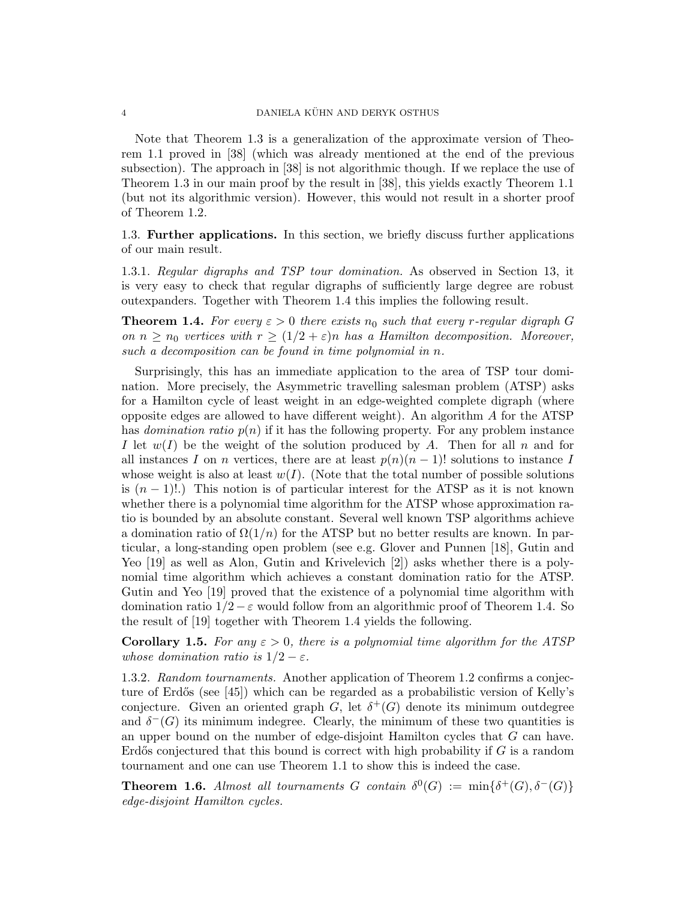Note that Theorem 1.3 is a generalization of the approximate version of Theorem 1.1 proved in [38] (which was already mentioned at the end of the previous subsection). The approach in [38] is not algorithmic though. If we replace the use of Theorem 1.3 in our main proof by the result in [38], this yields exactly Theorem 1.1 (but not its algorithmic version). However, this would not result in a shorter proof of Theorem 1.2.

1.3. Further applications. In this section, we briefly discuss further applications of our main result.

1.3.1. Regular digraphs and TSP tour domination. As observed in Section 13, it is very easy to check that regular digraphs of sufficiently large degree are robust outexpanders. Together with Theorem 1.4 this implies the following result.

**Theorem 1.4.** For every  $\varepsilon > 0$  there exists  $n_0$  such that every r-regular digraph G on  $n \geq n_0$  vertices with  $r \geq (1/2 + \varepsilon)n$  has a Hamilton decomposition. Moreover, such a decomposition can be found in time polynomial in n.

Surprisingly, this has an immediate application to the area of TSP tour domination. More precisely, the Asymmetric travelling salesman problem (ATSP) asks for a Hamilton cycle of least weight in an edge-weighted complete digraph (where opposite edges are allowed to have different weight). An algorithm A for the ATSP has *domination ratio*  $p(n)$  if it has the following property. For any problem instance I let  $w(I)$  be the weight of the solution produced by A. Then for all n and for all instances I on n vertices, there are at least  $p(n)(n-1)!$  solutions to instance I whose weight is also at least  $w(I)$ . (Note that the total number of possible solutions is  $(n - 1)!$ .) This notion is of particular interest for the ATSP as it is not known whether there is a polynomial time algorithm for the ATSP whose approximation ratio is bounded by an absolute constant. Several well known TSP algorithms achieve a domination ratio of  $\Omega(1/n)$  for the ATSP but no better results are known. In particular, a long-standing open problem (see e.g. Glover and Punnen [18], Gutin and Yeo [19] as well as Alon, Gutin and Krivelevich [2]) asks whether there is a polynomial time algorithm which achieves a constant domination ratio for the ATSP. Gutin and Yeo [19] proved that the existence of a polynomial time algorithm with domination ratio  $1/2 - \varepsilon$  would follow from an algorithmic proof of Theorem 1.4. So the result of [19] together with Theorem 1.4 yields the following.

**Corollary 1.5.** For any  $\varepsilon > 0$ , there is a polynomial time algorithm for the ATSP whose domination ratio is  $1/2 - \varepsilon$ .

1.3.2. Random tournaments. Another application of Theorem 1.2 confirms a conjecture of Erdős (see [45]) which can be regarded as a probabilistic version of Kelly's conjecture. Given an oriented graph  $G$ , let  $\delta^+(G)$  denote its minimum outdegree and  $\delta^{-}(G)$  its minimum indegree. Clearly, the minimum of these two quantities is an upper bound on the number of edge-disjoint Hamilton cycles that G can have. Erdős conjectured that this bound is correct with high probability if  $G$  is a random tournament and one can use Theorem 1.1 to show this is indeed the case.

**Theorem 1.6.** Almost all tournaments G contain  $\delta^{0}(G) := \min\{\delta^{+}(G), \delta^{-}(G)\}\$ edge-disjoint Hamilton cycles.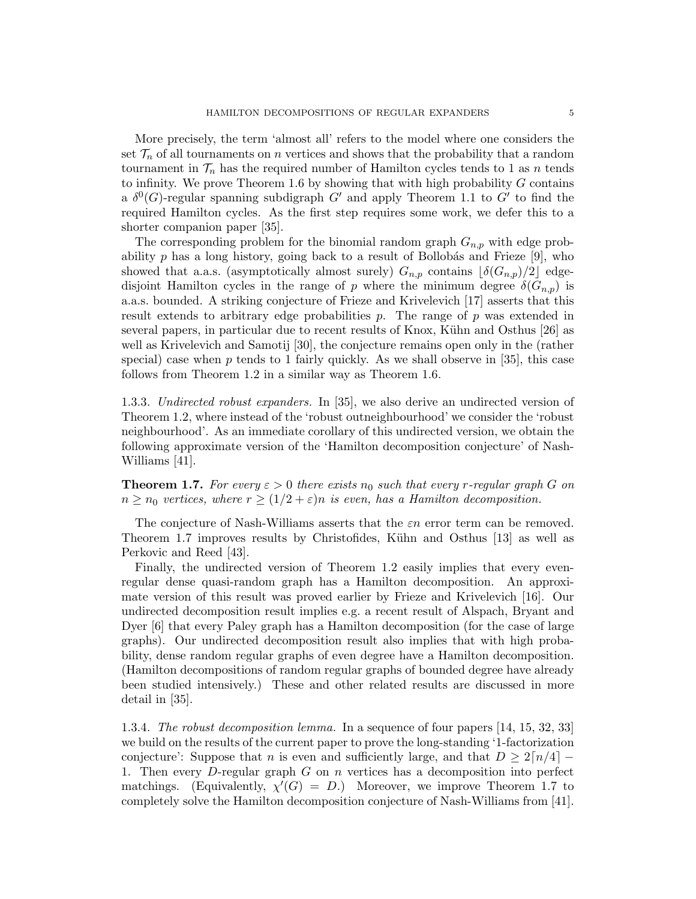More precisely, the term 'almost all' refers to the model where one considers the set  $\mathcal{T}_n$  of all tournaments on n vertices and shows that the probability that a random tournament in  $\mathcal{T}_n$  has the required number of Hamilton cycles tends to 1 as n tends to infinity. We prove Theorem 1.6 by showing that with high probability  $G$  contains a  $\delta^0(G)$ -regular spanning subdigraph G' and apply Theorem 1.1 to G' to find the required Hamilton cycles. As the first step requires some work, we defer this to a shorter companion paper [35].

The corresponding problem for the binomial random graph  $G_{n,p}$  with edge probability p has a long history, going back to a result of Bollobás and Frieze  $[9]$ , who showed that a.a.s. (asymptotically almost surely)  $G_{n,p}$  contains  $\lfloor \delta(G_{n,p})/2 \rfloor$  edgedisjoint Hamilton cycles in the range of p where the minimum degree  $\delta(G_{n,p})$  is a.a.s. bounded. A striking conjecture of Frieze and Krivelevich [17] asserts that this result extends to arbitrary edge probabilities  $p$ . The range of  $p$  was extended in several papers, in particular due to recent results of Knox, Kühn and Osthus [26] as well as Krivelevich and Samotij [30], the conjecture remains open only in the (rather special) case when  $p$  tends to 1 fairly quickly. As we shall observe in [35], this case follows from Theorem 1.2 in a similar way as Theorem 1.6.

1.3.3. Undirected robust expanders. In [35], we also derive an undirected version of Theorem 1.2, where instead of the 'robust outneighbourhood' we consider the 'robust neighbourhood'. As an immediate corollary of this undirected version, we obtain the following approximate version of the 'Hamilton decomposition conjecture' of Nash-Williams [41].

**Theorem 1.7.** For every  $\varepsilon > 0$  there exists  $n_0$  such that every r-regular graph G on  $n \geq n_0$  vertices, where  $r \geq (1/2 + \varepsilon)n$  is even, has a Hamilton decomposition.

The conjecture of Nash-Williams asserts that the  $\varepsilon n$  error term can be removed. Theorem 1.7 improves results by Christofides, Kühn and Osthus [13] as well as Perkovic and Reed [43].

Finally, the undirected version of Theorem 1.2 easily implies that every evenregular dense quasi-random graph has a Hamilton decomposition. An approximate version of this result was proved earlier by Frieze and Krivelevich [16]. Our undirected decomposition result implies e.g. a recent result of Alspach, Bryant and Dyer [6] that every Paley graph has a Hamilton decomposition (for the case of large graphs). Our undirected decomposition result also implies that with high probability, dense random regular graphs of even degree have a Hamilton decomposition. (Hamilton decompositions of random regular graphs of bounded degree have already been studied intensively.) These and other related results are discussed in more detail in [35].

1.3.4. The robust decomposition lemma. In a sequence of four papers [14, 15, 32, 33] we build on the results of the current paper to prove the long-standing '1-factorization conjecture': Suppose that n is even and sufficiently large, and that  $D \geq 2\lceil n/4 \rceil - 1$ 1. Then every D-regular graph G on n vertices has a decomposition into perfect matchings. (Equivalently,  $\chi'(G) = D$ .) Moreover, we improve Theorem 1.7 to completely solve the Hamilton decomposition conjecture of Nash-Williams from [41].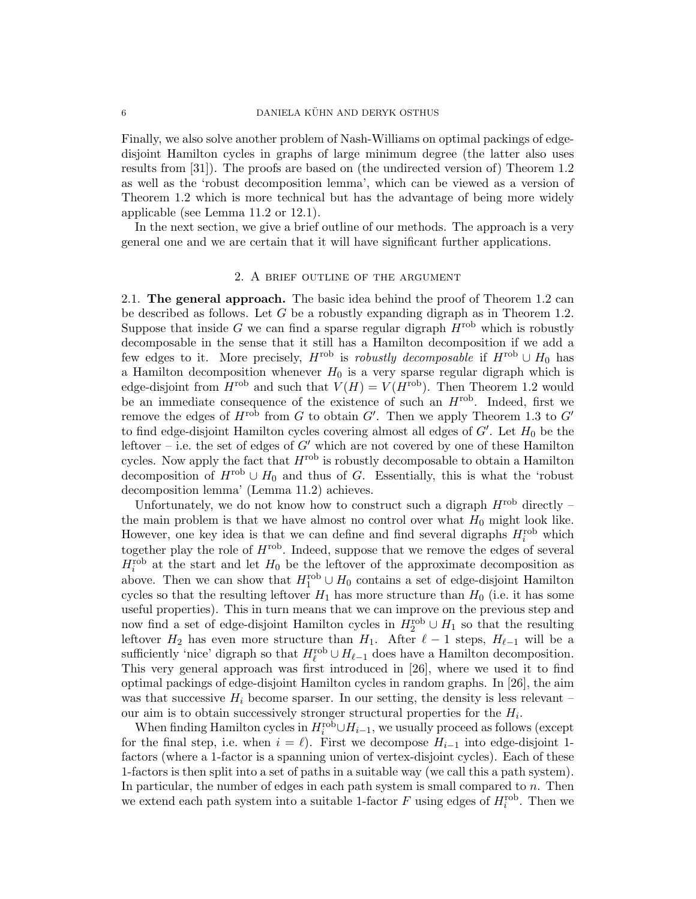Finally, we also solve another problem of Nash-Williams on optimal packings of edgedisjoint Hamilton cycles in graphs of large minimum degree (the latter also uses results from [31]). The proofs are based on (the undirected version of) Theorem 1.2 as well as the 'robust decomposition lemma', which can be viewed as a version of Theorem 1.2 which is more technical but has the advantage of being more widely applicable (see Lemma 11.2 or 12.1).

In the next section, we give a brief outline of our methods. The approach is a very general one and we are certain that it will have significant further applications.

### 2. A brief outline of the argument

2.1. The general approach. The basic idea behind the proof of Theorem 1.2 can be described as follows. Let  $G$  be a robustly expanding digraph as in Theorem 1.2. Suppose that inside G we can find a sparse regular digraph  $H<sup>rob</sup>$  which is robustly decomposable in the sense that it still has a Hamilton decomposition if we add a few edges to it. More precisely,  $H^{\rm rob}$  is robustly decomposable if  $H^{\rm rob} \cup H_0$  has a Hamilton decomposition whenever  $H_0$  is a very sparse regular digraph which is edge-disjoint from  $H^{\text{rob}}$  and such that  $V(H) = V(H^{\text{rob}})$ . Then Theorem 1.2 would be an immediate consequence of the existence of such an  $H^{\rm rob}$ . Indeed, first we remove the edges of  $H^{\rm rob}$  from G to obtain G'. Then we apply Theorem 1.3 to G' to find edge-disjoint Hamilton cycles covering almost all edges of  $G'$ . Let  $H_0$  be the leftover – i.e. the set of edges of  $G'$  which are not covered by one of these Hamilton cycles. Now apply the fact that  $H<sup>rob</sup>$  is robustly decomposable to obtain a Hamilton decomposition of  $H^{\rm rob} \cup H_0$  and thus of G. Essentially, this is what the 'robust decomposition lemma' (Lemma 11.2) achieves.

Unfortunately, we do not know how to construct such a digraph  $H^{\rm rob}$  directly – the main problem is that we have almost no control over what  $H_0$  might look like. However, one key idea is that we can define and find several digraphs  $H_i^{\text{rob}}$  which together play the role of  $H<sup>rob</sup>$ . Indeed, suppose that we remove the edges of several  $H_i^{\text{rob}}$  at the start and let  $H_0$  be the leftover of the approximate decomposition as above. Then we can show that  $H_1^{\text{rob}} \cup H_0$  contains a set of edge-disjoint Hamilton cycles so that the resulting leftover  $H_1$  has more structure than  $H_0$  (i.e. it has some useful properties). This in turn means that we can improve on the previous step and now find a set of edge-disjoint Hamilton cycles in  $H_2^{\text{rob}} \cup H_1$  so that the resulting leftover  $H_2$  has even more structure than  $H_1$ . After  $\ell - 1$  steps,  $H_{\ell-1}$  will be a sufficiently 'nice' digraph so that  $H_{\ell}^{\text{rob}} \cup H_{\ell-1}$  does have a Hamilton decomposition. This very general approach was first introduced in [26], where we used it to find optimal packings of edge-disjoint Hamilton cycles in random graphs. In [26], the aim was that successive  $H_i$  become sparser. In our setting, the density is less relevant – our aim is to obtain successively stronger structural properties for the  $H_i$ .

When finding Hamilton cycles in  $H_i^{\text{rob}} \cup H_{i-1}$ , we usually proceed as follows (except for the final step, i.e. when  $i = \ell$ ). First we decompose  $H_{i-1}$  into edge-disjoint 1factors (where a 1-factor is a spanning union of vertex-disjoint cycles). Each of these 1-factors is then split into a set of paths in a suitable way (we call this a path system). In particular, the number of edges in each path system is small compared to  $n$ . Then we extend each path system into a suitable 1-factor  $F$  using edges of  $H_i^{\text{rob}}$ . Then we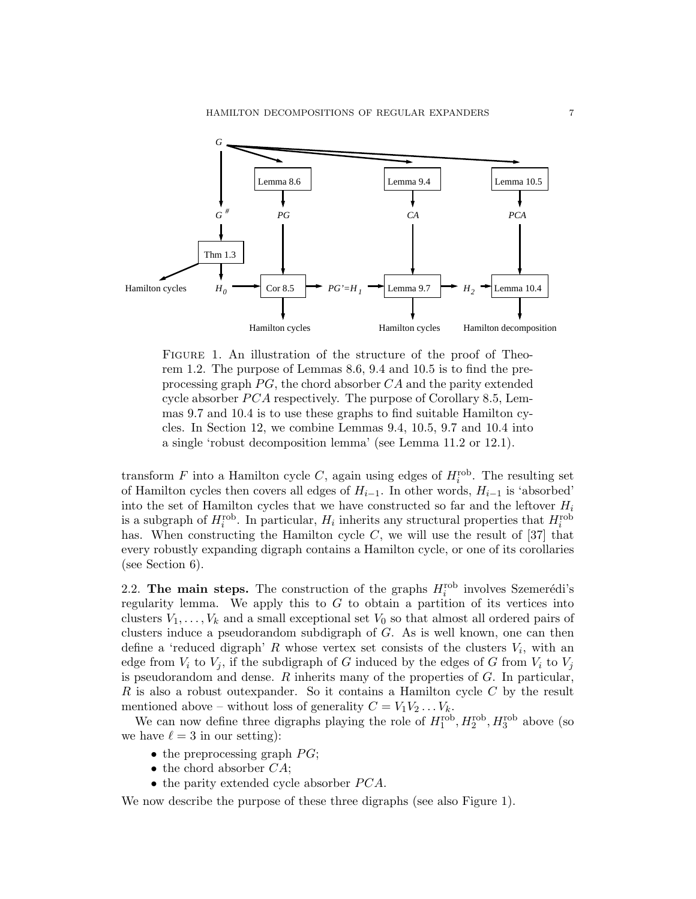

FIGURE 1. An illustration of the structure of the proof of Theorem 1.2. The purpose of Lemmas 8.6, 9.4 and 10.5 is to find the preprocessing graph  $PG$ , the chord absorber  $CA$  and the parity extended cycle absorber  $PCA$  respectively. The purpose of Corollary 8.5, Lemmas 9.7 and 10.4 is to use these graphs to find suitable Hamilton cycles. In Section 12, we combine Lemmas 9.4, 10.5, 9.7 and 10.4 into a single 'robust decomposition lemma' (see Lemma 11.2 or 12.1).

transform  $F$  into a Hamilton cycle  $C$ , again using edges of  $H_i^{\text{rob}}$ . The resulting set of Hamilton cycles then covers all edges of  $H_{i-1}$ . In other words,  $H_{i-1}$  is 'absorbed' into the set of Hamilton cycles that we have constructed so far and the leftover  $H_i$ is a subgraph of  $H_i^{\text{rob}}$ . In particular,  $H_i$  inherits any structural properties that  $H_i^{\text{rob}}$ has. When constructing the Hamilton cycle  $C$ , we will use the result of [37] that every robustly expanding digraph contains a Hamilton cycle, or one of its corollaries (see Section 6).

2.2. The main steps. The construction of the graphs  $H_i^{\text{rob}}$  involves Szemerédi's regularity lemma. We apply this to  $G$  to obtain a partition of its vertices into clusters  $V_1, \ldots, V_k$  and a small exceptional set  $V_0$  so that almost all ordered pairs of clusters induce a pseudorandom subdigraph of G. As is well known, one can then define a 'reduced digraph' R whose vertex set consists of the clusters  $V_i$ , with an edge from  $V_i$  to  $V_j$ , if the subdigraph of G induced by the edges of G from  $V_i$  to  $V_j$ is pseudorandom and dense.  $R$  inherits many of the properties of  $G$ . In particular, R is also a robust outexpander. So it contains a Hamilton cycle  $C$  by the result mentioned above – without loss of generality  $C = V_1V_2 \ldots V_k$ .

We can now define three digraphs playing the role of  $H_1^{\text{rob}}, H_2^{\text{rob}}, H_3^{\text{rob}}$  above (so we have  $\ell = 3$  in our setting):

- the preprocessing graph  $PG$ ;
- $\bullet$  the chord absorber  $CA;$
- the parity extended cycle absorber  $PCA$ .

We now describe the purpose of these three digraphs (see also Figure 1).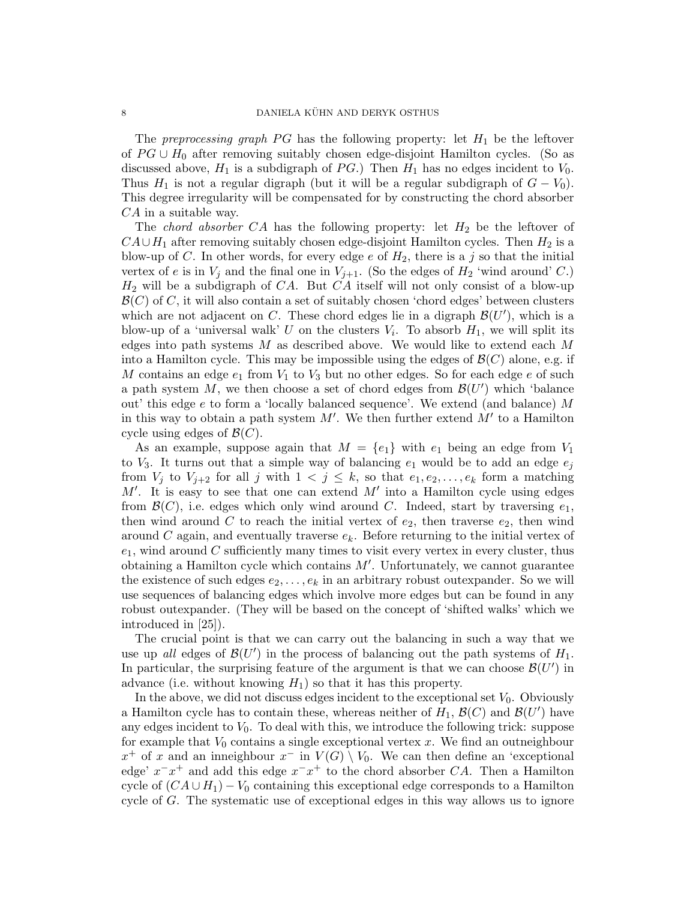The preprocessing graph PG has the following property: let  $H_1$  be the leftover of  $PG \cup H_0$  after removing suitably chosen edge-disjoint Hamilton cycles. (So as discussed above,  $H_1$  is a subdigraph of PG.) Then  $H_1$  has no edges incident to  $V_0$ . Thus  $H_1$  is not a regular digraph (but it will be a regular subdigraph of  $G - V_0$ ). This degree irregularity will be compensated for by constructing the chord absorber CA in a suitable way.

The *chord absorber*  $CA$  has the following property: let  $H_2$  be the leftover of  $CA \cup H_1$  after removing suitably chosen edge-disjoint Hamilton cycles. Then  $H_2$  is a blow-up of C. In other words, for every edge  $e$  of  $H_2$ , there is a j so that the initial vertex of e is in  $V_j$  and the final one in  $V_{j+1}$ . (So the edges of  $H_2$  'wind around' C.)  $H_2$  will be a subdigraph of CA. But CA itself will not only consist of a blow-up  $\mathcal{B}(C)$  of C, it will also contain a set of suitably chosen 'chord edges' between clusters which are not adjacent on C. These chord edges lie in a digraph  $\mathcal{B}(U')$ , which is a blow-up of a 'universal walk' U on the clusters  $V_i$ . To absorb  $H_1$ , we will split its edges into path systems  $M$  as described above. We would like to extend each  $M$ into a Hamilton cycle. This may be impossible using the edges of  $\mathcal{B}(C)$  alone, e.g. if M contains an edge  $e_1$  from  $V_1$  to  $V_3$  but no other edges. So for each edge e of such a path system  $M$ , we then choose a set of chord edges from  $\mathcal{B}(U')$  which 'balance out' this edge e to form a 'locally balanced sequence'. We extend (and balance) M in this way to obtain a path system  $M'$ . We then further extend  $M'$  to a Hamilton cycle using edges of  $\mathcal{B}(C)$ .

As an example, suppose again that  $M = \{e_1\}$  with  $e_1$  being an edge from  $V_1$ to  $V_3$ . It turns out that a simple way of balancing  $e_1$  would be to add an edge  $e_j$ from  $V_j$  to  $V_{j+2}$  for all j with  $1 \lt j \leq k$ , so that  $e_1, e_2, \ldots, e_k$  form a matching  $M'$ . It is easy to see that one can extend  $M'$  into a Hamilton cycle using edges from  $\mathcal{B}(C)$ , i.e. edges which only wind around C. Indeed, start by traversing  $e_1$ , then wind around C to reach the initial vertex of  $e_2$ , then traverse  $e_2$ , then wind around C again, and eventually traverse  $e_k$ . Before returning to the initial vertex of  $e_1$ , wind around C sufficiently many times to visit every vertex in every cluster, thus obtaining a Hamilton cycle which contains  $M'$ . Unfortunately, we cannot guarantee the existence of such edges  $e_2, \ldots, e_k$  in an arbitrary robust outexpander. So we will use sequences of balancing edges which involve more edges but can be found in any robust outexpander. (They will be based on the concept of 'shifted walks' which we introduced in [25]).

The crucial point is that we can carry out the balancing in such a way that we use up all edges of  $\mathcal{B}(U')$  in the process of balancing out the path systems of  $H_1$ . In particular, the surprising feature of the argument is that we can choose  $\mathcal{B}(U')$  in advance (i.e. without knowing  $H_1$ ) so that it has this property.

In the above, we did not discuss edges incident to the exceptional set  $V_0$ . Obviously a Hamilton cycle has to contain these, whereas neither of  $H_1$ ,  $\mathcal{B}(C)$  and  $\mathcal{B}(U')$  have any edges incident to  $V_0$ . To deal with this, we introduce the following trick: suppose for example that  $V_0$  contains a single exceptional vertex x. We find an outneighbour  $x^+$  of x and an inneighbour  $x^-$  in  $V(G) \setminus V_0$ . We can then define an 'exceptional edge'  $x^x - x^+$  and add this edge  $x^x - x^+$  to the chord absorber CA. Then a Hamilton cycle of  $(CA \cup H_1) - V_0$  containing this exceptional edge corresponds to a Hamilton cycle of G. The systematic use of exceptional edges in this way allows us to ignore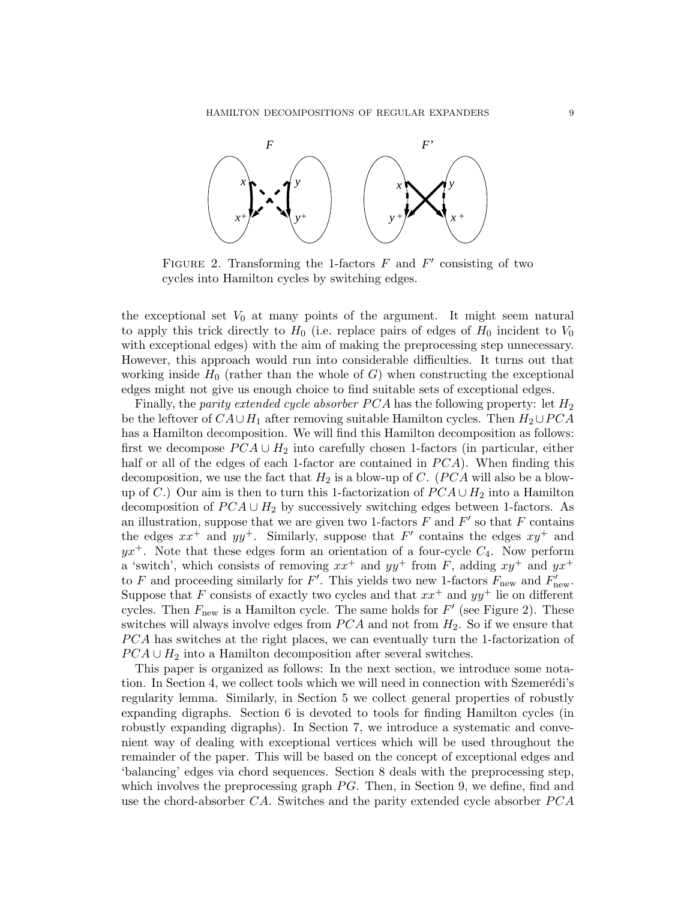

FIGURE 2. Transforming the 1-factors  $F$  and  $F'$  consisting of two cycles into Hamilton cycles by switching edges.

the exceptional set  $V_0$  at many points of the argument. It might seem natural to apply this trick directly to  $H_0$  (i.e. replace pairs of edges of  $H_0$  incident to  $V_0$ with exceptional edges) with the aim of making the preprocessing step unnecessary. However, this approach would run into considerable difficulties. It turns out that working inside  $H_0$  (rather than the whole of G) when constructing the exceptional edges might not give us enough choice to find suitable sets of exceptional edges.

Finally, the parity extended cycle absorber  $PCA$  has the following property: let  $H_2$ be the leftover of  $CA\cup H_1$  after removing suitable Hamilton cycles. Then  $H_2\cup PCA$ has a Hamilton decomposition. We will find this Hamilton decomposition as follows: first we decompose  $PCA \cup H_2$  into carefully chosen 1-factors (in particular, either half or all of the edges of each 1-factor are contained in  $PCA$ ). When finding this decomposition, we use the fact that  $H_2$  is a blow-up of C. (PCA will also be a blowup of C.) Our aim is then to turn this 1-factorization of  $PCA \cup H_2$  into a Hamilton decomposition of  $PCA \cup H_2$  by successively switching edges between 1-factors. As an illustration, suppose that we are given two 1-factors  $F$  and  $F'$  so that  $F$  contains the edges  $xx^+$  and  $yy^+$ . Similarly, suppose that  $F'$  contains the edges  $xy^+$  and  $yx^+$ . Note that these edges form an orientation of a four-cycle  $C_4$ . Now perform a 'switch', which consists of removing  $xx^+$  and  $yy^+$  from F, adding  $xy^+$  and  $yx^+$ to F and proceeding similarly for F'. This yields two new 1-factors  $F_{\text{new}}$  and  $F'_{\text{new}}$ . Suppose that F consists of exactly two cycles and that  $xx^+$  and  $yy^+$  lie on different cycles. Then  $F_{\text{new}}$  is a Hamilton cycle. The same holds for  $F'$  (see Figure 2). These switches will always involve edges from  $PCA$  and not from  $H_2$ . So if we ensure that PCA has switches at the right places, we can eventually turn the 1-factorization of  $PCA \cup H_2$  into a Hamilton decomposition after several switches.

This paper is organized as follows: In the next section, we introduce some notation. In Section 4, we collect tools which we will need in connection with Szemerédi's regularity lemma. Similarly, in Section 5 we collect general properties of robustly expanding digraphs. Section 6 is devoted to tools for finding Hamilton cycles (in robustly expanding digraphs). In Section 7, we introduce a systematic and convenient way of dealing with exceptional vertices which will be used throughout the remainder of the paper. This will be based on the concept of exceptional edges and 'balancing' edges via chord sequences. Section 8 deals with the preprocessing step, which involves the preprocessing graph  $PG$ . Then, in Section 9, we define, find and use the chord-absorber  $CA$ . Switches and the parity extended cycle absorber  $PCA$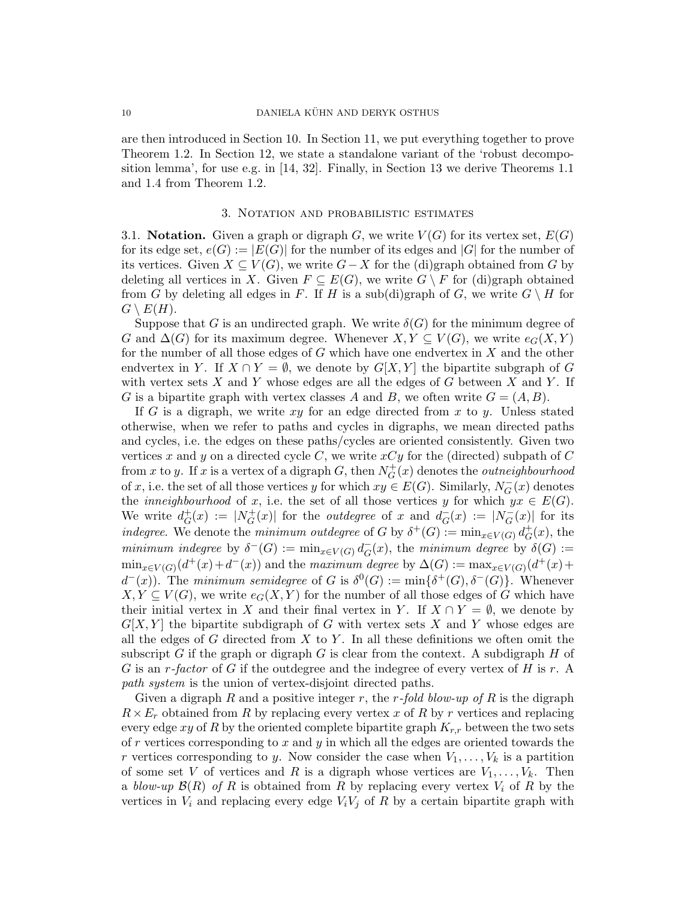are then introduced in Section 10. In Section 11, we put everything together to prove Theorem 1.2. In Section 12, we state a standalone variant of the 'robust decomposition lemma', for use e.g. in [14, 32]. Finally, in Section 13 we derive Theorems 1.1 and 1.4 from Theorem 1.2.

#### 3. Notation and probabilistic estimates

3.1. **Notation.** Given a graph or digraph G, we write  $V(G)$  for its vertex set,  $E(G)$ for its edge set,  $e(G) := |E(G)|$  for the number of its edges and |G| for the number of its vertices. Given  $X \subseteq V(G)$ , we write  $G-X$  for the (di)graph obtained from G by deleting all vertices in X. Given  $F \subseteq E(G)$ , we write  $G \setminus F$  for (di)graph obtained from G by deleting all edges in F. If H is a sub(di)graph of G, we write  $G \setminus H$  for  $G \setminus E(H)$ .

Suppose that G is an undirected graph. We write  $\delta(G)$  for the minimum degree of G and  $\Delta(G)$  for its maximum degree. Whenever  $X, Y \subseteq V(G)$ , we write  $e_G(X, Y)$ for the number of all those edges of G which have one endvertex in X and the other endvertex in Y. If  $X \cap Y = \emptyset$ , we denote by  $G[X, Y]$  the bipartite subgraph of G with vertex sets  $X$  and  $Y$  whose edges are all the edges of  $G$  between  $X$  and  $Y$ . If G is a bipartite graph with vertex classes A and B, we often write  $G = (A, B)$ .

If G is a digraph, we write  $xy$  for an edge directed from x to y. Unless stated otherwise, when we refer to paths and cycles in digraphs, we mean directed paths and cycles, i.e. the edges on these paths/cycles are oriented consistently. Given two vertices x and y on a directed cycle C, we write  $xCy$  for the (directed) subpath of C from x to y. If x is a vertex of a digraph G, then  $N_G^+$  $G^+_G(x)$  denotes the *outneighbourhood* of x, i.e. the set of all those vertices y for which  $xy \in E(G)$ . Similarly,  $N_G^ \overline{G}(x)$  denotes the *inneighbourhood* of x, i.e. the set of all those vertices y for which  $yx \in E(G)$ . We write  $d_G^+$  $G^+(x) := |N_G^+|$  $\overline{G}(x)$  for the *outdegree* of x and  $\overline{d}_{\overline{G}}$  $G_{G}^{-}(x) := |N_{G}^{-}|$  $\overline{G}(x)$  for its indegree. We denote the minimum outdegree of G by  $\delta^+(G) := \min_{x \in V(G)} d_G^+$  $_G^+(x)$ , the minimum indegree by  $\delta^-(G) := \min_{x \in V(G)} d_G^ _{G}^{-}(x)$ , the minimum degree by  $\delta(G)$  :=  $\min_{x \in V(G)}(d^+(x) + d^-(x))$  and the maximum degree by  $\Delta(G) := \max_{x \in V(G)}(d^+(x) + d^-(x))$  $d^-(x)$ . The minimum semidegree of G is  $\delta^0(G) := \min{\{\delta^+(G), \delta^-(G)\}}$ . Whenever  $X, Y \subseteq V(G)$ , we write  $e_G(X, Y)$  for the number of all those edges of G which have their initial vertex in X and their final vertex in Y. If  $X \cap Y = \emptyset$ , we denote by  $G[X, Y]$  the bipartite subdigraph of G with vertex sets X and Y whose edges are all the edges of  $G$  directed from  $X$  to  $Y$ . In all these definitions we often omit the subscript G if the graph or digraph  $G$  is clear from the context. A subdigraph  $H$  of G is an r-factor of G if the outdegree and the indegree of every vertex of H is r. A path system is the union of vertex-disjoint directed paths.

Given a digraph R and a positive integer r, the r-fold blow-up of R is the digraph  $R \times E_r$  obtained from R by replacing every vertex x of R by r vertices and replacing every edge xy of R by the oriented complete bipartite graph  $K_{r,r}$  between the two sets of r vertices corresponding to x and y in which all the edges are oriented towards the r vertices corresponding to y. Now consider the case when  $V_1, \ldots, V_k$  is a partition of some set V of vertices and R is a digraph whose vertices are  $V_1, \ldots, V_k$ . Then a blow-up  $\mathcal{B}(R)$  of R is obtained from R by replacing every vertex  $V_i$  of R by the vertices in  $V_i$  and replacing every edge  $V_iV_j$  of R by a certain bipartite graph with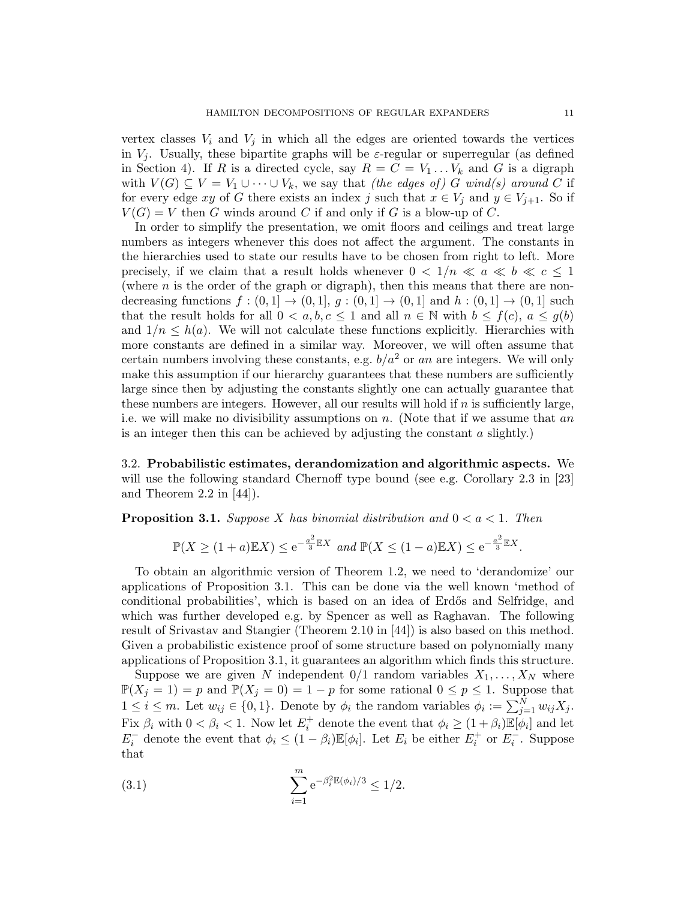vertex classes  $V_i$  and  $V_j$  in which all the edges are oriented towards the vertices in  $V_i$ . Usually, these bipartite graphs will be  $\varepsilon$ -regular or superregular (as defined in Section 4). If R is a directed cycle, say  $R = C = V_1 \dots V_k$  and G is a digraph with  $V(G) \subseteq V = V_1 \cup \cdots \cup V_k$ , we say that *(the edges of)* G wind(s) around C if for every edge xy of G there exists an index j such that  $x \in V_i$  and  $y \in V_{i+1}$ . So if  $V(G) = V$  then G winds around C if and only if G is a blow-up of C.

In order to simplify the presentation, we omit floors and ceilings and treat large numbers as integers whenever this does not affect the argument. The constants in the hierarchies used to state our results have to be chosen from right to left. More precisely, if we claim that a result holds whenever  $0 < 1/n \ll a \ll b \ll c \le 1$ (where  $n$  is the order of the graph or digraph), then this means that there are nondecreasing functions  $f:(0,1] \rightarrow (0,1], g:(0,1] \rightarrow (0,1]$  and  $h:(0,1] \rightarrow (0,1]$  such that the result holds for all  $0 < a, b, c \le 1$  and all  $n \in \mathbb{N}$  with  $b \le f(c), a \le g(b)$ and  $1/n \leq h(a)$ . We will not calculate these functions explicitly. Hierarchies with more constants are defined in a similar way. Moreover, we will often assume that certain numbers involving these constants, e.g.  $b/a^2$  or an are integers. We will only make this assumption if our hierarchy guarantees that these numbers are sufficiently large since then by adjusting the constants slightly one can actually guarantee that these numbers are integers. However, all our results will hold if  $n$  is sufficiently large, i.e. we will make no divisibility assumptions on  $n$ . (Note that if we assume that an is an integer then this can be achieved by adjusting the constant  $a$  slightly.)

3.2. Probabilistic estimates, derandomization and algorithmic aspects. We will use the following standard Chernoff type bound (see e.g. Corollary 2.3 in [23] and Theorem 2.2 in  $[44]$ ).

**Proposition 3.1.** Suppose X has binomial distribution and  $0 < a < 1$ . Then

$$
\mathbb{P}(X \ge (1+a)\mathbb{E}X) \le e^{-\frac{a^2}{3}\mathbb{E}X} \text{ and } \mathbb{P}(X \le (1-a)\mathbb{E}X) \le e^{-\frac{a^2}{3}\mathbb{E}X}.
$$

To obtain an algorithmic version of Theorem 1.2, we need to 'derandomize' our applications of Proposition 3.1. This can be done via the well known 'method of conditional probabilities', which is based on an idea of Erdős and Selfridge, and which was further developed e.g. by Spencer as well as Raghavan. The following result of Srivastav and Stangier (Theorem 2.10 in [44]) is also based on this method. Given a probabilistic existence proof of some structure based on polynomially many applications of Proposition 3.1, it guarantees an algorithm which finds this structure.

Suppose we are given N independent  $0/1$  random variables  $X_1, \ldots, X_N$  where  $\mathbb{P}(X_j = 1) = p$  and  $\mathbb{P}(X_j = 0) = 1 - p$  for some rational  $0 \le p \le 1$ . Suppose that  $1 \leq i \leq m$ . Let  $w_{ij} \in \{0, 1\}$ . Denote by  $\phi_i$  the random variables  $\phi_i := \sum_{j=1}^N w_{ij} X_j$ . Fix  $\beta_i$  with  $0 < \beta_i < 1$ . Now let  $E_i^+$  denote the event that  $\phi_i \geq (1 + \beta_i) \mathbb{E}[\phi_i]$  and let  $E_i^-$  denote the event that  $\phi_i \leq (1 - \beta_i) \mathbb{E}[\phi_i]$ . Let  $E_i$  be either  $E_i^+$  or  $E_i^-$ . Suppose that

(3.1) 
$$
\sum_{i=1}^{m} e^{-\beta_i^2 \mathbb{E}(\phi_i)/3} \le 1/2.
$$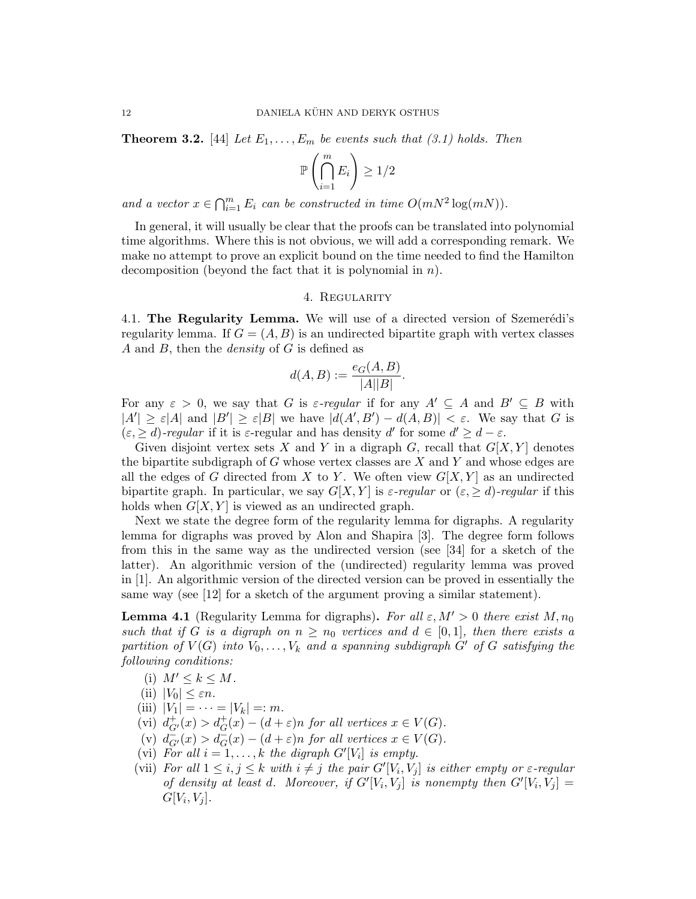**Theorem 3.2.** [44] Let  $E_1, \ldots, E_m$  be events such that (3.1) holds. Then

$$
\mathbb{P}\left(\bigcap_{i=1}^m E_i\right) \ge 1/2
$$

and a vector  $x \in \bigcap_{i=1}^m E_i$  can be constructed in time  $O(mN^2 \log(mN))$ .

In general, it will usually be clear that the proofs can be translated into polynomial time algorithms. Where this is not obvious, we will add a corresponding remark. We make no attempt to prove an explicit bound on the time needed to find the Hamilton decomposition (beyond the fact that it is polynomial in n).

### 4. Regularity

4.1. The Regularity Lemma. We will use of a directed version of Szemerédi's regularity lemma. If  $G = (A, B)$  is an undirected bipartite graph with vertex classes A and  $B$ , then the *density* of  $G$  is defined as

$$
d(A, B) := \frac{e_G(A, B)}{|A||B|}.
$$

For any  $\varepsilon > 0$ , we say that G is  $\varepsilon$ -regular if for any  $A' \subseteq A$  and  $B' \subseteq B$  with  $|A'| \geq \varepsilon |A|$  and  $|B'| \geq \varepsilon |B|$  we have  $|d(A', B') - d(A, B)| < \varepsilon$ . We say that G is  $(\varepsilon, \geq d)$ -regular if it is  $\varepsilon$ -regular and has density d' for some  $d' \geq d - \varepsilon$ .

Given disjoint vertex sets X and Y in a digraph G, recall that  $G[X, Y]$  denotes the bipartite subdigraph of  $G$  whose vertex classes are  $X$  and  $Y$  and whose edges are all the edges of G directed from X to Y. We often view  $G[X, Y]$  as an undirected bipartite graph. In particular, we say  $G[X, Y]$  is  $\varepsilon$ -regular or  $(\varepsilon, \geq d)$ -regular if this holds when  $G[X, Y]$  is viewed as an undirected graph.

Next we state the degree form of the regularity lemma for digraphs. A regularity lemma for digraphs was proved by Alon and Shapira [3]. The degree form follows from this in the same way as the undirected version (see [34] for a sketch of the latter). An algorithmic version of the (undirected) regularity lemma was proved in [1]. An algorithmic version of the directed version can be proved in essentially the same way (see [12] for a sketch of the argument proving a similar statement).

**Lemma 4.1** (Regularity Lemma for digraphs). For all  $\varepsilon, M' > 0$  there exist M,  $n_0$ such that if G is a digraph on  $n \geq n_0$  vertices and  $d \in [0,1]$ , then there exists a partition of  $V(G)$  into  $V_0, \ldots, V_k$  and a spanning subdigraph  $G'$  of  $G$  satisfying the following conditions:

- (i)  $M' \leq k \leq M$ .
- (ii)  $|V_0| \leq \varepsilon n$ .
- (iii)  $|V_1| = \cdots = |V_k| =: m$ .
- (vi)  $d^+_{G'}(x) > d^+_{G}(x) (d+\varepsilon)n$  for all vertices  $x \in V(G)$ .
- (v)  $d_{G'}^-(x) > d_G^-(x) (d+\varepsilon)n$  for all vertices  $x \in V(G)$ .
- (vi) For all  $i = 1, ..., k$  the digraph  $G'[V_i]$  is empty.
- (vii) For all  $1 \le i, j \le k$  with  $i \ne j$  the pair  $G'[V_i, V_j]$  is either empty or  $\varepsilon$ -regular of density at least d. Moreover, if  $G'[V_i, V_j]$  is nonempty then  $G'[V_i, V_j] =$  $G[V_i, V_j].$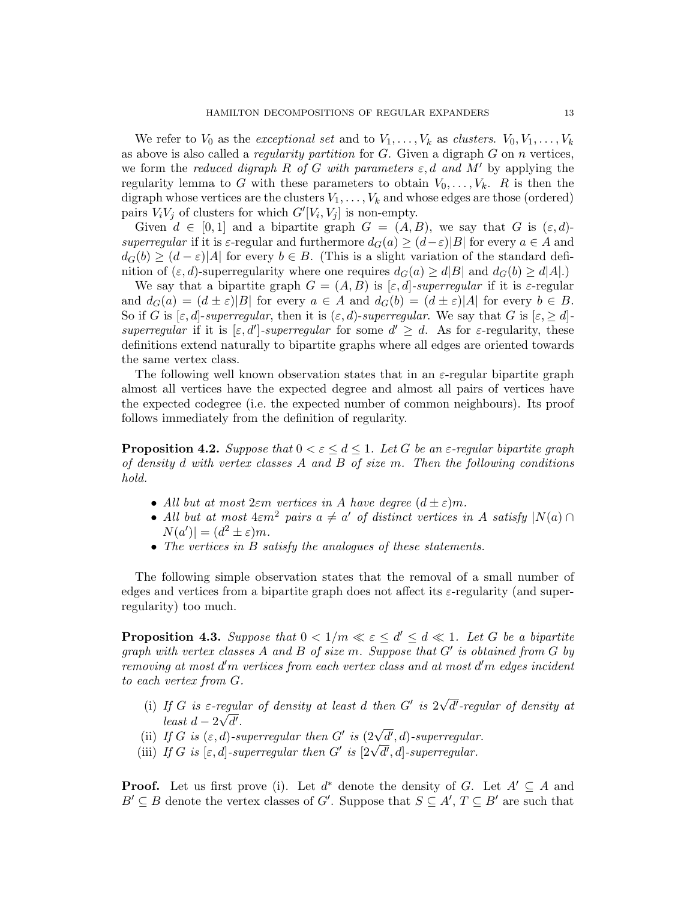We refer to  $V_0$  as the exceptional set and to  $V_1, \ldots, V_k$  as clusters.  $V_0, V_1, \ldots, V_k$ as above is also called a *regularity partition* for  $G$ . Given a digraph  $G$  on  $n$  vertices, we form the reduced digraph R of G with parameters  $\varepsilon$ , d and M' by applying the regularity lemma to G with these parameters to obtain  $V_0, \ldots, V_k$ . R is then the digraph whose vertices are the clusters  $V_1, \ldots, V_k$  and whose edges are those (ordered) pairs  $V_i V_j$  of clusters for which  $G'[V_i, V_j]$  is non-empty.

Given  $d \in [0,1]$  and a bipartite graph  $G = (A, B)$ , we say that G is  $(\varepsilon, d)$ superregular if it is  $\varepsilon$ -regular and furthermore  $d_G(a) \geq (d-\varepsilon)|B|$  for every  $a \in A$  and  $d_G(b) \geq (d - \varepsilon)|A|$  for every  $b \in B$ . (This is a slight variation of the standard definition of  $(\varepsilon, d)$ -superregularity where one requires  $d_G(a) \ge d|B|$  and  $d_G(b) \ge d|A|$ .

We say that a bipartite graph  $G = (A, B)$  is  $[\varepsilon, d]$ -superregular if it is  $\varepsilon$ -regular and  $d_G(a) = (d \pm \varepsilon)|B|$  for every  $a \in A$  and  $d_G(b) = (d \pm \varepsilon)|A|$  for every  $b \in B$ . So if G is  $[\varepsilon, d]$ -superregular, then it is  $(\varepsilon, d)$ -superregular. We say that G is  $[\varepsilon, \geq d]$ superregular if it is  $[\varepsilon, d']$ -superregular for some  $d' \geq d$ . As for  $\varepsilon$ -regularity, these definitions extend naturally to bipartite graphs where all edges are oriented towards the same vertex class.

The following well known observation states that in an  $\varepsilon$ -regular bipartite graph almost all vertices have the expected degree and almost all pairs of vertices have the expected codegree (i.e. the expected number of common neighbours). Its proof follows immediately from the definition of regularity.

**Proposition 4.2.** Suppose that  $0 < \varepsilon \leq d \leq 1$ . Let G be an  $\varepsilon$ -regular bipartite graph of density d with vertex classes A and B of size  $m$ . Then the following conditions hold.

- All but at most  $2\varepsilon m$  vertices in A have degree  $(d \pm \varepsilon)m$ .
- All but at most  $4\epsilon m^2$  pairs  $a \neq a'$  of distinct vertices in A satisfy  $|N(a) \cap$  $N(a')| = (d^2 \pm \varepsilon)m$ .
- The vertices in B satisfy the analogues of these statements.

The following simple observation states that the removal of a small number of edges and vertices from a bipartite graph does not affect its  $\varepsilon$ -regularity (and superregularity) too much.

**Proposition 4.3.** Suppose that  $0 < 1/m \ll \varepsilon \le d' \le d \ll 1$ . Let G be a bipartite graph with vertex classes  $A$  and  $B$  of size  $m$ . Suppose that  $G'$  is obtained from  $G$  by removing at most d'm vertices from each vertex class and at most d'm edges incident to each vertex from G.

- (i) If G is  $\varepsilon$ -regular of density at least d then  $G'$  is 2 √ regular of density at least d then  $G'$  is  $2\sqrt{d'}$ -regular of density at least  $d - 2\sqrt{d'}$ .
- (ii) If G is  $(\varepsilon, d)$ -superregular then G' is  $(2\sqrt{d'}, d)$ -superregular.
- (ii) If G is  $(\varepsilon, a)$ -superregular then G is  $(2\nabla a', a)$ -superregular.<br>(iii) If G is  $[\varepsilon, d]$ -superregular then G' is  $[2\nabla \overline{d'}, d]$ -superregular.

**Proof.** Let us first prove (i). Let  $d^*$  denote the density of G. Let  $A' \subseteq A$  and  $B' \subseteq B$  denote the vertex classes of G'. Suppose that  $S \subseteq A', T \subseteq B'$  are such that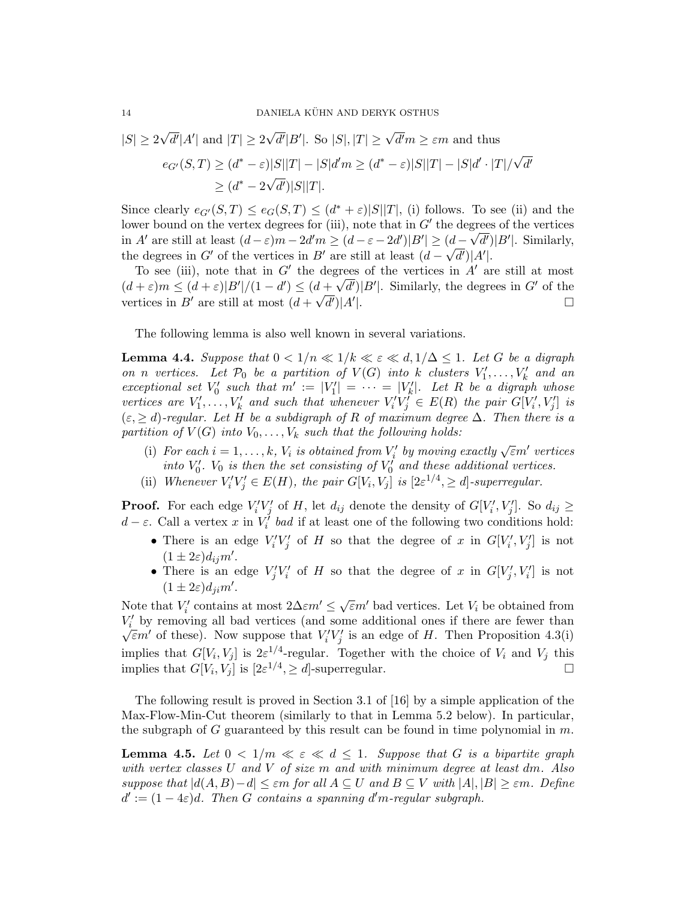$$
|S| \ge 2\sqrt{d'}|A'| \text{ and } |T| \ge 2\sqrt{d'}|B'|. \text{ So } |S|, |T| \ge \sqrt{d'}m \ge \varepsilon m \text{ and thus}
$$
  

$$
e_{G'}(S,T) \ge (d^* - \varepsilon)|S||T| - |S|d'm \ge (d^* - \varepsilon)|S||T| - |S|d' \cdot |T|/\sqrt{d'}|
$$
  

$$
\ge (d^* - 2\sqrt{d'})|S||T|.
$$

Since clearly  $e_{G'}(S,T) \le e_G(S,T) \le (d^*+\varepsilon)|S||T|$ , (i) follows. To see (ii) and the lower bound on the vertex degrees for (iii), note that in  $G'$  the degrees of the vertices in A' are still at least  $(d-\varepsilon)m-2d'm \ge (d-\varepsilon-2d')|B'| \ge (d-\sqrt{d'})|B'|$ . Similarly, the degrees in G' of the vertices in B' are still at least  $(d - \sqrt{d'})|A'|$ .

To see (iii), note that in G' the degrees of the vertices in A' are still at most  $(d+\varepsilon)m \leq (d+\varepsilon)|B'|/(1-d') \leq (d+\sqrt{d'})|B'|$ . Similarly, the degrees in G' of the vertices in B' are still at most  $(d + \sqrt{d'})|A'|$ |.

The following lemma is also well known in several variations.

**Lemma 4.4.** Suppose that  $0 < 1/n \ll 1/k \ll \varepsilon \ll d, 1/\Delta \leq 1$ . Let G be a digraph on n vertices. Let  $\mathcal{P}_0$  be a partition of  $V(G)$  into k clusters  $V'_1, \ldots, V'_k$  and an exceptional set  $V'_0$  such that  $m' := |V'_1| = \cdots = |V'_k|$ . Let R be a digraph whose vertices are  $V'_1, \ldots, V'_k$  and such that whenever  $V'_i V'_j \in E(R)$  the pair  $G[V'_i, V'_j]$  is  $(\varepsilon, \geq d)$ -regular. Let H be a subdigraph of R of maximum degree  $\Delta$ . Then there is a partition of  $V(G)$  into  $V_0, \ldots, V_k$  such that the following holds:

- (i) For each  $i = 1, ..., k$ ,  $V_i$  is obtained from  $V'_i$  by moving exactly  $\sqrt{\varepsilon}m'$  vertices into  $V'_0$ .  $V_0$  is then the set consisting of  $V'_0$  and these additional vertices.
- (ii) Whenever  $V_i'V_j' \in E(H)$ , the pair  $G[V_i, V_j]$  is  $[2\varepsilon^{1/4}, \ge d]$ -superregular.

**Proof.** For each edge  $V_i'V_j'$  of H, let  $d_{ij}$  denote the density of  $G[V_i', V_j']$ . So  $d_{ij} \geq$  $d - \varepsilon$ . Call a vertex x in  $V_i^{\dagger}$  bad if at least one of the following two conditions hold:

- There is an edge  $V_i'V_j'$  of H so that the degree of x in  $G[V_i', V_j']$  is not  $(1 \pm 2\varepsilon)d_{ij}m'.$
- There is an edge  $V'_jV'_i$  of H so that the degree of x in  $G[V'_j, V'_i]$  is not  $(1 \pm 2\varepsilon)d_{ji}m'.$

Note that  $V_i'$  contains at most  $2\Delta \varepsilon m' \leq \sqrt{\varepsilon} m'$  bad vertices. Let  $V_i$  be obtained from  $V_i'$  by removing all bad vertices (and some additional ones if there are fewer than  $\bar{\epsilon}m'$  of these). Now suppose that  $V_i'V_j'$  is an edge of H. Then Proposition 4.3(i) implies that  $G[V_i, V_j]$  is  $2\varepsilon^{1/4}$ -regular. Together with the choice of  $V_i$  and  $V_j$  this implies that  $G[V_i, V_j]$  is  $[2\varepsilon^{1/4}, \geq d]$ -superregular.

The following result is proved in Section 3.1 of [16] by a simple application of the Max-Flow-Min-Cut theorem (similarly to that in Lemma 5.2 below). In particular, the subgraph of G guaranteed by this result can be found in time polynomial in  $m$ .

**Lemma 4.5.** Let  $0 < 1/m \ll \varepsilon \ll d \leq 1$ . Suppose that G is a bipartite graph with vertex classes U and V of size m and with minimum degree at least dm. Also suppose that  $|d(A, B)-d| \leq \varepsilon m$  for all  $A \subseteq U$  and  $B \subseteq V$  with  $|A|, |B| \geq \varepsilon m$ . Define  $d' := (1 - 4\varepsilon)d$ . Then G contains a spanning d'm-regular subgraph.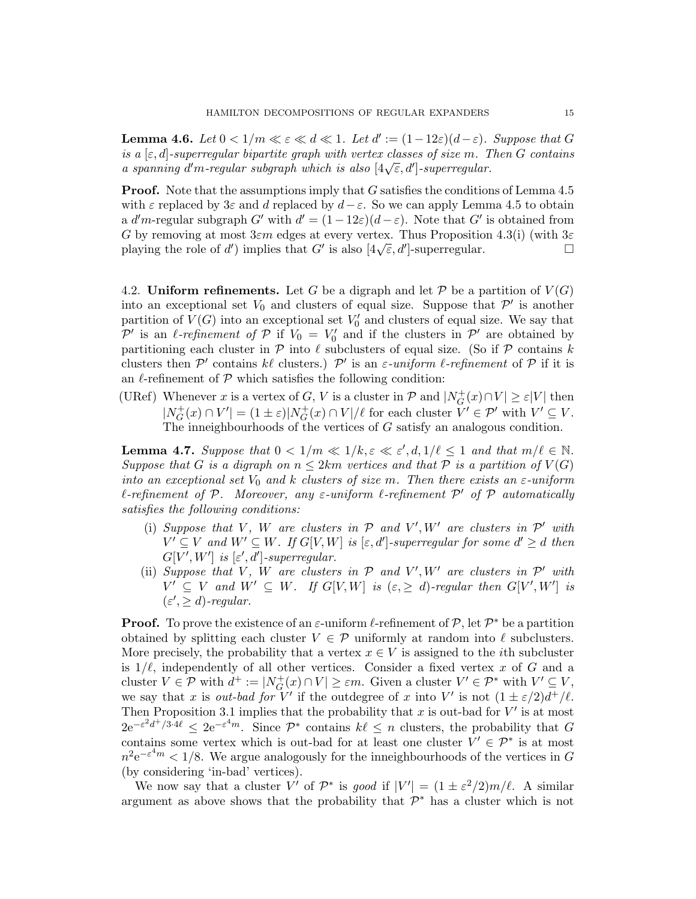**Lemma 4.6.** Let  $0 < 1/m \ll \varepsilon \ll d \ll 1$ . Let  $d' := (1 - 12\varepsilon)(d - \varepsilon)$ . Suppose that G is a  $[\varepsilon, d]$ -superregular bipartite graph with vertex classes of size m. Then G contains a spanning d'm-regular subgraph which is also  $[4\sqrt{\epsilon}, d']$ -superregular.<br>a spanning d'm-regular subgraph which is also  $[4\sqrt{\epsilon}, d']$ -superregular.

**Proof.** Note that the assumptions imply that G satisfies the conditions of Lemma 4.5 with  $\varepsilon$  replaced by 3 $\varepsilon$  and d replaced by  $d-\varepsilon$ . So we can apply Lemma 4.5 to obtain a d'm-regular subgraph G' with  $d' = (1 - 12\varepsilon)(d - \varepsilon)$ . Note that G' is obtained from G by removing at most  $3\varepsilon m$  edges at every vertex. Thus Proposition 4.3(i) (with  $3\varepsilon$  $G$  by removing at most sem edges at every vertex. Thus Proposition 4.5(1) (with  $3\varepsilon$  playing the role of d') implies that G' is also  $[4\sqrt{\varepsilon}, d']$ -superregular.

4.2. Uniform refinements. Let G be a digraph and let P be a partition of  $V(G)$ into an exceptional set  $V_0$  and clusters of equal size. Suppose that  $\mathcal{P}'$  is another partition of  $V(G)$  into an exceptional set  $V'_0$  and clusters of equal size. We say that P' is an  $\ell$ -refinement of P if  $V_0 = V'_0$  and if the clusters in P' are obtained by partitioning each cluster in  $P$  into  $\ell$  subclusters of equal size. (So if  $P$  contains k clusters then  $\mathcal{P}'$  contains kl clusters.)  $\mathcal{P}'$  is an  $\varepsilon$ -uniform l-refinement of  $\mathcal P$  if it is an  $\ell$ -refinement of  $\mathcal P$  which satisfies the following condition:

(URef) Whenever x is a vertex of G, V is a cluster in  $\mathcal{P}$  and  $|N_G^+|$  $\mathcal{L}_G^+(x) \cap V \geq \varepsilon |V|$  then  $|N_G^+|$  $G_G^+(x) \cap V' = (1 \pm \varepsilon)|N_G^+$  $G^+(x) \cap V \mid \ell$  for each cluster  $V' \in \mathcal{P}'$  with  $V' \subseteq V$ . The inneighbourhoods of the vertices of G satisfy an analogous condition.

**Lemma 4.7.** Suppose that  $0 < 1/m \ll 1/k, \varepsilon \ll \varepsilon', d, 1/\ell \leq 1$  and that  $m/\ell \in \mathbb{N}$ . Suppose that G is a digraph on  $n \leq 2km$  vertices and that P is a partition of  $V(G)$ into an exceptional set  $V_0$  and k clusters of size m. Then there exists an  $\varepsilon$ -uniform  $\ell$ -refinement of P. Moreover, any  $\varepsilon$ -uniform  $\ell$ -refinement P' of P automatically satisfies the following conditions:

- (i) Suppose that V, W are clusters in  $P$  and  $V', W'$  are clusters in  $P'$  with  $V' \subseteq V$  and  $W' \subseteq W$ . If  $G[V, W]$  is  $[\varepsilon, d']$ -superregular for some  $d' \geq d$  then  $G[V', W']$  is  $[\varepsilon', d']$ -superregular.
- (ii) Suppose that V, W are clusters in  $P$  and  $V', W'$  are clusters in  $P'$  with  $V' \subseteq V$  and  $W' \subseteq W$ . If  $G[V, W]$  is  $(\varepsilon, \geq d)$ -regular then  $G[V', W']$  is  $(\varepsilon', \geq d)$ -regular.

**Proof.** To prove the existence of an  $\varepsilon$ -uniform  $\ell$ -refinement of  $\mathcal{P}$ , let  $\mathcal{P}^*$  be a partition obtained by splitting each cluster  $V \in \mathcal{P}$  uniformly at random into  $\ell$  subclusters. More precisely, the probability that a vertex  $x \in V$  is assigned to the *i*th subcluster is  $1/\ell$ , independently of all other vertices. Consider a fixed vertex x of G and a cluster  $V \in \mathcal{P}$  with  $d^+ := |N_G^+|$  $\mathcal{G}^+(x) \cap V \geq \varepsilon m$ . Given a cluster  $V' \in \mathcal{P}^*$  with  $V' \subseteq V$ , we say that x is out-bad for V' if the outdegree of x into V' is not  $(1 \pm \varepsilon/2)d^+/\ell$ . Then Proposition 3.1 implies that the probability that x is out-bad for  $V'$  is at most  $2e^{-\varepsilon^2 d^+/3\cdot 4\ell} \leq 2e^{-\varepsilon^4 m}$ . Since  $\mathcal{P}^*$  contains  $k\ell \leq n$  clusters, the probability that G contains some vertex which is out-bad for at least one cluster  $V' \in \mathcal{P}^*$  is at most  $n^2 e^{-\varepsilon^4 m} < 1/8$ . We argue analogously for the inneighbourhoods of the vertices in G (by considering 'in-bad' vertices).

We now say that a cluster V' of  $\mathcal{P}^*$  is good if  $|V'| = (1 \pm \varepsilon^2/2)m/\ell$ . A similar argument as above shows that the probability that  $\mathcal{P}^*$  has a cluster which is not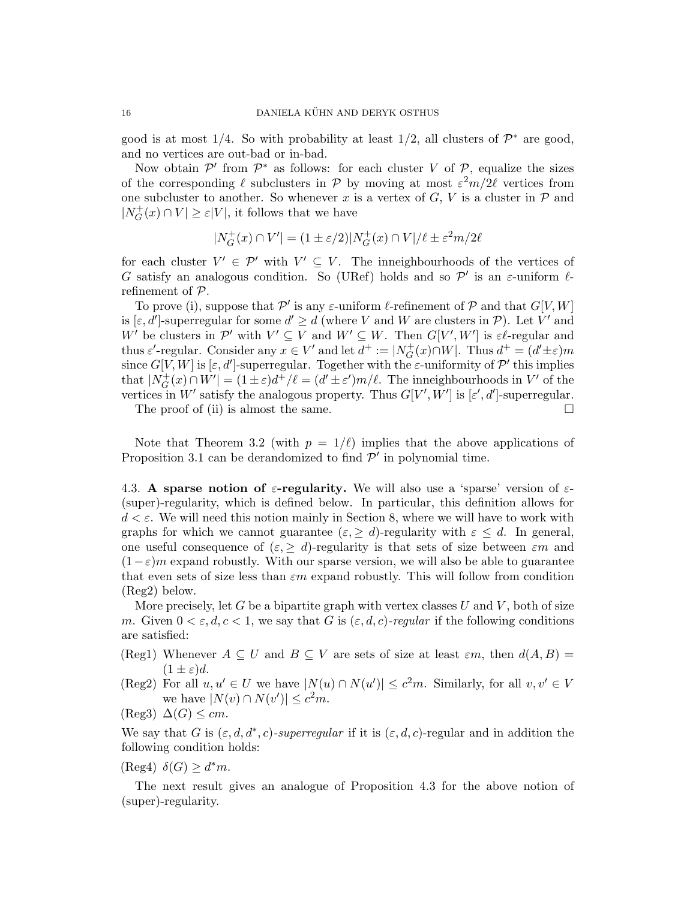good is at most  $1/4$ . So with probability at least  $1/2$ , all clusters of  $\mathcal{P}^*$  are good, and no vertices are out-bad or in-bad.

Now obtain  $\mathcal{P}'$  from  $\mathcal{P}^*$  as follows: for each cluster V of  $\mathcal{P}$ , equalize the sizes of the corresponding  $\ell$  subclusters in  $\mathcal P$  by moving at most  $\varepsilon^2 m/2\ell$  vertices from one subcluster to another. So whenever x is a vertex of  $G, V$  is a cluster in  $P$  and  $|N_G^+|$  $\mathcal{L}_G^+(x) \cap V \geq \varepsilon |V|$ , it follows that we have

$$
|N_G^+(x) \cap V'| = (1 \pm \varepsilon/2) |N_G^+(x) \cap V|/\ell \pm \varepsilon^2 m/2\ell
$$

for each cluster  $V' \in \mathcal{P}'$  with  $V' \subseteq V$ . The inneighbourhoods of the vertices of G satisfy an analogous condition. So (URef) holds and so  $\mathcal{P}'$  is an  $\varepsilon$ -uniform  $\ell$ refinement of P.

To prove (i), suppose that  $\mathcal{P}'$  is any  $\varepsilon$ -uniform  $\ell$ -refinement of  $\mathcal{P}$  and that  $G[V, W]$ is  $[\varepsilon, d']$ -superregular for some  $d' \geq d$  (where V and W are clusters in P). Let V' and W be clusters in P' with  $V' \subseteq V$  and  $W' \subseteq W$ . Then  $G[V', W']$  is  $\varepsilon\ell$ -regular and thus  $\varepsilon'$ -regular. Consider any  $x \in V'$  and let  $d^+ := |N_G^+|$  $G^+(x) \cap W$ . Thus  $d^+ = (d' \pm \varepsilon)m$ since  $G[V, W]$  is  $[\varepsilon, d']$ -superregular. Together with the  $\varepsilon$ -uniformity of  $\mathcal{P}'$  this implies that  $|N_G^+|$  $G_G^+(x) \cap W' = (1 \pm \varepsilon) d^+/\ell = (d' \pm \varepsilon') m/\ell$ . The inneighbourhoods in V' of the vertices in W' satisfy the analogous property. Thus  $G[V', W']$  is  $[\varepsilon', d']$ -superregular.

The proof of (ii) is almost the same.  $\square$ 

Note that Theorem 3.2 (with  $p = 1/\ell$ ) implies that the above applications of Proposition 3.1 can be derandomized to find  $\mathcal{P}'$  in polynomial time.

4.3. A sparse notion of  $\varepsilon$ -regularity. We will also use a 'sparse' version of  $\varepsilon$ -(super)-regularity, which is defined below. In particular, this definition allows for  $d < \varepsilon$ . We will need this notion mainly in Section 8, where we will have to work with graphs for which we cannot guarantee  $(\varepsilon, \geq d)$ -regularity with  $\varepsilon \leq d$ . In general, one useful consequence of  $(\varepsilon, \geq d)$ -regularity is that sets of size between  $\varepsilon m$  and  $(1-\varepsilon)m$  expand robustly. With our sparse version, we will also be able to guarantee that even sets of size less than  $\varepsilon m$  expand robustly. This will follow from condition (Reg2) below.

More precisely, let G be a bipartite graph with vertex classes  $U$  and  $V$ , both of size m. Given  $0 < \varepsilon, d, c < 1$ , we say that G is  $(\varepsilon, d, c)$ -regular if the following conditions are satisfied:

- (Reg1) Whenever  $A \subseteq U$  and  $B \subseteq V$  are sets of size at least  $\varepsilon m$ , then  $d(A, B) =$  $(1 \pm \varepsilon)d$ .
- (Reg2) For all  $u, u' \in U$  we have  $|N(u) \cap N(u')| \leq c^2 m$ . Similarly, for all  $v, v' \in V$ we have  $|N(v) \cap N(v')| \leq c^2 m$ .
- $(\text{Reg3}) \Delta(G) \leq cm.$

We say that G is  $(\varepsilon, d, d^*, c)$ -superregular if it is  $(\varepsilon, d, c)$ -regular and in addition the following condition holds:

 $(\text{Reg4}) \ \delta(G) \geq d^*m.$ 

The next result gives an analogue of Proposition 4.3 for the above notion of (super)-regularity.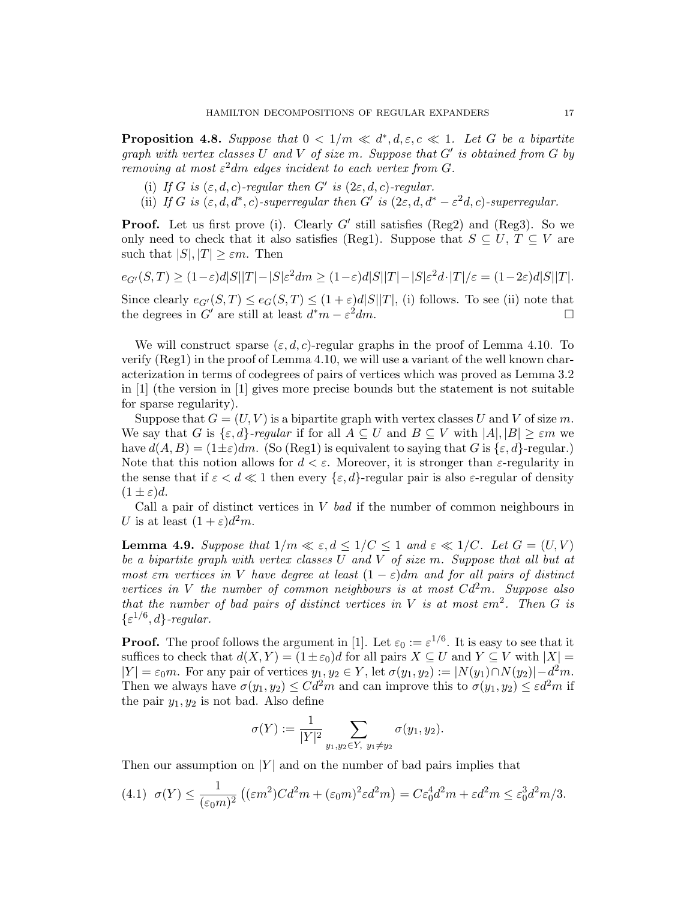**Proposition 4.8.** Suppose that  $0 < 1/m \ll d^*$ ,  $d, \varepsilon, c \ll 1$ . Let G be a bipartite graph with vertex classes U and V of size m. Suppose that  $G'$  is obtained from G by removing at most  $\varepsilon^2 dm$  edges incident to each vertex from G.

- (i) If G is  $(\varepsilon, d, c)$ -regular then G' is  $(2\varepsilon, d, c)$ -regular.
- (ii) If G is  $(\varepsilon, d, d^*, c)$ -superregular then G' is  $(2\varepsilon, d, d^* \varepsilon^2 d, c)$ -superregular.

**Proof.** Let us first prove (i). Clearly  $G'$  still satisfies (Reg2) and (Reg3). So we only need to check that it also satisfies (Reg1). Suppose that  $S \subseteq U, T \subseteq V$  are such that  $|S|, |T| \geq \varepsilon m$ . Then

$$
e_{G'}(S,T)\geq (1-\varepsilon)d|S||T|-|S|\varepsilon^2dm\geq (1-\varepsilon)d|S||T|-|S|\varepsilon^2d\cdot |T|/\varepsilon=(1-2\varepsilon)d|S||T|.
$$

Since clearly  $e_{G'}(S,T) \leq e_G(S,T) \leq (1+\varepsilon)d|S||T|$ , (i) follows. To see (ii) note that the degrees in  $G'$  are still at least  $d^*m - \varepsilon$  $^{2}dm$ .

We will construct sparse  $(\varepsilon, d, c)$ -regular graphs in the proof of Lemma 4.10. To verify (Reg1) in the proof of Lemma 4.10, we will use a variant of the well known characterization in terms of codegrees of pairs of vertices which was proved as Lemma 3.2 in [1] (the version in [1] gives more precise bounds but the statement is not suitable for sparse regularity).

Suppose that  $G = (U, V)$  is a bipartite graph with vertex classes U and V of size m. We say that G is  $\{\varepsilon, d\}$ -regular if for all  $A \subseteq U$  and  $B \subseteq V$  with  $|A|, |B| \geq \varepsilon m$  we have  $d(A, B) = (1 \pm \varepsilon) dm$ . (So (Reg1) is equivalent to saying that G is  $\{\varepsilon, d\}$ -regular.) Note that this notion allows for  $d < \varepsilon$ . Moreover, it is stronger than  $\varepsilon$ -regularity in the sense that if  $\varepsilon < d \ll 1$  then every  $\{\varepsilon, d\}$ -regular pair is also  $\varepsilon$ -regular of density  $(1 \pm \varepsilon)d$ .

Call a pair of distinct vertices in  $V$  bad if the number of common neighbours in U is at least  $(1+\varepsilon)d^2m$ .

**Lemma 4.9.** Suppose that  $1/m \ll \varepsilon, d \leq 1/C \leq 1$  and  $\varepsilon \ll 1/C$ . Let  $G = (U, V)$ be a bipartite graph with vertex classes U and V of size m. Suppose that all but at most  $\varepsilon$ m vertices in V have degree at least  $(1 - \varepsilon)$ dm and for all pairs of distinct vertices in V the number of common neighbours is at most  $Cd^2m$ . Suppose also that the number of bad pairs of distinct vertices in V is at most  $\varepsilon m^2$ . Then G is  $\{\varepsilon^{1/6}, d\}$ -regular.

**Proof.** The proof follows the argument in [1]. Let  $\varepsilon_0 := \varepsilon^{1/6}$ . It is easy to see that it suffices to check that  $d(X, Y) = (1 \pm \varepsilon_0)d$  for all pairs  $X \subseteq U$  and  $Y \subseteq V$  with  $|X| =$  $|Y| = \varepsilon_0 m$ . For any pair of vertices  $y_1, y_2 \in Y$ , let  $\sigma(y_1, y_2) := |N(y_1) \cap N(y_2)| - d^2 m$ . Then we always have  $\sigma(y_1, y_2) \leq C d^2 m$  and can improve this to  $\sigma(y_1, y_2) \leq \varepsilon d^2 m$  if the pair  $y_1, y_2$  is not bad. Also define

$$
\sigma(Y) := \frac{1}{|Y|^2} \sum_{y_1, y_2 \in Y, y_1 \neq y_2} \sigma(y_1, y_2).
$$

Then our assumption on  $|Y|$  and on the number of bad pairs implies that

$$
(4.1) \quad \sigma(Y) \le \frac{1}{(\varepsilon_0 m)^2} \left( (\varepsilon m^2) C d^2 m + (\varepsilon_0 m)^2 \varepsilon d^2 m \right) = C \varepsilon_0^4 d^2 m + \varepsilon d^2 m \le \varepsilon_0^3 d^2 m / 3.
$$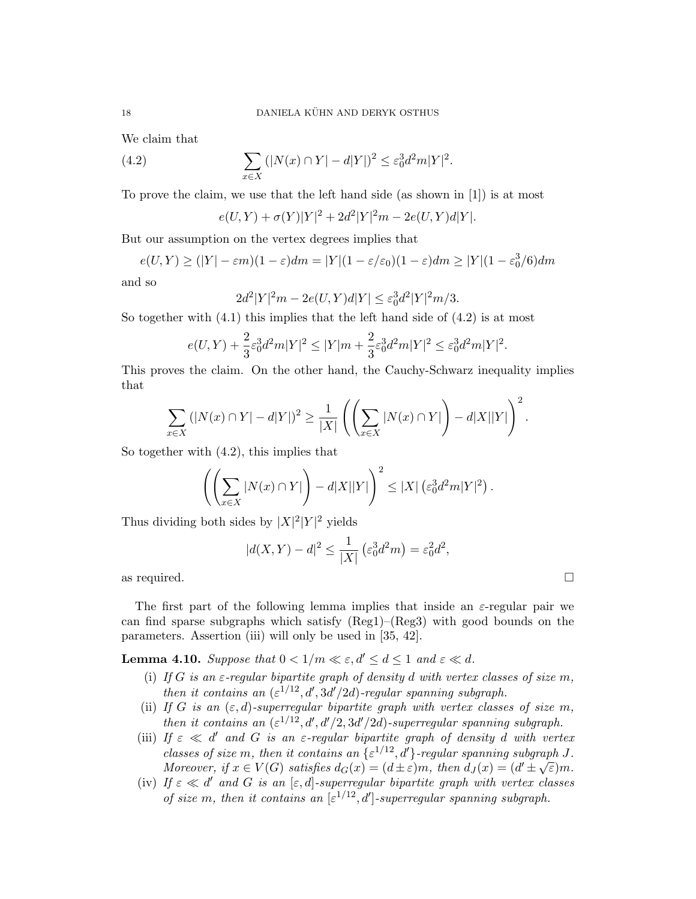We claim that

(4.2) 
$$
\sum_{x \in X} (|N(x) \cap Y| - d|Y|)^2 \le \varepsilon_0^3 d^2 m |Y|^2.
$$

To prove the claim, we use that the left hand side (as shown in [1]) is at most

$$
e(U,Y) + \sigma(Y)|Y|^2 + 2d^2|Y|^2m - 2e(U,Y)d|Y|.
$$

But our assumption on the vertex degrees implies that

$$
e(U,Y) \ge (|Y| - \varepsilon m)(1 - \varepsilon)dm = |Y|(1 - \varepsilon/\varepsilon_0)(1 - \varepsilon)dm \ge |Y|(1 - \varepsilon_0^3/6)dm
$$

and so

$$
2d^{2}|Y|^{2}m - 2e(U,Y)d|Y| \leq \varepsilon_{0}^{3}d^{2}|Y|^{2}m/3.
$$

So together with  $(4.1)$  this implies that the left hand side of  $(4.2)$  is at most

$$
e(U,Y) + \frac{2}{3}\varepsilon_0^3 d^2 m |Y|^2 \le |Y|m + \frac{2}{3}\varepsilon_0^3 d^2 m |Y|^2 \le \varepsilon_0^3 d^2 m |Y|^2.
$$

This proves the claim. On the other hand, the Cauchy-Schwarz inequality implies that

$$
\sum_{x \in X} (|N(x) \cap Y| - d|Y|)^2 \ge \frac{1}{|X|} \left( \left( \sum_{x \in X} |N(x) \cap Y| \right) - d|X||Y| \right)^2.
$$

So together with (4.2), this implies that

$$
\left(\left(\sum_{x\in X} |N(x)\cap Y|\right) - d|X||Y|\right)^2 \leq |X| \left(\varepsilon_0^3 d^2 m|Y|^2\right).
$$

Thus dividing both sides by  $|X|^2|Y|^2$  yields

$$
|d(X,Y) - d|^2 \le \frac{1}{|X|} \left(\varepsilon_0^3 d^2 m\right) = \varepsilon_0^2 d^2,
$$

as required.  $\Box$ 

The first part of the following lemma implies that inside an  $\varepsilon$ -regular pair we can find sparse subgraphs which satisfy  $(Reg1)$ – $(Reg3)$  with good bounds on the parameters. Assertion (iii) will only be used in [35, 42].

**Lemma 4.10.** Suppose that  $0 < 1/m \ll \varepsilon, d' \leq d \leq 1$  and  $\varepsilon \ll d$ .

- (i) If G is an  $\varepsilon$ -regular bipartite graph of density d with vertex classes of size m, then it contains an  $(\epsilon^{1/12}, d', 3d'/2d)$ -regular spanning subgraph.
- (ii) If G is an  $(\varepsilon, d)$ -superregular bipartite graph with vertex classes of size m, then it contains an  $(\varepsilon^{1/12}, d', d'/2, 3d'/2d)$ -superregular spanning subgraph.
- (iii) If  $\varepsilon \ll d'$  and G is an  $\varepsilon$ -regular bipartite graph of density d with vertex classes of size m, then it contains an  $\{\varepsilon^{1/12}, d'\}$ -regular spanning subgraph J. Moreover, if  $x \in V(G)$  satisfies  $d_G(x) = (d \pm \varepsilon)m$ , then  $d_J(x) = (d' \pm \sqrt{\varepsilon})m$ .
- (iv) If  $\varepsilon \ll d'$  and G is an  $[\varepsilon, d]$ -superregular bipartite graph with vertex classes of size m, then it contains an  $[\epsilon^{1/12}, d']$ -superregular spanning subgraph.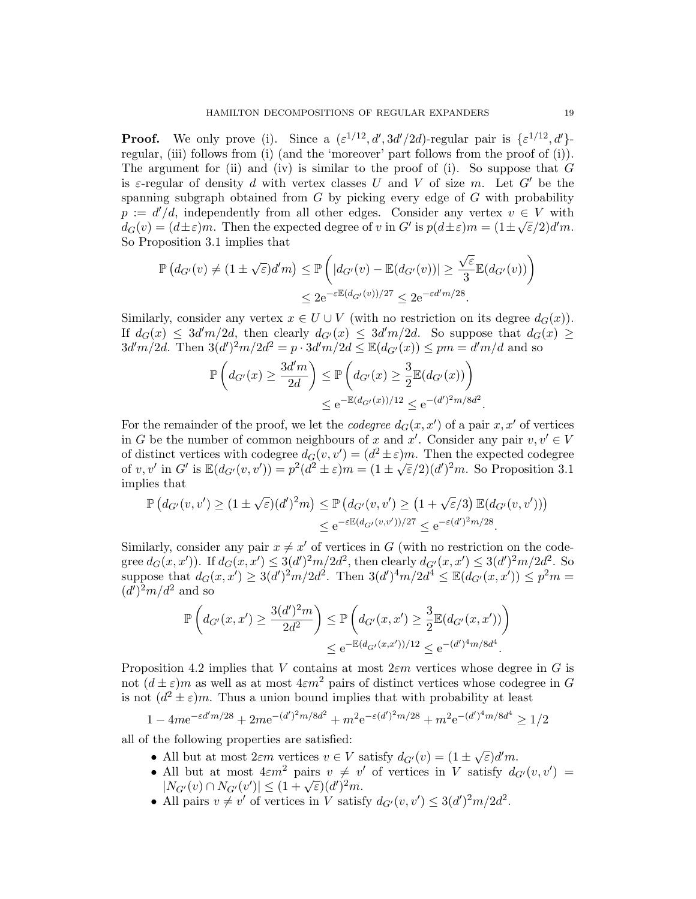**Proof.** We only prove (i). Since a  $(\varepsilon^{1/12}, d', 3d'/2d)$ -regular pair is  $\{\varepsilon^{1/12}, d'\}$ regular, (iii) follows from (i) (and the 'moreover' part follows from the proof of (i)). The argument for (ii) and (iv) is similar to the proof of (i). So suppose that  $G$ is  $\varepsilon$ -regular of density d with vertex classes U and V of size m. Let G' be the spanning subgraph obtained from  $G$  by picking every edge of  $G$  with probability  $p := d'/d$ , independently from all other edges. Consider any vertex  $v \in V$  with  $d_G(v) = (d \pm \varepsilon)m$ . Then the expected degree of v in G' is  $p(d \pm \varepsilon)m = (1 \pm \sqrt{\varepsilon}/2)d'm$ . So Proposition 3.1 implies that

$$
\mathbb{P}\left(d_{G'}(v) \neq (1 \pm \sqrt{\varepsilon})d'm\right) \leq \mathbb{P}\left(|d_{G'}(v) - \mathbb{E}(d_{G'}(v))| \geq \frac{\sqrt{\varepsilon}}{3}\mathbb{E}(d_{G'}(v))\right)
$$
  

$$
\leq 2e^{-\varepsilon\mathbb{E}(d_{G'}(v))/27} \leq 2e^{-\varepsilon d'm/28}.
$$

Similarly, consider any vertex  $x \in U \cup V$  (with no restriction on its degree  $d_G(x)$ ). If  $d_G(x) \leq 3d'm/2d$ , then clearly  $d_{G'}(x) \leq 3d'm/2d$ . So suppose that  $d_G(x) \geq$  $3d'm/2d$ . Then  $3(d')^2m/2d^2 = p \cdot 3d'm/2d \leq \mathbb{E}(d_{G'}(x)) \leq pm = d'm/d$  and so

$$
\mathbb{P}\left(d_{G'}(x) \ge \frac{3d'm}{2d}\right) \le \mathbb{P}\left(d_{G'}(x) \ge \frac{3}{2}\mathbb{E}(d_{G'}(x))\right) \\
\le e^{-\mathbb{E}(d_{G'}(x))/12} \le e^{-(d')^2 m/8d^2}.
$$

For the remainder of the proof, we let the *codegree*  $d_G(x, x')$  of a pair  $x, x'$  of vertices in G be the number of common neighbours of x and x'. Consider any pair  $v, v' \in V$ of distinct vertices with codegree  $d_G(v, v') = (d^2 \pm \varepsilon)m$ . Then the expected codegree of v, v' in G' is  $\mathbb{E}(d_{G'}(v, v')) = p^2(d^2 \pm \varepsilon)m = (1 \pm \sqrt{\varepsilon}/2)(d')^2m$ . So Proposition 3.1 implies that

$$
\mathbb{P}\left(d_{G'}(v,v')\geq (1\pm\sqrt{\varepsilon})(d')^2m\right)\leq \mathbb{P}\left(d_{G'}(v,v')\geq \left(1+\sqrt{\varepsilon}/3\right)\mathbb{E}(d_{G'}(v,v'))\right)
$$

$$
\leq e^{-\varepsilon\mathbb{E}(d_{G'}(v,v'))/27}\leq e^{-\varepsilon(d')^2m/28}.
$$

Similarly, consider any pair  $x \neq x'$  of vertices in G (with no restriction on the codegree  $d_G(x, x')$ ). If  $d_G(x, x') \leq 3(d')^2 m/2d^2$ , then clearly  $d_{G'}(x, x') \leq 3(d')^2 m/2d^2$ . So suppose that  $d_G(x, x') \geq 3(d')^2 m/2d^2$ . Then  $3(d')^4 m/2d^4 \leq \mathbb{E}(d_{G'}(x, x')) \leq p^2 m =$  $(d')^2m/d^2$  and so

$$
\mathbb{P}\left(d_{G'}(x,x')\geq \frac{3(d')^2m}{2d^2}\right) \leq \mathbb{P}\left(d_{G'}(x,x')\geq \frac{3}{2}\mathbb{E}(d_{G'}(x,x'))\right)
$$
  

$$
\leq e^{-\mathbb{E}(d_{G'}(x,x'))/12} \leq e^{-(d')^4m/8d^4}.
$$

Proposition 4.2 implies that V contains at most  $2\varepsilon m$  vertices whose degree in G is not  $(d \pm \varepsilon)$ m as well as at most  $4\varepsilon m^2$  pairs of distinct vertices whose codegree in G is not  $(d^2 \pm \varepsilon)m$ . Thus a union bound implies that with probability at least

$$
1 - 4m e^{-\varepsilon d'm/28} + 2m e^{-(d')^2 m/8d^2} + m^2 e^{-\varepsilon(d')^2 m/28} + m^2 e^{-(d')^4 m/8d^4} \ge 1/2
$$

all of the following properties are satisfied:

- All but at most  $2\varepsilon m$  vertices  $v \in V$  satisfy  $d_{G'}(v) = (1 \pm \sqrt{\varepsilon})d'm$ .
- All but at most  $4\epsilon m^2$  pairs  $v \neq v'$  of vertices in V satisfy  $d_{G'}(v, v') =$ An but at most  $4\epsilon m$  pairs  $v \neq v$ <br> $|N_{G'}(v) \cap N_{G'}(v')| \leq (1 + \sqrt{\epsilon})(d')^2 m$ .
- All pairs  $v \neq v'$  of vertices in V satisfy  $d_{G'}(v, v') \leq 3(d')^2 m/2d^2$ .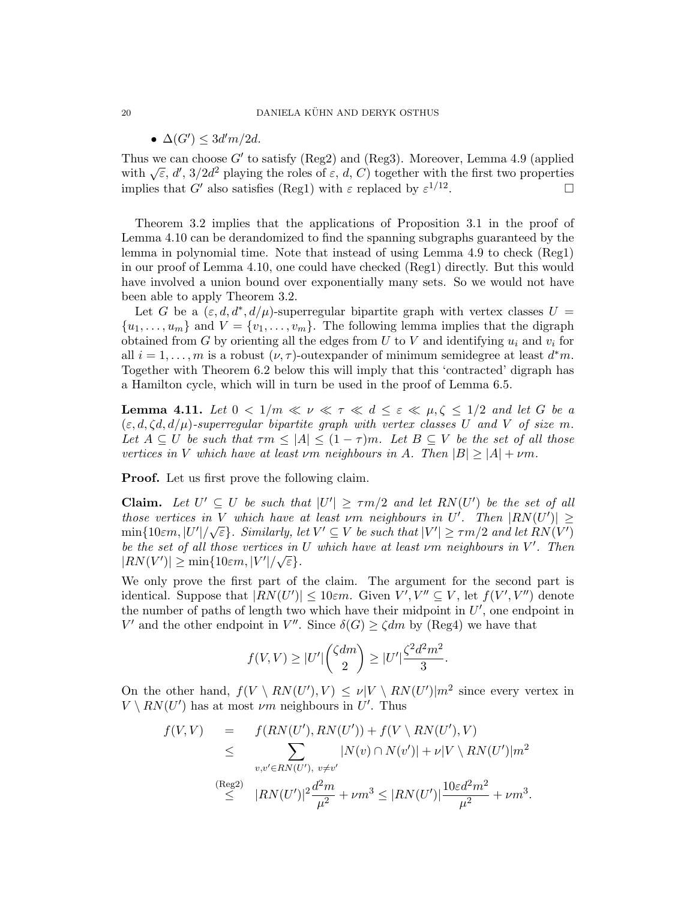### 20 DANIELA KÜHN AND DERYK OSTHUS

# •  $\Delta(G') \leq 3d'm/2d$ .

Thus we can choose  $G'$  to satisfy (Reg2) and (Reg3). Moreover, Lemma 4.9 (applied Thus we can choose G to satisfy (Reg.) and (Reg.). Moreover, Lemma 4.9 (applied with  $\sqrt{\varepsilon}$ , d', 3/2d<sup>2</sup> playing the roles of  $\varepsilon$ , d, C) together with the first two properties implies that G' also satisfies (Reg1) with  $\varepsilon$  replaced by  $\varepsilon^{1/12}$ . — Процессиональные просто производительные и производственными и производства и производства и производства <br>В производство производство производство производство производство производство производство производство прои

Theorem 3.2 implies that the applications of Proposition 3.1 in the proof of Lemma 4.10 can be derandomized to find the spanning subgraphs guaranteed by the lemma in polynomial time. Note that instead of using Lemma 4.9 to check (Reg1) in our proof of Lemma 4.10, one could have checked (Reg1) directly. But this would have involved a union bound over exponentially many sets. So we would not have been able to apply Theorem 3.2.

Let G be a  $(\varepsilon, d, d^*, d/\mu)$ -superregular bipartite graph with vertex classes  $U =$  $\{u_1, \ldots, u_m\}$  and  $V = \{v_1, \ldots, v_m\}$ . The following lemma implies that the digraph obtained from G by orienting all the edges from U to V and identifying  $u_i$  and  $v_i$  for all  $i = 1, ..., m$  is a robust  $(\nu, \tau)$ -outexpander of minimum semidegree at least  $d^*m$ . Together with Theorem 6.2 below this will imply that this 'contracted' digraph has a Hamilton cycle, which will in turn be used in the proof of Lemma 6.5.

**Lemma 4.11.** Let  $0 < 1/m \ll \nu \ll \tau \ll d \leq \varepsilon \ll \mu, \zeta \leq 1/2$  and let G be a  $(\varepsilon, d, \zeta d, d/\mu)$ -superregular bipartite graph with vertex classes U and V of size m. Let  $A \subseteq U$  be such that  $\tau m \leq |A| \leq (1 - \tau)m$ . Let  $B \subseteq V$  be the set of all those vertices in V which have at least vm neighbours in A. Then  $|B| \ge |A| + \nu m$ .

Proof. Let us first prove the following claim.

**Claim.** Let  $U' \subseteq U$  be such that  $|U'| \ge \tau m/2$  and let  $RN(U')$  be the set of all those vertices in V which have at least vm neighbours in U'. Then  $|RN(U')|\geq$  $\lim_{\delta \to 0} \{10 \varepsilon m, |U'|/\sqrt{\varepsilon}\}$ . Similarly, let  $V' \subseteq V$  be such that  $|V'| \ge \tau m/2$  and let  $RN(V')$ be the set of all those vertices in U which have at least  $\nu$ m neighbours in V'. Then  $|RN(V')| \geq \min\{10\varepsilon m, |V'|/\sqrt{\varepsilon}\}.$ 

We only prove the first part of the claim. The argument for the second part is identical. Suppose that  $|RN(U')| \leq 10\varepsilon m$ . Given  $V', V'' \subseteq V$ , let  $f(V', V'')$  denote the number of paths of length two which have their midpoint in  $U'$ , one endpoint in V' and the other endpoint in V''. Since  $\delta(G) \geq \zeta dm$  by (Reg4) we have that

$$
f(V,V) \geq |U'| \binom{\zeta dm}{2} \geq |U'| \frac{\zeta^2 d^2 m^2}{3}.
$$

On the other hand,  $f(V \setminus RN(U'), V) \leq \nu |V \setminus RN(U')| m^2$  since every vertex in  $V \setminus RN(U')$  has at most  $\nu m$  neighbours in U'. Thus

$$
f(V,V) = f(RN(U'), RN(U')) + f(V \setminus RN(U'), V)
$$
  
\n
$$
\leq \sum_{v,v' \in RN(U'), v \neq v'} |N(v) \cap N(v')| + \nu |V \setminus RN(U')|m^2
$$
  
\n(Reg2)  
\n
$$
\leq |RN(U')|^2 \frac{d^2m}{\mu^2} + \nu m^3 \leq |RN(U')| \frac{10\varepsilon d^2m^2}{\mu^2} + \nu m^3.
$$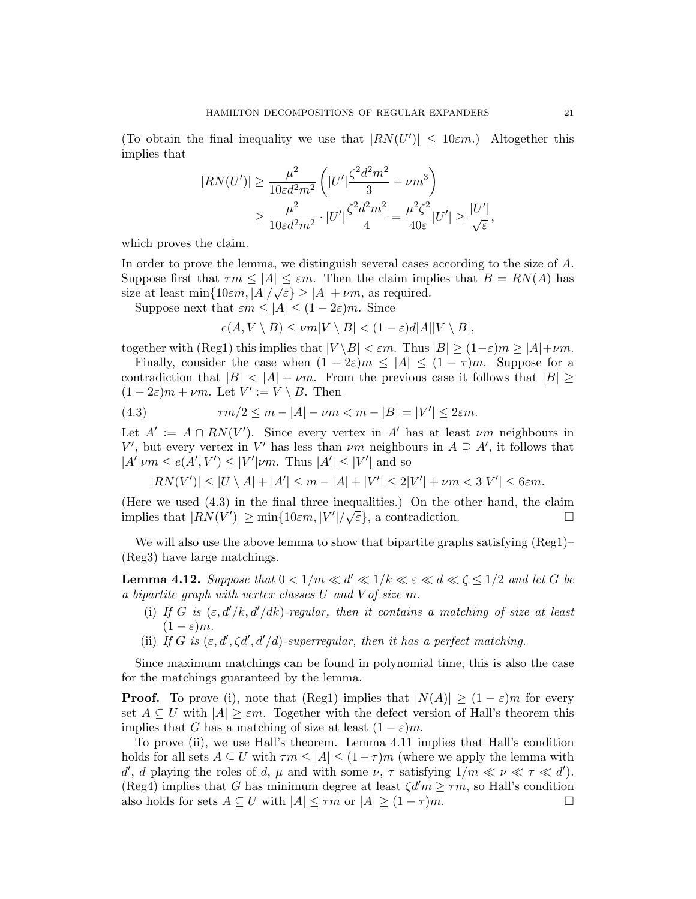(To obtain the final inequality we use that  $|RN(U')| \leq 10\varepsilon m$ .) Altogether this implies that

$$
|RN(U')| \ge \frac{\mu^2}{10\varepsilon d^2 m^2} \left( |U'| \frac{\zeta^2 d^2 m^2}{3} - \nu m^3 \right)
$$
  
 
$$
\ge \frac{\mu^2}{10\varepsilon d^2 m^2} \cdot |U'| \frac{\zeta^2 d^2 m^2}{4} = \frac{\mu^2 \zeta^2}{40\varepsilon} |U'| \ge \frac{|U'|}{\sqrt{\varepsilon}},
$$

which proves the claim.

In order to prove the lemma, we distinguish several cases according to the size of A. Suppose first that  $\tau m \leq |A| \leq \varepsilon m$ . Then the claim implies that  $B = RN(A)$  has size at least  $\min\{10\varepsilon m, |A|/\sqrt{\varepsilon}\} \geq |A| + \nu m$ , as required.

Suppose next that  $\varepsilon m \leq |A| \leq (1-2\varepsilon)m$ . Since

$$
e(A, V \setminus B) \le \nu m|V \setminus B| < (1 - \varepsilon)d|A||V \setminus B|,
$$

together with (Reg1) this implies that  $|V \setminus B| < \varepsilon m$ . Thus  $|B| \ge (1-\varepsilon)m \ge |A| + \nu m$ .

Finally, consider the case when  $(1 - 2\varepsilon)m \leq |A| \leq (1 - \tau)m$ . Suppose for a contradiction that  $|B| < |A| + \nu m$ . From the previous case it follows that  $|B| \ge$  $(1-2\varepsilon)m+\nu m$ . Let  $V' := V \setminus B$ . Then

(4.3) 
$$
\tau m/2 \le m - |A| - \nu m < m - |B| = |V'| \le 2\varepsilon m.
$$

Let  $A' := A \cap RN(V')$ . Since every vertex in A' has at least  $\nu m$  neighbours in V', but every vertex in V' has less than  $\nu m$  neighbours in  $A \supseteq A'$ , it follows that  $|A'| \nu m \leq e(A', V') \leq |V'| \nu m$ . Thus  $|A'| \leq |V'|$  and so

$$
|RN(V')| \le |U \setminus A| + |A'| \le m - |A| + |V'| \le 2|V'| + \nu m < 3|V'| \le 6\varepsilon m.
$$

(Here we used  $(4.3)$  in the final three inequalities.) On the other hand, the claim implies that  $|RN(V')| \ge \min\{10\varepsilon m, |V'|/\sqrt{\varepsilon}\}\)$ , a contradiction.

We will also use the above lemma to show that bipartite graphs satisfying  $(Reg1)$ – (Reg3) have large matchings.

**Lemma 4.12.** Suppose that  $0 < 1/m \ll d' \ll 1/k \ll \varepsilon \ll d \ll \zeta \leq 1/2$  and let G be a bipartite graph with vertex classes U and V of size m.

- (i) If G is  $(\varepsilon, d'/k, d'/dk)$ -regular, then it contains a matching of size at least  $(1 - \varepsilon)m$ .
- (ii) If G is  $(\varepsilon, d', \zeta d', d'/d)$ -superregular, then it has a perfect matching.

Since maximum matchings can be found in polynomial time, this is also the case for the matchings guaranteed by the lemma.

**Proof.** To prove (i), note that (Reg1) implies that  $|N(A)| \geq (1 - \varepsilon)m$  for every set  $A \subseteq U$  with  $|A| \geq \varepsilon m$ . Together with the defect version of Hall's theorem this implies that G has a matching of size at least  $(1 - \varepsilon)m$ .

To prove (ii), we use Hall's theorem. Lemma 4.11 implies that Hall's condition holds for all sets  $A \subseteq U$  with  $\tau m \leq |A| \leq (1 - \tau)m$  (where we apply the lemma with d', d playing the roles of d,  $\mu$  and with some  $\nu$ ,  $\tau$  satisfying  $1/m \ll \nu \ll \tau \ll d'$ ). (Reg4) implies that G has minimum degree at least  $\zeta d'm \geq \tau m$ , so Hall's condition also holds for sets  $A \subseteq U$  with  $|A| \leq \tau m$  or  $|A| \geq (1 - \tau)m$ .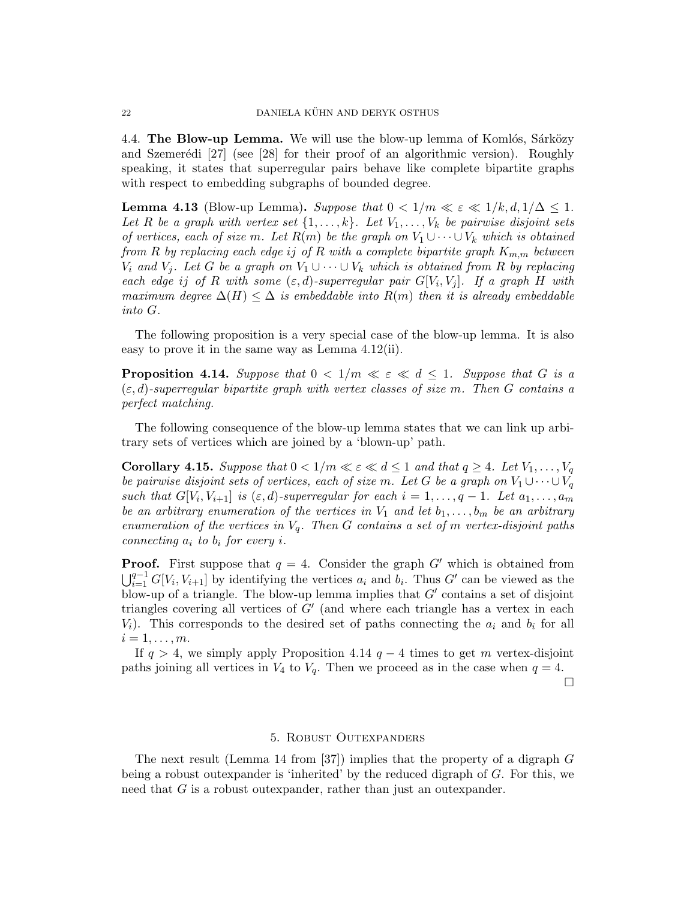4.4. The Blow-up Lemma. We will use the blow-up lemma of Komlós, Sárközy and Szemerédi  $[27]$  (see  $[28]$  for their proof of an algorithmic version). Roughly speaking, it states that superregular pairs behave like complete bipartite graphs with respect to embedding subgraphs of bounded degree.

**Lemma 4.13** (Blow-up Lemma). Suppose that  $0 < 1/m \ll \varepsilon \ll 1/k, d, 1/\Delta \leq 1$ . Let R be a graph with vertex set  $\{1,\ldots,k\}$ . Let  $V_1,\ldots,V_k$  be pairwise disjoint sets of vertices, each of size m. Let  $R(m)$  be the graph on  $V_1 \cup \cdots \cup V_k$  which is obtained from R by replacing each edge is of R with a complete bipartite graph  $K_{m,m}$  between  $V_i$  and  $V_j$ . Let G be a graph on  $V_1 \cup \cdots \cup V_k$  which is obtained from R by replacing each edge ij of R with some  $(\varepsilon, d)$ -superregular pair  $G[V_i, V_j]$ . If a graph H with maximum degree  $\Delta(H) \leq \Delta$  is embeddable into  $R(m)$  then it is already embeddable into G.

The following proposition is a very special case of the blow-up lemma. It is also easy to prove it in the same way as Lemma 4.12(ii).

**Proposition 4.14.** Suppose that  $0 < 1/m \ll \varepsilon \ll d \leq 1$ . Suppose that G is a  $(\varepsilon, d)$ -superregular bipartite graph with vertex classes of size m. Then G contains a perfect matching.

The following consequence of the blow-up lemma states that we can link up arbitrary sets of vertices which are joined by a 'blown-up' path.

**Corollary 4.15.** Suppose that  $0 < 1/m \ll \varepsilon \ll d \leq 1$  and that  $q \geq 4$ . Let  $V_1, \ldots, V_q$ be pairwise disjoint sets of vertices, each of size m. Let G be a graph on  $V_1 \cup \cdots \cup V_q$ such that  $G[V_i, V_{i+1}]$  is  $(\varepsilon, d)$ -superregular for each  $i = 1, \ldots, q - 1$ . Let  $a_1, \ldots, a_m$ be an arbitrary enumeration of the vertices in  $V_1$  and let  $b_1, \ldots, b_m$  be an arbitrary enumeration of the vertices in  $V_q$ . Then G contains a set of m vertex-disjoint paths connecting  $a_i$  to  $b_i$  for every i.

**Proof.** First suppose that  $q = 4$ . Consider the graph G' which is obtained from  $\bigcup_{i=1}^{q-1} G[V_i, V_{i+1}]$  by identifying the vertices  $a_i$  and  $b_i$ . Thus G' can be viewed as the blow-up of a triangle. The blow-up lemma implies that  $G'$  contains a set of disjoint triangles covering all vertices of  $G'$  (and where each triangle has a vertex in each  $V_i$ ). This corresponds to the desired set of paths connecting the  $a_i$  and  $b_i$  for all  $i=1,\ldots,m$ .

If  $q > 4$ , we simply apply Proposition 4.14  $q - 4$  times to get m vertex-disjoint paths joining all vertices in  $V_4$  to  $V_q$ . Then we proceed as in the case when  $q = 4$ .

 $\Box$ 

## 5. Robust Outexpanders

The next result (Lemma 14 from  $[37]$ ) implies that the property of a digraph G being a robust outexpander is 'inherited' by the reduced digraph of G. For this, we need that G is a robust outexpander, rather than just an outexpander.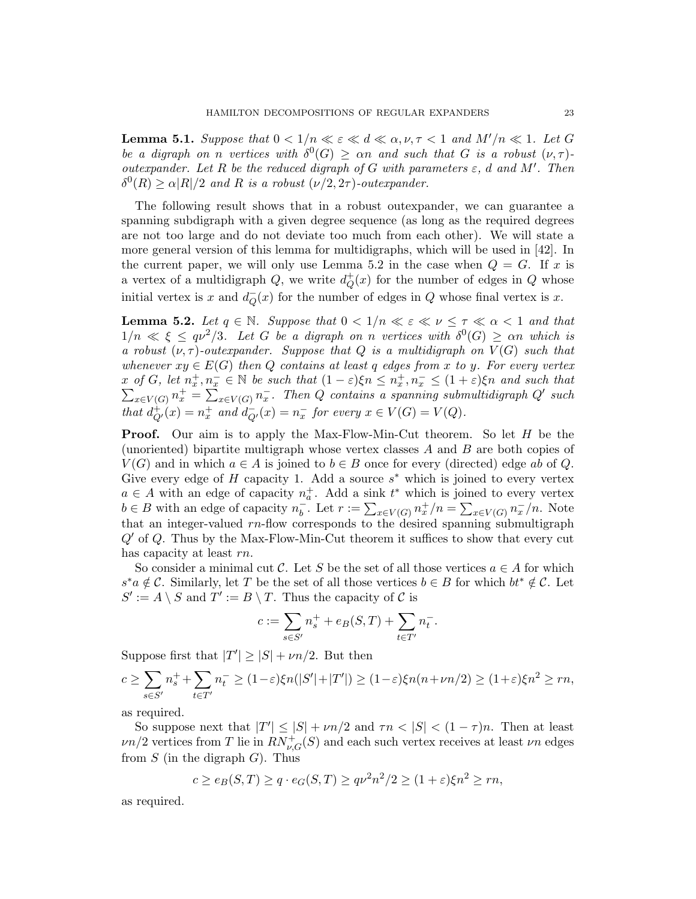**Lemma 5.1.** Suppose that  $0 < 1/n \ll \varepsilon \ll d \ll \alpha, \nu, \tau < 1$  and  $M'/n \ll 1$ . Let G be a digraph on n vertices with  $\delta^{0}(G) \geq \alpha n$  and such that G is a robust  $(\nu, \tau)$ . outexpander. Let R be the reduced digraph of G with parameters  $\varepsilon$ , d and M'. Then  $\delta^0(R) \ge \alpha |R|/2$  and R is a robust  $(\nu/2, 2\tau)$ -outexpander.

The following result shows that in a robust outexpander, we can guarantee a spanning subdigraph with a given degree sequence (as long as the required degrees are not too large and do not deviate too much from each other). We will state a more general version of this lemma for multidigraphs, which will be used in [42]. In the current paper, we will only use Lemma 5.2 in the case when  $Q = G$ . If x is a vertex of a multidigraph  $Q$ , we write  $d^+$  $_{Q}^{+}(x)$  for the number of edges in  $Q$  whose initial vertex is x and  $d_{\mathcal{O}}^ \overline{Q}(x)$  for the number of edges in Q whose final vertex is x.

**Lemma 5.2.** Let  $q \in \mathbb{N}$ . Suppose that  $0 < 1/n \ll \varepsilon \ll \nu \leq \tau \ll \alpha < 1$  and that  $1/n \ll \xi \le q\nu^2/3$ . Let G be a digraph on n vertices with  $\delta^0(G) \ge \alpha n$  which is a robust  $(\nu, \tau)$ -outexpander. Suppose that Q is a multidigraph on  $V(G)$  such that whenever  $xy \in E(G)$  then Q contains at least q edges from x to y. For every vertex x of G, let  $n_x^+, n_x^- \in \mathbb{N}$  be such that  $(1 - \varepsilon)\xi n \leq n_x^+, n_x^- \leq (1 + \varepsilon)\xi n$  and such that  $\sum_{x \in V(G)} n_x^+ = \sum_{x \in V(G)} n_x^-$ . Then Q contains a spanning submultidigraph Q' such that  $d^+_{Q'}(x) = n^+_x$  and  $d^-_{Q'}(x) = n^-_x$  for every  $x \in V(G) = V(Q)$ .

Proof. Our aim is to apply the Max-Flow-Min-Cut theorem. So let H be the (unoriented) bipartite multigraph whose vertex classes A and B are both copies of  $V(G)$  and in which  $a \in A$  is joined to  $b \in B$  once for every (directed) edge ab of Q. Give every edge of  $H$  capacity 1. Add a source  $s^*$  which is joined to every vertex  $a \in A$  with an edge of capacity  $n_a^+$ . Add a sink  $t^*$  which is joined to every vertex  $b \in B$  with an edge of capacity  $n_h^ \bar{b}$ . Let  $r := \sum_{x \in V(G)} n_x^+ / n = \sum_{x \in V(G)} n_x^- / n$ . Note that an integer-valued  $rn$ -flow corresponds to the desired spanning submultigraph  $Q'$  of Q. Thus by the Max-Flow-Min-Cut theorem it suffices to show that every cut has capacity at least rn.

So consider a minimal cut C. Let S be the set of all those vertices  $a \in A$  for which  $s^*a \notin \mathcal{C}$ . Similarly, let T be the set of all those vertices  $b \in B$  for which  $bt^* \notin \mathcal{C}$ . Let  $S' := A \setminus S$  and  $T' := B \setminus T$ . Thus the capacity of C is

$$
c:=\sum_{s\in S'}n^+_s+e_B(S,T)+\sum_{t\in T'}n^-_t.
$$

Suppose first that  $|T'| \geq |S| + \nu n/2$ . But then

$$
c \ge \sum_{s \in S'} n_s^+ + \sum_{t \in T'} n_t^- \ge (1 - \varepsilon) \xi n(|S'| + |T'|) \ge (1 - \varepsilon) \xi n(n + \nu n/2) \ge (1 + \varepsilon) \xi n^2 \ge rn,
$$

as required.

So suppose next that  $|T'| \leq |S| + \nu n/2$  and  $\tau n < |S| < (1 - \tau)n$ . Then at least  $\nu$ n/2 vertices from T lie in  $RN_{\nu,G}^+(S)$  and each such vertex receives at least  $\nu$ n edges from  $S$  (in the digraph  $G$ ). Thus

$$
c \ge e_B(S, T) \ge q \cdot e_G(S, T) \ge q \nu^2 n^2 / 2 \ge (1 + \varepsilon) \xi n^2 \ge rn,
$$

as required.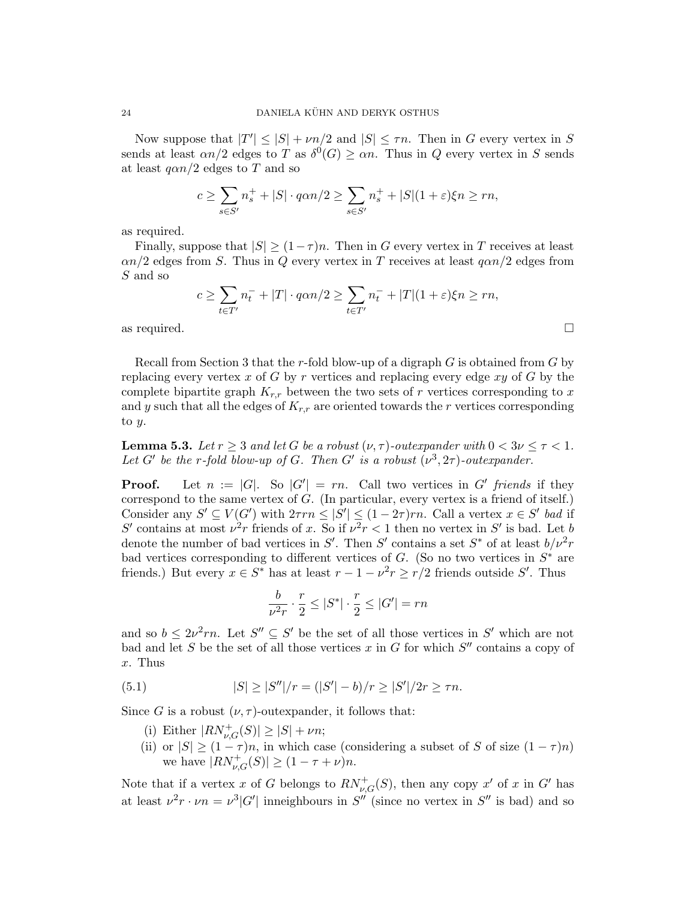Now suppose that  $|T'| \leq |S| + \nu n/2$  and  $|S| \leq \tau n$ . Then in G every vertex in S sends at least  $\alpha n/2$  edges to T as  $\delta^0(G) \geq \alpha n$ . Thus in Q every vertex in S sends at least  $q\alpha n/2$  edges to T and so

$$
c \ge \sum_{s \in S'} n_s^+ + |S| \cdot q\alpha n/2 \ge \sum_{s \in S'} n_s^+ + |S|(1+\varepsilon)\xi n \ge rn,
$$

as required.

Finally, suppose that  $|S| \ge (1 - \tau)n$ . Then in G every vertex in T receives at least  $\alpha n/2$  edges from S. Thus in Q every vertex in T receives at least  $q\alpha n/2$  edges from S and so

$$
c \ge \sum_{t \in T'} n_t^- + |T| \cdot q\alpha n/2 \ge \sum_{t \in T'} n_t^- + |T|(1+\varepsilon)\xi n \ge rn,
$$

as required.  $\square$ 

Recall from Section 3 that the r-fold blow-up of a digraph  $G$  is obtained from  $G$  by replacing every vertex x of G by r vertices and replacing every edge  $xy$  of G by the complete bipartite graph  $K_{r,r}$  between the two sets of r vertices corresponding to x and y such that all the edges of  $K_{r,r}$  are oriented towards the r vertices corresponding to  $y$ .

**Lemma 5.3.** Let  $r > 3$  and let G be a robust  $(\nu, \tau)$ -outexpander with  $0 < 3\nu < \tau < 1$ . Let G' be the r-fold blow-up of G. Then G' is a robust  $(\nu^3, 2\tau)$ -outexpander.

**Proof.** Let  $n := |G|$ . So  $|G'| = rn$ . Call two vertices in G' friends if they correspond to the same vertex of G. (In particular, every vertex is a friend of itself.) Consider any  $S' \subseteq V(G')$  with  $2\tau rn \leq |S'| \leq (1-2\tau)rn$ . Call a vertex  $x \in S'$  bad if S' contains at most  $\nu^2 r$  friends of x. So if  $\nu^2 r < 1$  then no vertex in S' is bad. Let b denote the number of bad vertices in S'. Then S' contains a set  $S^*$  of at least  $b/\nu^2 r$ bad vertices corresponding to different vertices of  $G$ . (So no two vertices in  $S^*$  are friends.) But every  $x \in S^*$  has at least  $r - 1 - \nu^2 r \ge r/2$  friends outside S'. Thus

$$
\frac{b}{\nu^2 r} \cdot \frac{r}{2} \le |S^*| \cdot \frac{r}{2} \le |G'| = rn
$$

and so  $b \leq 2\nu^2 r n$ . Let  $S'' \subseteq S'$  be the set of all those vertices in S' which are not bad and let S be the set of all those vertices  $x$  in  $G$  for which  $S''$  contains a copy of x. Thus

(5.1) 
$$
|S| \ge |S''|/r = (|S'| - b)/r \ge |S'|/2r \ge \tau n.
$$

Since G is a robust  $(\nu, \tau)$ -outexpander, it follows that:

- (i) Either  $|RN_{\nu,G}^{+}(S)| \geq |S| + \nu n;$
- (ii) or  $|S| \ge (1 \tau)n$ , in which case (considering a subset of S of size  $(1 \tau)n$ ) we have  $|RN_{\nu,G}^{+}(S)| \ge (1 - \tau + \nu)n$ .

Note that if a vertex x of G belongs to  $RN_{\nu,G}^+(S)$ , then any copy x' of x in G' has at least  $\nu^2 r \cdot \nu n = \nu^3 |G'|$  inneighbours in  $S''$  (since no vertex in  $S''$  is bad) and so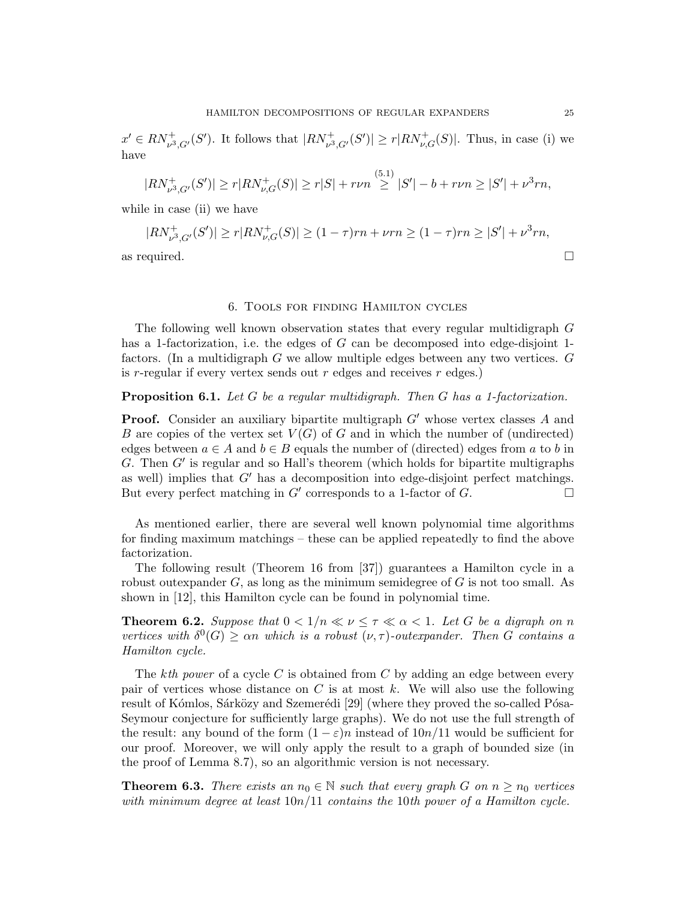$x' \in RN_{\nu^3, G'}^+(S')$ . It follows that  $|RN_{\nu^3, G'}^+(S')| \ge r |RN_{\nu, G}^+(S)|$ . Thus, in case (i) we have

$$
|RN_{\nu^3,G'}^+(S')| \ge r |RN_{\nu,G}^+(S)| \ge r|S| + r\nu n \stackrel{(5.1)}{\ge} |S'| - b + r\nu n \ge |S'| + \nu^3 r n,
$$

while in case (ii) we have

$$
|RN_{\nu^3,G'}^+(S')| \ge r|RN_{\nu,G}^+(S)| \ge (1-\tau)rn + \nu rn \ge (1-\tau)rn \ge |S'| + \nu^3 rn,
$$
  
as required.

## 6. Tools for finding Hamilton cycles

The following well known observation states that every regular multidigraph G has a 1-factorization, i.e. the edges of  $G$  can be decomposed into edge-disjoint 1factors. (In a multidigraph G we allow multiple edges between any two vertices. G is  $r$ -regular if every vertex sends out  $r$  edges and receives  $r$  edges.)

## Proposition 6.1. Let G be a regular multidigraph. Then G has a 1-factorization.

**Proof.** Consider an auxiliary bipartite multigraph  $G'$  whose vertex classes A and B are copies of the vertex set  $V(G)$  of G and in which the number of (undirected) edges between  $a \in A$  and  $b \in B$  equals the number of (directed) edges from a to b in  $G$ . Then  $G'$  is regular and so Hall's theorem (which holds for bipartite multigraphs as well) implies that  $G'$  has a decomposition into edge-disjoint perfect matchings. But every perfect matching in  $G'$  corresponds to a 1-factor of  $G$ .

As mentioned earlier, there are several well known polynomial time algorithms for finding maximum matchings – these can be applied repeatedly to find the above factorization.

The following result (Theorem 16 from [37]) guarantees a Hamilton cycle in a robust outexpander  $G$ , as long as the minimum semidegree of  $G$  is not too small. As shown in [12], this Hamilton cycle can be found in polynomial time.

**Theorem 6.2.** Suppose that  $0 < 1/n \ll \nu \leq \tau \ll \alpha < 1$ . Let G be a digraph on n vertices with  $\delta^0(G) \geq \alpha n$  which is a robust  $(\nu, \tau)$ -outexpander. Then G contains a Hamilton cycle.

The kth power of a cycle C is obtained from C by adding an edge between every pair of vertices whose distance on  $C$  is at most k. We will also use the following result of Kómlos, Sárközy and Szemerédi [29] (where they proved the so-called Pósa-Seymour conjecture for sufficiently large graphs). We do not use the full strength of the result: any bound of the form  $(1 - \varepsilon)n$  instead of  $10n/11$  would be sufficient for our proof. Moreover, we will only apply the result to a graph of bounded size (in the proof of Lemma 8.7), so an algorithmic version is not necessary.

**Theorem 6.3.** There exists an  $n_0 \in \mathbb{N}$  such that every graph G on  $n \geq n_0$  vertices with minimum degree at least  $10n/11$  contains the 10th power of a Hamilton cycle.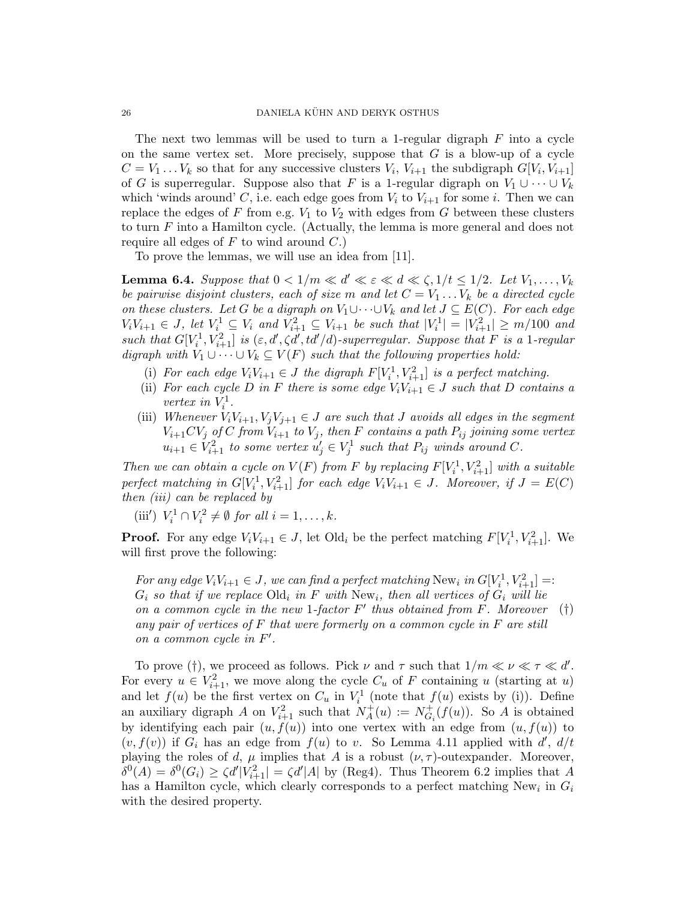The next two lemmas will be used to turn a 1-regular digraph  $F$  into a cycle on the same vertex set. More precisely, suppose that  $G$  is a blow-up of a cycle  $C = V_1 \dots V_k$  so that for any successive clusters  $V_i$ ,  $V_{i+1}$  the subdigraph  $G[V_i, V_{i+1}]$ of G is superregular. Suppose also that F is a 1-regular digraph on  $V_1 \cup \cdots \cup V_k$ which 'winds around' C, i.e. each edge goes from  $V_i$  to  $V_{i+1}$  for some i. Then we can replace the edges of F from e.g.  $V_1$  to  $V_2$  with edges from G between these clusters to turn F into a Hamilton cycle. (Actually, the lemma is more general and does not require all edges of  $F$  to wind around  $C$ .)

To prove the lemmas, we will use an idea from [11].

**Lemma 6.4.** Suppose that  $0 < 1/m \ll d' \ll \varepsilon \ll d \ll \zeta, 1/t \leq 1/2$ . Let  $V_1, \ldots, V_k$ be pairwise disjoint clusters, each of size m and let  $C = V_1 \dots V_k$  be a directed cycle on these clusters. Let G be a digraph on  $V_1 \cup \cdots \cup V_k$  and let  $J \subseteq E(C)$ . For each edge  $V_iV_{i+1} \in J$ , let  $V_i^1 \subseteq V_i$  and  $V_{i+1}^2 \subseteq V_{i+1}$  be such that  $|V_i^1| = |V_{i+1}^2| \ge m/100$  and such that  $G[V_i^1, V_{i+1}^2]$  is  $(\varepsilon, d', \zeta d', td'/d)$ -superregular. Suppose that F is a 1-regular digraph with  $V_1 \cup \cdots \cup V_k \subseteq V(F)$  such that the following properties hold:

- (i) For each edge  $V_iV_{i+1} \in J$  the digraph  $F[V_i^1, V_{i+1}^2]$  is a perfect matching.
- (ii) For each cycle D in F there is some edge  $V_iV_{i+1} \in J$  such that D contains a vertex in  $V_i^1$ .
- (iii) Whenever  $V_iV_{i+1}, V_jV_{j+1} \in J$  are such that J avoids all edges in the segment  $V_{i+1}CV_j$  of C from  $V_{i+1}$  to  $V_j$ , then F contains a path  $P_{ij}$  joining some vertex  $u_{i+1} \in V_{i+1}^2$  to some vertex  $u'_j \in V_j^1$  such that  $P_{ij}$  winds around C.

Then we can obtain a cycle on  $V(F)$  from F by replacing  $F[V_i^1, V_{i+1}^2]$  with a suitable perfect matching in  $G[V_i^1, V_{i+1}^2]$  for each edge  $V_iV_{i+1} \in J$ . Moreover, if  $J = E(C)$ then (iii) can be replaced by

(iii')  $V_i^1 \cap V_i^2 \neq \emptyset$  for all  $i = 1, ..., k$ .

**Proof.** For any edge  $V_iV_{i+1} \in J$ , let Old<sub>i</sub> be the perfect matching  $F[V_i^1, V_{i+1}^2]$ . We will first prove the following:

For any edge  $V_iV_{i+1} \in J$ , we can find a perfect matching New<sub>i</sub> in  $G[V_i^1, V_{i+1}^2] =$ :  $G_i$  so that if we replace Old<sub>i</sub> in F with New<sub>i</sub>, then all vertices of  $G_i$  will lie on a common cycle in the new 1-factor  $F'$  thus obtained from  $F$ . Moreover any pair of vertices of  $F$  that were formerly on a common cycle in  $F$  are still on a common cycle in  $F'$ . (†)

To prove (†), we proceed as follows. Pick  $\nu$  and  $\tau$  such that  $1/m \ll \nu \ll \tau \ll d'$ . For every  $u \in V^2_{i+1}$ , we move along the cycle  $C_u$  of F containing u (starting at u) and let  $f(u)$  be the first vertex on  $C_u$  in  $V_i^1$  (note that  $f(u)$  exists by (i)). Define an auxiliary digraph A on  $V_{i+1}^2$  such that  $N_A^+$  $A^+(u) := N_{G_3}^+$  $G_i^+(f(u))$ . So A is obtained by identifying each pair  $(u, f(u))$  into one vertex with an edge from  $(u, f(u))$  to  $(v, f(v))$  if  $G_i$  has an edge from  $f(u)$  to v. So Lemma 4.11 applied with  $d', d/t$ playing the roles of d,  $\mu$  implies that A is a robust  $(\nu, \tau)$ -outexpander. Moreover,  $\delta^{0}(A) = \delta^{0}(G_i) \ge \zeta d' |V_{i+1}^{2}| = \zeta d' |A|$  by (Reg4). Thus Theorem 6.2 implies that A has a Hamilton cycle, which clearly corresponds to a perfect matching  $New<sub>i</sub>$  in  $G<sub>i</sub>$ with the desired property.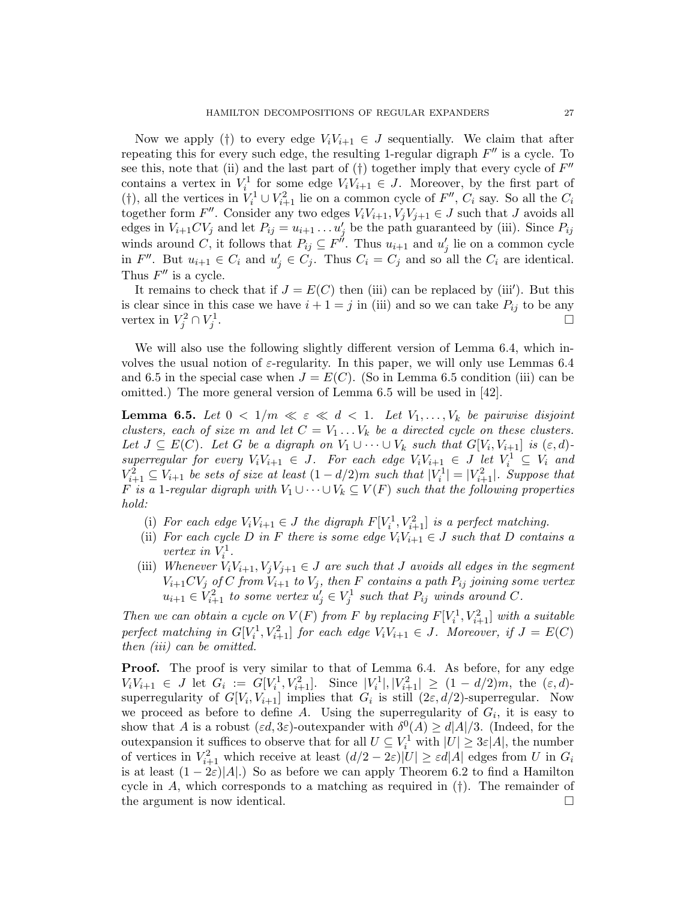Now we apply (†) to every edge  $V_iV_{i+1} \in J$  sequentially. We claim that after repeating this for every such edge, the resulting 1-regular digraph  $F''$  is a cycle. To see this, note that (ii) and the last part of  $(\dagger)$  together imply that every cycle of  $F''$ contains a vertex in  $V_i^1$  for some edge  $V_iV_{i+1} \in J$ . Moreover, by the first part of (†), all the vertices in  $V_i^1 \cup V_{i+1}^2$  lie on a common cycle of  $F''$ ,  $C_i$  say. So all the  $C_i$ together form  $F''$ . Consider any two edges  $V_iV_{i+1}, V_jV_{j+1} \in J$  such that J avoids all edges in  $V_{i+1}CV_j$  and let  $P_{ij} = u_{i+1} \ldots u'_j$  be the path guaranteed by (iii). Since  $P_{ij}$ winds around C, it follows that  $P_{ij} \subseteq F^{\mu}$ . Thus  $u_{i+1}$  and  $u'_{j}$  lie on a common cycle in  $F''$ . But  $u_{i+1} \in C_i$  and  $u'_j \in C_j$ . Thus  $C_i = C_j$  and so all the  $C_i$  are identical. Thus  $F''$  is a cycle.

It remains to check that if  $J = E(C)$  then (iii) can be replaced by (iii'). But this is clear since in this case we have  $i + 1 = j$  in (iii) and so we can take  $P_{ij}$  to be any vertex in  $V_j^2 \cap V_j^1$ .

We will also use the following slightly different version of Lemma 6.4, which involves the usual notion of  $\varepsilon$ -regularity. In this paper, we will only use Lemmas 6.4 and 6.5 in the special case when  $J = E(C)$ . (So in Lemma 6.5 condition (iii) can be omitted.) The more general version of Lemma 6.5 will be used in [42].

**Lemma 6.5.** Let  $0 < 1/m \ll \varepsilon \ll d < 1$ . Let  $V_1, \ldots, V_k$  be pairwise disjoint clusters, each of size m and let  $C = V_1 \dots V_k$  be a directed cycle on these clusters. Let  $J \subseteq E(C)$ . Let G be a digraph on  $V_1 \cup \cdots \cup V_k$  such that  $G[V_i, V_{i+1}]$  is  $(\varepsilon, d)$ superregular for every  $V_iV_{i+1} \in J$ . For each edge  $V_iV_{i+1} \in J$  let  $V_i^1 \subseteq V_i$  and  $V_{i+1}^2 \subseteq V_{i+1}$  be sets of size at least  $(1-d/2)m$  such that  $|V_i^1| = |V_{i+1}^2|$ . Suppose that F is a 1-regular digraph with  $V_1 \cup \cdots \cup V_k \subseteq V(F)$  such that the following properties hold:

- (i) For each edge  $V_iV_{i+1} \in J$  the digraph  $F[V_i^1, V_{i+1}^2]$  is a perfect matching.
- (ii) For each cycle D in F there is some edge  $V_iV_{i+1} \in J$  such that D contains a vertex in  $V_i^1$ .
- (iii) Whenever  $V_iV_{i+1}, V_jV_{j+1} \in J$  are such that J avoids all edges in the segment  $V_{i+1}CV_j$  of C from  $V_{i+1}$  to  $V_j$ , then F contains a path  $P_{ij}$  joining some vertex  $u_{i+1} \in V_{i+1}^2$  to some vertex  $u'_j \in V_j^1$  such that  $P_{ij}$  winds around C.

Then we can obtain a cycle on  $V(F)$  from F by replacing  $F[V_i^1, V_{i+1}^2]$  with a suitable perfect matching in  $G[V_i^1, V_{i+1}^2]$  for each edge  $V_iV_{i+1} \in J$ . Moreover, if  $J = E(C)$ then (iii) can be omitted.

**Proof.** The proof is very similar to that of Lemma 6.4. As before, for any edge  $V_iV_{i+1} \in J$  let  $G_i := G[V_i^1, V_{i+1}^2]$ . Since  $|V_i^1|, |V_{i+1}^2| \ge (1 - d/2)m$ , the  $(\varepsilon, d)$ superregularity of  $G[V_i, V_{i+1}]$  implies that  $G_i$  is still  $(2\varepsilon, d/2)$ -superregular. Now we proceed as before to define A. Using the superregularity of  $G_i$ , it is easy to show that A is a robust  $(\varepsilon d, 3\varepsilon)$ -outexpander with  $\delta^0(A) \ge d|A|/3$ . (Indeed, for the outexpansion it suffices to observe that for all  $U \subseteq V_i^1$  with  $|U| \geq 3\varepsilon|A|$ , the number of vertices in  $V_{i+1}^2$  which receive at least  $(d/2 - 2\varepsilon)|U| \geq \varepsilon d|A|$  edges from U in  $G_i$ is at least  $(1 - 2\varepsilon)|A|$ .) So as before we can apply Theorem 6.2 to find a Hamilton cycle in  $A$ , which corresponds to a matching as required in  $(t)$ . The remainder of the argument is now identical.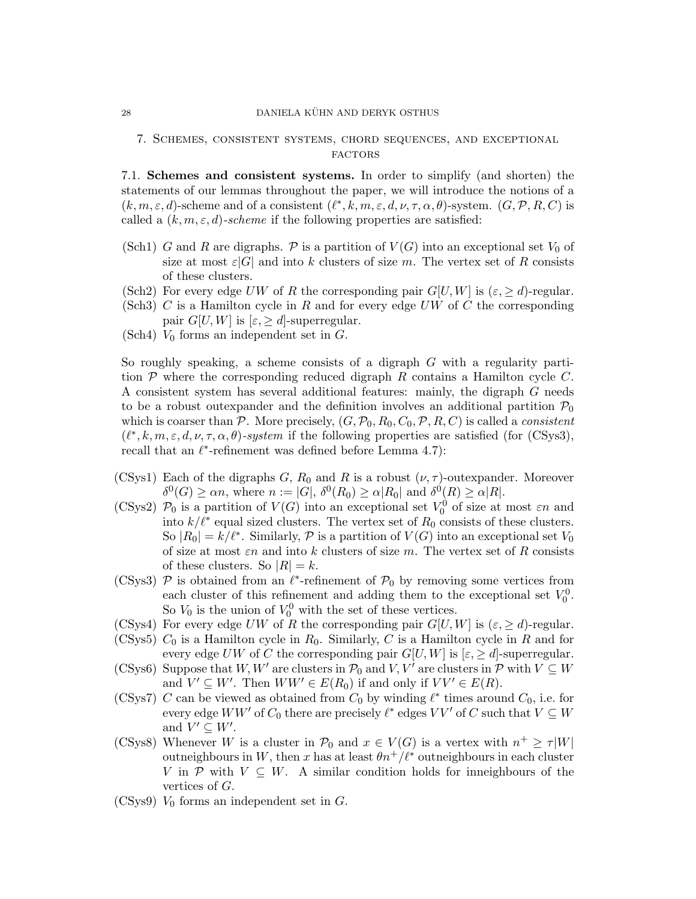#### 28 DANIELA KÜHN AND DERYK OSTHUS

## 7. Schemes, consistent systems, chord sequences, and exceptional **FACTORS**

7.1. Schemes and consistent systems. In order to simplify (and shorten) the statements of our lemmas throughout the paper, we will introduce the notions of a  $(k, m, \varepsilon, d)$ -scheme and of a consistent  $(\ell^*, k, m, \varepsilon, d, \nu, \tau, \alpha, \theta)$ -system.  $(G, \mathcal{P}, R, C)$  is called a  $(k, m, \varepsilon, d)$ -scheme if the following properties are satisfied:

- (Sch1) G and R are digraphs. P is a partition of  $V(G)$  into an exceptional set  $V_0$  of size at most  $\varepsilon|G|$  and into k clusters of size m. The vertex set of R consists of these clusters.
- (Sch2) For every edge UW of R the corresponding pair  $G[U, W]$  is  $(\varepsilon, \geq d)$ -regular.
- (Sch3) C is a Hamilton cycle in R and for every edge  $UW$  of C the corresponding pair  $G[U, W]$  is  $[\varepsilon, \geq d]$ -superregular.
- (Sch4)  $V_0$  forms an independent set in  $G$ .

So roughly speaking, a scheme consists of a digraph G with a regularity partition  $P$  where the corresponding reduced digraph  $R$  contains a Hamilton cycle  $C$ . A consistent system has several additional features: mainly, the digraph G needs to be a robust outexpander and the definition involves an additional partition  $\mathcal{P}_0$ which is coarser than P. More precisely,  $(G, \mathcal{P}_0, R_0, C_0, \mathcal{P}, R, C)$  is called a *consistent*  $(\ell^*, k, m, \varepsilon, d, \nu, \tau, \alpha, \theta)$ -system if the following properties are satisfied (for (CSys3), recall that an  $\ell^*$ -refinement was defined before Lemma 4.7):

- (CSys1) Each of the digraphs G,  $R_0$  and R is a robust  $(\nu, \tau)$ -outexpander. Moreover  $\delta^0(G) \geq \alpha n$ , where  $n := |G|$ ,  $\delta^0(R_0) \geq \alpha |R_0|$  and  $\delta^0(R) \geq \alpha |R|$ .
- (CSys2)  $\mathcal{P}_0$  is a partition of  $V(G)$  into an exceptional set  $V_0^0$  of size at most  $\varepsilon n$  and into  $k/\ell^*$  equal sized clusters. The vertex set of  $R_0$  consists of these clusters. So  $|R_0| = k/\ell^*$ . Similarly,  $P$  is a partition of  $V(G)$  into an exceptional set  $V_0$ of size at most  $\varepsilon n$  and into k clusters of size m. The vertex set of R consists of these clusters. So  $|R| = k$ .
- (CSys3)  $P$  is obtained from an  $\ell^*$ -refinement of  $P_0$  by removing some vertices from each cluster of this refinement and adding them to the exceptional set  $V_0^0$ . So  $V_0$  is the union of  $V_0^0$  with the set of these vertices.
- (CSys4) For every edge UW of R the corresponding pair  $G[U, W]$  is  $(\varepsilon, \geq d)$ -regular.
- (CSys5)  $C_0$  is a Hamilton cycle in  $R_0$ . Similarly, C is a Hamilton cycle in R and for every edge UW of C the corresponding pair  $G[U, W]$  is  $[\varepsilon, \geq d]$ -superregular.
- (CSys6) Suppose that W, W' are clusters in  $\mathcal{P}_0$  and V, V' are clusters in P with  $V \subseteq W$ and  $V' \subseteq W'$ . Then  $WW' \in E(R_0)$  if and only if  $VV' \in E(R)$ .
- (CSys7) C can be viewed as obtained from  $C_0$  by winding  $\ell^*$  times around  $C_0$ , i.e. for every edge  $WW'$  of  $C_0$  there are precisely  $\ell^*$  edges  $VV'$  of  $C$  such that  $V \subseteq W$ and  $V' \subseteq W'$ .
- (CSys8) Whenever W is a cluster in  $\mathcal{P}_0$  and  $x \in V(G)$  is a vertex with  $n^+ \geq \tau |W|$ outneighbours in W, then x has at least  $\theta n^+/l^*$  outneighbours in each cluster V in P with  $V \subseteq W$ . A similar condition holds for inneighbours of the vertices of G.
- (CSys9)  $V_0$  forms an independent set in  $G$ .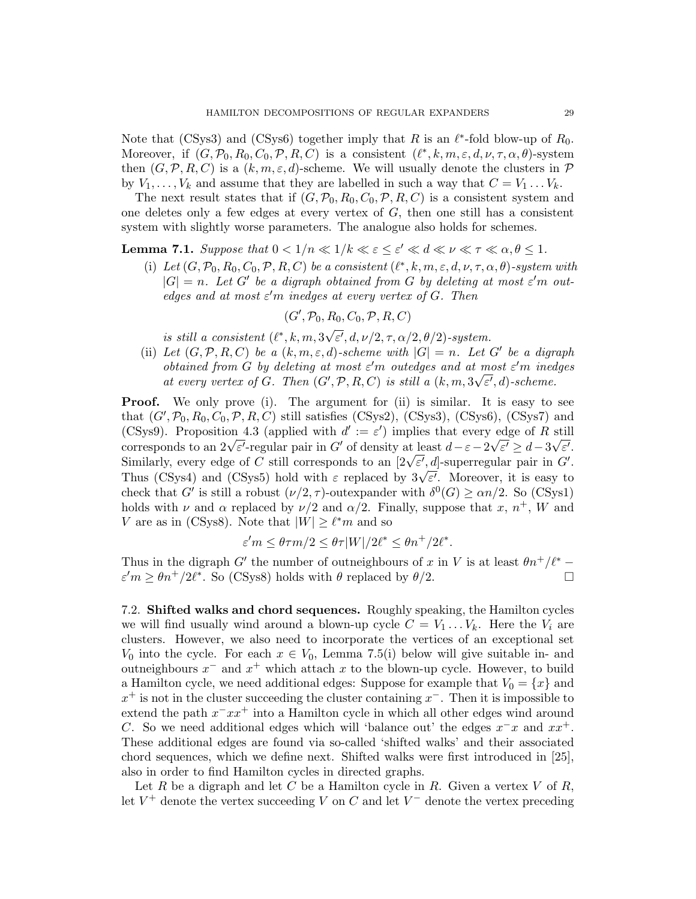Note that (CSys3) and (CSys6) together imply that R is an  $\ell^*$ -fold blow-up of  $R_0$ . Moreover, if  $(G, \mathcal{P}_0, R_0, C_0, \mathcal{P}, R, C)$  is a consistent  $(\ell^*, k, m, \varepsilon, d, \nu, \tau, \alpha, \theta)$ -system then  $(G, \mathcal{P}, R, C)$  is a  $(k, m, \varepsilon, d)$ -scheme. We will usually denote the clusters in  $\mathcal{P}$ by  $V_1, \ldots, V_k$  and assume that they are labelled in such a way that  $C = V_1 \ldots V_k$ .

The next result states that if  $(G, \mathcal{P}_0, R_0, C_0, \mathcal{P}, R, C)$  is a consistent system and one deletes only a few edges at every vertex of  $G$ , then one still has a consistent system with slightly worse parameters. The analogue also holds for schemes.

**Lemma 7.1.** Suppose that  $0 < 1/n \ll 1/k \ll \varepsilon \leq \varepsilon' \ll d \ll \nu \ll \tau \ll \alpha, \theta \leq 1$ .

(i) Let  $(G, \mathcal{P}_0, R_0, C_0, \mathcal{P}, R, C)$  be a consistent  $(\ell^*, k, m, \varepsilon, d, \nu, \tau, \alpha, \theta)$ -system with  $|G| = n$ . Let G' be a digraph obtained from G by deleting at most  $\varepsilon'$ m outedges and at most  $\varepsilon'$ m inedges at every vertex of G. Then

$$
(G', \mathcal{P}_0, R_0, C_0, \mathcal{P}, R, C)
$$

is still a consistent  $(\ell^*, k, m, 3)$  $\overline{\varepsilon'},d,\nu/2,\tau,\alpha/2,\theta/2)$ -system.

(ii) Let  $(G, \mathcal{P}, R, C)$  be a  $(k, m, \varepsilon, d)$ -scheme with  $|G| = n$ . Let G' be a digraph obtained from G by deleting at most  $\varepsilon'$ m outedges and at most  $\varepsilon'$ m inedges at every vertex of G. Then  $(G', \mathcal{P}, R, C)$  is still a  $(k, m, 3\sqrt{\varepsilon'}, d)$ -scheme.

**Proof.** We only prove (i). The argument for (ii) is similar. It is easy to see that  $(G', \mathcal{P}_0, R_0, C_0, \mathcal{P}, R, C)$  still satisfies (CSys2), (CSys3), (CSys6), (CSys7) and (CSys9). Proposition 4.3 (applied with  $d' := \varepsilon'$ ) implies that every edge of R still (CSyss). Proposition 4.5 (applied with  $a := \varepsilon$ ) implies that every edge of R still<br>corresponds to an  $2\sqrt{\varepsilon'}$ -regular pair in G' of density at least  $d - \varepsilon - 2\sqrt{\varepsilon'} \geq d - 3\sqrt{\varepsilon'}$ . corresponds to an  $2\nu \varepsilon$ -regular pair in G or density at least  $a - \varepsilon - 2\nu \varepsilon \ge a - 3\nu \varepsilon$ .<br>Similarly, every edge of C still corresponds to an  $[2\nu \overline{\varepsilon'}$ , d|-superregular pair in G'. Similarly, every edge of C sun corresponds to an  $[2\nu \varepsilon', a]$ -superregular pair in G.<br>Thus (CSys4) and (CSys5) hold with  $\varepsilon$  replaced by  $3\sqrt{\varepsilon'}$ . Moreover, it is easy to check that G' is still a robust  $(\nu/2, \tau)$ -outexpander with  $\delta^0(G) \ge \alpha n/2$ . So (CSys1) holds with  $\nu$  and  $\alpha$  replaced by  $\nu/2$  and  $\alpha/2$ . Finally, suppose that  $x, n^+, W$  and V are as in (CSys8). Note that  $|W| \geq \ell^* m$  and so

$$
\varepsilon' m \le \theta \tau m/2 \le \theta \tau |W|/2\ell^* \le \theta n^+/2\ell^*.
$$

Thus in the digraph G' the number of outneighbours of x in V is at least  $\theta n^+/\ell^*$  –  $\varepsilon' m \geq \theta n^+/2\ell^*$ . So (CSys8) holds with  $\theta$  replaced by  $\theta/2$ .

7.2. Shifted walks and chord sequences. Roughly speaking, the Hamilton cycles we will find usually wind around a blown-up cycle  $C = V_1 \dots V_k$ . Here the  $V_i$  are clusters. However, we also need to incorporate the vertices of an exceptional set  $V_0$  into the cycle. For each  $x \in V_0$ , Lemma 7.5(i) below will give suitable in- and outneighbours  $x^-$  and  $x^+$  which attach x to the blown-up cycle. However, to build a Hamilton cycle, we need additional edges: Suppose for example that  $V_0 = \{x\}$  and  $x^+$  is not in the cluster succeeding the cluster containing  $x^-$ . Then it is impossible to extend the path  $x = xx^+$  into a Hamilton cycle in which all other edges wind around C. So we need additional edges which will 'balance out' the edges  $x^{-}x$  and  $xx^{+}$ . These additional edges are found via so-called 'shifted walks' and their associated chord sequences, which we define next. Shifted walks were first introduced in [25], also in order to find Hamilton cycles in directed graphs.

Let  $R$  be a digraph and let  $C$  be a Hamilton cycle in  $R$ . Given a vertex  $V$  of  $R$ , let  $V^+$  denote the vertex succeeding V on C and let  $V^-$  denote the vertex preceding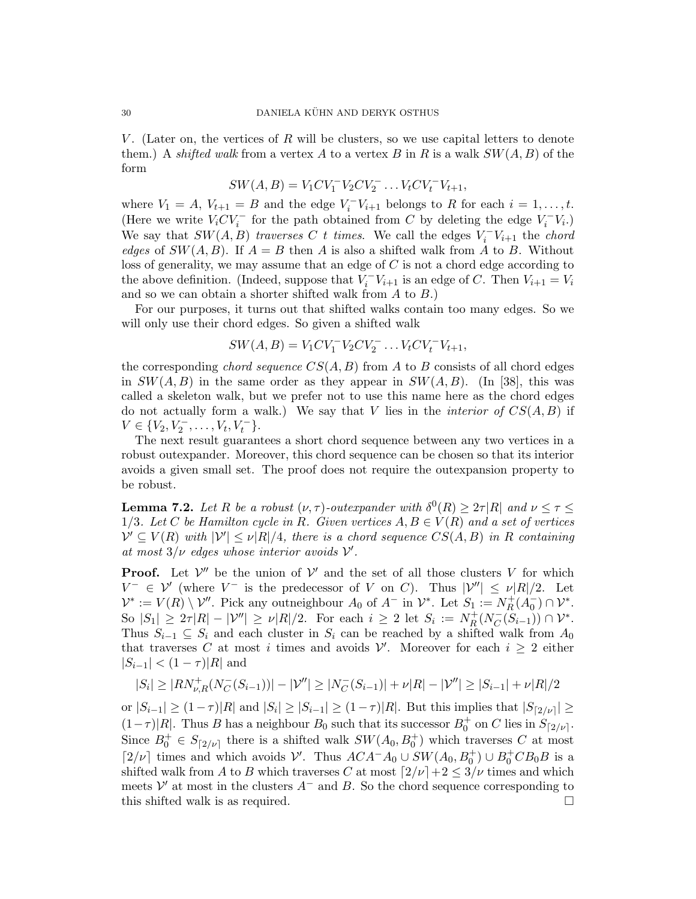V. (Later on, the vertices of R will be clusters, so we use capital letters to denote them.) A shifted walk from a vertex A to a vertex B in R is a walk  $SW(A, B)$  of the form

$$
SW(A, B) = V_1CV_1^-V_2CV_2^- \dots V_tCV_t^-V_{t+1},
$$

where  $V_1 = A$ ,  $V_{t+1} = B$  and the edge  $V_i^- V_{i+1}$  belongs to R for each  $i = 1, ..., t$ . (Here we write  $V_iCV_i^-$  for the path obtained from C by deleting the edge  $V_i^-V_i$ .) We say that  $SW(A, B)$  traverses C t times. We call the edges  $V_i^-V_{i+1}$  the chord edges of  $SW(A, B)$ . If  $A = B$  then A is also a shifted walk from A to B. Without loss of generality, we may assume that an edge of C is not a chord edge according to the above definition. (Indeed, suppose that  $V_i^- V_{i+1}$  is an edge of C. Then  $V_{i+1} = V_i$ and so we can obtain a shorter shifted walk from  $A$  to  $B$ .)

For our purposes, it turns out that shifted walks contain too many edges. So we will only use their chord edges. So given a shifted walk

$$
SW(A, B) = V_1CV_1^-V_2CV_2^- \dots V_tCV_t^-V_{t+1},
$$

the corresponding *chord sequence*  $CS(A, B)$  from A to B consists of all chord edges in  $SW(A, B)$  in the same order as they appear in  $SW(A, B)$ . (In [38], this was called a skeleton walk, but we prefer not to use this name here as the chord edges do not actually form a walk.) We say that V lies in the *interior of*  $CS(A, B)$  if  $V \in \{V_2, V_2^-, \ldots, V_t, V_t^-\}.$ 

The next result guarantees a short chord sequence between any two vertices in a robust outexpander. Moreover, this chord sequence can be chosen so that its interior avoids a given small set. The proof does not require the outexpansion property to be robust.

**Lemma 7.2.** Let R be a robust  $(\nu, \tau)$ -outexpander with  $\delta^0(R) \geq 2\tau |R|$  and  $\nu \leq \tau \leq$ 1/3. Let C be Hamilton cycle in R. Given vertices  $A, B \in V(R)$  and a set of vertices  $\mathcal{V}' \subseteq V(R)$  with  $|\mathcal{V}'| \leq \nu |R|/4$ , there is a chord sequence  $CS(A, B)$  in R containing at most  $3/\nu$  edges whose interior avoids  $\nu'$ .

**Proof.** Let  $V''$  be the union of  $V'$  and the set of all those clusters V for which  $V^- \in \mathcal{V}'$  (where  $V^-$  is the predecessor of V on C). Thus  $|\mathcal{V}''| \leq \nu |R|/2$ . Let  $\mathcal{V}^* := V(R) \setminus \mathcal{V}''$ . Pick any outneighbour  $A_0$  of  $A^-$  in  $\mathcal{V}^*$ . Let  $S_1 := N_R^+$  $^+_R(A_0^-)\cap {\cal V}^*.$ So  $|S_1| \geq 2\tau |R| - |\mathcal{V}''| \geq \nu |R|/2$ . For each  $i \geq 2$  let  $S_i := N_R^+$  $\frac{1}{R}(N_C^-)$  $\overline{C}(S_{i-1})$ ) ∩  $\mathcal{V}^*$ . Thus  $S_{i-1} \subseteq S_i$  and each cluster in  $S_i$  can be reached by a shifted walk from  $A_0$ that traverses C at most i times and avoids  $\mathcal{V}'$ . Moreover for each  $i \geq 2$  either  $|S_{i-1}| < (1 - \tau)|R|$  and

$$
|S_i| \ge |RN_{\nu,R}^+(N_C^-(S_{i-1}))| - |\mathcal{V}''| \ge |N_C^-(S_{i-1})| + \nu|R| - |\mathcal{V}''| \ge |S_{i-1}| + \nu|R|/2
$$

or  $|S_{i-1}| \ge (1-\tau)|R|$  and  $|S_i| \ge |S_{i-1}| \ge (1-\tau)|R|$ . But this implies that  $|S_{\lceil 2/\nu \rceil}| \ge$  $(1-\tau)|R|$ . Thus B has a neighbour  $B_0$  such that its successor  $B_0^+$  on C lies in  $S_{[2/\nu]}$ . Since  $B_0^+ \in S_{[2/\nu]}$  there is a shifted walk  $SW(A_0, B_0^+)$  which traverses C at most [2/ν] times and which avoids  $\mathcal{V}'$ . Thus  $ACA^-A_0 \cup SW(A_0, B_0^+) \cup B_0^+CB_0B$  is a shifted walk from A to B which traverses C at most  $\lceil 2/\nu \rceil + 2 \leq 3/\nu$  times and which meets  $\mathcal{V}'$  at most in the clusters  $A^-$  and B. So the chord sequence corresponding to this shifted walk is as required.  $\square$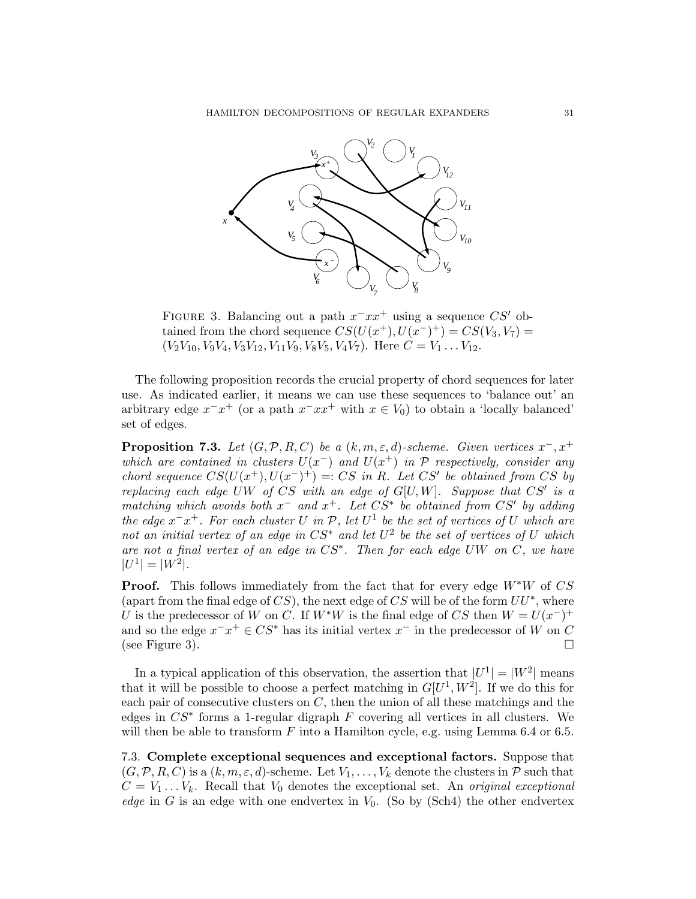

FIGURE 3. Balancing out a path  $x^-xx^+$  using a sequence  $CS'$  obtained from the chord sequence  $CS(U(x^+), U(x^-)^+) = CS(V_3, V_7) =$  $(V_2V_{10}, V_9V_4, V_3V_{12}, V_{11}V_9, V_8V_5, V_4V_7)$ . Here  $C = V_1 \dots V_{12}$ .

The following proposition records the crucial property of chord sequences for later use. As indicated earlier, it means we can use these sequences to 'balance out' an arbitrary edge  $x^{-}x^{+}$  (or a path  $x^{-}xx^{+}$  with  $x \in V_0$ ) to obtain a 'locally balanced' set of edges.

**Proposition 7.3.** Let  $(G, \mathcal{P}, R, C)$  be a  $(k, m, \varepsilon, d)$ -scheme. Given vertices  $x^-, x^+$ which are contained in clusters  $U(x^-)$  and  $U(x^+)$  in  $\mathcal P$  respectively, consider any chord sequence  $CS(U(x^+), U(x^-)^+) = CS$  in R. Let CS' be obtained from CS by replacing each edge UW of CS with an edge of  $G[U, W]$ . Suppose that CS' is a matching which avoids both  $x^-$  and  $x^+$ . Let  $CS^*$  be obtained from  $CS'$  by adding the edge  $x^+x^+$ . For each cluster U in  $\mathcal{P}$ , let  $U^1$  be the set of vertices of U which are not an initial vertex of an edge in  $CS^*$  and let  $U^2$  be the set of vertices of U which are not a final vertex of an edge in CS<sup>∗</sup> . Then for each edge UW on C, we have  $|U^1| = |W^2|$ .

**Proof.** This follows immediately from the fact that for every edge  $W^*W$  of CS (apart from the final edge of  $CS$ ), the next edge of CS will be of the form  $UU^*$ , where U is the predecessor of W on C. If  $W^*W$  is the final edge of CS then  $W = U(x^-)^+$ and so the edge  $x^-x^+ \in CS^*$  has its initial vertex  $x^-$  in the predecessor of W on C (see Figure 3).

In a typical application of this observation, the assertion that  $|U^1| = |W^2|$  means that it will be possible to choose a perfect matching in  $G[U^1, W^2]$ . If we do this for each pair of consecutive clusters on  $C$ , then the union of all these matchings and the edges in  $CS^*$  forms a 1-regular digraph  $F$  covering all vertices in all clusters. We will then be able to transform  $F$  into a Hamilton cycle, e.g. using Lemma 6.4 or 6.5.

7.3. Complete exceptional sequences and exceptional factors. Suppose that  $(G, \mathcal{P}, R, C)$  is a  $(k, m, \varepsilon, d)$ -scheme. Let  $V_1, \ldots, V_k$  denote the clusters in  $\mathcal{P}$  such that  $C = V_1 \dots V_k$ . Recall that  $V_0$  denotes the exceptional set. An original exceptional edge in G is an edge with one endvertex in  $V_0$ . (So by (Sch4) the other endvertex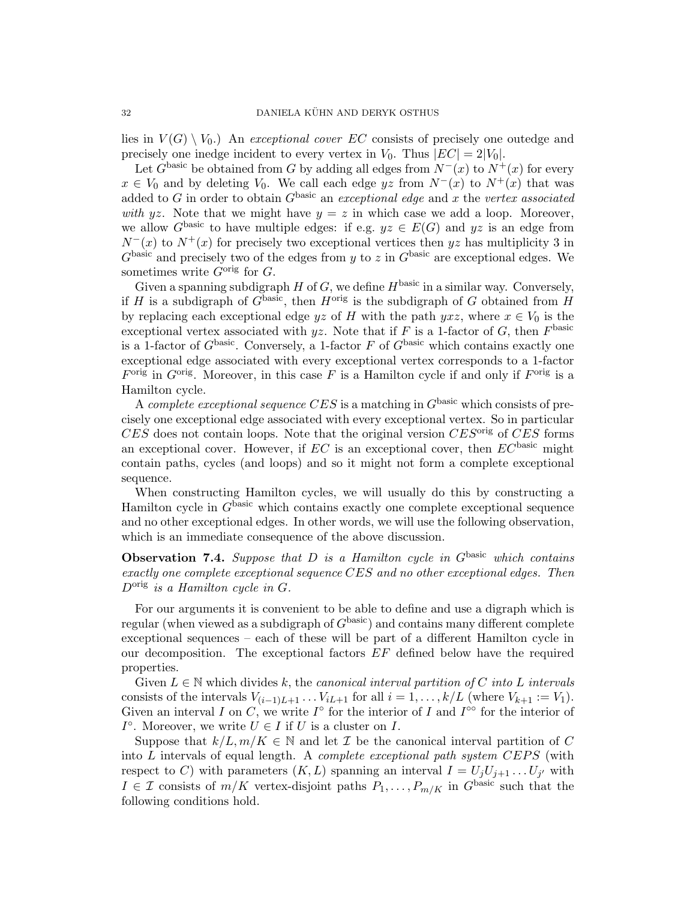lies in  $V(G) \setminus V_0$ .) An exceptional cover EC consists of precisely one outedge and precisely one inedge incident to every vertex in  $V_0$ . Thus  $|EC| = 2|V_0|$ .

Let  $G^{\text{basic}}$  be obtained from G by adding all edges from  $N^-(x)$  to  $N^+(x)$  for every  $x \in V_0$  and by deleting  $V_0$ . We call each edge yz from  $N^-(x)$  to  $N^+(x)$  that was added to G in order to obtain  $G<sup>basic</sup>$  an exceptional edge and x the vertex associated with yz. Note that we might have  $y = z$  in which case we add a loop. Moreover, we allow  $G^{\text{basic}}$  to have multiple edges: if e.g.  $yz \in E(G)$  and  $yz$  is an edge from  $N^-(x)$  to  $N^+(x)$  for precisely two exceptional vertices then yz has multiplicity 3 in  $G<sup>basic</sup>$  and precisely two of the edges from y to z in  $G<sup>basic</sup>$  are exceptional edges. We sometimes write  $G^{\text{orig}}$  for  $G$ .

Given a spanning subdigraph  $H$  of  $G$ , we define  $H^{\text{basic}}$  in a similar way. Conversely, if H is a subdigraph of  $G^{\text{basic}}$ , then  $H^{\text{orig}}$  is the subdigraph of G obtained from H by replacing each exceptional edge yz of H with the path yxz, where  $x \in V_0$  is the exceptional vertex associated with yz. Note that if F is a 1-factor of G, then  $F<sup>basic</sup>$ is a 1-factor of  $G<sup>basic</sup>$ . Conversely, a 1-factor F of  $G<sup>basic</sup>$  which contains exactly one exceptional edge associated with every exceptional vertex corresponds to a 1-factor  $F<sup>orig</sup>$  in  $G<sup>orig</sup>$ . Moreover, in this case F is a Hamilton cycle if and only if  $F<sup>orig</sup>$  is a Hamilton cycle.

A complete exceptional sequence CES is a matching in  $G<sup>basic</sup>$  which consists of precisely one exceptional edge associated with every exceptional vertex. So in particular  $CES$  does not contain loops. Note that the original version  $CES^{\text{orig}}$  of  $CES$  forms an exceptional cover. However, if  $EC$  is an exceptional cover, then  $EC^{\text{basic}}$  might contain paths, cycles (and loops) and so it might not form a complete exceptional sequence.

When constructing Hamilton cycles, we will usually do this by constructing a Hamilton cycle in  $G<sup>basic</sup>$  which contains exactly one complete exceptional sequence and no other exceptional edges. In other words, we will use the following observation, which is an immediate consequence of the above discussion.

# **Observation 7.4.** Suppose that  $D$  is a Hamilton cycle in  $G^{\text{basic}}$  which contains exactly one complete exceptional sequence CES and no other exceptional edges. Then  $D<sup>orig</sup>$  is a Hamilton cycle in G.

For our arguments it is convenient to be able to define and use a digraph which is regular (when viewed as a subdigraph of  $G<sup>basic</sup>$ ) and contains many different complete exceptional sequences – each of these will be part of a different Hamilton cycle in our decomposition. The exceptional factors EF defined below have the required properties.

Given  $L \in \mathbb{N}$  which divides k, the canonical interval partition of C into L intervals consists of the intervals  $V_{(i-1)L+1}$ ...  $V_{iL+1}$  for all  $i = 1, ..., k/L$  (where  $V_{k+1} := V_1$ ). Given an interval I on C, we write  $I^{\circ}$  for the interior of I and  $I^{\circ\circ}$  for the interior of  $I^{\circ}$ . Moreover, we write  $U \in I$  if U is a cluster on I.

Suppose that  $k/L, m/K \in \mathbb{N}$  and let  $\mathcal I$  be the canonical interval partition of C into  $L$  intervals of equal length. A *complete exceptional path system CEPS* (with respect to C) with parameters  $(K, L)$  spanning an interval  $I = U_j U_{j+1} \dots U_{j'}$  with  $I \in \mathcal{I}$  consists of  $m/K$  vertex-disjoint paths  $P_1, \ldots, P_{m/K}$  in  $G^{\text{basic}}$  such that the following conditions hold.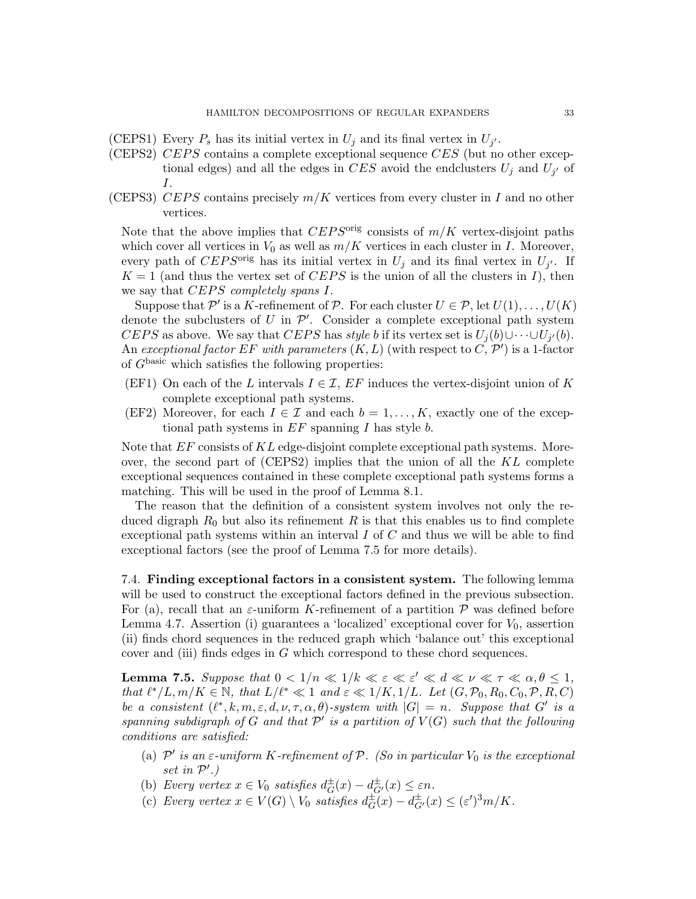- (CEPS1) Every  $P_s$  has its initial vertex in  $U_j$  and its final vertex in  $U_{j'}$ .
- (CEPS2) CEPS contains a complete exceptional sequence CES (but no other exceptional edges) and all the edges in CES avoid the endclusters  $U_j$  and  $U_{j'}$  of I.
- (CEPS3) CEPS contains precisely  $m/K$  vertices from every cluster in I and no other vertices.

Note that the above implies that  $CEPS^{orig}$  consists of  $m/K$  vertex-disjoint paths which cover all vertices in  $V_0$  as well as  $m/K$  vertices in each cluster in I. Moreover, every path of CEPS<sup>orig</sup> has its initial vertex in  $U_j$  and its final vertex in  $U_{j'}$ . If  $K = 1$  (and thus the vertex set of CEPS is the union of all the clusters in I), then we say that  $CEPS$  completely spans  $I$ .

Suppose that  $\mathcal{P}'$  is a K-refinement of  $\mathcal{P}$ . For each cluster  $U \in \mathcal{P}$ , let  $U(1), \ldots, U(K)$ denote the subclusters of U in  $\mathcal{P}'$ . Consider a complete exceptional path system CEPS as above. We say that CEPS has *style b* if its vertex set is  $U_j(b) \cup \cdots \cup U_{j'}(b)$ . An exceptional factor EF with parameters  $(K, L)$  (with respect to  $(\check{C}, \mathcal{P}')$ ) is a 1-factor of  $G^{\text{basic}}$  which satisfies the following properties:

- (EF1) On each of the L intervals  $I \in \mathcal{I}$ , EF induces the vertex-disjoint union of K complete exceptional path systems.
- (EF2) Moreover, for each  $I \in \mathcal{I}$  and each  $b = 1, \ldots, K$ , exactly one of the exceptional path systems in  $EF$  spanning  $I$  has style  $b$ .

Note that EF consists of KL edge-disjoint complete exceptional path systems. Moreover, the second part of (CEPS2) implies that the union of all the KL complete exceptional sequences contained in these complete exceptional path systems forms a matching. This will be used in the proof of Lemma 8.1.

The reason that the definition of a consistent system involves not only the reduced digraph  $R_0$  but also its refinement R is that this enables us to find complete exceptional path systems within an interval  $I$  of  $C$  and thus we will be able to find exceptional factors (see the proof of Lemma 7.5 for more details).

7.4. Finding exceptional factors in a consistent system. The following lemma will be used to construct the exceptional factors defined in the previous subsection. For (a), recall that an  $\varepsilon$ -uniform K-refinement of a partition P was defined before Lemma 4.7. Assertion (i) guarantees a 'localized' exceptional cover for  $V_0$ , assertion (ii) finds chord sequences in the reduced graph which 'balance out' this exceptional cover and (iii) finds edges in G which correspond to these chord sequences.

**Lemma 7.5.** Suppose that  $0 < 1/n \ll 1/k \ll \varepsilon \ll \varepsilon' \ll d \ll \nu \ll \tau \ll \alpha, \theta \leq 1$ , that  $\ell^*/L, m/K \in \mathbb{N}$ , that  $L/\ell^* \ll 1$  and  $\varepsilon \ll 1/K, 1/L$ . Let  $(G, \mathcal{P}_0, R_0, C_0, \mathcal{P}, R, C)$ be a consistent  $(\ell^*, k, m, \varepsilon, d, \nu, \tau, \alpha, \theta)$ -system with  $|G| = n$ . Suppose that G' is a spanning subdigraph of G and that  $\mathcal{P}'$  is a partition of  $V(G)$  such that the following conditions are satisfied:

- (a)  $\mathcal{P}'$  is an  $\varepsilon$ -uniform K-refinement of  $\mathcal{P}$ . (So in particular  $V_0$  is the exceptional set in  $\mathcal{P}'$ .)
- (b) Every vertex  $x \in V_0$  satisfies  $d_G^{\pm}$  $_G^{\pm}(x) - d_{G'}^{\pm}(x) \leq \varepsilon n.$
- (c) Every vertex  $x \in V(G) \setminus V_0$  satisfies  $d_G^{\pm}$  $\sum_{G}^{\pm}(x) - d_{G'}^{\pm}(x) \leq (\varepsilon')^3 m/K.$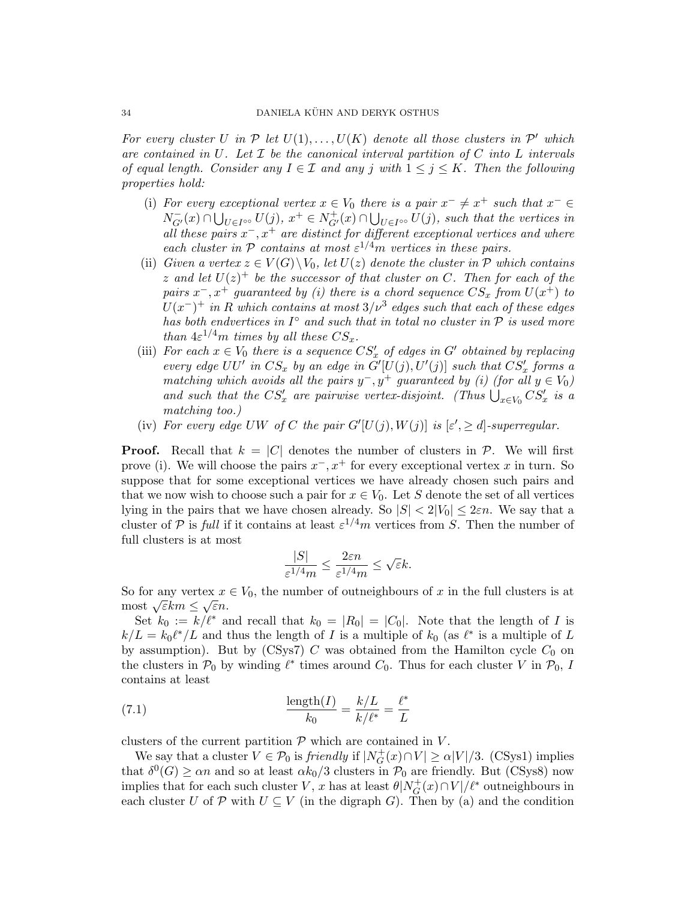For every cluster U in  $P$  let  $U(1), \ldots, U(K)$  denote all those clusters in  $P'$  which are contained in U. Let  $\mathcal I$  be the canonical interval partition of C into L intervals of equal length. Consider any  $I \in \mathcal{I}$  and any j with  $1 \leq j \leq K$ . Then the following properties hold:

- (i) For every exceptional vertex  $x \in V_0$  there is a pair  $x^- \neq x^+$  such that  $x^- \in V_0$  $N_{G'}^-(x) \cap \bigcup_{U \in I^{\infty}} U(j), x^+ \in N_{G'}^+(x) \cap \bigcup_{U \in I^{\infty}} U(j)$ , such that the vertices in all these pairs  $x^{-}$ ,  $x^{+}$  are distinct for different exceptional vertices and where each cluster in P contains at most  $\varepsilon^{1/4}$ m vertices in these pairs.
- (ii) Given a vertex  $z \in V(G) \backslash V_0$ , let  $U(z)$  denote the cluster in  $P$  which contains z and let  $U(z)^+$  be the successor of that cluster on C. Then for each of the pairs  $x^-, x^+$  guaranteed by (i) there is a chord sequence  $CS_x$  from  $U(x^+)$  to  $U(x^-)^+$  in R which contains at most  $3/\nu^3$  edges such that each of these edges has both endvertices in  $I^{\circ}$  and such that in total no cluster in  $P$  is used more than  $4\varepsilon^{1/4}m$  times by all these  $CS_x$ .
- (iii) For each  $x \in V_0$  there is a sequence  $CS'_x$  of edges in G' obtained by replacing every edge  $UU'$  in  $CS_x$  by an edge in  $\tilde{G}'[U(j), U'(j)]$  such that  $CS'_x$  forms a matching which avoids all the pairs  $y^-, y^+$  guaranteed by (i) (for all  $y \in V_0$ ) and such that the  $CS'_x$  are pairwise vertex-disjoint. (Thus  $\bigcup_{x\in V_0} CS'_x$  is a matching too.)
- (iv) For every edge UW of C the pair  $G'[U(j), W(j)]$  is  $[\varepsilon', \geq d]$ -superregular.

**Proof.** Recall that  $k = |C|$  denotes the number of clusters in  $\mathcal{P}$ . We will first prove (i). We will choose the pairs  $x^-, x^+$  for every exceptional vertex x in turn. So suppose that for some exceptional vertices we have already chosen such pairs and that we now wish to choose such a pair for  $x \in V_0$ . Let S denote the set of all vertices lying in the pairs that we have chosen already. So  $|S| < 2|V_0| \leq 2\varepsilon n$ . We say that a cluster of P is full if it contains at least  $\varepsilon^{1/4}m$  vertices from S. Then the number of full clusters is at most

$$
\frac{|S|}{\varepsilon^{1/4}m}\leq \frac{2\varepsilon n}{\varepsilon^{1/4}m}\leq \sqrt{\varepsilon}k.
$$

So for any vertex  $x \in V_0$ , the number of outneighbours of x in the full clusters is at so for any vertex x<br>most  $\sqrt{\varepsilon}km \leq \sqrt{\varepsilon}n$ .

Set  $k_0 := k/\ell^*$  and recall that  $k_0 = |R_0| = |C_0|$ . Note that the length of I is  $k/L = k_0 \ell^* / L$  and thus the length of I is a multiple of  $k_0$  (as  $\ell^*$  is a multiple of L by assumption). But by  $(CSys7)$  C was obtained from the Hamilton cycle  $C_0$  on the clusters in  $\mathcal{P}_0$  by winding  $\ell^*$  times around  $C_0$ . Thus for each cluster V in  $\mathcal{P}_0$ , I contains at least

(7.1) 
$$
\frac{\text{length}(I)}{k_0} = \frac{k/L}{k/\ell^*} = \frac{\ell^*}{L}
$$

clusters of the current partition  $P$  which are contained in  $V$ .

We say that a cluster  $V \in \mathcal{P}_0$  is friendly if  $|N_G^+|$  $G_G^+(x) \cap V \ge \alpha |V|/3.$  (CSys1) implies that  $\delta^0(G) \geq \alpha n$  and so at least  $\alpha k_0/3$  clusters in  $\mathcal{P}_0$  are friendly. But (CSys8) now implies that for each such cluster V, x has at least  $\theta|N_G^+$  $G_G^+(x) \cap V'/\ell^*$  outneighbours in each cluster U of P with  $U \subseteq V$  (in the digraph G). Then by (a) and the condition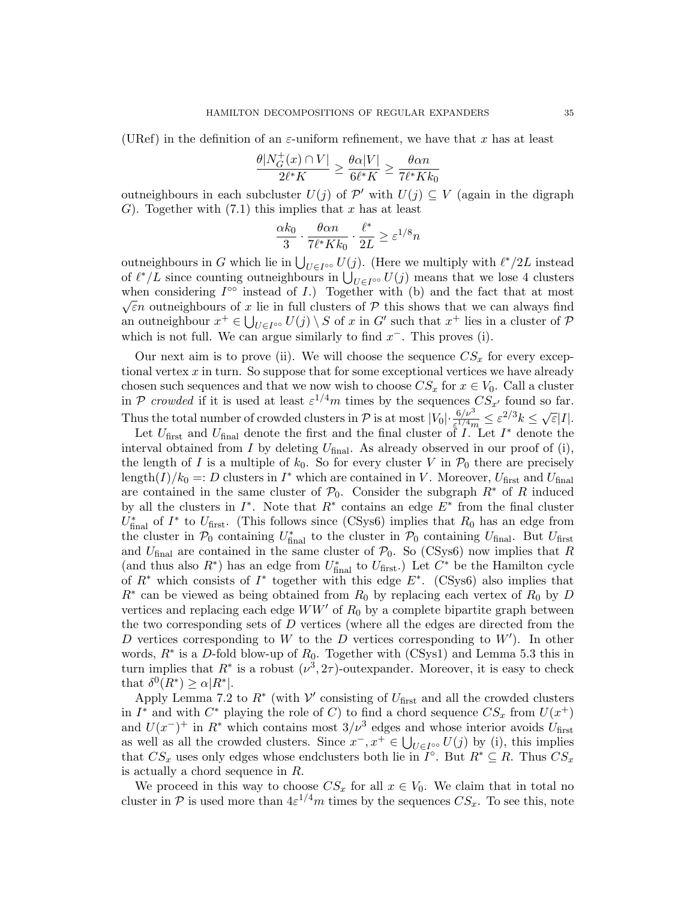(URef) in the definition of an  $\varepsilon$ -uniform refinement, we have that x has at least

$$
\frac{\theta|N_G^+(x)\cap V|}{2\ell^*K}\geq \frac{\theta\alpha|V|}{6\ell^*K}\geq \frac{\theta\alpha n}{7\ell^*Kk_0}
$$

outneighbours in each subcluster  $U(j)$  of  $\mathcal{P}'$  with  $U(j) \subseteq V$  (again in the digraph G). Together with  $(7.1)$  this implies that x has at least

$$
\frac{\alpha k_0}{3} \cdot \frac{\theta \alpha n}{7\ell^* K k_0} \cdot \frac{\ell^*}{2L} \ge \varepsilon^{1/8} n
$$

outneighbours in G which lie in  $\bigcup_{U \in I^{\infty}} U(j)$ . (Here we multiply with  $\ell^*/2L$  instead of  $\ell^*/L$  since counting outneighbours in  $\bigcup_{U \in I^{\infty}} U(j)$  means that we lose 4 clusters when considering  $I^{\circ\circ}$  instead of I.) Together with (b) and the fact that at most  $\sqrt{\varepsilon}n$  outneighbours of x lie in full clusters of P this shows that we can always find an outneighbour  $x^+ \in \bigcup_{U \in I^{\infty}} U(j) \setminus S$  of x in G' such that  $x^+$  lies in a cluster of  $\mathcal{P}$ which is not full. We can argue similarly to find  $x^-$ . This proves (i).

Our next aim is to prove (ii). We will choose the sequence  $CS_x$  for every exceptional vertex  $x$  in turn. So suppose that for some exceptional vertices we have already chosen such sequences and that we now wish to choose  $CS_x$  for  $x \in V_0$ . Call a cluster in P crowded if it is used at least  $\varepsilon^{1/4}m$  times by the sequences  $CS_{x'}$  found so far. Thus the total number of crowded clusters in P is at most  $|V_0| \cdot \frac{6/\nu^3}{\varepsilon^{1/4}m} \leq \varepsilon^{2/3} k \leq \sqrt{\varepsilon}|I|$ .

Let  $U_{\text{first}}$  and  $U_{\text{final}}$  denote the first and the final cluster of  $I$ . Let  $I^*$  denote the interval obtained from  $I$  by deleting  $U_{\text{final}}$ . As already observed in our proof of (i), the length of I is a multiple of  $k_0$ . So for every cluster V in  $\mathcal{P}_0$  there are precisely length $(I)/k_0 =: D$  clusters in  $I^*$  which are contained in V. Moreover,  $U_{\text{first}}$  and  $U_{\text{final}}$ are contained in the same cluster of  $\mathcal{P}_0$ . Consider the subgraph  $R^*$  of R induced by all the clusters in  $I^*$ . Note that  $R^*$  contains an edge  $E^*$  from the final cluster  $U^*_{\text{final}}$  of  $I^*$  to  $U_{\text{first}}$ . (This follows since (CSys6) implies that  $R_0$  has an edge from the cluster in  $\mathcal{P}_0$  containing  $U_{\text{final}}^*$  to the cluster in  $\mathcal{P}_0$  containing  $U_{\text{final}}$ . But  $U_{\text{first}}$ and  $U_{\text{final}}$  are contained in the same cluster of  $\mathcal{P}_0$ . So (CSys6) now implies that R (and thus also  $R^*$ ) has an edge from  $U^*_{\text{final}}$  to  $U_{\text{first}}$ .) Let  $C^*$  be the Hamilton cycle of  $R^*$  which consists of  $I^*$  together with this edge  $E^*$ . (CSys6) also implies that  $R^*$  can be viewed as being obtained from  $R_0$  by replacing each vertex of  $R_0$  by  $D$ vertices and replacing each edge  $WW'$  of  $R_0$  by a complete bipartite graph between the two corresponding sets of D vertices (where all the edges are directed from the D vertices corresponding to W to the D vertices corresponding to  $W'$ ). In other words,  $R^*$  is a D-fold blow-up of  $R_0$ . Together with (CSys1) and Lemma 5.3 this in turn implies that  $R^*$  is a robust  $(\nu^3, 2\tau)$ -outexpander. Moreover, it is easy to check that  $\delta^0(R^*) \geq \alpha |R^*|$ .

Apply Lemma 7.2 to  $R^*$  (with  $\mathcal V'$  consisting of  $U_{\text{first}}$  and all the crowded clusters in  $I^*$  and with  $C^*$  playing the role of C) to find a chord sequence  $CS_x$  from  $U(x^+)$ and  $U(x^-)^+$  in  $R^*$  which contains most  $3/\nu^3$  edges and whose interior avoids  $U_{\text{first}}$ as well as all the crowded clusters. Since  $x^-, x^+ \in \bigcup_{U \in I^{\infty}} U(j)$  by (i), this implies that  $CS_x$  uses only edges whose endclusters both lie in  $I^{\circ}$ . But  $R^* \subseteq R$ . Thus  $CS_x$ is actually a chord sequence in R.

We proceed in this way to choose  $CS_x$  for all  $x \in V_0$ . We claim that in total no cluster in  $P$  is used more than  $4\varepsilon^{1/4}m$  times by the sequences  $CS_x$ . To see this, note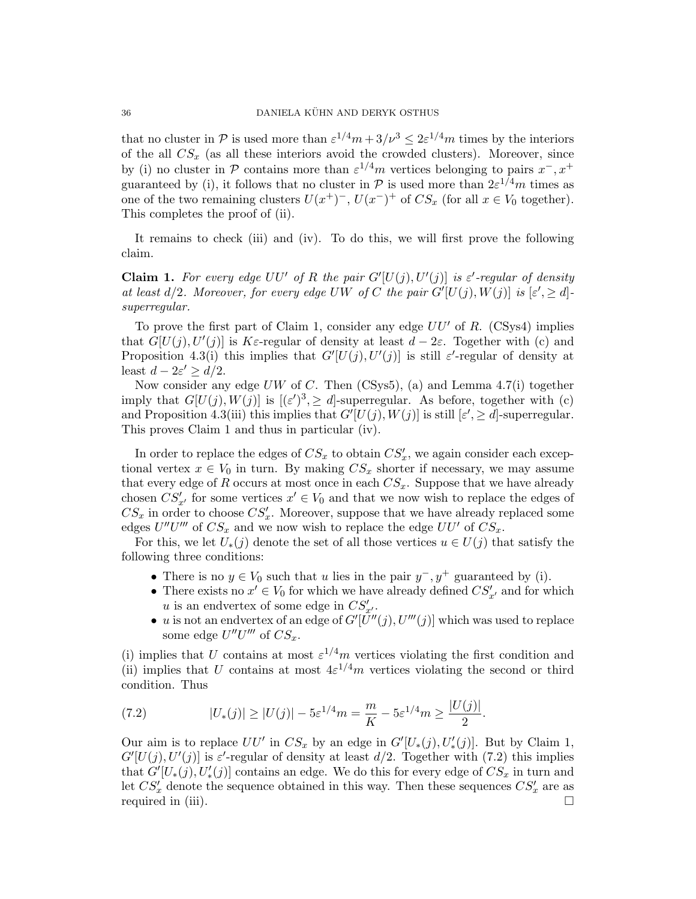that no cluster in P is used more than  $\varepsilon^{1/4}m + 3/\nu^3 \leq 2\varepsilon^{1/4}m$  times by the interiors of the all  $CS_x$  (as all these interiors avoid the crowded clusters). Moreover, since by (i) no cluster in P contains more than  $\varepsilon^{1/4}m$  vertices belonging to pairs  $x^-, x^+$ guaranteed by (i), it follows that no cluster in  $P$  is used more than  $2\varepsilon^{1/4}m$  times as one of the two remaining clusters  $U(x^+)^-$ ,  $U(x^-)^+$  of  $CS_x$  (for all  $x \in V_0$  together). This completes the proof of (ii).

It remains to check (iii) and (iv). To do this, we will first prove the following claim.

**Claim 1.** For every edge  $UU'$  of R the pair  $G'[U(j), U'(j)]$  is  $\varepsilon'$ -regular of density at least  $d/2$ . Moreover, for every edge UW of C the pair  $G'[U(j), W(j)]$  is  $[\varepsilon', \geq d]$ superregular.

To prove the first part of Claim 1, consider any edge  $UU'$  of R. (CSys4) implies that  $G[U(j), U'(j)]$  is K $\varepsilon$ -regular of density at least  $d-2\varepsilon$ . Together with (c) and Proposition 4.3(i) this implies that  $G'[U(j), U'(j)]$  is still  $\varepsilon'$ -regular of density at least  $d - 2\varepsilon' \ge d/2$ .

Now consider any edge  $UW$  of C. Then (CSys5), (a) and Lemma 4.7(i) together imply that  $G[U(j), W(j)]$  is  $[(\varepsilon')^3] \geq d$ -superregular. As before, together with (c) and Proposition 4.3(iii) this implies that  $G'[U(j), W(j)]$  is still  $[\varepsilon', \geq d]$ -superregular. This proves Claim 1 and thus in particular (iv).

In order to replace the edges of  $CS_x$  to obtain  $CS'_x$ , we again consider each exceptional vertex  $x \in V_0$  in turn. By making  $CS_x$  shorter if necessary, we may assume that every edge of R occurs at most once in each  $CS_x$ . Suppose that we have already chosen  $CS'_{x'}$  for some vertices  $x' \in V_0$  and that we now wish to replace the edges of  $CS_x$  in order to choose  $CS'_x$ . Moreover, suppose that we have already replaced some edges  $U''U'''$  of  $CS_x$  and we now wish to replace the edge  $UU'$  of  $CS_x$ .

For this, we let  $U_*(j)$  denote the set of all those vertices  $u \in U(j)$  that satisfy the following three conditions:

- There is no  $y \in V_0$  such that u lies in the pair  $y^-, y^+$  guaranteed by (i).
- There exists no  $x' \in V_0$  for which we have already defined  $CS'_{x'}$  and for which u is an endvertex of some edge in  $CS'_{x'}$ .
- u is not an endvertex of an edge of  $G'[\tilde{U}''(j), U'''(j)]$  which was used to replace some edge  $U''U'''$  of  $CS_x$ .

(i) implies that U contains at most  $\varepsilon^{1/4}m$  vertices violating the first condition and (ii) implies that U contains at most  $4\varepsilon^{1/4}m$  vertices violating the second or third condition. Thus

(7.2) 
$$
|U_*(j)| \ge |U(j)| - 5\varepsilon^{1/4} m = \frac{m}{K} - 5\varepsilon^{1/4} m \ge \frac{|U(j)|}{2}.
$$

Our aim is to replace  $UU'$  in  $CS_x$  by an edge in  $G'[U_*(j), U'_*(j)]$ . But by Claim 1,  $G'[U(j), U'(j)]$  is  $\varepsilon'$ -regular of density at least  $d/2$ . Together with (7.2) this implies that  $G'[U_*(j), U'_*(j)]$  contains an edge. We do this for every edge of  $CS_x$  in turn and let  $CS'_x$  denote the sequence obtained in this way. Then these sequences  $CS'_x$  are as required in (iii).  $\Box$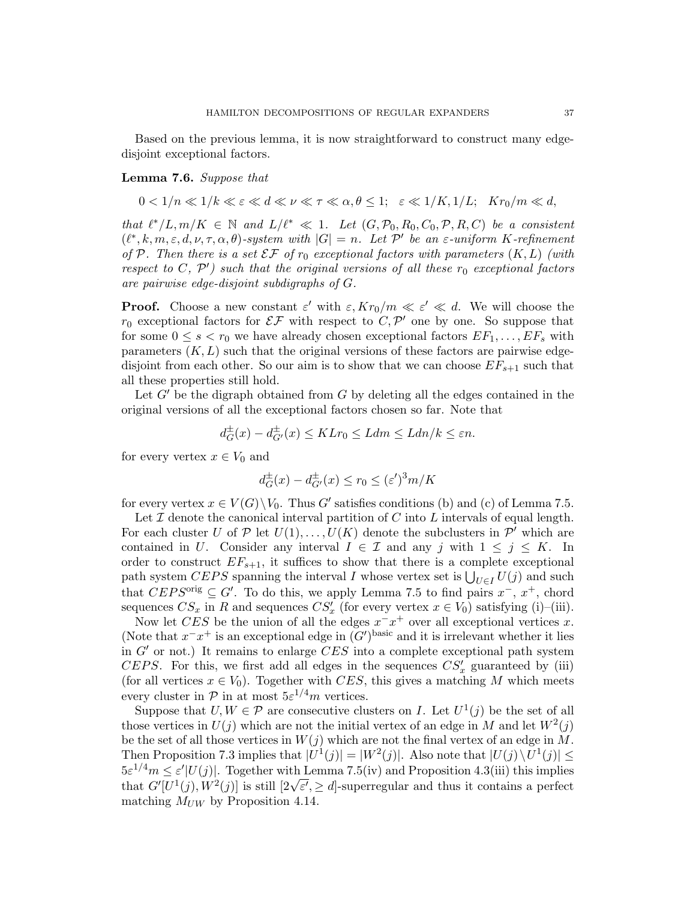Based on the previous lemma, it is now straightforward to construct many edgedisjoint exceptional factors.

Lemma 7.6. Suppose that

 $0 < 1/n \ll 1/k \ll \varepsilon \ll d \ll \nu \ll \tau \ll \alpha, \theta \leq 1; \quad \varepsilon \ll 1/K, 1/L; \quad Kr_0/m \ll d,$ 

that  $\ell^*/L, m/K \in \mathbb{N}$  and  $L/\ell^* \ll 1$ . Let  $(G, \mathcal{P}_0, R_0, C_0, \mathcal{P}, R, C)$  be a consistent  $(\ell^*, k, m, \varepsilon, d, \nu, \tau, \alpha, \theta)$ -system with  $|G| = n$ . Let P' be an  $\varepsilon$ -uniform K-refinement of P. Then there is a set  $\mathcal{EF}$  of  $r_0$  exceptional factors with parameters  $(K, L)$  (with respect to  $C, P'$ ) such that the original versions of all these  $r_0$  exceptional factors are pairwise edge-disjoint subdigraphs of G.

**Proof.** Choose a new constant  $\varepsilon'$  with  $\varepsilon, Kr_0/m \ll \varepsilon' \ll d$ . We will choose the  $r_0$  exceptional factors for  $\mathcal{EF}$  with respect to  $C, \mathcal{P}'$  one by one. So suppose that for some  $0 \leq s < r_0$  we have already chosen exceptional factors  $EF_1, \ldots, EF_s$  with parameters  $(K, L)$  such that the original versions of these factors are pairwise edgedisjoint from each other. So our aim is to show that we can choose  $EF_{s+1}$  such that all these properties still hold.

Let  $G'$  be the digraph obtained from G by deleting all the edges contained in the original versions of all the exceptional factors chosen so far. Note that

$$
d_G^{\pm}(x) - d_{G'}^{\pm}(x) \leq KLr_0 \leq Ldm \leq Ldn/k \leq \varepsilon n.
$$

for every vertex  $x \in V_0$  and

$$
d_G^{\pm}(x) - d_{G'}^{\pm}(x) \le r_0 \le (\varepsilon')^3 m/K
$$

for every vertex  $x \in V(G) \backslash V_0$ . Thus G' satisfies conditions (b) and (c) of Lemma 7.5.

Let  $\mathcal I$  denote the canonical interval partition of  $C$  into  $L$  intervals of equal length. For each cluster U of P let  $U(1), \ldots, U(K)$  denote the subclusters in P' which are contained in U. Consider any interval  $I \in \mathcal{I}$  and any j with  $1 \leq j \leq K$ . In order to construct  $EF_{s+1}$ , it suffices to show that there is a complete exceptional path system CEPS spanning the interval I whose vertex set is  $\bigcup_{U \in I} U(j)$  and such that  $CEPS^{\text{orig}} \subseteq G'$ . To do this, we apply Lemma 7.5 to find pairs  $x^{-}$ ,  $x^{+}$ , chord sequences  $CS_x$  in R and sequences  $CS'_x$  (for every vertex  $x \in V_0$ ) satisfying (i)–(iii).

Now let CES be the union of all the edges  $x^x$  over all exceptional vertices x. (Note that  $x^{-}x^{+}$  is an exceptional edge in  $(G')^{\text{basic}}$  and it is irrelevant whether it lies in  $G'$  or not.) It remains to enlarge  $CES$  into a complete exceptional path system CEPS. For this, we first add all edges in the sequences  $CS'_x$  guaranteed by (iii) (for all vertices  $x \in V_0$ ). Together with CES, this gives a matching M which meets every cluster in  $P$  in at most  $5\varepsilon^{1/4}m$  vertices.

Suppose that  $U, W \in \mathcal{P}$  are consecutive clusters on I. Let  $U^1(j)$  be the set of all those vertices in  $U(j)$  which are not the initial vertex of an edge in M and let  $W^2(j)$ be the set of all those vertices in  $W(j)$  which are not the final vertex of an edge in M. Then Proposition 7.3 implies that  $|U^1(j)| = |W^2(j)|$ . Also note that  $|U(j) \setminus U^1(j)| \le$  $5\varepsilon^{1/4}m \leq \varepsilon' |U(j)|$ . Together with Lemma 7.5(iv) and Proposition 4.3(iii) this implies  $\delta \varepsilon^{-\gamma} m \leq \varepsilon$  [U(j)]. Together with Lemma *(*,  $\delta(w)$  and Proposition 4.5(iii) this implies that  $G'[U^1(j), W^2(j)]$  is still  $[2\sqrt{\varepsilon'}, \geq d]$ -superregular and thus it contains a perfect matching  $M_{UW}$  by Proposition 4.14.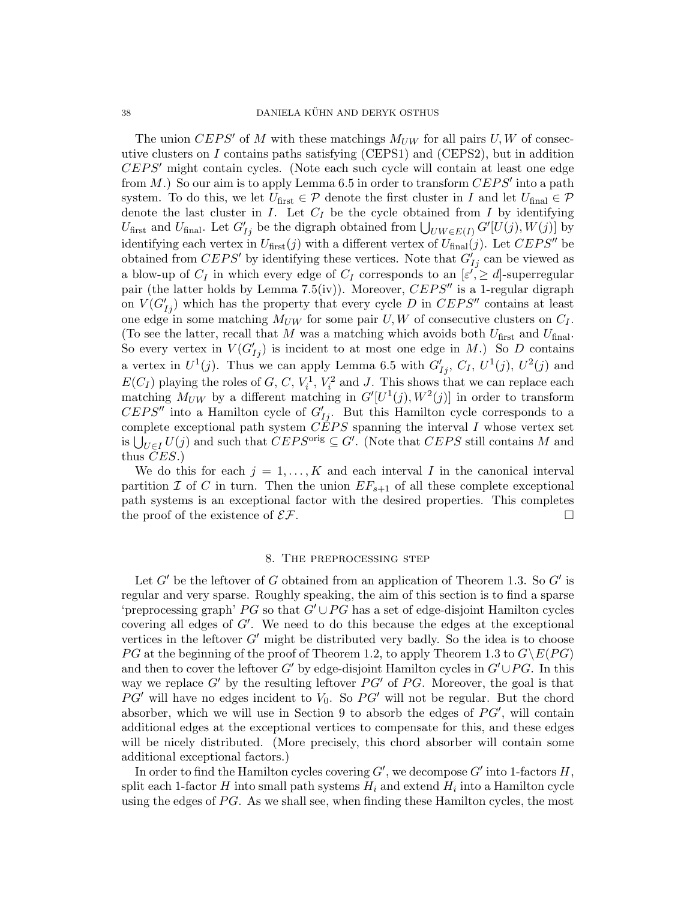The union CEPS' of M with these matchings  $M_{UW}$  for all pairs U, W of consecutive clusters on  $I$  contains paths satisfying (CEPS1) and (CEPS2), but in addition  $CEPS'$  might contain cycles. (Note each such cycle will contain at least one edge from  $M$ .) So our aim is to apply Lemma 6.5 in order to transform  $CEPS'$  into a path system. To do this, we let  $U_{\text{first}} \in \mathcal{P}$  denote the first cluster in I and let  $U_{\text{final}} \in \mathcal{P}$ denote the last cluster in  $I$ . Let  $C_I$  be the cycle obtained from  $I$  by identifying U<sub>first</sub> and U<sub>final</sub>. Let  $G'_{Ij}$  be the digraph obtained from  $\bigcup_{UW\in E(I)} G'[U(j), W(j)]$  by identifying each vertex in  $U_{\text{first}}(j)$  with a different vertex of  $U_{\text{final}}(j)$ . Let  $CEPS''$  be obtained from  $CEPS'$  by identifying these vertices. Note that  $G'_{Ij}$  can be viewed as a blow-up of  $C_I$  in which every edge of  $C_I$  corresponds to an  $[\varepsilon', \geq d]$ -superregular pair (the latter holds by Lemma 7.5(iv)). Moreover,  $CEPS''$  is a 1-regular digraph on  $V(G'_{Ij})$  which has the property that every cycle D in  $CEPS''$  contains at least one edge in some matching  $M_{UW}$  for some pair U, W of consecutive clusters on  $C_I$ . (To see the latter, recall that M was a matching which avoids both  $U_{\text{first}}$  and  $U_{\text{final}}$ . So every vertex in  $V(G'_{Ij})$  is incident to at most one edge in M.) So D contains a vertex in  $U^1(j)$ . Thus we can apply Lemma 6.5 with  $G'_{Ij}$ ,  $C_I$ ,  $U^1(j)$ ,  $U^2(j)$  and  $E(C_I)$  playing the roles of G, C,  $V_i^1$ ,  $V_i^2$  and J. This shows that we can replace each matching  $M_{UW}$  by a different matching in  $G'[U^1(j), W^2(j)]$  in order to transform  $CEPS''$  into a Hamilton cycle of  $G'_{Ij}$ . But this Hamilton cycle corresponds to a complete exceptional path system  $\tilde{CEPS}$  spanning the interval I whose vertex set is  $\bigcup_{U \in I} U(j)$  and such that  $CEPS^{\text{orig}} \subseteq G'$ . (Note that  $CEPS$  still contains M and thus CES.)

We do this for each  $j = 1, \ldots, K$  and each interval I in the canonical interval partition  $\mathcal I$  of  $C$  in turn. Then the union  $EF_{s+1}$  of all these complete exceptional path systems is an exceptional factor with the desired properties. This completes the proof of the existence of  $\mathcal{EF}$ .

## 8. The preprocessing step

Let  $G'$  be the leftover of G obtained from an application of Theorem 1.3. So  $G'$  is regular and very sparse. Roughly speaking, the aim of this section is to find a sparse 'preprocessing graph' PG so that  $G' \cup PG$  has a set of edge-disjoint Hamilton cycles covering all edges of  $G'$ . We need to do this because the edges at the exceptional vertices in the leftover  $G'$  might be distributed very badly. So the idea is to choose PG at the beginning of the proof of Theorem 1.2, to apply Theorem 1.3 to  $G\E{P}{G}$ and then to cover the leftover G' by edge-disjoint Hamilton cycles in  $G' \cup PG$ . In this way we replace  $G'$  by the resulting leftover  $PG'$  of PG. Moreover, the goal is that  $PG'$  will have no edges incident to  $V_0$ . So  $PG'$  will not be regular. But the chord absorber, which we will use in Section 9 to absorb the edges of  $PG'$ , will contain additional edges at the exceptional vertices to compensate for this, and these edges will be nicely distributed. (More precisely, this chord absorber will contain some additional exceptional factors.)

In order to find the Hamilton cycles covering  $G'$ , we decompose  $G'$  into 1-factors  $H$ , split each 1-factor  $H$  into small path systems  $H_i$  and extend  $H_i$  into a Hamilton cycle using the edges of  $PG$ . As we shall see, when finding these Hamilton cycles, the most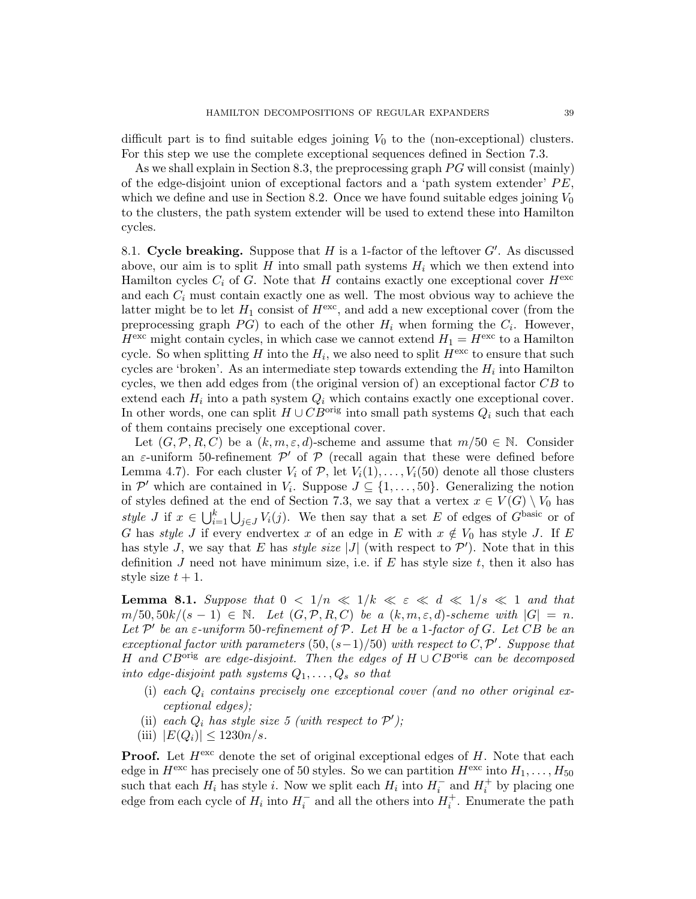difficult part is to find suitable edges joining  $V_0$  to the (non-exceptional) clusters. For this step we use the complete exceptional sequences defined in Section 7.3.

As we shall explain in Section 8.3, the preprocessing graph  $PG$  will consist (mainly) of the edge-disjoint union of exceptional factors and a 'path system extender'  $PE$ , which we define and use in Section 8.2. Once we have found suitable edges joining  $V_0$ to the clusters, the path system extender will be used to extend these into Hamilton cycles.

8.1. Cycle breaking. Suppose that  $H$  is a 1-factor of the leftover  $G'$ . As discussed above, our aim is to split H into small path systems  $H_i$  which we then extend into Hamilton cycles  $C_i$  of G. Note that H contains exactly one exceptional cover  $H^{\text{exc}}$ and each  $C_i$  must contain exactly one as well. The most obvious way to achieve the latter might be to let  $H_1$  consist of  $H^{\text{exc}}$ , and add a new exceptional cover (from the preprocessing graph  $PG$ ) to each of the other  $H_i$  when forming the  $C_i$ . However,  $H^{\text{exc}}$  might contain cycles, in which case we cannot extend  $H_1 = H^{\text{exc}}$  to a Hamilton cycle. So when splitting H into the  $H_i$ , we also need to split  $H^{\text{exc}}$  to ensure that such cycles are 'broken'. As an intermediate step towards extending the  $H_i$  into Hamilton cycles, we then add edges from (the original version of) an exceptional factor  $CB$  to extend each  $H_i$  into a path system  $Q_i$  which contains exactly one exceptional cover. In other words, one can split  $H \cup CB^{\text{orig}}$  into small path systems  $Q_i$  such that each of them contains precisely one exceptional cover.

Let  $(G, \mathcal{P}, R, C)$  be a  $(k, m, \varepsilon, d)$ -scheme and assume that  $m/50 \in \mathbb{N}$ . Consider an  $\varepsilon$ -uniform 50-refinement  $\mathcal{P}'$  of  $\mathcal{P}$  (recall again that these were defined before Lemma 4.7). For each cluster  $V_i$  of  $P$ , let  $V_i(1), \ldots, V_i(50)$  denote all those clusters in  $\mathcal{P}'$  which are contained in  $V_i$ . Suppose  $J \subseteq \{1, \ldots, 50\}$ . Generalizing the notion of styles defined at the end of Section 7.3, we say that a vertex  $x \in V(G) \setminus V_0$  has style J if  $x \in \bigcup_{i=1}^k \bigcup_{j \in J} V_i(j)$ . We then say that a set E of edges of  $G^{\text{basic}}$  or of G has *style* J if every endvertex x of an edge in E with  $x \notin V_0$  has style J. If E has style J, we say that E has *style size* |J| (with respect to  $\mathcal{P}'$ ). Note that in this definition  $J$  need not have minimum size, i.e. if  $E$  has style size  $t$ , then it also has style size  $t + 1$ .

**Lemma 8.1.** Suppose that  $0 < 1/n \ll 1/k \ll \varepsilon \ll d \ll 1/s \ll 1$  and that  $m/50, 50k/(s-1) \in \mathbb{N}$ . Let  $(G, \mathcal{P}, R, C)$  be a  $(k, m, \varepsilon, d)$ -scheme with  $|G| = n$ . Let  $\mathcal{P}'$  be an  $\varepsilon$ -uniform 50-refinement of  $\mathcal{P}$ . Let H be a 1-factor of G. Let CB be an exceptional factor with parameters  $(50, (s-1)/50)$  with respect to C, P'. Suppose that H and  $CB^{orig}$  are edge-disjoint. Then the edges of  $H \cup CB^{orig}$  can be decomposed into edge-disjoint path systems  $Q_1, \ldots, Q_s$  so that

- (i) each  $Q_i$  contains precisely one exceptional cover (and no other original exceptional edges);
- (ii) each  $Q_i$  has style size 5 (with respect to  $\mathcal{P}'$ );
- (iii)  $|E(Q_i)| \leq 1230n/s$ .

**Proof.** Let  $H^{\text{exc}}$  denote the set of original exceptional edges of H. Note that each edge in  $H^{\text{exc}}$  has precisely one of 50 styles. So we can partition  $H^{\text{exc}}$  into  $H_1, \ldots, H_{50}$ such that each  $H_i$  has style i. Now we split each  $H_i$  into  $H_i^-$  and  $H_i^+$  by placing one edge from each cycle of  $H_i$  into  $H_i^-$  and all the others into  $H_i^+$ . Enumerate the path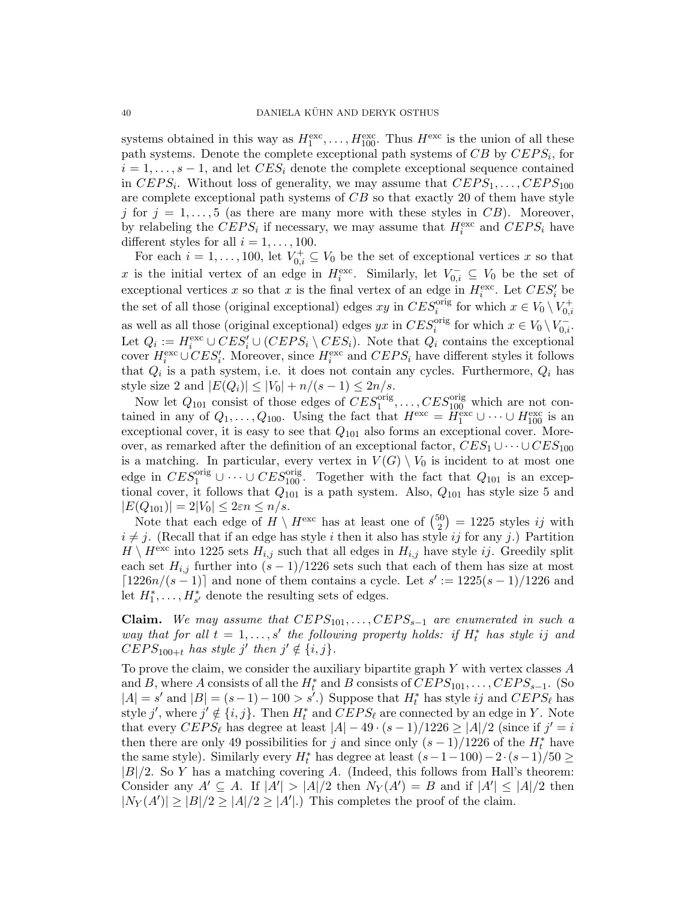systems obtained in this way as  $H_1^{\text{exc}}, \ldots, H_{100}^{\text{exc}}$ . Thus  $H^{\text{exc}}$  is the union of all these path systems. Denote the complete exceptional path systems of  $CB$  by  $CEPS_i$ , for  $i = 1, \ldots, s - 1$ , and let  $CES_i$  denote the complete exceptional sequence contained in  $CEPS_i$ . Without loss of generality, we may assume that  $CEPS_1, \ldots, CEPS_{100}$ are complete exceptional path systems of CB so that exactly 20 of them have style j for  $j = 1, \ldots, 5$  (as there are many more with these styles in CB). Moreover, by relabeling the  $CEPS_i$  if necessary, we may assume that  $H_i^{\text{exc}}$  and  $CEPS_i$  have different styles for all  $i = 1, \ldots, 100$ .

For each  $i = 1, \ldots, 100$ , let  $V_{0,i}^+ \subseteq V_0$  be the set of exceptional vertices x so that x is the initial vertex of an edge in  $H_i^{\text{exc}}$ . Similarly, let  $V_{0,i}^- \subseteq V_0$  be the set of exceptional vertices x so that x is the final vertex of an edge in  $H_i^{\text{exc}}$ . Let  $CES'_i$  be the set of all those (original exceptional) edges  $xy$  in  $CES_i^{orig}$  for which  $x \in V_0 \setminus V_{0,i}^+$ as well as all those (original exceptional) edges  $yx$  in  $CES_i^{orig}$  for which  $x \in V_0 \setminus V_{0,i}^-$ . Let  $Q_i := H_i^{\text{exc}} \cup CES'_i \cup (CEPS_i \setminus CES_i)$ . Note that  $Q_i$  contains the exceptional cover  $H_i^{\text{exc}} \cup CES_i'$ . Moreover, since  $H_i^{\text{exc}}$  and  $CEPS_i$  have different styles it follows that  $Q_i$  is a path system, i.e. it does not contain any cycles. Furthermore,  $Q_i$  has style size 2 and  $|E(Q_i)| \leq |V_0| + n/(s-1) \leq 2n/s$ .

Now let  $Q_{101}$  consist of those edges of  $CES_1^{orig}, \ldots, CES_{100}^{orig}$  which are not contained in any of  $Q_1, \ldots, Q_{100}$ . Using the fact that  $H^{\text{exc}} = \widetilde{H}_1^{\text{exc}} \cup \cdots \cup H_{100}^{\text{exc}}$  is an exceptional cover, it is easy to see that  $Q_{101}$  also forms an exceptional cover. Moreover, as remarked after the definition of an exceptional factor,  $CES_1 \cup \cdots \cup CES_{100}$ is a matching. In particular, every vertex in  $V(G) \setminus V_0$  is incident to at most one edge in  $CES_1^{orig} \cup \cdots \cup CES_{100}^{orig}$ . Together with the fact that  $Q_{101}$  is an exceptional cover, it follows that  $Q_{101}$  is a path system. Also,  $Q_{101}$  has style size 5 and  $|E(Q_{101})| = 2|V_0| \leq 2\varepsilon n \leq n/s.$ 

Note that each edge of  $H \setminus H^{\text{exc}}$  has at least one of  $\binom{50}{2}$  $2^{50}_{2}$  = 1225 styles *ij* with  $i \neq j$ . (Recall that if an edge has style i then it also has style ij for any j.) Partition  $H \setminus H^{\text{exc}}$  into 1225 sets  $H_{i,j}$  such that all edges in  $H_{i,j}$  have style *ij*. Greedily split each set  $H_{i,j}$  further into  $(s-1)/1226$  sets such that each of them has size at most  $\lceil 1226n/(s-1) \rceil$  and none of them contains a cycle. Let  $s' := 1225(s-1)/1226$  and let  $H_1^*, \ldots, H_{s'}^*$  denote the resulting sets of edges.

Claim. We may assume that  $CEPS_{101}, \ldots, CEPS_{s-1}$  are enumerated in such a way that for all  $t = 1, ..., s'$  the following property holds: if  $H_t^*$  has style ij and  $CEPS<sub>100+t</sub>$  has style j' then  $j' \notin \{i, j\}.$ 

To prove the claim, we consider the auxiliary bipartite graph  $Y$  with vertex classes  $A$ and B, where A consists of all the  $H_t^*$  and B consists of  $CEPS_{101}, \ldots, CEPS_{s-1}$ . (So  $|A| = s'$  and  $|B| = (s-1) - 100 > s'.$  Suppose that  $H_t^*$  has style ij and  $CEPS_{\ell}$  has style j', where  $j' \notin \{i, j\}$ . Then  $H_t^*$  and  $CEPS_\ell$  are connected by an edge in Y. Note that every  $CEPS_{\ell}$  has degree at least  $|A| - 49 \cdot (s - 1)/1226 \ge |A|/2$  (since if  $j' = i$ then there are only 49 possibilities for j and since only  $(s-1)/1226$  of the  $H_t^*$  have the same style). Similarly every  $H_t^*$  has degree at least  $(s-1-100)-2\cdot(s-1)/50\geq$  $|B|/2$ . So Y has a matching covering A. (Indeed, this follows from Hall's theorem: Consider any  $A' \subseteq A$ . If  $|A'| > |A|/2$  then  $N_Y(A') = B$  and if  $|A'| \leq |A|/2$  then  $|N_Y(A')| \geq |B|/2 \geq |A|/2 \geq |A'|$ .) This completes the proof of the claim.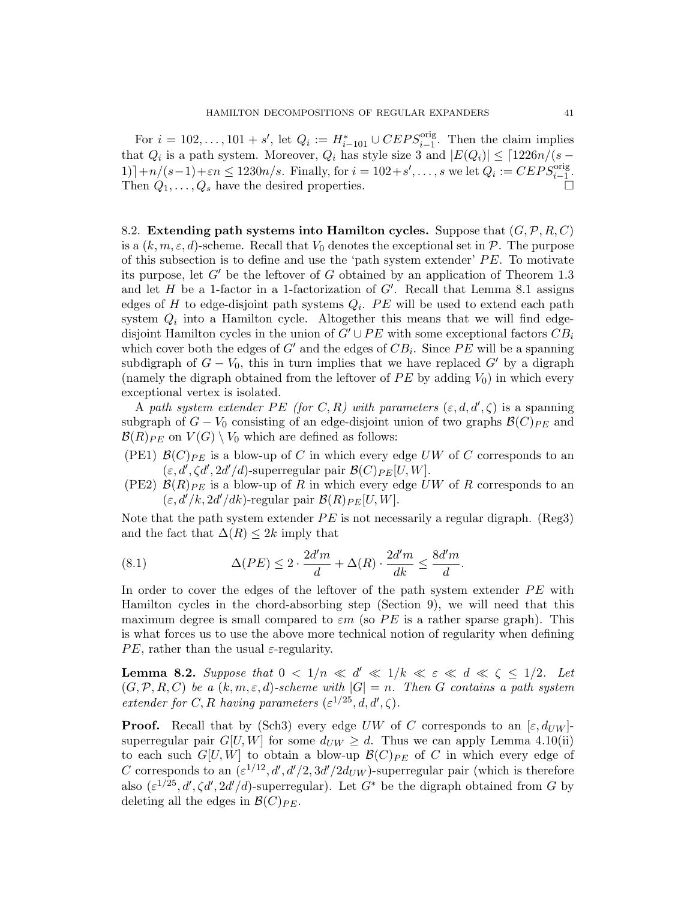For  $i = 102, \ldots, 101 + s'$ , let  $Q_i := H_{i-101}^* \cup CEPS_{i-1}^{\text{orig}}$ . Then the claim implies that  $Q_i$  is a path system. Moreover,  $Q_i$  has style size 3 and  $|E(Q_i)| \leq \lceil 1226n/(s -$ 1)] +n/(s-1)+εn ≤ 1230n/s. Finally, for  $i = 102 + s', \ldots, s$  we let  $Q_i := CEPS_{i-1}^{\text{orig}}$ . Then  $Q_1, \ldots, Q_s$  have the desired properties.

8.2. Extending path systems into Hamilton cycles. Suppose that  $(G, \mathcal{P}, R, C)$ is a  $(k, m, \varepsilon, d)$ -scheme. Recall that  $V_0$  denotes the exceptional set in  $P$ . The purpose of this subsection is to define and use the 'path system extender'  $PE$ . To motivate its purpose, let  $G'$  be the leftover of G obtained by an application of Theorem 1.3 and let  $H$  be a 1-factor in a 1-factorization of  $G'$ . Recall that Lemma 8.1 assigns edges of H to edge-disjoint path systems  $Q_i$ . PE will be used to extend each path system  $Q_i$  into a Hamilton cycle. Altogether this means that we will find edgedisjoint Hamilton cycles in the union of  $G' \cup PE$  with some exceptional factors  $CB_i$ which cover both the edges of  $G'$  and the edges of  $CB_i$ . Since  $PE$  will be a spanning subdigraph of  $G - V_0$ , this in turn implies that we have replaced  $G'$  by a digraph (namely the digraph obtained from the leftover of  $PE$  by adding  $V_0$ ) in which every exceptional vertex is isolated.

A path system extender PE (for C, R) with parameters  $(\varepsilon, d, d', \zeta)$  is a spanning subgraph of  $G - V_0$  consisting of an edge-disjoint union of two graphs  $\mathcal{B}(C)_{PE}$  and  $\mathcal{B}(R)_{PE}$  on  $V(G) \setminus V_0$  which are defined as follows:

- (PE1)  $\mathcal{B}(C)_{PE}$  is a blow-up of C in which every edge UW of C corresponds to an  $(\varepsilon, d', \zeta d', 2d'/d)$ -superregular pair  $\mathcal{B}(C)_{PE}[U, W]$ .
- (PE2)  $\mathcal{B}(R)_{PE}$  is a blow-up of R in which every edge UW of R corresponds to an  $(\varepsilon, d'/k, 2d'/dk)$ -regular pair  $\mathcal{B}(R)_{PE}[U, W]$ .

Note that the path system extender  $PE$  is not necessarily a regular digraph. (Reg3) and the fact that  $\Delta(R) \leq 2k$  imply that

(8.1) 
$$
\Delta(PE) \leq 2 \cdot \frac{2d'm}{d} + \Delta(R) \cdot \frac{2d'm}{dk} \leq \frac{8d'm}{d}.
$$

In order to cover the edges of the leftover of the path system extender  $PE$  with Hamilton cycles in the chord-absorbing step (Section 9), we will need that this maximum degree is small compared to  $\varepsilon m$  (so PE is a rather sparse graph). This is what forces us to use the above more technical notion of regularity when defining PE, rather than the usual  $\varepsilon$ -regularity.

**Lemma 8.2.** Suppose that  $0 < 1/n \ll d' \ll 1/k \ll \varepsilon \ll d \ll \zeta \leq 1/2$ . Let  $(G, \mathcal{P}, R, C)$  be a  $(k, m, \varepsilon, d)$ -scheme with  $|G| = n$ . Then G contains a path system extender for C, R having parameters  $(\varepsilon^{1/25}, d, d', \zeta)$ .

**Proof.** Recall that by (Sch3) every edge UW of C corresponds to an  $[\varepsilon, d_{UW}]$ superregular pair  $G[U, W]$  for some  $d_{UW} \geq d$ . Thus we can apply Lemma 4.10(ii) to each such  $G[U, W]$  to obtain a blow-up  $\mathcal{B}(C)_{PE}$  of C in which every edge of C corresponds to an  $(\varepsilon^{1/12}, d', d'/2, 3d'/2d_{UW})$ -superregular pair (which is therefore also  $(\varepsilon^{1/25}, d', \zeta d', 2d'/d)$ -superregular). Let  $G^*$  be the digraph obtained from G by deleting all the edges in  $\mathcal{B}(C)_{PE}$ .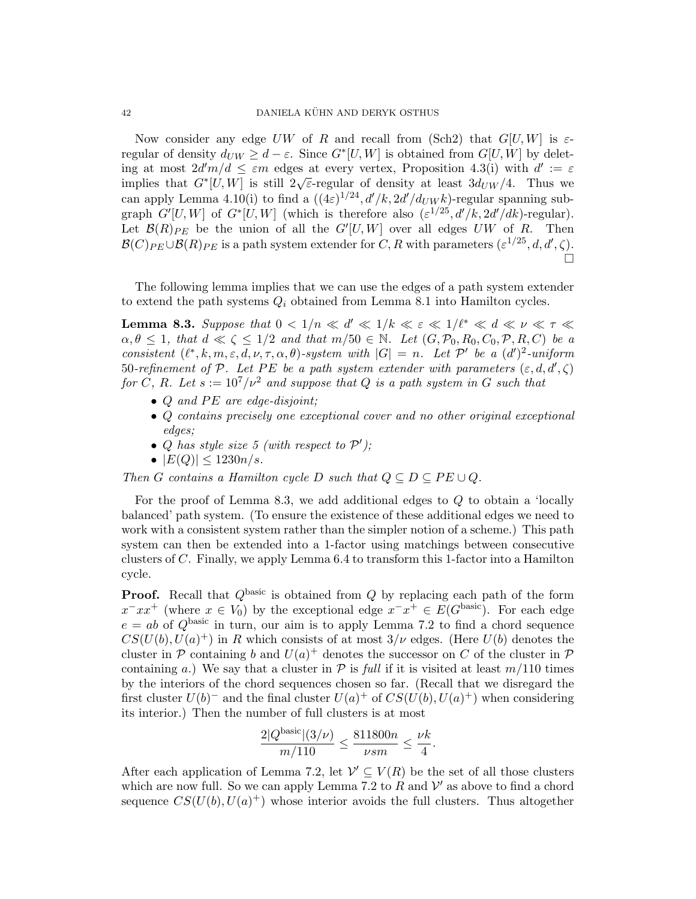Now consider any edge UW of R and recall from (Sch2) that  $G[U, W]$  is  $\varepsilon$ regular of density  $d_{UW} \geq d - \varepsilon$ . Since  $G^*[U, W]$  is obtained from  $G[U, W]$  by deleting at most  $2d'm/d \leq \varepsilon m$  edges at every vertex, Proposition 4.3(i) with  $d' := \varepsilon$ implies that  $G^*[U, W]$  is still  $2\sqrt{\varepsilon}$ -regular of density at least  $3d_{UW}/4$ . Thus we can apply Lemma 4.10(i) to find a  $((4\varepsilon)^{1/24}, d'/k, 2d'/d_{UW}k)$ -regular spanning subgraph  $G'[U,W]$  of  $G^*[U,W]$  (which is therefore also  $(\varepsilon^{1/25}, d'/k, 2d'/dk)$ -regular). Let  $\mathcal{B}(R)_{PE}$  be the union of all the  $G'[U, W]$  over all edges UW of R. Then  $\mathcal{B}(C)_{PE} \cup \mathcal{B}(R)_{PE}$  is a path system extender for C, R with parameters  $(\varepsilon^{1/25}, d, d', \zeta)$ .  $\Box$ 

The following lemma implies that we can use the edges of a path system extender to extend the path systems  $Q_i$  obtained from Lemma 8.1 into Hamilton cycles.

**Lemma 8.3.** Suppose that  $0 < 1/n \ll d' \ll 1/k \ll \varepsilon \ll 1/l^* \ll d \ll \nu \ll \tau \ll$  $\alpha, \theta \leq 1$ , that  $d \ll \zeta \leq 1/2$  and that  $m/50 \in \mathbb{N}$ . Let  $(G, \mathcal{P}_0, R_0, C_0, \mathcal{P}, R, C)$  be a consistent  $(\ell^*, k, m, \varepsilon, d, \nu, \tau, \alpha, \theta)$ -system with  $|G| = n$ . Let P' be a  $(d')^2$ -uniform 50-refinement of P. Let PE be a path system extender with parameters  $(\varepsilon, d, d', \zeta)$ for C, R. Let  $s := 10^7/\nu^2$  and suppose that Q is a path system in G such that

- $Q$  and  $PE$  are edge-disjoint;
- Q contains precisely one exceptional cover and no other original exceptional edges;
- Q has style size 5 (with respect to  $\mathcal{P}'$ );
- $|E(Q)| \leq 1230n/s$ .

Then G contains a Hamilton cycle D such that  $Q \subseteq D \subseteq PE \cup Q$ .

For the proof of Lemma 8.3, we add additional edges to  $Q$  to obtain a 'locally balanced' path system. (To ensure the existence of these additional edges we need to work with a consistent system rather than the simpler notion of a scheme.) This path system can then be extended into a 1-factor using matchings between consecutive clusters of C. Finally, we apply Lemma 6.4 to transform this 1-factor into a Hamilton cycle.

**Proof.** Recall that  $Q^{\text{basic}}$  is obtained from  $Q$  by replacing each path of the form  $x^-xx^+$  (where  $x \in V_0$ ) by the exceptional edge  $x^-x^+ \in E(G^{\text{basic}})$ . For each edge  $e = ab$  of  $Q^{\text{basic}}$  in turn, our aim is to apply Lemma 7.2 to find a chord sequence  $CS(U(b), U(a)^+)$  in R which consists of at most  $3/\nu$  edges. (Here  $U(b)$  denotes the cluster in  $P$  containing b and  $U(a)^+$  denotes the successor on C of the cluster in  $P$ containing a.) We say that a cluster in  $\mathcal P$  is full if it is visited at least  $m/110$  times by the interiors of the chord sequences chosen so far. (Recall that we disregard the first cluster  $U(b)^-$  and the final cluster  $U(a)^+$  of  $CS(U(b), U(a)^+)$  when considering its interior.) Then the number of full clusters is at most

$$
\frac{2|Q^{\text{basic}}|(3/\nu)}{m/110} \le \frac{811800n}{\nu sm} \le \frac{\nu k}{4}.
$$

After each application of Lemma 7.2, let  $\mathcal{V}' \subseteq V(R)$  be the set of all those clusters which are now full. So we can apply Lemma 7.2 to  $R$  and  $V'$  as above to find a chord sequence  $CS(U(b), U(a)^+)$  whose interior avoids the full clusters. Thus altogether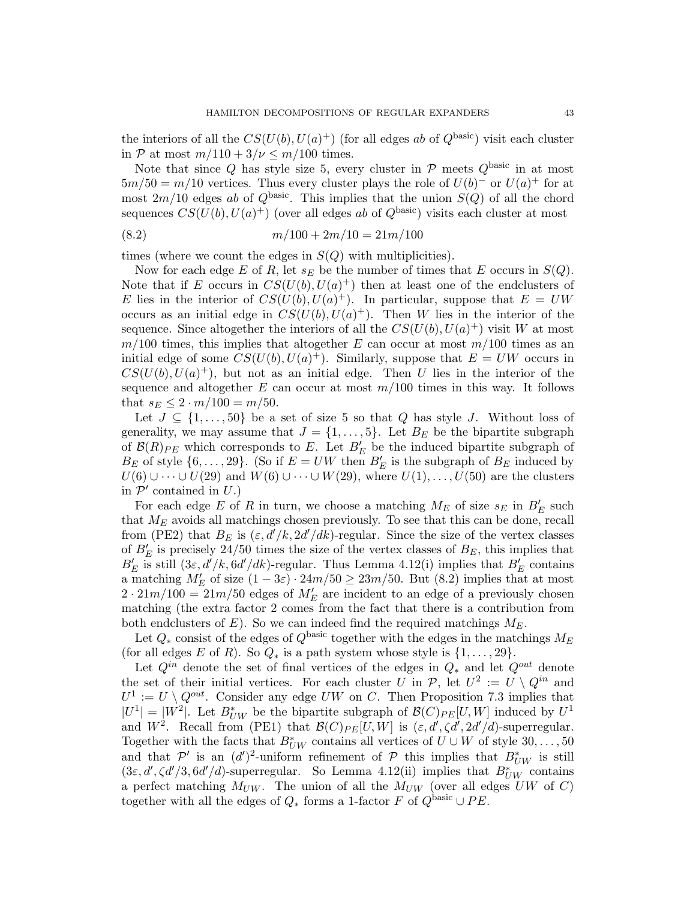the interiors of all the  $CS(U(b), U(a)^+)$  (for all edges ab of  $Q^{\text{basic}}$ ) visit each cluster in P at most  $m/110 + 3/\nu \le m/100$  times.

Note that since Q has style size 5, every cluster in  $P$  meets  $Q^{\text{basic}}$  in at most  $5m/50 = m/10$  vertices. Thus every cluster plays the role of  $U(b)^-$  or  $U(a)^+$  for at most  $2m/10$  edges ab of  $Q^{\text{basic}}$ . This implies that the union  $S(Q)$  of all the chord sequences  $CS(U(b), U(a)^+)$  (over all edges ab of  $Q^{\text{basic}}$ ) visits each cluster at most

$$
(8.2) \t\t\t m/100 + 2m/10 = 21m/100
$$

times (where we count the edges in  $S(Q)$  with multiplicities).

Now for each edge E of R, let  $s_E$  be the number of times that E occurs in  $S(Q)$ . Note that if E occurs in  $CS(U(b), U(a)^+)$  then at least one of the endclusters of E lies in the interior of  $CS(U(b), U(a)^+)$ . In particular, suppose that  $E = UW$ occurs as an initial edge in  $CS(U(b), U(a)^+)$ . Then W lies in the interior of the sequence. Since altogether the interiors of all the  $CS(U(b), U(a)^+)$  visit W at most  $m/100$  times, this implies that altogether E can occur at most  $m/100$  times as an initial edge of some  $CS(U(b), U(a)^+)$ . Similarly, suppose that  $E = UW$  occurs in  $CS(U(b), U(a)^+)$ , but not as an initial edge. Then U lies in the interior of the sequence and altogether E can occur at most  $m/100$  times in this way. It follows that  $s_E \leq 2 \cdot m/100 = m/50$ .

Let  $J \subseteq \{1, \ldots, 50\}$  be a set of size 5 so that Q has style J. Without loss of generality, we may assume that  $J = \{1, \ldots, 5\}$ . Let  $B<sub>E</sub>$  be the bipartite subgraph of  $\mathcal{B}(R)_{PE}$  which corresponds to E. Let  $B'_E$  be the induced bipartite subgraph of  $B_E$  of style  $\{6, \ldots, 29\}$ . (So if  $E = UW$  then  $B'_E$  is the subgraph of  $B_E$  induced by  $U(6) \cup \cdots \cup U(29)$  and  $W(6) \cup \cdots \cup W(29)$ , where  $U(1), \ldots, U(50)$  are the clusters in  $\mathcal{P}'$  contained in  $U$ .)

For each edge E of R in turn, we choose a matching  $M_E$  of size  $s_E$  in  $B'_E$  such that  $M_E$  avoids all matchings chosen previously. To see that this can be done, recall from (PE2) that  $B_E$  is  $(\varepsilon, d'/k, 2d'/dk)$ -regular. Since the size of the vertex classes of  $B'_E$  is precisely 24/50 times the size of the vertex classes of  $B_E$ , this implies that  $B'_E$  is still  $(3\varepsilon, d'/k, 6d'/dk)$ -regular. Thus Lemma 4.12(i) implies that  $B'_E$  contains a matching  $M'_E$  of size  $(1-3\varepsilon) \cdot 24m/50 \ge 23m/50$ . But  $(8.2)$  implies that at most  $2 \cdot 21m/100 = 21m/50$  edges of  $M'_E$  are incident to an edge of a previously chosen matching (the extra factor 2 comes from the fact that there is a contribution from both endclusters of  $E$ ). So we can indeed find the required matchings  $M_E$ .

Let  $Q_*$  consist of the edges of  $Q^{\text{basic}}$  together with the edges in the matchings  $M_E$ (for all edges E of R). So  $Q_*$  is a path system whose style is  $\{1, \ldots, 29\}$ .

Let  $Q^{in}$  denote the set of final vertices of the edges in  $Q_*$  and let  $Q^{out}$  denote the set of their initial vertices. For each cluster U in  $P$ , let  $U^2 := U \setminus Q^{in}$  and  $U^1 := U \setminus Q^{out}$ . Consider any edge UW on C. Then Proposition 7.3 implies that  $|U^1| = |W^2|$ . Let  $B^*_{UW}$  be the bipartite subgraph of  $\mathcal{B}(C)_{PE}[U, W]$  induced by  $U^1$ and  $W^2$ . Recall from (PE1) that  $\mathcal{B}(C)_{PE}[U, W]$  is  $(\varepsilon, d', \zeta d', 2d'/d)$ -superregular. Together with the facts that  $B^*_{UW}$  contains all vertices of  $U \cup W$  of style  $30, \ldots, 50$ and that  $\mathcal{P}'$  is an  $(d')^2$ -uniform refinement of  $\mathcal P$  this implies that  $B^*_{UW}$  is still  $(3\varepsilon, d', \zeta d'/3, 6d'/d)$ -superregular. So Lemma 4.12(ii) implies that  $B^*_{UW}$  contains a perfect matching  $M_{UW}$ . The union of all the  $M_{UW}$  (over all edges  $UW$  of C) together with all the edges of  $Q_*$  forms a 1-factor F of  $Q^{\text{basic}} \cup PE$ .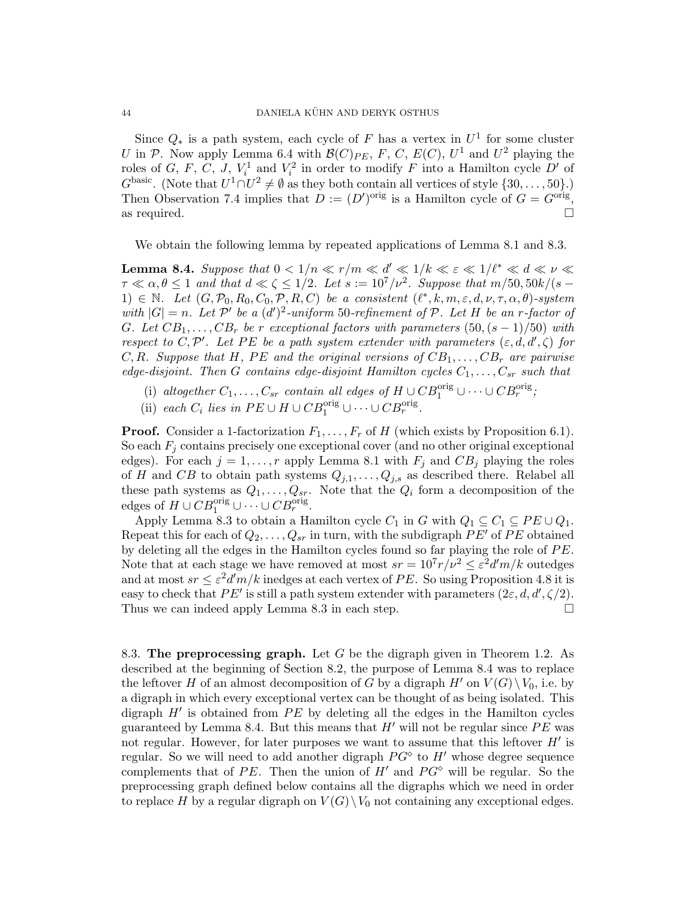Since  $Q_*$  is a path system, each cycle of F has a vertex in  $U^1$  for some cluster U in P. Now apply Lemma 6.4 with  $\mathcal{B}(C)_{PE}$ , F, C,  $E(C)$ ,  $U^1$  and  $U^2$  playing the roles of G, F, C, J,  $V_i^1$  and  $V_i^2$  in order to modify F into a Hamilton cycle D' of  $G^{\text{basic}}$ . (Note that  $U^1 \cap U^2 \neq \emptyset$  as they both contain all vertices of style  $\{30, \ldots, 50\}$ .) Then Observation 7.4 implies that  $D := (D')^{\text{orig}}$  is a Hamilton cycle of  $G = G^{\text{orig}}$ , as required.  $\Box$ 

We obtain the following lemma by repeated applications of Lemma 8.1 and 8.3.

**Lemma 8.4.** Suppose that  $0 < 1/n \ll r/m \ll d' \ll 1/k \ll \varepsilon \ll 1/\ell^* \ll d \ll \nu \ll$  $\tau \ll \alpha, \theta \leq 1$  and that  $d \ll \zeta \leq 1/2$ . Let  $s := 10^7/\nu^2$ . Suppose that  $m/50, 50k/(s - 1)$ 1)  $\in \mathbb{N}$ . Let  $(G, \mathcal{P}_0, R_0, C_0, \mathcal{P}, R, C)$  be a consistent  $(\ell^*, k, m, \varepsilon, d, \nu, \tau, \alpha, \theta)$ -system with  $|G| = n$ . Let P' be a  $(d')^2$ -uniform 50-refinement of P. Let H be an r-factor of G. Let  $CB_1, \ldots, CB_r$  be r exceptional factors with parameters  $(50, (s-1)/50)$  with respect to C,  $\mathcal{P}'$ . Let PE be a path system extender with parameters  $(\varepsilon, d, d', \zeta)$  for C, R. Suppose that H, PE and the original versions of  $CB_1, \ldots, CB_r$  are pairwise edge-disjoint. Then G contains edge-disjoint Hamilton cycles  $C_1, \ldots, C_{sr}$  such that

- (i) altogether  $C_1, \ldots, C_{sr}$  contain all edges of  $H \cup CB_1^{\text{orig}} \cup \cdots \cup CB_r^{\text{orig}}$ ;
- (ii) each  $C_i$  lies in  $PE \cup H \cup CB_1^{\text{orig}} \cup \cdots \cup CB_r^{\text{orig}}$ .

**Proof.** Consider a 1-factorization  $F_1, \ldots, F_r$  of H (which exists by Proposition 6.1). So each  $F_j$  contains precisely one exceptional cover (and no other original exceptional edges). For each  $j = 1, \ldots, r$  apply Lemma 8.1 with  $F_j$  and  $CB_j$  playing the roles of H and CB to obtain path systems  $Q_{j,1}, \ldots, Q_{j,s}$  as described there. Relabel all these path systems as  $Q_1, \ldots, Q_{sr}$ . Note that the  $Q_i$  form a decomposition of the edges of  $H \cup CB_1^{\text{orig}} \cup \cdots \cup CB_r^{\text{orig}}$ .

Apply Lemma 8.3 to obtain a Hamilton cycle  $C_1$  in G with  $Q_1 \subseteq C_1 \subseteq PE \cup Q_1$ . Repeat this for each of  $Q_2, \ldots, Q_{sr}$  in turn, with the subdigraph  $PE'$  of  $PE$  obtained by deleting all the edges in the Hamilton cycles found so far playing the role of  $PE$ . Note that at each stage we have removed at most  $sr = 10^7 r/\nu^2 \leq \varepsilon^2 d'm/k$  outedges and at most  $sr \leq \varepsilon^2 d'm/k$  inedges at each vertex of PE. So using Proposition 4.8 it is easy to check that PE' is still a path system extender with parameters  $(2\varepsilon, d, d', \zeta/2)$ . Thus we can indeed apply Lemma 8.3 in each step.  $\square$ 

8.3. The preprocessing graph. Let  $G$  be the digraph given in Theorem 1.2. As described at the beginning of Section 8.2, the purpose of Lemma 8.4 was to replace the leftover H of an almost decomposition of G by a digraph  $H'$  on  $V(G)\setminus V_0$ , i.e. by a digraph in which every exceptional vertex can be thought of as being isolated. This digraph  $H'$  is obtained from  $PE$  by deleting all the edges in the Hamilton cycles guaranteed by Lemma 8.4. But this means that  $H'$  will not be regular since PE was not regular. However, for later purposes we want to assume that this leftover  $H'$  is regular. So we will need to add another digraph  $PG^{\diamond}$  to  $H'$  whose degree sequence complements that of PE. Then the union of H' and  $PG^{\diamond}$  will be regular. So the preprocessing graph defined below contains all the digraphs which we need in order to replace H by a regular digraph on  $V(G) \setminus V_0$  not containing any exceptional edges.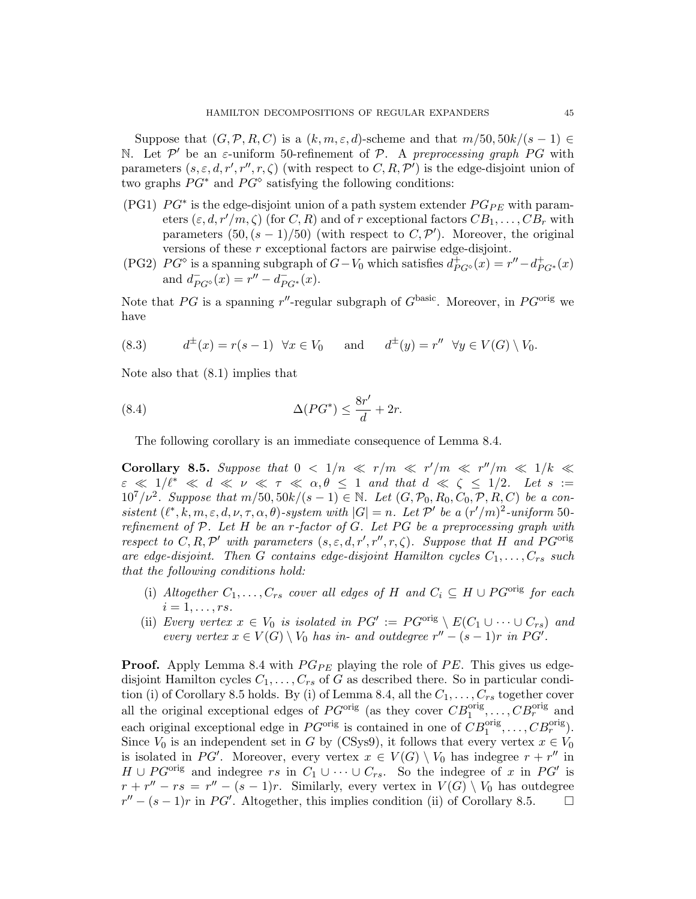Suppose that  $(G, \mathcal{P}, R, C)$  is a  $(k, m, \varepsilon, d)$ -scheme and that  $m/50, 50k/(s-1) \in$ N. Let  $\mathcal{P}'$  be an  $\varepsilon$ -uniform 50-refinement of  $\mathcal{P}$ . A preprocessing graph PG with parameters  $(s, \varepsilon, d, r', r'', r, \zeta)$  (with respect to  $C, R, \mathcal{P}'$ ) is the edge-disjoint union of two graphs  $PG^*$  and  $PG^*$  satisfying the following conditions:

- (PG1)  $PG^*$  is the edge-disjoint union of a path system extender  $PG_{PE}$  with parameters  $(\varepsilon, d, r'/m, \zeta)$  (for C, R) and of r exceptional factors  $CB_1, \ldots, CB_r$  with parameters  $(50, (s-1)/50)$  (with respect to  $C, \mathcal{P}'$ ). Moreover, the original versions of these r exceptional factors are pairwise edge-disjoint.
- (PG2)  $PG^{\diamond}$  is a spanning subgraph of  $G-V_0$  which satisfies  $d_{PG^{\diamond}}^{\dagger}(x) = r'' d_{PG^*}^{\dagger}(x)$ and  $d_{PG^{\diamond}}^-(x) = r'' - d_{PG^*}^-(x)$ .

Note that PG is a spanning r''-regular subgraph of  $G<sup>basic</sup>$ . Moreover, in P $G<sup>orig</sup>$  we have

(8.3) 
$$
d^{\pm}(x) = r(s-1) \quad \forall x \in V_0 \quad \text{and} \quad d^{\pm}(y) = r'' \quad \forall y \in V(G) \setminus V_0.
$$

Note also that (8.1) implies that

(8.4) 
$$
\Delta(PG^*) \le \frac{8r'}{d} + 2r.
$$

The following corollary is an immediate consequence of Lemma 8.4.

Corollary 8.5. Suppose that  $0 \lt 1/n \ll r/m \ll r'/m \ll r''/m \ll 1/k \ll$  $\varepsilon \ll 1/\ell^* \ll d \ll \nu \ll \tau \ll \alpha, \theta \leq 1$  and that  $d \ll \zeta \leq 1/2$ . Let  $s :=$  $10^7/\nu^2$ . Suppose that  $m/50, 50k/(s-1) \in \mathbb{N}$ . Let  $(G, \mathcal{P}_0, R_0, C_0, \mathcal{P}, R, C)$  be a consistent  $(\ell^*, k, m, \varepsilon, d, \nu, \tau, \alpha, \theta)$ -system with  $|G| = n$ . Let P' be a  $(r'/m)^2$ -uniform 50refinement of  $\mathcal P$ . Let H be an r-factor of G. Let PG be a preprocessing graph with respect to C, R,  $\mathcal{P}'$  with parameters  $(s, \varepsilon, d, r', r'', r, \zeta)$ . Suppose that H and PG<sup>orig</sup> are edge-disjoint. Then G contains edge-disjoint Hamilton cycles  $C_1, \ldots, C_{rs}$  such that the following conditions hold:

- (i) Altogether  $C_1, \ldots, C_{rs}$  cover all edges of H and  $C_i \subseteq H \cup PG^{\text{orig}}$  for each  $i=1,\ldots,rs.$
- (ii) Every vertex  $x \in V_0$  is isolated in  $PG' := PG^{orig} \setminus E(C_1 \cup \cdots \cup C_{rs})$  and every vertex  $x \in V(G) \setminus V_0$  has in- and outdegree  $r'' - (s - 1)r$  in PG'.

**Proof.** Apply Lemma 8.4 with  $PG_{PE}$  playing the role of PE. This gives us edgedisjoint Hamilton cycles  $C_1, \ldots, C_{rs}$  of G as described there. So in particular condition (i) of Corollary 8.5 holds. By (i) of Lemma 8.4, all the  $C_1, \ldots, C_{rs}$  together cover all the original exceptional edges of  $PG<sup>orig</sup>$  (as they cover  $CB<sup>orig</sup><sub>1</sub>,..., CB<sup>orig</sup><sub>r</sub>$  and each original exceptional edge in  $PG^{\text{orig}}$  is contained in one of  $CB_1^{\text{orig}}, \ldots, CB_r^{\text{orig}}$ . Since  $V_0$  is an independent set in G by (CSys9), it follows that every vertex  $x \in V_0$ is isolated in PG'. Moreover, every vertex  $x \in V(G) \setminus V_0$  has indegree  $r + r''$  in  $H \cup PG^{orig}$  and indegree rs in  $C_1 \cup \cdots \cup C_{rs}$ . So the indegree of x in PG' is  $r + r'' - rs = r'' - (s - 1)r$ . Similarly, every vertex in  $V(G) \setminus V_0$  has outdegree  $r'' - (s - 1)r$  in PG'. Altogether, this implies condition (ii) of Corollary 8.5.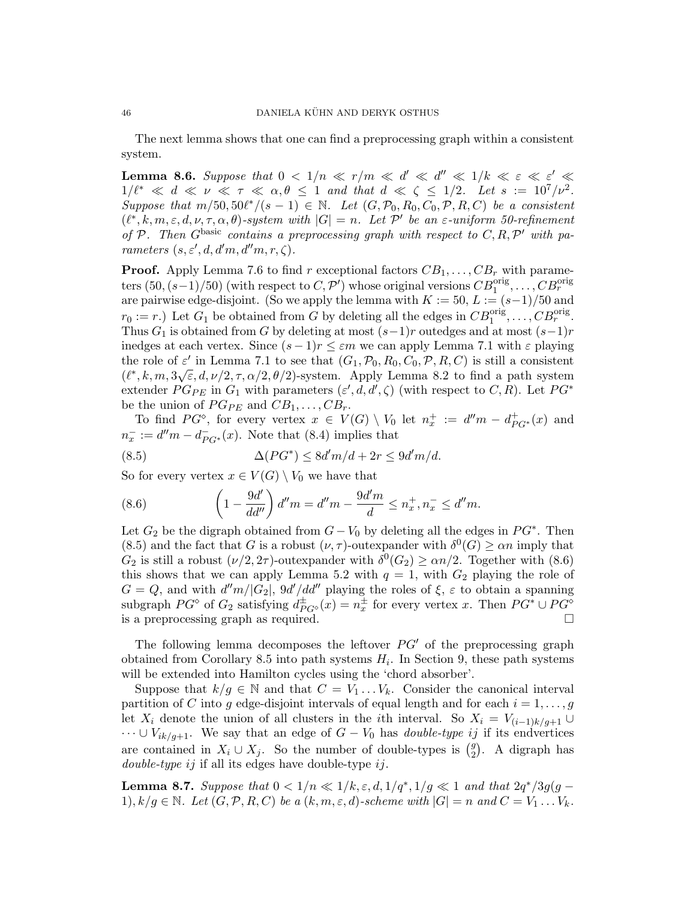The next lemma shows that one can find a preprocessing graph within a consistent system.

**Lemma 8.6.** Suppose that  $0 < 1/n \ll r/m \ll d' \ll d'' \ll 1/k \ll \varepsilon \ll \varepsilon' \ll$  $1/\ell^* \ll d \ll \nu \ll \tau \ll \alpha, \theta \leq 1$  and that  $d \ll \zeta \leq 1/2$ . Let  $s := 10^7/\nu^2$ . Suppose that  $m/50, 50\ell^*/(s-1) \in \mathbb{N}$ . Let  $(G, \mathcal{P}_0, R_0, C_0, \mathcal{P}, R, C)$  be a consistent  $(\ell^*, k, m, \varepsilon, d, \nu, \tau, \alpha, \theta)$ -system with  $|G| = n$ . Let P' be an  $\varepsilon$ -uniform 50-refinement of P. Then G<sup>basic</sup> contains a preprocessing graph with respect to  $C, R, P'$  with parameters  $(s, \varepsilon', d, d'm, d''m, r, \zeta)$ .

**Proof.** Apply Lemma 7.6 to find r exceptional factors  $CB_1, \ldots, CB_r$  with parameters  $(50, (s-1)/50)$  (with respect to  $C, \mathcal{P}'$ ) whose original versions  $CB_1^{\text{orig}}, \ldots, CB_r^{\text{orig}}$ are pairwise edge-disjoint. (So we apply the lemma with  $K := 50, L := (s-1)/50$  and  $r_0 := r$ .) Let  $G_1$  be obtained from G by deleting all the edges in  $CB_1^{\text{orig}}, \ldots, CB_r^{\text{orig}}$ . Thus  $G_1$  is obtained from G by deleting at most  $(s-1)r$  outedges and at most  $(s-1)r$ inedges at each vertex. Since  $(s-1)r \leq \varepsilon m$  we can apply Lemma 7.1 with  $\varepsilon$  playing the role of  $\varepsilon'$  in Lemma 7.1 to see that  $(G_1, \mathcal{P}_0, R_0, C_0, \mathcal{P}, R, C)$  is still a consistent  $(\ell^*, k, m, 3\sqrt{\varepsilon}, d, \nu/2, \tau, \alpha/2, \theta/2)$ -system. Apply Lemma 8.2 to find a path system extender  $PG_{PE}$  in  $G_1$  with parameters  $(\varepsilon', d, d', \zeta)$  (with respect to  $C, R$ ). Let  $PG^*$ be the union of  $PG_{PE}$  and  $CB_1, \ldots, CB_r$ .

To find  $PG^{\circ}$ , for every vertex  $x \in V(G) \setminus V_0$  let  $n_x^+ := d''m - d_{PG^*}^+(x)$  and  $n_x^- := d''m - d_{PG^*}^-(x)$ . Note that (8.4) implies that

(8.5) 
$$
\Delta(PG^*) \leq 8d'm/d + 2r \leq 9d'm/d.
$$

So for every vertex  $x \in V(G) \setminus V_0$  we have that

(8.6) 
$$
\left(1 - \frac{9d'}{dd''}\right)d''m = d''m - \frac{9d'm}{d} \leq n_x^+, n_x^- \leq d''m.
$$

Let  $G_2$  be the digraph obtained from  $G - V_0$  by deleting all the edges in  $PG^*$ . Then (8.5) and the fact that G is a robust  $(\nu, \tau)$ -outexpander with  $\delta^0(G) \ge \alpha n$  imply that  $G_2$  is still a robust  $(\nu/2, 2\tau)$ -outexpander with  $\delta^0(G_2) \ge \alpha n/2$ . Together with (8.6) this shows that we can apply Lemma 5.2 with  $q = 1$ , with  $G_2$  playing the role of  $G = Q$ , and with  $d''m/|G_2|$ ,  $9d'/dd''$  playing the roles of  $\xi$ ,  $\varepsilon$  to obtain a spanning subgraph  $PG^{\circ}$  of  $G_2$  satisfying  $d_{PG^{\circ}}^{\pm}(x) = n_x^{\pm}$  for every vertex x. Then  $PG^* \cup PG^{\circ}$ is a preprocessing graph as required.

The following lemma decomposes the leftover  $PG'$  of the preprocessing graph obtained from Corollary 8.5 into path systems  $H_i$ . In Section 9, these path systems will be extended into Hamilton cycles using the 'chord absorber'.

Suppose that  $k/g \in \mathbb{N}$  and that  $C = V_1 \dots V_k$ . Consider the canonical interval partition of C into g edge-disjoint intervals of equal length and for each  $i = 1, \ldots, g$ let  $X_i$  denote the union of all clusters in the *i*th interval. So  $X_i = V_{(i-1)k/q+1} \cup$  $\cdots \cup V_{ik/g+1}$ . We say that an edge of  $G - V_0$  has *double-type ij* if its endvertices are contained in  $X_i \cup X_j$ . So the number of double-types is  $\binom{g}{2}$  $2^9$ ). A digraph has *double-type ij* if all its edges have double-type  $ij$ .

**Lemma 8.7.** Suppose that  $0 < 1/n \ll 1/k, \varepsilon, d, 1/q^*, 1/g \ll 1$  and that  $2q^*/3g(g - 1)$ 1),  $k/g \in \mathbb{N}$ . Let  $(G, \mathcal{P}, R, C)$  be a  $(k, m, \varepsilon, d)$ -scheme with  $|G| = n$  and  $C = V_1 \dots V_k$ .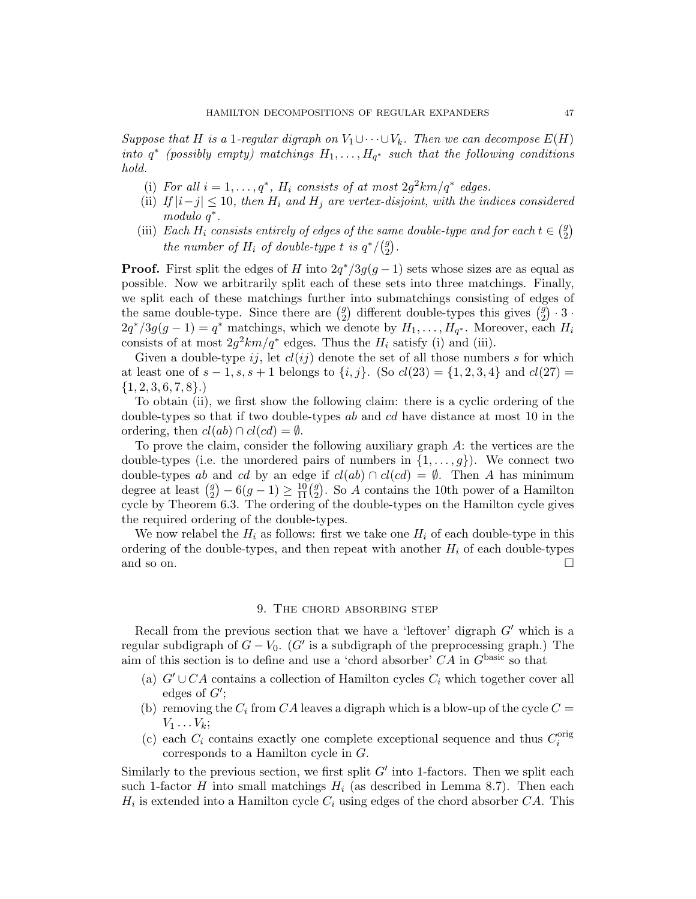Suppose that H is a 1-regular digraph on  $V_1 \cup \cdots \cup V_k$ . Then we can decompose  $E(H)$ into  $q^*$  (possibly empty) matchings  $H_1, \ldots, H_{q^*}$  such that the following conditions hold.

- (i) For all  $i = 1, ..., q^*$ ,  $H_i$  consists of at most  $2g^2 km/q^*$  edges.
- (ii) If  $|i-j| \leq 10$ , then  $H_i$  and  $H_j$  are vertex-disjoint, with the indices considered modulo q<sup>\*</sup>.
- (iii) Each  $H_i$  consists entirely of edges of the same double-type and for each  $t \in \binom{g}{2}$  $\binom{g}{2}$ the number of  $H_i$  of double-type t is  $q^*/\binom{g}{2}$  $\binom{g}{2}$ .

**Proof.** First split the edges of H into  $2q^*/3g(g-1)$  sets whose sizes are as equal as possible. Now we arbitrarily split each of these sets into three matchings. Finally, we split each of these matchings further into submatchings consisting of edges of the same double-type. Since there are  $\binom{g}{2}$ <sup>9</sup>/<sub>2</sub>) different double-types this gives  $\binom{g}{2}$  $\binom{g}{2} \cdot 3 \cdot$  $2q^*/3g(g-1) = q^*$  matchings, which we denote by  $H_1, \ldots, H_{q^*}$ . Moreover, each  $H_i$ consists of at most  $2g^2km/q^*$  edges. Thus the  $H_i$  satisfy (i) and (iii).

Given a double-type ij, let  $cl(ij)$  denote the set of all those numbers s for which at least one of  $s - 1$ ,  $s, s + 1$  belongs to  $\{i, j\}$ . (So  $cl(23) = \{1, 2, 3, 4\}$  and  $cl(27) =$  $\{1, 2, 3, 6, 7, 8\}.$ 

To obtain (ii), we first show the following claim: there is a cyclic ordering of the double-types so that if two double-types ab and cd have distance at most 10 in the ordering, then  $cl(ab) \cap cl(cd) = \emptyset$ .

To prove the claim, consider the following auxiliary graph A: the vertices are the double-types (i.e. the unordered pairs of numbers in  $\{1,\ldots,g\}$ ). We connect two double-types ab and cd by an edge if  $cl(ab) \cap cl(cd) = \emptyset$ . Then A has minimum degree at least  $\binom{g}{2}$  $\binom{g}{2} - 6(g-1) \geq \frac{10}{11} \binom{g}{2}$ <sup>9</sup>/<sub>2</sub>). So A contains the 10th power of a Hamilton cycle by Theorem 6.3. The ordering of the double-types on the Hamilton cycle gives the required ordering of the double-types.

We now relabel the  $H_i$  as follows: first we take one  $H_i$  of each double-type in this ordering of the double-types, and then repeat with another  $H_i$  of each double-types and so on.  $\Box$ 

## 9. The chord absorbing step

Recall from the previous section that we have a 'leftover' digraph  $G'$  which is a regular subdigraph of  $G - V_0$ . (G' is a subdigraph of the preprocessing graph.) The aim of this section is to define and use a 'chord absorber'  $CA$  in  $G<sup>basic</sup>$  so that

- (a)  $G' \cup CA$  contains a collection of Hamilton cycles  $C_i$  which together cover all edges of  $G'$ ;
- (b) removing the  $C_i$  from CA leaves a digraph which is a blow-up of the cycle  $C =$  $V_1 \ldots V_k$ ;
- (c) each  $C_i$  contains exactly one complete exceptional sequence and thus  $C_i^{\text{orig}}$ i corresponds to a Hamilton cycle in G.

Similarly to the previous section, we first split  $G'$  into 1-factors. Then we split each such 1-factor  $H$  into small matchings  $H_i$  (as described in Lemma 8.7). Then each  $H_i$  is extended into a Hamilton cycle  $C_i$  using edges of the chord absorber  $CA$ . This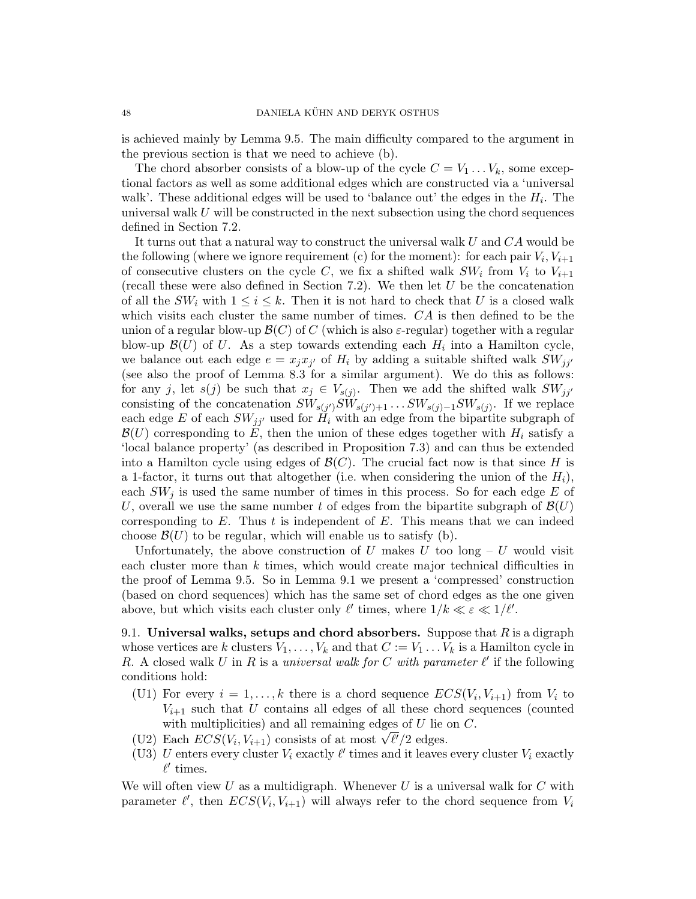is achieved mainly by Lemma 9.5. The main difficulty compared to the argument in the previous section is that we need to achieve (b).

The chord absorber consists of a blow-up of the cycle  $C = V_1 \dots V_k$ , some exceptional factors as well as some additional edges which are constructed via a 'universal walk'. These additional edges will be used to 'balance out' the edges in the  $H_i$ . The universal walk  $U$  will be constructed in the next subsection using the chord sequences defined in Section 7.2.

It turns out that a natural way to construct the universal walk U and CA would be the following (where we ignore requirement (c) for the moment): for each pair  $V_i$ ,  $V_{i+1}$ of consecutive clusters on the cycle C, we fix a shifted walk  $SW_i$  from  $V_i$  to  $V_{i+1}$ (recall these were also defined in Section 7.2). We then let  $U$  be the concatenation of all the  $SW_i$  with  $1 \leq i \leq k$ . Then it is not hard to check that U is a closed walk which visits each cluster the same number of times. CA is then defined to be the union of a regular blow-up  $\mathcal{B}(C)$  of C (which is also  $\varepsilon$ -regular) together with a regular blow-up  $\mathcal{B}(U)$  of U. As a step towards extending each  $H_i$  into a Hamilton cycle, we balance out each edge  $e = x_j x_{j'}$  of  $H_i$  by adding a suitable shifted walk  $SW_{jj'}$ (see also the proof of Lemma 8.3 for a similar argument). We do this as follows: for any j, let  $s(j)$  be such that  $x_j \in V_{s(j)}$ . Then we add the shifted walk  $SW_{jj'}$ consisting of the concatenation  $SW_{s(j')}SW_{s(j')+1} \ldots SW_{s(j)-1}SW_{s(j)}$ . If we replace each edge E of each  $SW_{jj'}$  used for  $H_i$  with an edge from the bipartite subgraph of  $\mathcal{B}(U)$  corresponding to E, then the union of these edges together with  $H_i$  satisfy a 'local balance property' (as described in Proposition 7.3) and can thus be extended into a Hamilton cycle using edges of  $\mathcal{B}(C)$ . The crucial fact now is that since H is a 1-factor, it turns out that altogether (i.e. when considering the union of the  $H_i$ ), each  $SW<sub>j</sub>$  is used the same number of times in this process. So for each edge E of U, overall we use the same number t of edges from the bipartite subgraph of  $\mathcal{B}(U)$ corresponding to  $E$ . Thus  $t$  is independent of  $E$ . This means that we can indeed choose  $\mathcal{B}(U)$  to be regular, which will enable us to satisfy (b).

Unfortunately, the above construction of U makes U too long  $-V$  would visit each cluster more than k times, which would create major technical difficulties in the proof of Lemma 9.5. So in Lemma 9.1 we present a 'compressed' construction (based on chord sequences) which has the same set of chord edges as the one given above, but which visits each cluster only  $\ell'$  times, where  $1/k \ll \varepsilon \ll 1/\ell'$ .

9.1. Universal walks, setups and chord absorbers. Suppose that  $R$  is a digraph whose vertices are k clusters  $V_1, \ldots, V_k$  and that  $C := V_1 \ldots V_k$  is a Hamilton cycle in R. A closed walk U in R is a universal walk for C with parameter  $\ell'$  if the following conditions hold:

- (U1) For every  $i = 1, ..., k$  there is a chord sequence  $ECS(V_i, V_{i+1})$  from  $V_i$  to  $V_{i+1}$  such that U contains all edges of all these chord sequences (counted with multiplicities) and all remaining edges of  $U$  lie on  $C$ .
- with multiplicities) and all remaining edges of  $U$  het (U2) Each  $ECS(V_i, V_{i+1})$  consists of at most  $\sqrt{\ell'}/2$  edges.
- (U3) U enters every cluster  $V_i$  exactly  $\ell'$  times and it leaves every cluster  $V_i$  exactly  $\ell'$  times.

We will often view  $U$  as a multidigraph. Whenever  $U$  is a universal walk for  $C$  with parameter  $\ell'$ , then  $ECS(V_i, V_{i+1})$  will always refer to the chord sequence from  $V_i$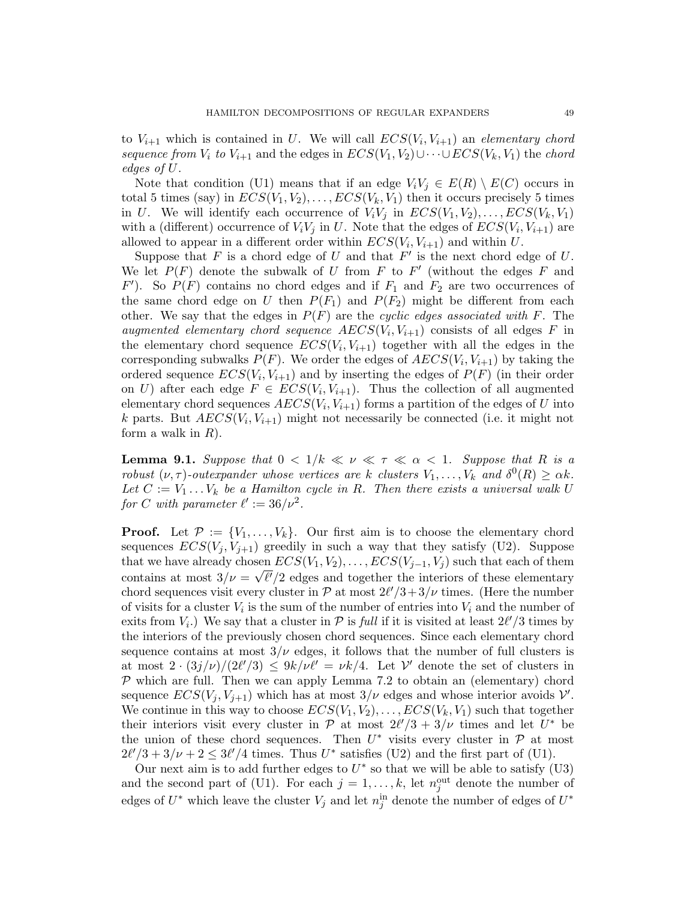to  $V_{i+1}$  which is contained in U. We will call  $ECS(V_i, V_{i+1})$  an elementary chord sequence from  $V_i$  to  $V_{i+1}$  and the edges in  $ECS(V_1, V_2) \cup \cdots \cup ECS(V_k, V_1)$  the chord edges of U.

Note that condition (U1) means that if an edge  $V_iV_j \in E(R) \setminus E(C)$  occurs in total 5 times (say) in  $ECS(V_1, V_2), \ldots, ECS(V_k, V_1)$  then it occurs precisely 5 times in U. We will identify each occurrence of  $V_iV_j$  in  $ECS(V_1, V_2), \ldots, ECS(V_k, V_1)$ with a (different) occurrence of  $V_i V_j$  in U. Note that the edges of  $ECS(V_i, V_{i+1})$  are allowed to appear in a different order within  $ECS(V_i, V_{i+1})$  and within U.

Suppose that  $F$  is a chord edge of  $U$  and that  $F'$  is the next chord edge of  $U$ . We let  $P(F)$  denote the subwalk of U from F to F' (without the edges F and  $F'$ ). So  $P(F)$  contains no chord edges and if  $F_1$  and  $F_2$  are two occurrences of the same chord edge on U then  $P(F_1)$  and  $P(F_2)$  might be different from each other. We say that the edges in  $P(F)$  are the cyclic edges associated with F. The augmented elementary chord sequence  $AECS(V_i, V_{i+1})$  consists of all edges F in the elementary chord sequence  $ECS(V_i, V_{i+1})$  together with all the edges in the corresponding subwalks  $P(F)$ . We order the edges of  $AECS(V_i, V_{i+1})$  by taking the ordered sequence  $ECS(V_i, V_{i+1})$  and by inserting the edges of  $P(F)$  (in their order on U) after each edge  $F \in ECS(V_i, V_{i+1})$ . Thus the collection of all augmented elementary chord sequences  $AECS(V_i, V_{i+1})$  forms a partition of the edges of U into k parts. But  $AECS(V_i, V_{i+1})$  might not necessarily be connected (i.e. it might not form a walk in  $R$ ).

**Lemma 9.1.** Suppose that  $0 < 1/k \ll \nu \ll \tau \ll \alpha < 1$ . Suppose that R is a robust  $(\nu, \tau)$ -outexpander whose vertices are k clusters  $V_1, \ldots, V_k$  and  $\delta^0(R) \geq \alpha k$ . Let  $C := V_1 \ldots V_k$  be a Hamilton cycle in R. Then there exists a universal walk U for C with parameter  $\ell' := 36/\nu^2$ .

**Proof.** Let  $\mathcal{P} := \{V_1, \ldots, V_k\}$ . Our first aim is to choose the elementary chord sequences  $ECS(V_j, V_{j+1})$  greedily in such a way that they satisfy (U2). Suppose that we have already chosen  $ECS(V_1, V_2), \ldots, ECS(V_{j-1}, V_j)$  such that each of them contains at most  $3/\nu = \sqrt{\ell'}/2$  edges and together the interiors of these elementary chord sequences visit every cluster in  $\mathcal{P}$  at most  $2\ell'/3 + 3/\nu$  times. (Here the number of visits for a cluster  $V_i$  is the sum of the number of entries into  $V_i$  and the number of exits from  $V_i$ .) We say that a cluster in  $\mathcal P$  is full if it is visited at least  $2\ell'/3$  times by the interiors of the previously chosen chord sequences. Since each elementary chord sequence contains at most  $3/\nu$  edges, it follows that the number of full clusters is at most  $2 \cdot (3j/\nu)/(2\ell'/3) \leq 9k/\nu\ell' = \nu k/4$ . Let  $\mathcal{V}'$  denote the set of clusters in  $P$  which are full. Then we can apply Lemma 7.2 to obtain an (elementary) chord sequence  $ECS(V_j, V_{j+1})$  which has at most  $3/\nu$  edges and whose interior avoids  $\mathcal{V}'$ . We continue in this way to choose  $ECS(V_1, V_2), \ldots, ECS(V_k, V_1)$  such that together their interiors visit every cluster in  $\mathcal{P}$  at most  $2\ell'/3 + 3/\nu$  times and let  $U^*$  be the union of these chord sequences. Then  $U^*$  visits every cluster in  $\mathcal P$  at most  $2\ell'/3 + 3/\nu + 2 \leq 3\ell'/4$  times. Thus  $U^*$  satisfies (U2) and the first part of (U1).

Our next aim is to add further edges to  $U^*$  so that we will be able to satisfy (U3) and the second part of (U1). For each  $j = 1, ..., k$ , let  $n_j^{\text{out}}$  denote the number of edges of  $U^*$  which leave the cluster  $V_j$  and let  $n_j^{\text{in}}$  denote the number of edges of  $U^*$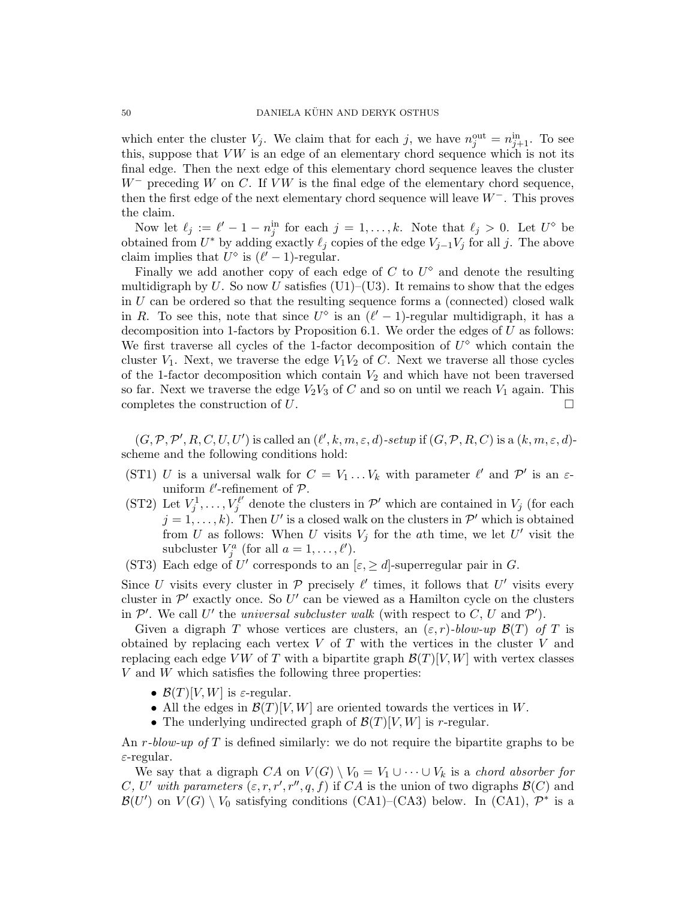which enter the cluster  $V_j$ . We claim that for each j, we have  $n_j^{\text{out}} = n_{j+1}^{\text{in}}$ . To see this, suppose that  $VW$  is an edge of an elementary chord sequence which is not its final edge. Then the next edge of this elementary chord sequence leaves the cluster  $W^-$  preceding W on C. If VW is the final edge of the elementary chord sequence, then the first edge of the next elementary chord sequence will leave  $W^-$ . This proves the claim.

Now let  $\ell_j := \ell' - 1 - n_j^{\text{in}}$  for each  $j = 1, ..., k$ . Note that  $\ell_j > 0$ . Let  $U^{\diamond}$  be obtained from  $U^*$  by adding exactly  $\ell_j$  copies of the edge  $V_{j-1}V_j$  for all j. The above claim implies that  $U^{\diamond}$  is  $(\ell' - 1)$ -regular.

Finally we add another copy of each edge of  $C$  to  $U^{\diamond}$  and denote the resulting multidigraph by U. So now U satisfies  $(U1)$ – $(U3)$ . It remains to show that the edges in U can be ordered so that the resulting sequence forms a (connected) closed walk in R. To see this, note that since  $U^{\diamond}$  is an  $(\ell' - 1)$ -regular multidigraph, it has a decomposition into 1-factors by Proposition 6.1. We order the edges of  $U$  as follows: We first traverse all cycles of the 1-factor decomposition of  $U^{\diamond}$  which contain the cluster  $V_1$ . Next, we traverse the edge  $V_1V_2$  of C. Next we traverse all those cycles of the 1-factor decomposition which contain  $V_2$  and which have not been traversed so far. Next we traverse the edge  $V_2V_3$  of C and so on until we reach  $V_1$  again. This completes the construction of  $U$ .

 $(G, \mathcal{P}, \mathcal{P}', R, C, U, U')$  is called an  $(\ell', k, m, \varepsilon, d)$ -setup if  $(G, \mathcal{P}, R, C)$  is a  $(k, m, \varepsilon, d)$ scheme and the following conditions hold:

- (ST1) U is a universal walk for  $C = V_1 \dots V_k$  with parameter  $\ell'$  and  $\mathcal{P}'$  is an  $\varepsilon$ uniform  $\ell'$ -refinement of  $\mathcal{P}$ .
- (ST2) Let  $V_j^1, ..., V_j^{\ell'}$  $\mathcal{L}^{\ell'}_j$  denote the clusters in  $\mathcal{P}'$  which are contained in  $V_j$  (for each  $j = 1, \ldots, k$ ). Then U' is a closed walk on the clusters in  $\mathcal{P}'$  which is obtained from U as follows: When U visits  $V_j$  for the ath time, we let U' visit the subcluster  $V_j^a$  (for all  $a = 1, ..., \ell'$ ).
- (ST3) Each edge of U' corresponds to an  $[\varepsilon, \geq d]$ -superregular pair in G.

Since U visits every cluster in  $P$  precisely  $\ell'$  times, it follows that U' visits every cluster in  $\mathcal{P}'$  exactly once. So U' can be viewed as a Hamilton cycle on the clusters in  $\mathcal{P}'$ . We call U' the universal subcluster walk (with respect to C, U and  $\mathcal{P}'$ ).

Given a digraph T whose vertices are clusters, an  $(\varepsilon, r)$ -blow-up  $\mathcal{B}(T)$  of T is obtained by replacing each vertex  $V$  of  $T$  with the vertices in the cluster  $V$  and replacing each edge VW of T with a bipartite graph  $\mathcal{B}(T)[V, W]$  with vertex classes  $V$  and  $W$  which satisfies the following three properties:

- $\mathcal{B}(T)[V,W]$  is  $\varepsilon$ -regular.
- All the edges in  $\mathcal{B}(T)[V, W]$  are oriented towards the vertices in W.
- The underlying undirected graph of  $\mathcal{B}(T)[V, W]$  is r-regular.

An r-blow-up of T is defined similarly: we do not require the bipartite graphs to be  $\varepsilon$ -regular.

We say that a digraph CA on  $V(G) \setminus V_0 = V_1 \cup \cdots \cup V_k$  is a chord absorber for C, U' with parameters  $(\varepsilon, r, r', r'', q, f)$  if CA is the union of two digraphs  $\mathcal{B}(C)$  and  $\mathcal{B}(U')$  on  $V(G) \setminus V_0$  satisfying conditions (CA1)–(CA3) below. In (CA1),  $\mathcal{P}^*$  is a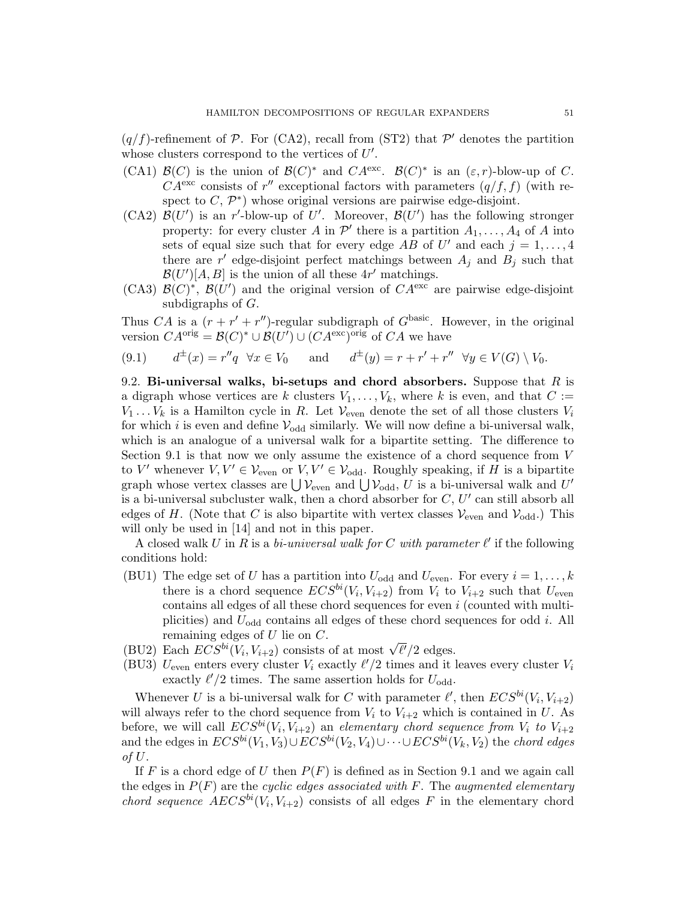$(q/f)$ -refinement of P. For (CA2), recall from (ST2) that P' denotes the partition whose clusters correspond to the vertices of  $U'$ .

- (CA1)  $\mathcal{B}(C)$  is the union of  $\mathcal{B}(C)^*$  and  $CA^{\text{exc}}$ .  $\mathcal{B}(C)^*$  is an  $(\varepsilon,r)$ -blow-up of C.  $CA^{\text{exc}}$  consists of r'' exceptional factors with parameters  $(q/f, f)$  (with respect to  $C, \mathcal{P}^*$  whose original versions are pairwise edge-disjoint.
- (CA2)  $\mathcal{B}(U')$  is an r'-blow-up of U'. Moreover,  $\mathcal{B}(U')$  has the following stronger property: for every cluster A in  $\mathcal{P}'$  there is a partition  $A_1, \ldots, A_4$  of A into sets of equal size such that for every edge AB of  $U'$  and each  $j = 1, ..., 4$ there are  $r'$  edge-disjoint perfect matchings between  $A_j$  and  $B_j$  such that  $\mathcal{B}(U')[A, B]$  is the union of all these  $4r'$  matchings.
- (CA3)  $\mathcal{B}(C)^*$ ,  $\mathcal{B}(U')$  and the original version of  $CA^{\text{exc}}$  are pairwise edge-disjoint subdigraphs of G.

Thus CA is a  $(r + r' + r'')$ -regular subdigraph of  $G<sup>basic</sup>$ . However, in the original version  $CA^{orig} = \mathcal{B}(C)^* \cup \mathcal{B}(U') \cup (CA^{exc})^{orig}$  of  $CA$  we have

$$
(9.1) \qquad d^{\pm}(x) = r''q \quad \forall x \in V_0 \qquad \text{and} \qquad d^{\pm}(y) = r + r' + r'' \quad \forall y \in V(G) \setminus V_0.
$$

9.2. Bi-universal walks, bi-setups and chord absorbers. Suppose that  $R$  is a digraph whose vertices are k clusters  $V_1, \ldots, V_k$ , where k is even, and that  $C :=$  $V_1 \ldots V_k$  is a Hamilton cycle in R. Let  $V_{\text{even}}$  denote the set of all those clusters  $V_i$ for which i is even and define  $V_{\text{odd}}$  similarly. We will now define a bi-universal walk, which is an analogue of a universal walk for a bipartite setting. The difference to Section 9.1 is that now we only assume the existence of a chord sequence from V to V' whenever  $V, V' \in \mathcal{V}_{even}$  or  $V, V' \in \mathcal{V}_{odd}$ . Roughly speaking, if H is a bipartite graph whose vertex classes are  $\bigcup \mathcal{V}_{even}$  and  $\bigcup \mathcal{V}_{odd}$ , U is a bi-universal walk and U' is a bi-universal subcluster walk, then a chord absorber for  $C, U'$  can still absorb all edges of H. (Note that C is also bipartite with vertex classes  $\mathcal{V}_{even}$  and  $\mathcal{V}_{odd}$ .) This will only be used in [14] and not in this paper.

A closed walk U in R is a bi-universal walk for C with parameter  $\ell'$  if the following conditions hold:

- (BU1) The edge set of U has a partition into  $U_{\text{odd}}$  and  $U_{\text{even}}$ . For every  $i = 1, ..., k$ there is a chord sequence  $ECS^{bi}(V_i, V_{i+2})$  from  $V_i$  to  $V_{i+2}$  such that  $U_{even}$ contains all edges of all these chord sequences for even i (counted with multiplicities) and  $U_{\text{odd}}$  contains all edges of these chord sequences for odd *i*. All remaining edges of  $U$  lie on  $C$ .
- remaining edges of U lie on U.<br>
(BU2) Each  $ECS^{bi}(V_i, V_{i+2})$  consists of at most  $\sqrt{\ell'}/2$  edges.
- (BU3)  $U_{\text{even}}$  enters every cluster  $V_i$  exactly  $\ell'/2$  times and it leaves every cluster  $V_i$ exactly  $\ell'/2$  times. The same assertion holds for  $U_{\text{odd}}$ .

Whenever U is a bi-universal walk for C with parameter  $\ell'$ , then  $ECS^{bi}(V_i, V_{i+2})$ will always refer to the chord sequence from  $V_i$  to  $V_{i+2}$  which is contained in U. As before, we will call  $ECS^{bi}(V_i, V_{i+2})$  an elementary chord sequence from  $V_i$  to  $V_{i+2}$ and the edges in  $ECS^{bi}(V_1, V_3) \cup ECS^{bi}(V_2, V_4) \cup \cdots \cup ECS^{bi}(V_k, V_2)$  the chord edges of U.

If F is a chord edge of U then  $P(F)$  is defined as in Section 9.1 and we again call the edges in  $P(F)$  are the cyclic edges associated with F. The augmented elementary chord sequence  $AECS^{bi}(V_i, V_{i+2})$  consists of all edges F in the elementary chord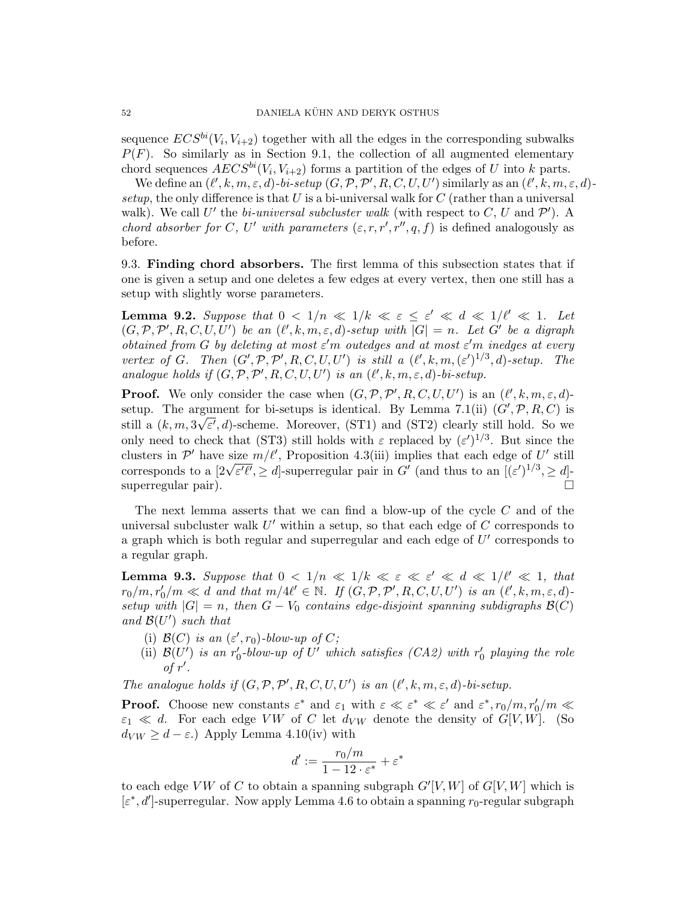sequence  $ECS^{bi}(V_i, V_{i+2})$  together with all the edges in the corresponding subwalks  $P(F)$ . So similarly as in Section 9.1, the collection of all augmented elementary chord sequences  $AECS^{bi}(V_i, V_{i+2})$  forms a partition of the edges of U into k parts.

We define an  $(\ell', k, m, \varepsilon, d)$ -bi-setup  $(G, \mathcal{P}, \mathcal{P}', R, C, U, U')$  similarly as an  $(\ell', k, m, \varepsilon, d)$ setup, the only difference is that U is a bi-universal walk for  $C$  (rather than a universal walk). We call U' the bi-universal subcluster walk (with respect to C, U and  $\mathcal{P}'$ ). A chord absorber for C, U' with parameters  $(\varepsilon, r, r', r'', q, f)$  is defined analogously as before.

9.3. Finding chord absorbers. The first lemma of this subsection states that if one is given a setup and one deletes a few edges at every vertex, then one still has a setup with slightly worse parameters.

**Lemma 9.2.** Suppose that  $0 < 1/n \ll 1/k \ll \varepsilon \leq \varepsilon' \ll d \ll 1/\ell' \ll 1$ . Let  $(G, \mathcal{P}, \mathcal{P}', R, C, U, U')$  be an  $(\ell', k, m, \varepsilon, d)$ -setup with  $|G| = n$ . Let G' be a digraph obtained from G by deleting at most  $\varepsilon'$ m outedges and at most  $\varepsilon'$ m inedges at every vertex of G. Then  $(G', \mathcal{P}, \mathcal{P}', R, C, U, U')$  is still a  $(\ell', k, m, (\varepsilon')^{1/3}, d)$ -setup. The analogue holds if  $(G, \mathcal{P}, \mathcal{P}', R, C, U, U')$  is an  $(\ell', k, m, \varepsilon, d)$ -bi-setup.

**Proof.** We only consider the case when  $(G, \mathcal{P}, \mathcal{P}', R, C, U, U')$  is an  $(\ell', k, m, \varepsilon, d)$ setup. The argument for bi-setups is identical. By Lemma 7.1(ii)  $(G', \mathcal{P}, R, C)$  is still a  $(k, m, 3\sqrt{\varepsilon'}, d)$ -scheme. Moreover, (ST1) and (ST2) clearly still hold. So we only need to check that (ST3) still holds with  $\varepsilon$  replaced by  $(\varepsilon')^{1/3}$ . But since the clusters in  $\mathcal{P}'$  have size  $m/\ell'$ , Proposition 4.3(iii) implies that each edge of U' still corresponds to a  $[2\sqrt{\varepsilon'\ell'}, \geq d]$ -superregular pair in G' (and thus to an  $[(\varepsilon')^{1/3}, \geq d]$ superregular pair).

The next lemma asserts that we can find a blow-up of the cycle  $C$  and of the universal subcluster walk  $U'$  within a setup, so that each edge of  $C$  corresponds to a graph which is both regular and superregular and each edge of  $U'$  corresponds to a regular graph.

**Lemma 9.3.** Suppose that  $0 < 1/n \ll 1/k \ll \varepsilon \ll \varepsilon' \ll d \ll 1/l' \ll 1$ , that  $r_0/m, r'_0/m \ll d$  and that  $m/4\ell' \in \mathbb{N}$ . If  $(G, \mathcal{P}, \mathcal{P}', R, C, U, U')$  is an  $(\ell', k, m, \varepsilon, d)$ setup with  $|G| = n$ , then  $G - V_0$  contains edge-disjoint spanning subdigraphs  $\mathcal{B}(C)$ and  $\mathcal{B}(U')$  such that

- (i)  $\mathcal{B}(C)$  is an  $(\varepsilon', r_0)$ -blow-up of C;
- (ii)  $\mathcal{B}(U')$  is an r<sub>0</sub>-blow-up of U' which satisfies (CA2) with r<sub>0</sub> playing the role of  $r'$ .

The analogue holds if  $(G, \mathcal{P}, \mathcal{P}', R, C, U, U')$  is an  $(\ell', k, m, \varepsilon, d)$ -bi-setup.

**Proof.** Choose new constants  $\varepsilon^*$  and  $\varepsilon_1$  with  $\varepsilon \ll \varepsilon^* \ll \varepsilon'$  and  $\varepsilon^*, r_0/m, r'_0/m \ll$  $\varepsilon_1 \ll d$ . For each edge VW of C let  $d_{VW}$  denote the density of  $G[V, W]$ . (So  $d_{VW} \geq d - \varepsilon$ .) Apply Lemma 4.10(iv) with

$$
d' := \frac{r_0/m}{1 - 12 \cdot \varepsilon^*} + \varepsilon^*
$$

to each edge VW of C to obtain a spanning subgraph  $G'[V, W]$  of  $G[V, W]$  which is  $[\varepsilon^*, d']$ -superregular. Now apply Lemma 4.6 to obtain a spanning  $r_0$ -regular subgraph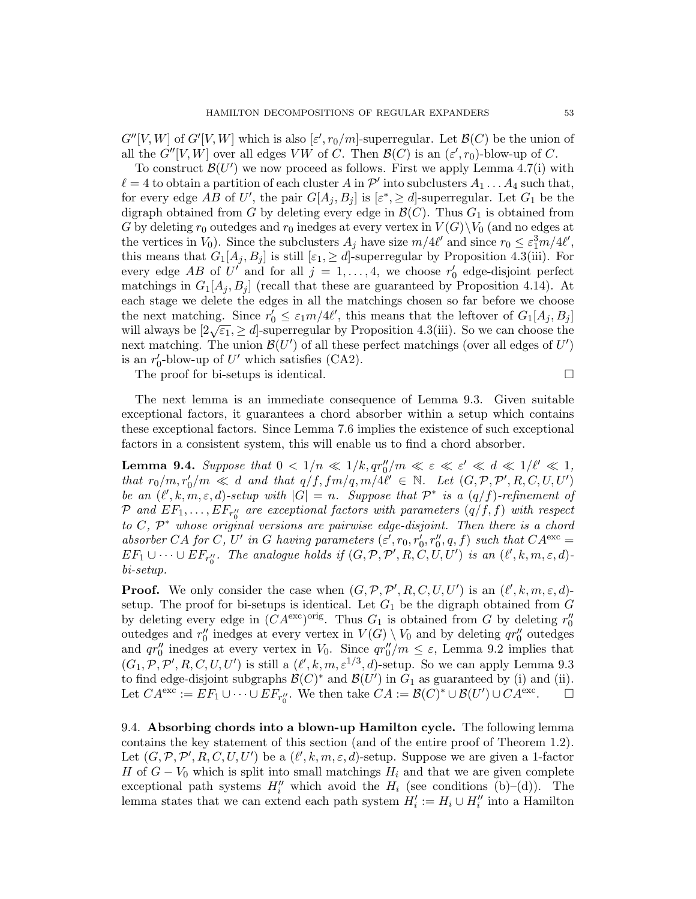$G''[V,W]$  of  $G'[V,W]$  which is also  $[\varepsilon', r_0/m]$ -superregular. Let  $\mathcal{B}(C)$  be the union of all the  $G''[V, W]$  over all edges VW of C. Then  $\mathcal{B}(C)$  is an  $(\varepsilon', r_0)$ -blow-up of C.

To construct  $\mathcal{B}(U')$  we now proceed as follows. First we apply Lemma 4.7(i) with  $\ell = 4$  to obtain a partition of each cluster A in  $\mathcal{P}'$  into subclusters  $A_1 \ldots A_4$  such that, for every edge AB of U', the pair  $G[A_j, B_j]$  is  $[\varepsilon^*, \geq d]$ -superregular. Let  $G_1$  be the digraph obtained from G by deleting every edge in  $\mathcal{B}(C)$ . Thus  $G_1$  is obtained from G by deleting  $r_0$  outedges and  $r_0$  inedges at every vertex in  $V(G)\backslash V_0$  (and no edges at the vertices in  $V_0$ ). Since the subclusters  $A_j$  have size  $m/4\ell'$  and since  $r_0 \leq \varepsilon_1^3 m/4\ell'$ , this means that  $G_1[A_j, B_j]$  is still  $[\varepsilon_1, \geq d]$ -superregular by Proposition 4.3(iii). For every edge AB of  $U'$  and for all  $j = 1, ..., 4$ , we choose  $r'_0$  edge-disjoint perfect matchings in  $G_1[A_i, B_i]$  (recall that these are guaranteed by Proposition 4.14). At each stage we delete the edges in all the matchings chosen so far before we choose the next matching. Since  $r'_0 \leq \varepsilon_1 m/4\ell'$ , this means that the leftover of  $G_1[A_j, B_j]$ will always be  $[2\sqrt{\epsilon_1}, \geq d]$ -superregular by Proposition 4.3(iii). So we can choose the next matching. The union  $\mathcal{B}(U')$  of all these perfect matchings (over all edges of  $U'$ ) is an  $r'_0$ -blow-up of U' which satisfies (CA2).

The proof for bi-setups is identical.  $\Box$ 

The next lemma is an immediate consequence of Lemma 9.3. Given suitable exceptional factors, it guarantees a chord absorber within a setup which contains these exceptional factors. Since Lemma 7.6 implies the existence of such exceptional factors in a consistent system, this will enable us to find a chord absorber.

**Lemma 9.4.** Suppose that  $0 < 1/n \ll 1/k$ ,  $qr''_0/m \ll \varepsilon \ll \varepsilon' \ll d \ll 1/\ell' \ll 1$ , that  $r_0/m, r'_0/m \ll d$  and that  $q/f, fm/q, m/4\ell' \in \mathbb{N}$ . Let  $(G, \mathcal{P}, \mathcal{P}', R, C, U, U')$ be an  $(\ell', k, m, \varepsilon, d)$ -setup with  $|G| = n$ . Suppose that  $\mathcal{P}^*$  is a  $(q/f)$ -refinement of  $\mathcal P$  and  $EF_1,\ldots, EF_{r''_0}$  are exceptional factors with parameters  $(q/f,f)$  with respect to  $C, \mathcal{P}^*$  whose original versions are pairwise edge-disjoint. Then there is a chord absorber CA for C, U' in G having parameters  $(\varepsilon', r_0, r'_0, r''_0, q, f)$  such that  $CA^{\text{exc}} =$  $EF_1 \cup \cdots \cup EF_{r''_0}$ . The analogue holds if  $(G, \mathcal{P}, \mathcal{P}', R, C, U, U')$  is an  $(\ell', k, m, \varepsilon, d)$ bi-setup.

**Proof.** We only consider the case when  $(G, \mathcal{P}, \mathcal{P}', R, C, U, U')$  is an  $(\ell', k, m, \varepsilon, d)$ setup. The proof for bi-setups is identical. Let  $G_1$  be the digraph obtained from  $G$ by deleting every edge in  $(CA^{\text{exc}})^{\text{orig}}$ . Thus  $G_1$  is obtained from G by deleting  $r''_0$ outedges and  $r''_0$  inedges at every vertex in  $V(G) \setminus V_0$  and by deleting  $qr''_0$  outedges and  $qr_0''$  inedges at every vertex in  $V_0$ . Since  $qr_0''/m \leq \varepsilon$ , Lemma 9.2 implies that  $(G_1, \mathcal{P}, \mathcal{P}', R, C, U, U')$  is still a  $(\ell', k, m, \varepsilon^{1/3}, d)$ -setup. So we can apply Lemma 9.3 to find edge-disjoint subgraphs  $\mathcal{B}(C)^*$  and  $\mathcal{B}(U')$  in  $G_1$  as guaranteed by (i) and (ii). Let  $CA^{\text{exc}} := EF_1 \cup \cdots \cup EF_{r''_0}$ . We then take  $CA := \mathcal{B}(C)^* \cup \mathcal{B}(U') \cup CA^{\text{exc}}$  $\Box$ 

9.4. Absorbing chords into a blown-up Hamilton cycle. The following lemma contains the key statement of this section (and of the entire proof of Theorem 1.2). Let  $(G, \mathcal{P}, \mathcal{P}', R, C, U, U')$  be a  $(\ell', k, m, \varepsilon, d)$ -setup. Suppose we are given a 1-factor H of  $G - V_0$  which is split into small matchings  $H_i$  and that we are given complete exceptional path systems  $H''_i$  which avoid the  $H_i$  (see conditions (b)–(d)). The lemma states that we can extend each path system  $H'_i := H_i \cup H''_i$  into a Hamilton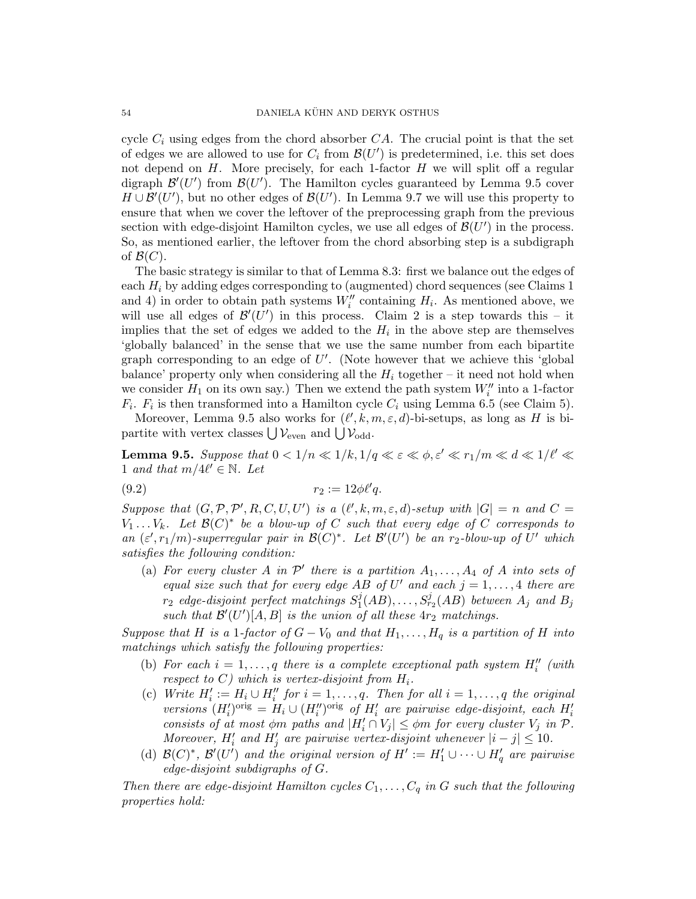cycle  $C_i$  using edges from the chord absorber  $CA$ . The crucial point is that the set of edges we are allowed to use for  $C_i$  from  $\mathcal{B}(U')$  is predetermined, i.e. this set does not depend on  $H$ . More precisely, for each 1-factor  $H$  we will split off a regular digraph  $\mathcal{B}'(U')$  from  $\mathcal{B}(U')$ . The Hamilton cycles guaranteed by Lemma 9.5 cover  $H \cup \mathcal{B}'(U')$ , but no other edges of  $\mathcal{B}(U')$ . In Lemma 9.7 we will use this property to ensure that when we cover the leftover of the preprocessing graph from the previous section with edge-disjoint Hamilton cycles, we use all edges of  $\mathcal{B}(U')$  in the process. So, as mentioned earlier, the leftover from the chord absorbing step is a subdigraph of  $\mathcal{B}(C)$ .

The basic strategy is similar to that of Lemma 8.3: first we balance out the edges of each  $H_i$  by adding edges corresponding to (augmented) chord sequences (see Claims 1 and 4) in order to obtain path systems  $W''_i$  containing  $H_i$ . As mentioned above, we will use all edges of  $\mathcal{B}'(U')$  in this process. Claim 2 is a step towards this – it implies that the set of edges we added to the  $H_i$  in the above step are themselves 'globally balanced' in the sense that we use the same number from each bipartite graph corresponding to an edge of  $U'$ . (Note however that we achieve this 'global balance' property only when considering all the  $H_i$  together – it need not hold when we consider  $H_1$  on its own say.) Then we extend the path system  $W''_i$  into a 1-factor  $F_i$ .  $F_i$  is then transformed into a Hamilton cycle  $C_i$  using Lemma 6.5 (see Claim 5).

Moreover, Lemma 9.5 also works for  $(\ell', k, m, \varepsilon, d)$ -bi-setups, as long as H is bipartite with vertex classes  $\bigcup \mathcal{V}_{\text{even}}$  and  $\bigcup \mathcal{V}_{\text{odd}}$ .

**Lemma 9.5.** Suppose that  $0 < 1/n \ll 1/k, 1/q \ll \varepsilon \ll \phi, \varepsilon' \ll r_1/m \ll d \ll 1/\ell' \ll 1$ 1 and that  $m/4\ell' \in \mathbb{N}$ . Let

$$
(9.2) \t\t\t r_2 := 12\phi \ell' q.
$$

Suppose that  $(G, \mathcal{P}, \mathcal{P}', R, C, U, U')$  is a  $(\ell', k, m, \varepsilon, d)$ -setup with  $|G| = n$  and  $C =$  $V_1 \ldots V_k$ . Let  $\mathcal{B}(C)^*$  be a blow-up of C such that every edge of C corresponds to an  $(\varepsilon', r_1/m)$ -superregular pair in  $\mathcal{B}(C)^*$ . Let  $\mathcal{B}'(U')$  be an  $r_2$ -blow-up of U' which satisfies the following condition:

(a) For every cluster A in  $\mathcal{P}'$  there is a partition  $A_1, \ldots, A_4$  of A into sets of equal size such that for every edge AB of U' and each  $j = 1, \ldots, 4$  there are  $r_2$  edge-disjoint perfect matchings  $S_1^j$  $f_1^j(AB),\ldots, S_{r_2}^j(AB)$  between  $A_j$  and  $B_j$ such that  $\mathcal{B}'(U')[A, B]$  is the union of all these  $4r_2$  matchings.

Suppose that H is a 1-factor of  $G - V_0$  and that  $H_1, \ldots, H_q$  is a partition of H into matchings which satisfy the following properties:

- (b) For each  $i = 1, \ldots, q$  there is a complete exceptional path system  $H''_i$  (with respect to  $C$ ) which is vertex-disjoint from  $H_i$ .
- (c) Write  $H'_i := H_i \cup H''_i$  for  $i = 1, \ldots, q$ . Then for all  $i = 1, \ldots, q$  the original versions  $(H_i')^{\text{orig}} = H_i \cup (H_i'')^{\text{orig}}$  of  $H_i'$  are pairwise edge-disjoint, each  $H_i'$ consists of at most  $\phi$ m paths and  $|H'_i \cap V_j| \leq \phi$ m for every cluster  $V_j$  in  $\mathcal{P}$ . Moreover,  $H'_i$  and  $H'_j$  are pairwise vertex-disjoint whenever  $|i - j| \leq 10$ .
- (d)  $\mathcal{B}(C)^*, \mathcal{B}'(U')$  and the original version of  $H' := H'_1 \cup \cdots \cup H'_q$  are pairwise edge-disjoint subdigraphs of G.

Then there are edge-disjoint Hamilton cycles  $C_1, \ldots, C_q$  in G such that the following properties hold: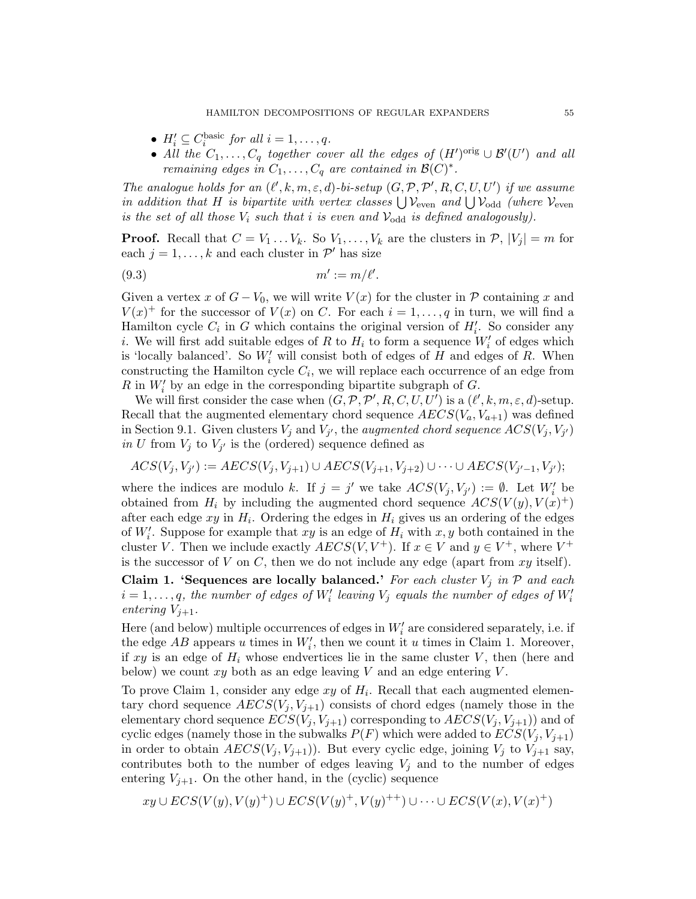- $H'_i \subseteq C_i^{\text{basic}}$  for all  $i = 1, \ldots, q$ .
- All the  $C_1, \ldots, C_q$  together cover all the edges of  $(H')^{\text{orig}} \cup \mathcal{B'}(U')$  and all remaining edges in  $C_1, \ldots, C_q$  are contained in  $\mathcal{B}(C)^*$ .

The analogue holds for an  $(\ell', k, m, \varepsilon, d)$ -bi-setup  $(G, \mathcal{P}, \mathcal{P}', R, C, U, U')$  if we assume in addition that H is bipartite with vertex classes  $\bigcup \mathcal{V}_{even}$  and  $\bigcup \mathcal{V}_{odd}$  (where  $\mathcal{V}_{even}$ is the set of all those  $V_i$  such that i is even and  $\mathcal{V}_{odd}$  is defined analogously).

**Proof.** Recall that  $C = V_1 \dots V_k$ . So  $V_1, \dots, V_k$  are the clusters in  $\mathcal{P}, |V_j| = m$  for each  $j = 1, ..., k$  and each cluster in  $\mathcal{P}'$  has size

$$
(9.3) \t m' := m/\ell'.
$$

Given a vertex x of  $G - V_0$ , we will write  $V(x)$  for the cluster in P containing x and  $V(x)^+$  for the successor of  $V(x)$  on C. For each  $i = 1, \ldots, q$  in turn, we will find a Hamilton cycle  $C_i$  in G which contains the original version of  $H'_i$ . So consider any *i*. We will first add suitable edges of R to  $H_i$  to form a sequence  $W_i'$  of edges which is 'locally balanced'. So  $W_i'$  will consist both of edges of H and edges of R. When constructing the Hamilton cycle  $C_i$ , we will replace each occurrence of an edge from  $R$  in  $W_i'$  by an edge in the corresponding bipartite subgraph of  $G$ .

We will first consider the case when  $(G, \mathcal{P}, \mathcal{P}', R, C, U, U')$  is a  $(\ell', k, m, \varepsilon, d)$ -setup. Recall that the augmented elementary chord sequence  $AECS(V_a, V_{a+1})$  was defined in Section 9.1. Given clusters  $V_j$  and  $V_{j'}$ , the *augmented chord sequence*  $ACS(V_j, V_{j'})$ in U from  $V_j$  to  $V_{j'}$  is the (ordered) sequence defined as

$$
ACS(V_j, V_{j'}) := AES(V_j, V_{j+1}) \cup AES(V_{j+1}, V_{j+2}) \cup \dots \cup AES(V_{j'-1}, V_{j'});
$$

where the indices are modulo k. If  $j = j'$  we take  $ACS(V_j, V_{j'}) := \emptyset$ . Let  $W_i'$  be obtained from  $H_i$  by including the augmented chord sequence  $ACS(V(y), V(x)^+)$ after each edge  $xy$  in  $H_i$ . Ordering the edges in  $H_i$  gives us an ordering of the edges of  $W_i'$ . Suppose for example that  $xy$  is an edge of  $H_i$  with  $x, y$  both contained in the cluster V. Then we include exactly  $AECS(V, V^+)$ . If  $x \in V$  and  $y \in V^+$ , where  $V^+$ is the successor of V on C, then we do not include any edge (apart from  $xy$  itself).

Claim 1. 'Sequences are locally balanced.' For each cluster  $V_i$  in  $P$  and each  $i = 1, \ldots, q$ , the number of edges of  $W_i'$  leaving  $V_j$  equals the number of edges of  $W_i'$ entering  $V_{i+1}$ .

Here (and below) multiple occurrences of edges in  $W_i'$  are considered separately, i.e. if the edge  $AB$  appears u times in  $W_i'$ , then we count it u times in Claim 1. Moreover, if xy is an edge of  $H_i$  whose endvertices lie in the same cluster V, then (here and below) we count  $xy$  both as an edge leaving  $V$  and an edge entering  $V$ .

To prove Claim 1, consider any edge  $xy$  of  $H_i$ . Recall that each augmented elementary chord sequence  $AECS(V_i, V_{i+1})$  consists of chord edges (namely those in the elementary chord sequence  $ECS(V_i, V_{i+1})$  corresponding to  $AECS(V_i, V_{i+1})$  and of cyclic edges (namely those in the subwalks  $P(F)$  which were added to  $ECS(V_j, V_{j+1})$ in order to obtain  $AECS(V_j, V_{j+1})$ . But every cyclic edge, joining  $V_j$  to  $V_{j+1}$  say, contributes both to the number of edges leaving  $V_j$  and to the number of edges entering  $V_{j+1}$ . On the other hand, in the (cyclic) sequence

$$
xy \cup ECS(V(y), V(y)^+) \cup ECS(V(y)^+, V(y)^{++}) \cup \dots \cup ECS(V(x), V(x)^+)
$$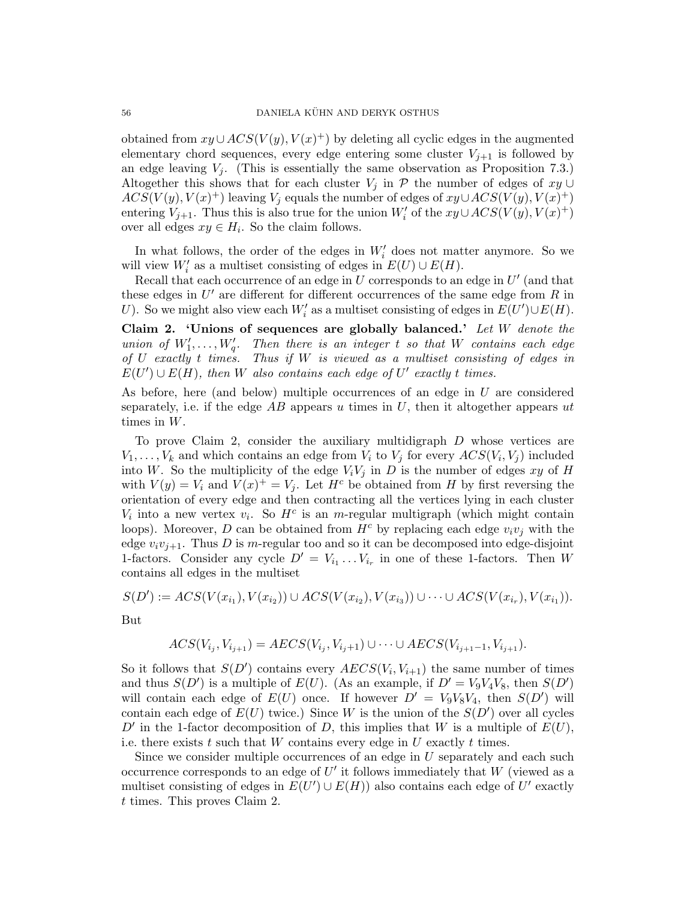obtained from  $xy \cup ACS(V(y), V(x)^+)$  by deleting all cyclic edges in the augmented elementary chord sequences, every edge entering some cluster  $V_{j+1}$  is followed by an edge leaving  $V_i$ . (This is essentially the same observation as Proposition 7.3.) Altogether this shows that for each cluster  $V_j$  in P the number of edges of  $xy \cup$  $ACS(V(y), V(x)^+)$  leaving  $V_j$  equals the number of edges of  $xy \cup ACS(V(y), V(x)^+)$ entering  $V_{j+1}$ . Thus this is also true for the union  $W_i'$  of the  $xy \cup ACS(V(y), V(x)^+)$ over all edges  $xy \in H_i$ . So the claim follows.

In what follows, the order of the edges in  $W_i'$  does not matter anymore. So we will view  $W_i'$  as a multiset consisting of edges in  $E(U) \cup E(H)$ .

Recall that each occurrence of an edge in  $U$  corresponds to an edge in  $U'$  (and that these edges in  $U'$  are different for different occurrences of the same edge from  $R$  in U). So we might also view each  $W_i'$  as a multiset consisting of edges in  $E(U') \cup E(H)$ .

Claim 2. 'Unions of sequences are globally balanced.' Let  $W$  denote the union of  $W'_1, \ldots, W'_q$ . Then there is an integer t so that W contains each edge of  $U$  exactly t times. Thus if  $W$  is viewed as a multiset consisting of edges in  $E(U') \cup E(H)$ , then W also contains each edge of U' exactly t times.

As before, here (and below) multiple occurrences of an edge in U are considered separately, i.e. if the edge  $AB$  appears u times in U, then it altogether appears ut times in W.

To prove Claim 2, consider the auxiliary multidigraph  $D$  whose vertices are  $V_1, \ldots, V_k$  and which contains an edge from  $V_i$  to  $V_j$  for every  $ACS(V_i, V_j)$  included into W. So the multiplicity of the edge  $V_iV_j$  in D is the number of edges xy of H with  $V(y) = V_i$  and  $V(x)^+ = V_j$ . Let  $H^c$  be obtained from H by first reversing the orientation of every edge and then contracting all the vertices lying in each cluster  $V_i$  into a new vertex  $v_i$ . So  $H^c$  is an m-regular multigraph (which might contain loops). Moreover, D can be obtained from  $H^c$  by replacing each edge  $v_i v_j$  with the edge  $v_i v_{i+1}$ . Thus D is m-regular too and so it can be decomposed into edge-disjoint 1-factors. Consider any cycle  $D' = V_{i_1} \dots V_{i_r}$  in one of these 1-factors. Then W contains all edges in the multiset

 $S(D') := ACS(V(x_{i_1}), V(x_{i_2})) \cup ACS(V(x_{i_2}), V(x_{i_3})) \cup \cdots \cup ACS(V(x_{i_r}), V(x_{i_1})).$ But

$$
ACS(V_{i_j}, V_{i_{j+1}}) = AES(V_{i_j}, V_{i_j+1}) \cup \dots \cup AES(V_{i_{j+1}-1}, V_{i_{j+1}}).
$$

So it follows that  $S(D')$  contains every  $AECS(V_i, V_{i+1})$  the same number of times and thus  $S(D')$  is a multiple of  $E(U)$ . (As an example, if  $D' = V_9V_4V_8$ , then  $S(D')$ will contain each edge of  $E(U)$  once. If however  $D' = V_9V_8V_4$ , then  $S(D')$  will contain each edge of  $E(U)$  twice.) Since W is the union of the  $S(D')$  over all cycles D' in the 1-factor decomposition of D, this implies that W is a multiple of  $E(U)$ , i.e. there exists t such that  $W$  contains every edge in  $U$  exactly t times.

Since we consider multiple occurrences of an edge in U separately and each such occurrence corresponds to an edge of  $U'$  it follows immediately that  $W$  (viewed as a multiset consisting of edges in  $E(U') \cup E(H)$  also contains each edge of U' exactly t times. This proves Claim 2.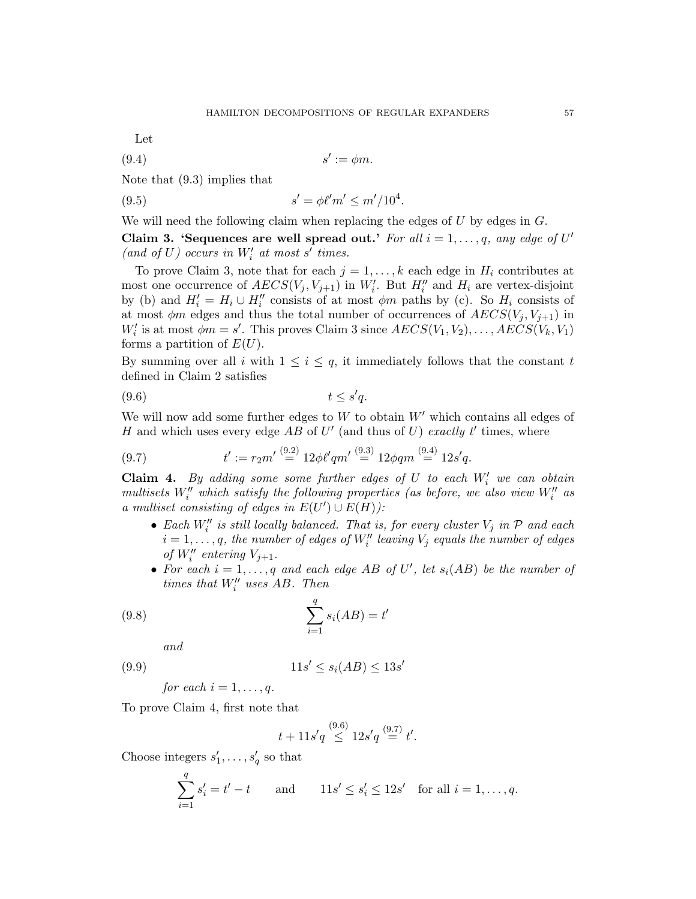Let

$$
(9.4) \t\t s' := \phi m.
$$

Note that (9.3) implies that

(9.5) 
$$
s' = \phi \ell' m' \leq m'/10^4.
$$

We will need the following claim when replacing the edges of  $U$  by edges in  $G$ .

Claim 3. 'Sequences are well spread out.' For all  $i = 1, \ldots, q$ , any edge of U' (and of  $U)$  occurs in  $W_i^\prime$  at most  $s^\prime$  times.

To prove Claim 3, note that for each  $j = 1, ..., k$  each edge in  $H_i$  contributes at most one occurrence of  $AECS(V_j, V_{j+1})$  in  $W_i'$ . But  $H_i''$  and  $H_i$  are vertex-disjoint by (b) and  $H_i' = H_i \cup H_i''$  consists of at most  $\phi m$  paths by (c). So  $H_i$  consists of at most  $\phi m$  edges and thus the total number of occurrences of  $AECS(V<sub>j</sub>, V<sub>j+1</sub>)$  in  $W_i'$  is at most  $\phi_m = s'$ . This proves Claim 3 since  $AECS(V_1, V_2), \ldots, AECS(V_k, V_1)$ forms a partition of  $E(U)$ .

By summing over all i with  $1 \leq i \leq q$ , it immediately follows that the constant t defined in Claim 2 satisfies

$$
(9.6) \t t \le s'q.
$$

We will now add some further edges to  $W$  to obtain  $W'$  which contains all edges of H and which uses every edge  $AB$  of  $U'$  (and thus of  $U$ ) exactly t' times, where

(9.7) 
$$
t' := r_2 m' \stackrel{(9.2)}{=} 12 \phi \ell' q m' \stackrel{(9.3)}{=} 12 \phi q m \stackrel{(9.4)}{=} 12 s' q.
$$

**Claim 4.** By adding some some further edges of  $U$  to each  $W_i'$  we can obtain multisets  $W''_i$  which satisfy the following properties (as before, we also view  $W''_i$  as a multiset consisting of edges in  $E(U') \cup E(H)$ ):

- Each  $W''_i$  is still locally balanced. That is, for every cluster  $V_j$  in  $P$  and each  $i=1,\ldots,q,$  the number of edges of  $W''_i$  leaving  $V_j$  equals the number of edges of  $W''_i$  entering  $V_{j+1}$ .
- For each  $i = 1, \ldots, q$  and each edge AB of U', let  $s_i(AB)$  be the number of times that  $W_i''$  uses  $AB$ . Then

$$
\sum_{i=1}^{q} s_i(AB) = t'
$$

and

$$
(9.9) \t\t\t 11s' \le s_i(AB) \le 13s'
$$

for each  $i = 1, \ldots, q$ .

To prove Claim 4, first note that

$$
t + 11s'q \stackrel{(9.6)}{\leq} 12s'q \stackrel{(9.7)}{=} t'.
$$

Choose integers  $s'_1, \ldots, s'_q$  so that

$$
\sum_{i=1}^{q} s'_i = t' - t \quad \text{and} \quad 11s' \le s'_i \le 12s' \quad \text{for all } i = 1, \dots, q.
$$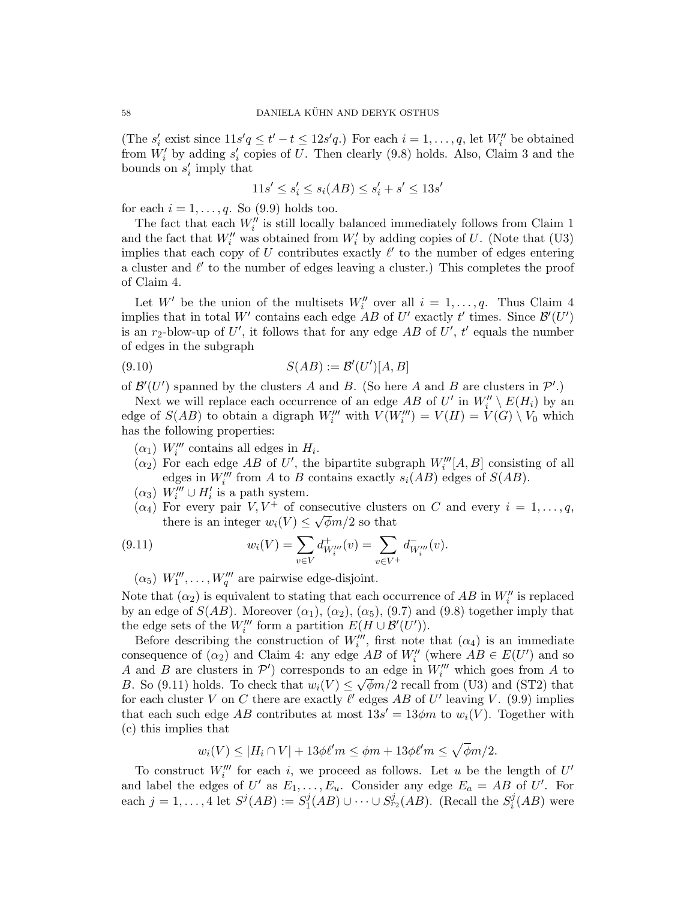(The  $s'_i$  exist since  $11s'q \leq t'-t \leq 12s'q$ .) For each  $i=1,\ldots,q$ , let  $W''_i$  be obtained from  $W_i'$  by adding  $s_i'$  copies of U. Then clearly (9.8) holds. Also, Claim 3 and the bounds on  $s_i$  imply that

$$
11s' \le s_i' \le s_i(AB) \le s_i' + s' \le 13s'
$$

for each  $i = 1, \ldots, q$ . So (9.9) holds too.

The fact that each  $W''_i$  is still locally balanced immediately follows from Claim 1 and the fact that  $W''_i$  was obtained from  $W'_i$  by adding copies of U. (Note that (U3) implies that each copy of U contributes exactly  $\ell'$  to the number of edges entering a cluster and  $\ell'$  to the number of edges leaving a cluster.) This completes the proof of Claim 4.

Let W' be the union of the multisets  $W''_i$  over all  $i = 1, \ldots, q$ . Thus Claim 4 implies that in total W' contains each edge  $AB$  of U' exactly t' times. Since  $\mathcal{B}'(U')$ is an  $r_2$ -blow-up of U', it follows that for any edge AB of U', t' equals the number of edges in the subgraph

$$
(9.10)\qquad \qquad S(AB) := \mathcal{B}'(U')[A, B]
$$

of  $\mathcal{B}'(U')$  spanned by the clusters A and B. (So here A and B are clusters in  $\mathcal{P}'$ .)

Next we will replace each occurrence of an edge  $AB$  of U' in  $W_i'' \setminus E(H_i)$  by an edge of  $S(AB)$  to obtain a digraph  $W'''_i$  with  $V(W'''_i) = V(H) = V(G) \setminus V_0$  which has the following properties:

- $(\alpha_1)$  W<sub>i</sub>''' contains all edges in  $H_i$ .
- $(\alpha_2)$  For each edge AB of U', the bipartite subgraph  $W_i'''[A, B]$  consisting of all edges in  $W_i'''$  from A to B contains exactly  $s_i(AB)$  edges of  $S(AB)$ .
- $(\alpha_3)$  W<sup>'''</sup>  $\cup$  H'<sub>i</sub>' is a path system.
- $(\alpha_4)$  For every pair  $V, V^+$  of consecutive clusters on C and every  $i = 1, \ldots, q$ , there is an integer  $w_i(V) \leq \sqrt{\phi}m/2$  so that

(9.11) 
$$
w_i(V) = \sum_{v \in V} d^+_{W_i'''}(v) = \sum_{v \in V^+} d^-_{W_i'''}(v).
$$

 $(\alpha_5)$   $W_1''', \ldots, W_q'''$  are pairwise edge-disjoint.

Note that  $(\alpha_2)$  is equivalent to stating that each occurrence of  $AB$  in  $W''_i$  is replaced by an edge of  $S(AB)$ . Moreover  $(\alpha_1)$ ,  $(\alpha_2)$ ,  $(\alpha_5)$ ,  $(9.7)$  and  $(9.8)$  together imply that the edge sets of the  $W_i'''$  form a partition  $E(H \cup \mathcal{B}'(U'))$ .

Before describing the construction of  $W_i^{\prime\prime\prime}$ , first note that  $(\alpha_4)$  is an immediate consequence of  $(\alpha_2)$  and Claim 4: any edge AB of  $W''_i$  (where  $AB \in E(U')$  and so A and B are clusters in  $\mathcal{P}'$ ) corresponds to an edge in  $W_i'''$  which goes from A to B. So (9.11) holds. To check that  $w_i(V) \leq \sqrt{\phi}m/2$  recall from (U3) and (ST2) that for each cluster V on C there are exactly  $\ell'$  edges AB of U' leaving V. (9.9) implies that each such edge AB contributes at most  $13s' = 13\phi m$  to  $w_i(V)$ . Together with (c) this implies that

 $w_i(V) \leq |H_i \cap V| + 13\phi\ell'm \leq \phi m + 13\phi\ell'm \leq \sqrt{\phi m/2}.$ 

To construct  $W'''_i$  for each i, we proceed as follows. Let u be the length of  $U'$ and label the edges of U' as  $E_1, \ldots, E_u$ . Consider any edge  $E_a = AB$  of U'. For each  $j = 1, ..., 4$  let  $S^{j}(AB) := S^{j}_{1}$  $j(A B) \cup \cdots \cup S_{r_2}^j(A B)$ . (Recall the  $S_i^j$  $i^j(AB)$  were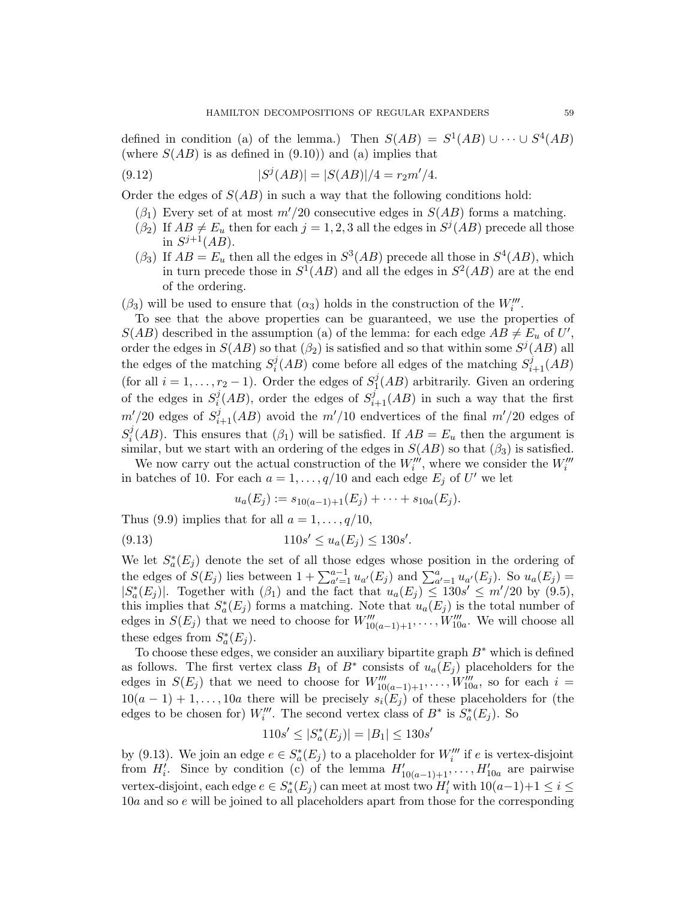defined in condition (a) of the lemma.) Then  $S(AB) = S^1(AB) \cup \cdots \cup S^4(AB)$ (where  $S(AB)$  is as defined in (9.10)) and (a) implies that

(9.12) 
$$
|S^{j}(AB)| = |S(AB)|/4 = r_2 m'/4.
$$

Order the edges of  $S(AB)$  in such a way that the following conditions hold:

- $(\beta_1)$  Every set of at most  $m'/20$  consecutive edges in  $S(AB)$  forms a matching.
- $(\beta_2)$  If  $AB \neq E_u$  then for each  $j = 1, 2, 3$  all the edges in  $S^j(AB)$  precede all those in  $S^{j+1}(AB)$ .
- $(\beta_3)$  If  $AB = E_u$  then all the edges in  $S^3(AB)$  precede all those in  $S^4(AB)$ , which in turn precede those in  $S^1(AB)$  and all the edges in  $S^2(AB)$  are at the end of the ordering.

 $(\beta_3)$  will be used to ensure that  $(\alpha_3)$  holds in the construction of the  $W'''_i$ .

To see that the above properties can be guaranteed, we use the properties of  $S(AB)$  described in the assumption (a) of the lemma: for each edge  $AB \neq E_u$  of U', order the edges in  $S(AB)$  so that  $(\beta_2)$  is satisfied and so that within some  $S^{j}(AB)$  all the edges of the matching  $S_i^j$  $i(AB)$  come before all edges of the matching  $S_{i+1}^j(AB)$ (for all  $i = 1, \ldots, r_2 - 1$ ). Order the edges of  $S_1^j$  $1(AB)$  arbitrarily. Given an ordering of the edges in  $S_i^j$  $i(AB)$ , order the edges of  $S_{i+1}^{\overline{j}}(AB)$  in such a way that the first  $m'/20$  edges of  $S_{i+1}^j(AB)$  avoid the  $m'/10$  endvertices of the final  $m'/20$  edges of  $S_i^j$  $i^{\jmath}(AB)$ . This ensures that  $(\beta_1)$  will be satisfied. If  $AB = E_u$  then the argument is similar, but we start with an ordering of the edges in  $S(AB)$  so that  $(\beta_3)$  is satisfied.

We now carry out the actual construction of the  $W'''_i$ , where we consider the  $W'''_i$ in batches of 10. For each  $a = 1, \ldots, q/10$  and each edge  $E_j$  of U' we let

$$
u_a(E_j) := s_{10(a-1)+1}(E_j) + \cdots + s_{10a}(E_j).
$$

Thus (9.9) implies that for all  $a = 1, \ldots, q/10$ ,

$$
(9.13) \t\t 110s' \le u_a(E_j) \le 130s'.
$$

We let  $S^*_{a}(E_j)$  denote the set of all those edges whose position in the ordering of the edges of  $S(E_j)$  lies between  $1 + \sum_{a'=1}^{a-1} u_{a'}(E_j)$  and  $\sum_{a'=1}^{a} u_{a'}(E_j)$ . So  $u_a(E_j)$  =  $|S^*_a(E_j)|$ . Together with  $(\beta_1)$  and the fact that  $u_a(E_j) \leq 130s' \leq m'/20$  by  $(9.5)$ , this implies that  $S^*_{a}(E_j)$  forms a matching. Note that  $u_a(E_j)$  is the total number of edges in  $S(E_j)$  that we need to choose for  $W''_{10(a-1)+1}, \ldots, W''_{10a}$ . We will choose all these edges from  $S^*_{a}(E_j)$ .

To choose these edges, we consider an auxiliary bipartite graph  $B^*$  which is defined as follows. The first vertex class  $B_1$  of  $B^*$  consists of  $u_a(E_j)$  placeholders for the edges in  $S(E_j)$  that we need to choose for  $W_{10(a-1)+1}''', \ldots, W_{10a}'''$ , so for each  $i =$  $10(a-1)+1,\ldots, 10a$  there will be precisely  $s_i(E_j)$  of these placeholders for (the edges to be chosen for)  $W_i'''$ . The second vertex class of  $B^*$  is  $S^*_{a}(E_j)$ . So

$$
110s' \le |S_a^*(E_j)| = |B_1| \le 130s'
$$

by (9.13). We join an edge  $e \in S^*_a(E_j)$  to a placeholder for  $W_i'''$  if e is vertex-disjoint from  $H'_i$ . Since by condition (c) of the lemma  $H'_{10(a-1)+1}, \ldots, H'_{10a}$  are pairwise vertex-disjoint, each edge  $e \in S^*_a(E_j)$  can meet at most two  $H'_i$  with  $10(a-1)+1 \leq i \leq$ 10a and so e will be joined to all placeholders apart from those for the corresponding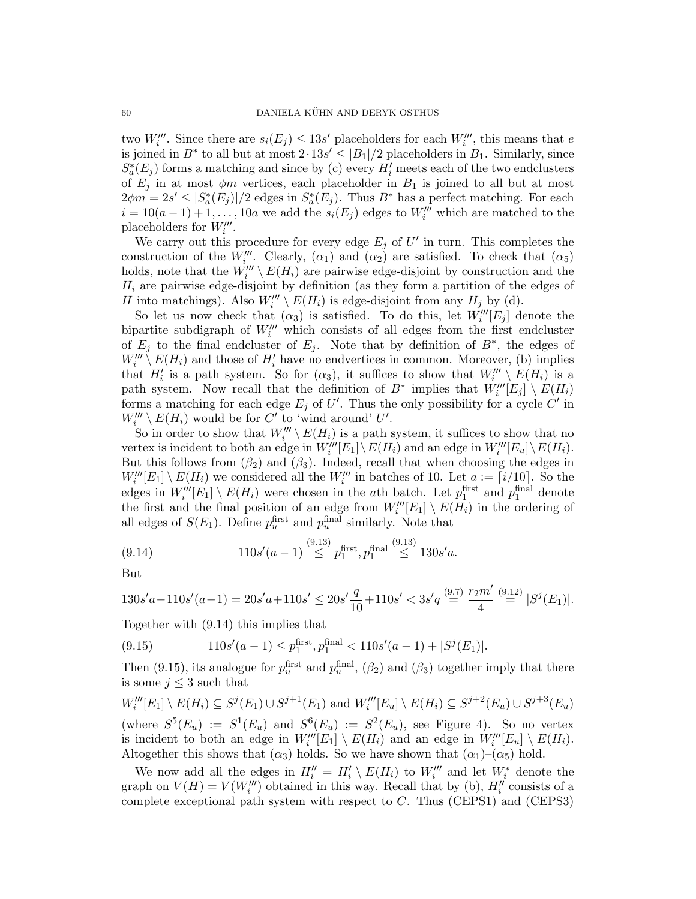two  $W'''_i$ . Since there are  $s_i(E_j) \leq 13s'$  placeholders for each  $W'''_i$ , this means that e is joined in  $B^*$  to all but at most  $2.13s' \leq |B_1|/2$  placeholders in  $B_1$ . Similarly, since  $S^*_{a}(E_j)$  forms a matching and since by (c) every  $H'_i$  meets each of the two endclusters of  $E_j$  in at most  $\phi m$  vertices, each placeholder in  $B_1$  is joined to all but at most  $2\phi m = 2s' \leq |S_a^*(E_j)|/2$  edges in  $S_a^*(E_j)$ . Thus  $B^*$  has a perfect matching. For each  $i = 10(a-1) + 1, \ldots, 10a$  we add the  $s_i(E_j)$  edges to  $W_i'''$  which are matched to the placeholders for  $W'''_i$ .

We carry out this procedure for every edge  $E_j$  of  $U'$  in turn. This completes the construction of the  $W_{i}^{\prime\prime\prime}$ . Clearly,  $(\alpha_1)$  and  $(\alpha_2)$  are satisfied. To check that  $(\alpha_5)$ holds, note that the  $W'''_i \setminus E(H_i)$  are pairwise edge-disjoint by construction and the  $H_i$  are pairwise edge-disjoint by definition (as they form a partition of the edges of H into matchings). Also  $W_i''' \setminus E(H_i)$  is edge-disjoint from any  $H_j$  by (d).

So let us now check that  $(\alpha_3)$  is satisfied. To do this, let  $W_i'''[E_j]$  denote the bipartite subdigraph of  $W'''_i$  which consists of all edges from the first endcluster of  $E_j$  to the final endcluster of  $E_j$ . Note that by definition of  $B^*$ , the edges of  $W'''_i \setminus E(H_i)$  and those of  $H'_i$  have no endvertices in common. Moreover, (b) implies that  $H'_i$  is a path system. So for  $(\alpha_3)$ , it suffices to show that  $W'''_i \setminus E(H_i)$  is a path system. Now recall that the definition of  $B^*$  implies that  $\hat{W}'''_i[E_j] \setminus E(H_i)$ forms a matching for each edge  $E_j$  of U'. Thus the only possibility for a cycle C' in  $W'''_i \setminus E(H_i)$  would be for C' to 'wind around' U'.

So in order to show that  $W'''_i \setminus E(H_i)$  is a path system, it suffices to show that no vertex is incident to both an edge in  $W_i^{\prime\prime\prime}[E_1]\setminus E(H_i)$  and an edge in  $W_i^{\prime\prime\prime}[E_u]\setminus E(H_i)$ . But this follows from  $(\beta_2)$  and  $(\beta_3)$ . Indeed, recall that when choosing the edges in  $W_i'''[E_1] \setminus E(H_i)$  we considered all the  $W_i'''$  in batches of 10. Let  $a := \lceil i/10 \rceil$ . So the edges in  $W_i'''[E_1] \setminus E(H_i)$  were chosen in the ath batch. Let  $p_1^{\text{first}}$  and  $p_1^{\text{final}}$  denote the first and the final position of an edge from  $W_i'''[E_1] \setminus E(H_i)$  in the ordering of all edges of  $S(E_1)$ . Define  $p_u^{\text{first}}$  and  $p_u^{\text{final}}$  similarly. Note that

(9.14) 
$$
110s'(a-1) \stackrel{(9.13)}{\leq} p_1^{\text{first}}, p_1^{\text{final}} \stackrel{(9.13)}{\leq} 130s'a.
$$

But

$$
130s'a-110s'(a-1) = 20s'a+110s' \le 20s'\frac{q}{10} + 110s' < 3s'q \stackrel{(9.7)}{=} \frac{r_2m'}{4} \stackrel{(9.12)}{=} |S^j(E_1)|.
$$

Together with (9.14) this implies that

(9.15) 
$$
110s'(a-1) \le p_1^{\text{first}}, p_1^{\text{final}} < 110s'(a-1) + |S^j(E_1)|.
$$

Then (9.15), its analogue for  $p_u^{\text{first}}$  and  $p_u^{\text{final}}$ , ( $\beta_2$ ) and ( $\beta_3$ ) together imply that there is some  $j \leq 3$  such that

$$
W_i'''[E_1] \setminus E(H_i) \subseteq S^j(E_1) \cup S^{j+1}(E_1)
$$
 and  $W_i'''[E_u] \setminus E(H_i) \subseteq S^{j+2}(E_u) \cup S^{j+3}(E_u)$  (where  $S^5(E_u) := S^1(E_u)$  and  $S^6(E_u) := S^2(E_u)$ , see Figure 4). So no vertex is incident to both an edge in  $W_i'''[E_1] \setminus E(H_i)$  and an edge in  $W_i'''[E_u] \setminus E(H_i)$ . Altogether this shows that  $(\alpha_3)$  holds. So we have shown that  $(\alpha_1) - (\alpha_5)$  hold.

We now add all the edges in  $H_i'' = H_i' \setminus E(H_i)$  to  $W_i'''$  and let  $W_i^*$  denote the graph on  $V(H) = V(W'''_i)$  obtained in this way. Recall that by (b),  $H''_i$  consists of a complete exceptional path system with respect to  $C$ . Thus (CEPS1) and (CEPS3)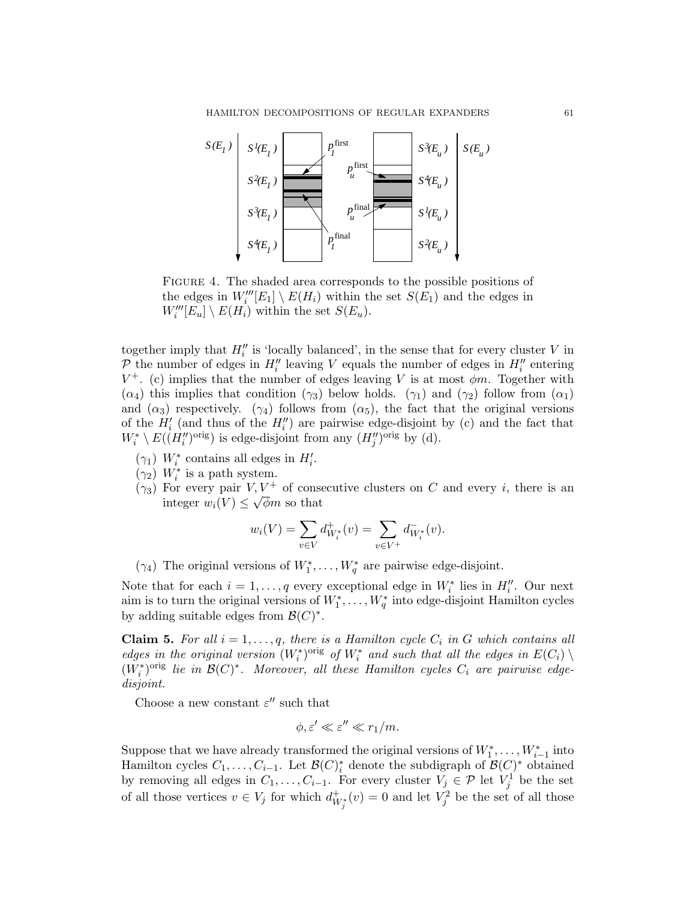

Figure 4. The shaded area corresponds to the possible positions of the edges in  $W_i'''[E_1] \setminus E(H_i)$  within the set  $S(E_1)$  and the edges in  $W_i'''[E_u] \setminus E(H_i)$  within the set  $S(E_u)$ .

together imply that  $H_i''$  is 'locally balanced', in the sense that for every cluster V in  $\mathcal P$  the number of edges in  $H_i''$  leaving V equals the number of edges in  $H_i''$  entering  $V^+$ . (c) implies that the number of edges leaving V is at most  $\phi m$ . Together with  $(\alpha_4)$  this implies that condition  $(\gamma_3)$  below holds.  $(\gamma_1)$  and  $(\gamma_2)$  follow from  $(\alpha_1)$ and  $(\alpha_3)$  respectively.  $(\gamma_4)$  follows from  $(\alpha_5)$ , the fact that the original versions of the  $H_i'$  (and thus of the  $H_i''$ ) are pairwise edge-disjoint by (c) and the fact that  $W_i^* \setminus E((H_i'')^{\text{orig}})$  is edge-disjoint from any  $(H_j'')^{\text{orig}}$  by (d).

- ( $\gamma_1$ )  $W_i^*$  contains all edges in  $H_i'$ .
- $(\gamma_2)$   $W_i^*$  is a path system.
- ( $\gamma_3$ ) For every pair  $V, V^+$  of consecutive clusters on C and every *i*, there is an integer  $w_i(V) \leq \sqrt{\phi}m$  so that

$$
w_i(V) = \sum_{v \in V} d^+_{W_i^*}(v) = \sum_{v \in V^+} d^-_{W_i^*}(v).
$$

( $\gamma_4$ ) The original versions of  $W_1^*, \ldots, W_q^*$  are pairwise edge-disjoint.

Note that for each  $i = 1, \ldots, q$  every exceptional edge in  $W_i^*$  lies in  $H_i''$ . Our next aim is to turn the original versions of  $W_1^*, \ldots, W_q^*$  into edge-disjoint Hamilton cycles by adding suitable edges from  $\mathcal{B}(C)^*$ .

**Claim 5.** For all  $i = 1, \ldots, q$ , there is a Hamilton cycle  $C_i$  in G which contains all edges in the original version  $(W_i^*)^{\text{orig}}$  of  $W_i^*$  and such that all the edges in  $E(C_i) \setminus$  $(W_i^*)^{\text{orig}}$  lie in  $\mathcal{B}(C)^*$ . Moreover, all these Hamilton cycles  $C_i$  are pairwise edgedisjoint.

Choose a new constant  $\varepsilon^{\prime\prime}$  such that

$$
\phi, \varepsilon' \ll \varepsilon'' \ll r_1/m.
$$

Suppose that we have already transformed the original versions of  $W_1^*, \ldots, W_{i-1}^*$  into Hamilton cycles  $C_1, \ldots, C_{i-1}$ . Let  $\mathcal{B}(C)^*_{i}$  denote the subdigraph of  $\mathcal{B}(C)^*$  obtained by removing all edges in  $C_1, \ldots, C_{i-1}$ . For every cluster  $V_j \in \mathcal{P}$  let  $V_j^1$  be the set of all those vertices  $v \in V_j$  for which  $d_{W_j^*}^+(v) = 0$  and let  $V_j^2$  be the set of all those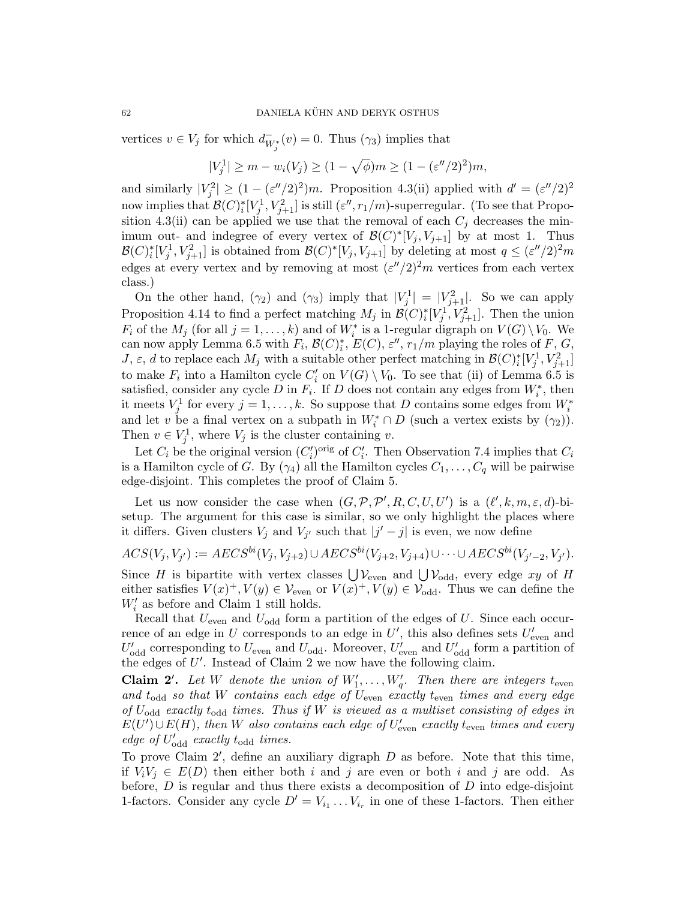vertices  $v \in V_j$  for which  $d_{W_j^*}^-(v) = 0$ . Thus  $(\gamma_3)$  implies that

$$
|V_j^1| \ge m - w_i(V_j) \ge (1 - \sqrt{\phi})m \ge (1 - (\varepsilon''/2)^2)m,
$$

and similarly  $|V_j^2| \ge (1 - (\varepsilon''/2)^2)m$ . Proposition 4.3(ii) applied with  $d' = (\varepsilon''/2)^2$ now implies that  $\mathcal{B}(C)^*_i[V_j^1, V_{j+1}^2]$  is still  $(\varepsilon'', r_1/m)$ -superregular. (To see that Proposition 4.3(ii) can be applied we use that the removal of each  $C_j$  decreases the minimum out- and indegree of every vertex of  $\mathcal{B}(C)^*[V_j, V_{j+1}]$  by at most 1. Thus  $\mathcal{B}(C)^*_i[V_j^1, V_{j+1}^2]$  is obtained from  $\mathcal{B}(C)^*[V_j, V_{j+1}]$  by deleting at most  $q \leq (\varepsilon''/2)^2 m$ edges at every vertex and by removing at most  $(\varepsilon''/2)^2m$  vertices from each vertex class.)

On the other hand,  $(\gamma_2)$  and  $(\gamma_3)$  imply that  $|V_j^1| = |V_{j+1}^2|$ . So we can apply Proposition 4.14 to find a perfect matching  $M_j$  in  $\mathcal{B}(C)^*_i[V_j^1, V_{j+1}^2]$ . Then the union  $F_i$  of the  $M_j$  (for all  $j = 1, ..., k$ ) and of  $W_i^*$  is a 1-regular digraph on  $V(G) \setminus V_0$ . We can now apply Lemma 6.5 with  $F_i$ ,  $\mathcal{B}(C)_i^*$ ,  $E(C)$ ,  $\varepsilon''$ ,  $r_1/m$  playing the roles of  $F, G$ , J, ε, d to replace each  $M_j$  with a suitable other perfect matching in  $\mathcal{B}(C)_{i}^*[V_j^1, V_{j+1}^2]$ to make  $F_i$  into a Hamilton cycle  $C_i'$  on  $V(G) \setminus V_0$ . To see that (ii) of Lemma 6.5 is satisfied, consider any cycle D in  $F_i$ . If D does not contain any edges from  $W_i^*$ , then it meets  $V_j^1$  for every  $j = 1, \ldots, k$ . So suppose that D contains some edges from  $W_i^*$ and let v be a final vertex on a subpath in  $W_i^* \cap D$  (such a vertex exists by  $(\gamma_2)$ ). Then  $v \in V_j^1$ , where  $V_j$  is the cluster containing v.

Let  $C_i$  be the original version  $(C_i')^{\text{orig}}$  of  $C_i'$ . Then Observation 7.4 implies that  $C_i$ is a Hamilton cycle of G. By  $(\gamma_4)$  all the Hamilton cycles  $C_1, \ldots, C_q$  will be pairwise edge-disjoint. This completes the proof of Claim 5.

Let us now consider the case when  $(G, \mathcal{P}, \mathcal{P}', R, C, U, U')$  is a  $(\ell', k, m, \varepsilon, d)$ -bisetup. The argument for this case is similar, so we only highlight the places where it differs. Given clusters  $V_j$  and  $V_{j'}$  such that  $|j'-j|$  is even, we now define

$$
ACS(V_j, V_{j'}) := AES^{bi}(V_j, V_{j+2}) \cup AES^{bi}(V_{j+2}, V_{j+4}) \cup \cdots \cup AES^{bi}(V_{j'-2}, V_{j'}).
$$

Since H is bipartite with vertex classes  $\bigcup \mathcal{V}_{even}$  and  $\bigcup \mathcal{V}_{odd}$ , every edge xy of H either satisfies  $V(x)^+$ ,  $V(y) \in V_{\text{even}}$  or  $V(x)^+$ ,  $V(y) \in V_{\text{odd}}$ . Thus we can define the  $W^\prime_i$  as before and Claim 1 still holds.

Recall that  $U_{\text{even}}$  and  $U_{\text{odd}}$  form a partition of the edges of U. Since each occurrence of an edge in U corresponds to an edge in U', this also defines sets  $U'_{\text{even}}$  and  $U'_{\text{odd}}$  corresponding to  $U_{\text{even}}$  and  $U_{\text{odd}}$ . Moreover,  $U'_{\text{even}}$  and  $U'_{\text{odd}}$  form a partition of the edges of  $U'$ . Instead of Claim 2 we now have the following claim.

**Claim 2'.** Let W denote the union of  $W'_1, \ldots, W'_q$ . Then there are integers t<sub>even</sub> and  $t_{\text{odd}}$  so that W contains each edge of  $U_{\text{even}}$  exactly  $t_{\text{even}}$  times and every edge of  $U_{\text{odd}}$  exactly  $t_{\text{odd}}$  times. Thus if W is viewed as a multiset consisting of edges in  $E(U') \cup E(H)$ , then W also contains each edge of  $U'_{\text{even}}$  exactly  $t_{\text{even}}$  times and every edge of  $U'_{odd}$  exactly  $t_{odd}$  times.

To prove Claim  $2'$ , define an auxiliary digraph  $D$  as before. Note that this time, if  $V_iV_j \in E(D)$  then either both i and j are even or both i and j are odd. As before,  $D$  is regular and thus there exists a decomposition of  $D$  into edge-disjoint 1-factors. Consider any cycle  $D' = V_{i_1} \ldots V_{i_r}$  in one of these 1-factors. Then either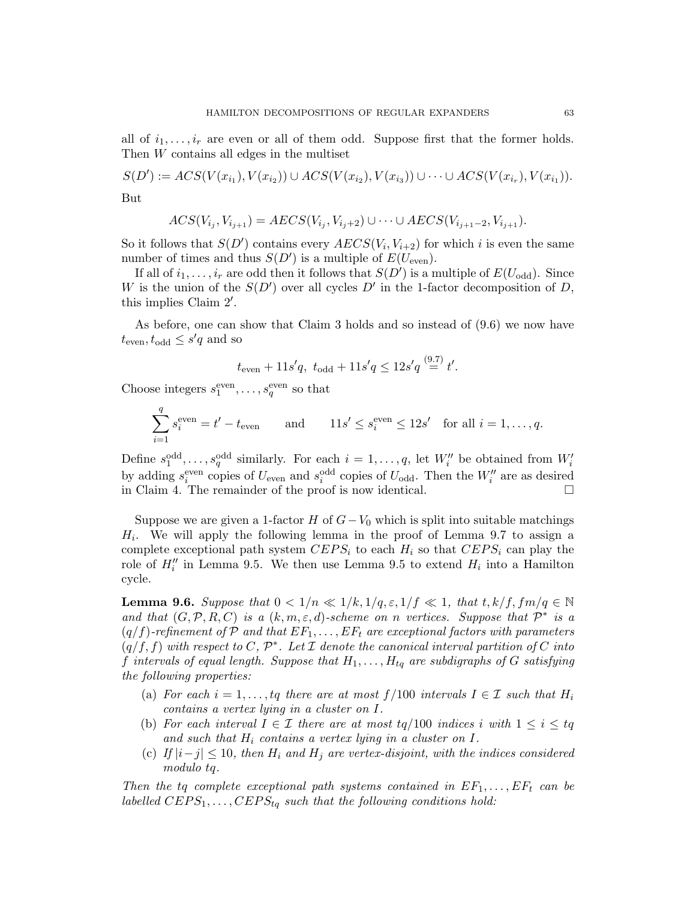all of  $i_1, \ldots, i_r$  are even or all of them odd. Suppose first that the former holds. Then W contains all edges in the multiset

 $S(D') := ACS(V(x_{i_1}), V(x_{i_2})) \cup ACS(V(x_{i_2}), V(x_{i_3})) \cup \cdots \cup ACS(V(x_{i_r}), V(x_{i_1})).$ But

$$
ACS(V_{i_j}, V_{i_{j+1}}) = AES(V_{i_j}, V_{i_j+2}) \cup \dots \cup AES(V_{i_{j+1}-2}, V_{i_{j+1}}).
$$

So it follows that  $S(D')$  contains every  $AECS(V_i, V_{i+2})$  for which i is even the same number of times and thus  $S(D')$  is a multiple of  $E(U_{\text{even}})$ .

If all of  $i_1, \ldots, i_r$  are odd then it follows that  $S(D')$  is a multiple of  $E(U_{odd})$ . Since W is the union of the  $S(D')$  over all cycles D' in the 1-factor decomposition of D, this implies Claim  $2'$ .

As before, one can show that Claim 3 holds and so instead of (9.6) we now have  $t_{\text{even}}, t_{\text{odd}} \leq s'q$  and so

$$
t_{\text{even}} + 11s'q, t_{\text{odd}} + 11s'q \le 12s'q \stackrel{(9.7)}{=} t'.
$$

Choose integers  $s_1^{\text{even}}, \ldots, s_q^{\text{even}}$  so that

$$
\sum_{i=1}^{q} s_i^{\text{even}} = t' - t_{\text{even}} \quad \text{and} \quad 11s' \le s_i^{\text{even}} \le 12s' \quad \text{for all } i = 1, \dots, q.
$$

Define  $s_1^{\text{odd}}, \ldots, s_q^{\text{odd}}$  similarly. For each  $i = 1, \ldots, q$ , let  $W''_i$  be obtained from  $W'_i$ by adding  $s_i^{\text{even}}$  copies of  $U_{\text{even}}$  and  $s_i^{\text{odd}}$  copies of  $U_{\text{odd}}$ . Then the  $W''_i$  are as desired in Claim 4. The remainder of the proof is now identical.

Suppose we are given a 1-factor H of  $G-V_0$  which is split into suitable matchings  $H_i$ . We will apply the following lemma in the proof of Lemma 9.7 to assign a complete exceptional path system  $CEPS_i$  to each  $H_i$  so that  $CEPS_i$  can play the role of  $H_i''$  in Lemma 9.5. We then use Lemma 9.5 to extend  $H_i$  into a Hamilton cycle.

**Lemma 9.6.** Suppose that  $0 < 1/n \ll 1/k$ ,  $1/q$ ,  $\varepsilon$ ,  $1/f \ll 1$ , that  $t$ ,  $k/f$ ,  $fm/q \in \mathbb{N}$ and that  $(G, \mathcal{P}, R, C)$  is a  $(k, m, \varepsilon, d)$ -scheme on n vertices. Suppose that  $\mathcal{P}^*$  is a  $(q/f)$ -refinement of  $P$  and that  $EF_1, \ldots, EF_t$  are exceptional factors with parameters  $(q/f, f)$  with respect to C,  $\mathcal{P}^*$ . Let I denote the canonical interval partition of C into f intervals of equal length. Suppose that  $H_1, \ldots, H_{tq}$  are subdigraphs of G satisfying the following properties:

- (a) For each  $i = 1, \ldots, tq$  there are at most  $f/100$  intervals  $I \in \mathcal{I}$  such that  $H_i$ contains a vertex lying in a cluster on I.
- (b) For each interval  $I \in \mathcal{I}$  there are at most  $tq/100$  indices i with  $1 \leq i \leq tq$ and such that  $H_i$  contains a vertex lying in a cluster on I.
- (c) If  $|i-j| \leq 10$ , then  $H_i$  and  $H_j$  are vertex-disjoint, with the indices considered modulo tq.

Then the tq complete exceptional path systems contained in  $EF_1, \ldots, EF_t$  can be labelled  $CEPS_1, \ldots, CEPS_{tq}$  such that the following conditions hold: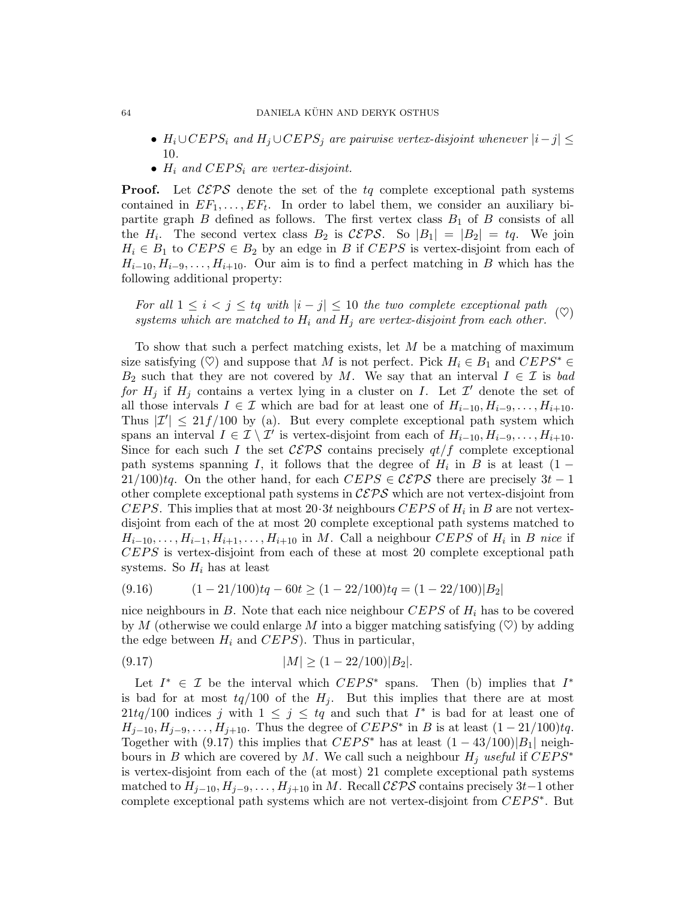- $H_i \cup CEPS_i$  and  $H_j \cup CEPS_j$  are pairwise vertex-disjoint whenever  $|i-j| \leq$ 10.
- $H_i$  and  $CEPS_i$  are vertex-disjoint.

**Proof.** Let  $CEPS$  denote the set of the tq complete exceptional path systems contained in  $EF_1, \ldots, EF_t$ . In order to label them, we consider an auxiliary bipartite graph  $B$  defined as follows. The first vertex class  $B_1$  of  $B$  consists of all the  $H_i$ . The second vertex class  $B_2$  is  $\mathcal{CEPS}$ . So  $|B_1| = |B_2| = tq$ . We join  $H_i \in B_1$  to  $CEPS \in B_2$  by an edge in B if  $CEPS$  is vertex-disjoint from each of  $H_{i-10}, H_{i-9}, \ldots, H_{i+10}$ . Our aim is to find a perfect matching in B which has the following additional property:

For all  $1 \leq i < j \leq tq$  with  $|i - j| \leq 10$  the two complete exceptional path systems which are matched to  $H_i$  and  $H_j$  are vertex-disjoint from each other. ( $\heartsuit$ )

To show that such a perfect matching exists, let M be a matching of maximum size satisfying ( $\heartsuit$ ) and suppose that M is not perfect. Pick  $H_i \in B_1$  and  $CEPS^* \in$  $B_2$  such that they are not covered by M. We say that an interval  $I \in \mathcal{I}$  is bad for  $H_j$  if  $H_j$  contains a vertex lying in a cluster on I. Let  $\mathcal{I}'$  denote the set of all those intervals  $I \in \mathcal{I}$  which are bad for at least one of  $H_{i-10}, H_{i-9}, \ldots, H_{i+10}$ . Thus  $|\mathcal{I}'| \leq 21f/100$  by (a). But every complete exceptional path system which spans an interval  $I \in \mathcal{I} \setminus \mathcal{I}'$  is vertex-disjoint from each of  $H_{i-10}, H_{i-9}, \ldots, H_{i+10}$ . Since for each such I the set  $\mathcal{CEPS}$  contains precisely  $q t/f$  complete exceptional path systems spanning I, it follows that the degree of  $H_i$  in B is at least  $(1 -$ 21/100)tq. On the other hand, for each  $CEPS \in \mathcal{CEPS}$  there are precisely  $3t - 1$ other complete exceptional path systems in  $C EPS$  which are not vertex-disjoint from CEPS. This implies that at most  $20.3t$  neighbours CEPS of  $H_i$  in B are not vertexdisjoint from each of the at most 20 complete exceptional path systems matched to  $H_{i-10}, \ldots, H_{i-1}, H_{i+1}, \ldots, H_{i+10}$  in M. Call a neighbour CEPS of  $H_i$  in B nice if CEPS is vertex-disjoint from each of these at most 20 complete exceptional path systems. So  $H_i$  has at least

$$
(9.16) \qquad (1-21/100)tq - 60t \ge (1-22/100)tq = (1-22/100)|B_2|
$$

nice neighbours in B. Note that each nice neighbour  $CEPS$  of  $H_i$  has to be covered by M (otherwise we could enlarge M into a bigger matching satisfying  $(\heartsuit)$  by adding the edge between  $H_i$  and  $CEPS$ ). Thus in particular,

$$
(9.17) \t\t |M| \ge (1 - 22/100)|B_2|.
$$

Let  $I^* \in \mathcal{I}$  be the interval which  $CEPS^*$  spans. Then (b) implies that  $I^*$ is bad for at most  $tq/100$  of the  $H_i$ . But this implies that there are at most 21tq/100 indices j with  $1 \leq j \leq tq$  and such that  $I^*$  is bad for at least one of  $H_{j-10}, H_{j-9}, \ldots, H_{j+10}$ . Thus the degree of  $CEPS^*$  in B is at least  $(1-21/100)tq$ . Together with (9.17) this implies that  $CEPS^*$  has at least  $(1 - 43/100)|B_1|$  neighbours in B which are covered by M. We call such a neighbour  $H_i$  useful if  $CEPS^*$ is vertex-disjoint from each of the (at most) 21 complete exceptional path systems matched to  $H_{j-10}, H_{j-9}, \ldots, H_{j+10}$  in M. Recall  $\mathcal{CEPS}$  contains precisely 3t–1 other complete exceptional path systems which are not vertex-disjoint from  $CEPS^*$ . But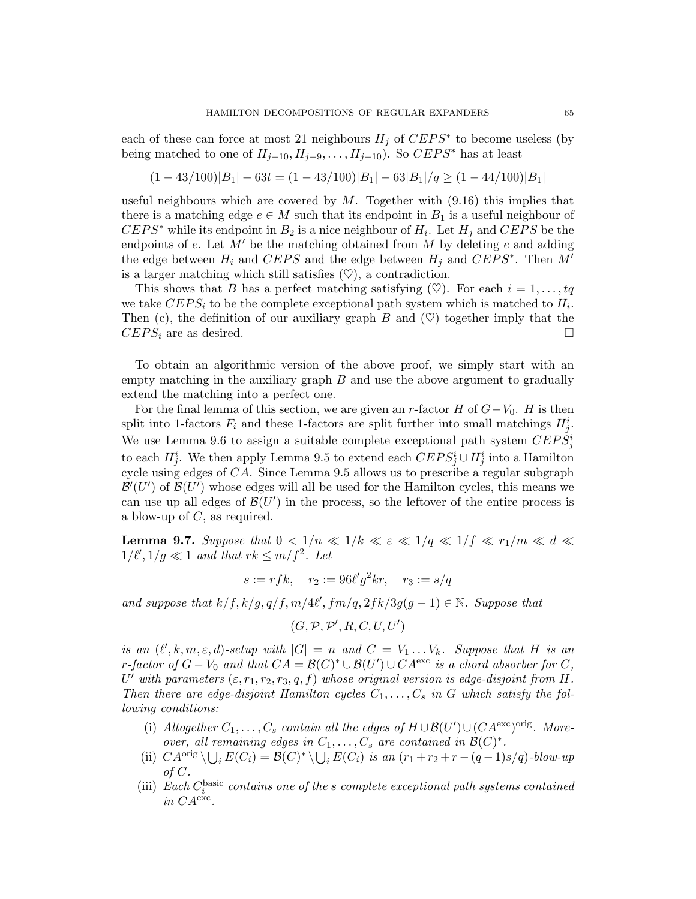each of these can force at most 21 neighbours  $H_j$  of  $CEPS^*$  to become useless (by being matched to one of  $H_{i-10}, H_{i-9}, \ldots, H_{i+10}$ ). So  $CEPS^*$  has at least

$$
(1-43/100)|B_1| - 63t = (1-43/100)|B_1| - 63|B_1|/q \ge (1-44/100)|B_1|
$$

useful neighbours which are covered by  $M$ . Together with  $(9.16)$  this implies that there is a matching edge  $e \in M$  such that its endpoint in  $B_1$  is a useful neighbour of  $CEPS^*$  while its endpoint in  $B_2$  is a nice neighbour of  $H_i$ . Let  $H_j$  and  $CEPS$  be the endpoints of  $e$ . Let  $M'$  be the matching obtained from  $M$  by deleting  $e$  and adding the edge between  $H_i$  and  $CEPS$  and the edge between  $H_j$  and  $CEPS^*$ . Then  $M'$ is a larger matching which still satisfies  $(\heartsuit)$ , a contradiction.

This shows that B has a perfect matching satisfying  $(\heartsuit)$ . For each  $i = 1, \ldots, tq$ we take  $CEPS_i$  to be the complete exceptional path system which is matched to  $H_i$ . Then (c), the definition of our auxiliary graph  $B$  and  $(\heartsuit)$  together imply that the  $CEPS_i$  are as desired.

To obtain an algorithmic version of the above proof, we simply start with an empty matching in the auxiliary graph  $B$  and use the above argument to gradually extend the matching into a perfect one.

For the final lemma of this section, we are given an r-factor H of  $G-V_0$ . H is then split into 1-factors  $F_i$  and these 1-factors are split further into small matchings  $H_j^i$ . We use Lemma 9.6 to assign a suitable complete exceptional path system  $CEPS_j^i$ to each  $H_j^i$ . We then apply Lemma 9.5 to extend each  $CEPS_j^i \cup H_j^i$  into a Hamilton cycle using edges of  $CA$ . Since Lemma 9.5 allows us to prescribe a regular subgraph  $\mathcal{B}'(U')$  of  $\mathcal{B}(U')$  whose edges will all be used for the Hamilton cycles, this means we can use up all edges of  $\mathcal{B}(U')$  in the process, so the leftover of the entire process is a blow-up of  $C$ , as required.

**Lemma 9.7.** Suppose that  $0 < 1/n \ll 1/k \ll \varepsilon \ll 1/q \ll 1/f \ll r_1/m \ll d \ll$  $1/\ell', 1/g \ll 1$  and that  $rk \leq m/f^2$ . Let

$$
s := rfk
$$
,  $r_2 := 96\ell'g^2kr$ ,  $r_3 := s/q$ 

and suppose that  $k/f$ ,  $k/g$ ,  $q/f$ ,  $m/4\ell'$ ,  $fm/q$ ,  $2fk/3g(g-1) \in \mathbb{N}$ . Suppose that

$$
(G,\mathcal{P},\mathcal{P}',R,C,U,U')
$$

is an  $(\ell', k, m, \varepsilon, d)$ -setup with  $|G| = n$  and  $C = V_1 \dots V_k$ . Suppose that H is an r-factor of  $G - V_0$  and that  $CA = \mathcal{B}(C)^* \cup \mathcal{B}(U') \cup CA^{\text{exc}}$  is a chord absorber for  $C$ , U' with parameters  $(\varepsilon, r_1, r_2, r_3, q, f)$  whose original version is edge-disjoint from H. Then there are edge-disjoint Hamilton cycles  $C_1, \ldots, C_s$  in G which satisfy the following conditions:

- (i) Altogether  $C_1, \ldots, C_s$  contain all the edges of  $H \cup \mathcal{B}(U') \cup (CA^{\text{exc}})^{\text{orig}}$ . Moreover, all remaining edges in  $C_1, \ldots, C_s$  are contained in  $\mathcal{B}(C)^*$ .
- (ii)  $CA^{orig} \setminus \bigcup_i E(C_i) = \mathcal{B}(C)^* \setminus \bigcup_i E(C_i)$  is an  $(r_1 + r_2 + r (q 1)s/q)$ -blow-up of C.
- (iii) Each  $C_i^{\text{basic}}$  contains one of the s complete exceptional path systems contained in CAexc .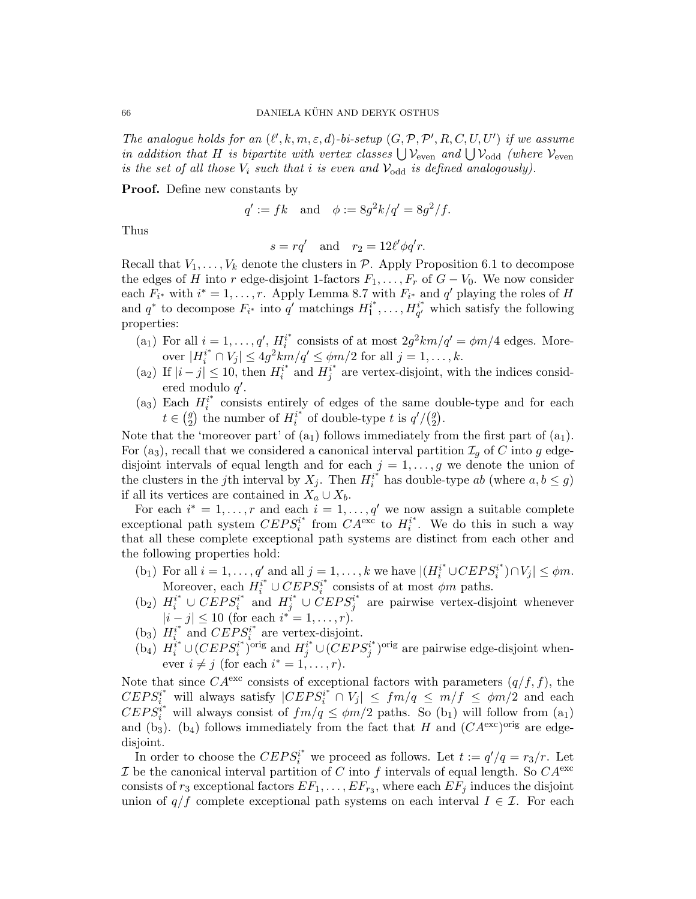The analogue holds for an  $(\ell', k, m, \varepsilon, d)$ -bi-setup  $(G, \mathcal{P}, \mathcal{P}', R, C, U, U')$  if we assume in addition that H is bipartite with vertex classes  $\bigcup \mathcal{V}_{even}$  and  $\bigcup \mathcal{V}_{odd}$  (where  $\mathcal{V}_{even}$ is the set of all those  $V_i$  such that i is even and  $V_{odd}$  is defined analogously).

Proof. Define new constants by

$$
q' := fk
$$
 and  $\phi := 8g^2k/q' = 8g^2/f.$ 

Thus

$$
s = rq' \quad \text{and} \quad r_2 = 12\ell'\phi q'r.
$$

Recall that  $V_1, \ldots, V_k$  denote the clusters in  $P$ . Apply Proposition 6.1 to decompose the edges of H into r edge-disjoint 1-factors  $F_1, \ldots, F_r$  of  $G - V_0$ . We now consider each  $F_{i^*}$  with  $i^* = 1, \ldots, r$ . Apply Lemma 8.7 with  $F_{i^*}$  and  $q'$  playing the roles of H and  $q^*$  to decompose  $F_{i^*}$  into  $q'$  matchings  $H_1^{i^*}$  $i^*_{1},\ldots,H_{q'}^{i^*}$  $q^i$  which satisfy the following properties:

- (a<sub>1</sub>) For all  $i = 1, ..., q', H_i^{i^*}$  $i^*$  consists of at most  $2g^2km/q' = \phi m/4$  edges. Moreover  $|H_i^{i^*} \cap V_j| \leq 4g^2km/q' \leq \phi m/2$  for all  $j = 1, \ldots, k$ .
- (a<sub>2</sub>) If  $|i j| \le 10$ , then  $H_i^{i^*}$  $i^*$  and  $H_j^{i^*}$  $j^{i^*}$  are vertex-disjoint, with the indices considered modulo  $q'$ .
- (a<sub>3</sub>) Each  $H_i^{i^*}$  $i^*$  consists entirely of edges of the same double-type and for each  $t \in \binom{g}{2}$ <sup>g</sup>) the number of  $H_i^{i^*}$  $i^*$  of double-type t is  $q' / \binom{q}{2}$  $\binom{g}{2}$  .

Note that the 'moreover part' of  $(a_1)$  follows immediately from the first part of  $(a_1)$ . For (a<sub>3</sub>), recall that we considered a canonical interval partition  $\mathcal{I}_g$  of C into g edgedisjoint intervals of equal length and for each  $j = 1, \ldots, g$  we denote the union of the clusters in the jth interval by  $X_j$ . Then  $H_i^{i^*}$  $i^*$  has double-type ab (where  $a, b \leq g$ ) if all its vertices are contained in  $X_a \cup X_b$ .

For each  $i^* = 1, \ldots, r$  and each  $i = 1, \ldots, q'$  we now assign a suitable complete exceptional path system  $CEPS_i^{i*}$  $i^*$  from  $CA^{\text{exc}}$  to  $H_i^{i^*}$  $i^*$ . We do this in such a way that all these complete exceptional path systems are distinct from each other and the following properties hold:

- (b<sub>1</sub>) For all  $i = 1, ..., q'$  and all  $j = 1, ..., k$  we have  $|(H_i^{i^*} \cup CEPS_i^{i^*})$  $\binom{n^*}{i} \cap V_j \leq \phi m.$ Moreover, each  $H_i^{i^*} \cup CEPS_i^{i^*}$  $i^*$  consists of at most  $\phi m$  paths.
- (b<sub>2</sub>)  $H_i^{i^*} \cup CEPS_i^{i^*}$  $i^*$  and  $H_j^{i^*} \cup CEPS_j^{i^*}$  $j^{i^*}$  are pairwise vertex-disjoint whenever  $|i - j| \leq 10$  (for each  $i^* = 1, \ldots, r$ ).
- $(b_3)$   $H_i^{i^*}$  $i_i^*$  and  $CEPS_i^{i^*}$  $i^*$  are vertex-disjoint.
- $(b_4) H_i^{i^*} \cup (CEPS_i^{i^*})$  $(i^*)^{\text{orig}}$  and  $H_j^{i^*} \cup (CEPS_j^{i^*})$  $j^{i^*}$ )<sup>orig</sup> are pairwise edge-disjoint whenever  $i \neq j$  (for each  $i^* = 1, \ldots, r$ ).

Note that since  $CA^{\text{exc}}$  consists of exceptional factors with parameters  $(q/f, f)$ , the  $CEPS_i^i$  will always satisfy  $|CEPS_i^{i*} \cap V_j| \leq fm/q \leq m/f \leq \phi m/2$  and each  $CEPS_i^{i*}$  will always consist of  $fm/q \leq \phi m/2$  paths. So (b<sub>1</sub>) will follow from (a<sub>1</sub>) and (b<sub>3</sub>). (b<sub>4</sub>) follows immediately from the fact that H and  $(CA<sup>exc</sup>)<sup>orig</sup>$  are edgedisjoint.

In order to choose the  $CEPS_i^{i^*}$  we proceed as follows. Let  $t := q'/q = r_3/r$ . Let I be the canonical interval partition of C into f intervals of equal length. So  $CA^{\text{exc}}$ consists of  $r_3$  exceptional factors  $EF_1, \ldots, EF_{r_3}$ , where each  $EF_j$  induces the disjoint union of  $q/f$  complete exceptional path systems on each interval  $I \in \mathcal{I}$ . For each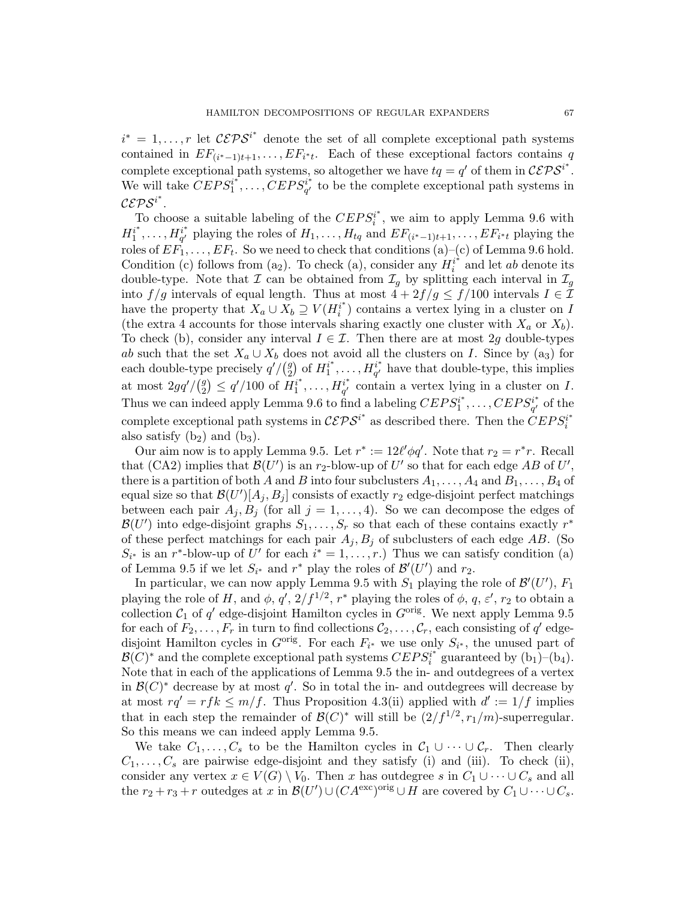$i^* = 1, \ldots, r$  let  $\mathcal{CEPS}^{i^*}$  denote the set of all complete exceptional path systems contained in  $EF_{(i^*-1)t+1}, \ldots, EF_{i^*t}$ . Each of these exceptional factors contains q complete exceptional path systems, so altogether we have  $tq = q'$  of them in  $\mathcal{CEPS}^{i^*}$ . We will take  $\overline{CEPS_1^i}^*$  $\stackrel{a^*}{\sum_1},\ldots,\stackrel{c}{C}EPS^{i^*}_{q'}$  $q'_{q'}$  to be the complete exceptional path systems in  $\mathcal{C}\mathcal{E}\mathcal{P}\mathcal{S}^{i^{*}}.$ 

To choose a suitable labeling of the  $CEPS_i^{i*}$  $i^{i^*}$ , we aim to apply Lemma 9.6 with  $H_1^{i^*}$  $i^*, \ldots, H_{q'}^{i^*}$  $q' \choose q'$  playing the roles of  $H_1, \ldots, H_{tq}$  and  $EF_{(i^*-1)t+1}, \ldots, EF_{i^*t}$  playing the roles of  $EF_1, \ldots, EF_t$ . So we need to check that conditions (a)–(c) of Lemma 9.6 hold. Condition (c) follows from (a<sub>2</sub>). To check (a), consider any  $H_i^{i^*}$  $i^*$  and let ab denote its double-type. Note that  $\mathcal I$  can be obtained from  $\mathcal I_g$  by splitting each interval in  $\mathcal I_g$ into  $f/g$  intervals of equal length. Thus at most  $4 + 2f/g \le f/100$  intervals  $I \in \mathcal{I}$ have the property that  $X_a \cup X_b \supseteq V(H_i^{i^*})$  $i^{i^*}$ ) contains a vertex lying in a cluster on I (the extra 4 accounts for those intervals sharing exactly one cluster with  $X_a$  or  $X_b$ ). To check (b), consider any interval  $I \in \mathcal{I}$ . Then there are at most 2g double-types ab such that the set  $X_a \cup X_b$  does not avoid all the clusters on I. Since by (a<sub>3</sub>) for each double-type precisely  $q'/(q$  $_2^g$  of  $H_1^{i^*}$  $a_1^{i^*}, \ldots, H_{q'}^{i^*}$  $q^i$  have that double-type, this implies at most  $2gq'/(q^g)$  $\binom{g}{2} \leq q'/100$  of  $H_1^{i^*}$  $i^*, \ldots, H_{q'}^{i^*}$  $q' \atop q'}$  contain a vertex lying in a cluster on I. Thus we can indeed apply Lemma 9.6 to find a labeling  $CEPS_1^{i*}$  $C E P S^{i^*}_{q'}$  $q^i \atop q'}$  of the complete exceptional path systems in  $\mathcal{CEPS}^{i^*}$  as described there. Then the  $\overline{CEPS_i^{i^*}}$ i also satisfy  $(b_2)$  and  $(b_3)$ .

Our aim now is to apply Lemma 9.5. Let  $r^* := 12\ell' \phi q'$ . Note that  $r_2 = r^*r$ . Recall that (CA2) implies that  $\mathcal{B}(U')$  is an  $r_2$ -blow-up of U' so that for each edge AB of U', there is a partition of both A and B into four subclusters  $A_1, \ldots, A_4$  and  $B_1, \ldots, B_4$  of equal size so that  $\mathcal{B}(U')[A_j, B_j]$  consists of exactly  $r_2$  edge-disjoint perfect matchings between each pair  $A_j, B_j$  (for all  $j = 1, ..., 4$ ). So we can decompose the edges of  $\mathcal{B}(U')$  into edge-disjoint graphs  $S_1, \ldots, S_r$  so that each of these contains exactly  $r^*$ of these perfect matchings for each pair  $A_j, B_j$  of subclusters of each edge AB. (So  $S_{i^*}$  is an r<sup>\*</sup>-blow-up of U' for each  $i^* = 1, \ldots, r$ .) Thus we can satisfy condition (a) of Lemma 9.5 if we let  $S_{i^*}$  and  $r^*$  play the roles of  $\mathcal{B}'(U')$  and  $r_2$ .

In particular, we can now apply Lemma 9.5 with  $S_1$  playing the role of  $\mathcal{B}'(U')$ ,  $F_1$ playing the role of H, and  $\phi$ ,  $q'$ ,  $2/f^{1/2}$ ,  $r^*$  playing the roles of  $\phi$ ,  $q$ ,  $\varepsilon'$ ,  $r_2$  to obtain a collection  $C_1$  of  $q'$  edge-disjoint Hamilton cycles in  $G^{\text{orig}}$ . We next apply Lemma 9.5 for each of  $F_2, \ldots, F_r$  in turn to find collections  $\mathcal{C}_2, \ldots, \mathcal{C}_r$ , each consisting of  $q'$  edgedisjoint Hamilton cycles in  $G^{\text{orig}}$ . For each  $F_{i^*}$  we use only  $S_{i^*}$ , the unused part of  $\mathcal{B}(C)^*$  and the complete exceptional path systems  $CEPS_i^{i^*}$  $i^*$  guaranteed by  $(b_1)$ – $(b_4)$ . Note that in each of the applications of Lemma 9.5 the in- and outdegrees of a vertex in  $\mathcal{B}(C)^*$  decrease by at most q'. So in total the in- and outdegrees will decrease by at most  $rq' = rfk \leq m/f$ . Thus Proposition 4.3(ii) applied with  $d' := 1/f$  implies that in each step the remainder of  $\mathcal{B}(C)^*$  will still be  $(2/f^{1/2}, r_1/m)$ -superregular. So this means we can indeed apply Lemma 9.5.

We take  $C_1, \ldots, C_s$  to be the Hamilton cycles in  $C_1 \cup \cdots \cup C_r$ . Then clearly  $C_1, \ldots, C_s$  are pairwise edge-disjoint and they satisfy (i) and (iii). To check (ii), consider any vertex  $x \in V(G) \setminus V_0$ . Then x has outdegree s in  $C_1 \cup \cdots \cup C_s$  and all the  $r_2 + r_3 + r$  outedges at x in  $\mathcal{B}(U') \cup (CA^{\text{exc}})^{\text{orig}} \cup H$  are covered by  $C_1 \cup \cdots \cup C_s$ .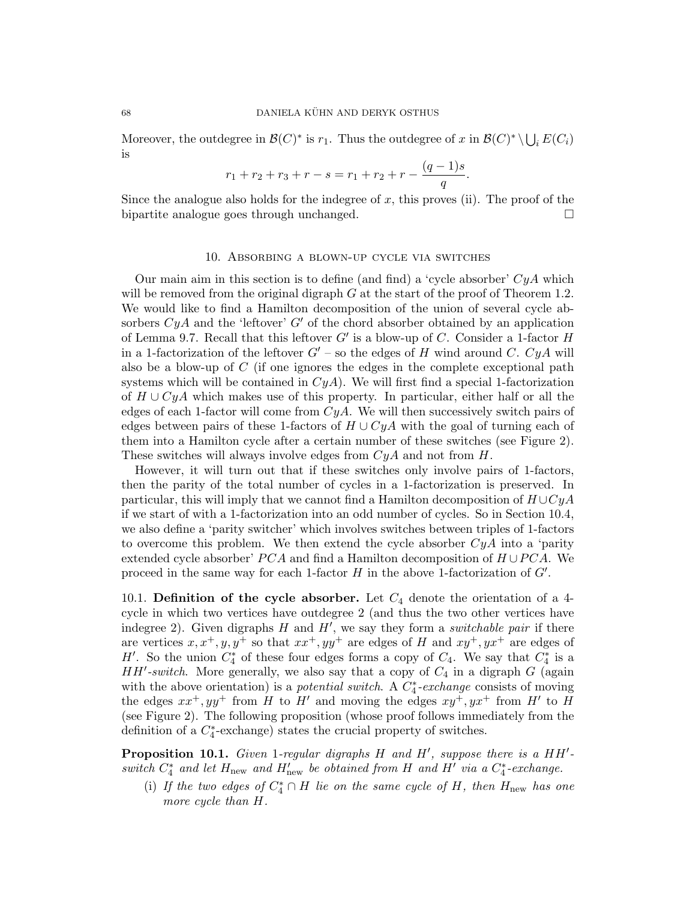Moreover, the outdegree in  $\mathcal{B}(C)^*$  is  $r_1$ . Thus the outdegree of x in  $\mathcal{B}(C)^* \setminus \bigcup_i E(C_i)$ is

$$
r_1 + r_2 + r_3 + r - s = r_1 + r_2 + r - \frac{(q-1)s}{q}.
$$

Since the analogue also holds for the indegree of  $x$ , this proves (ii). The proof of the bipartite analogue goes through unchanged.

## 10. Absorbing a blown-up cycle via switches

Our main aim in this section is to define (and find) a 'cycle absorber'  $CyA$  which will be removed from the original digraph  $G$  at the start of the proof of Theorem 1.2. We would like to find a Hamilton decomposition of the union of several cycle absorbers  $CyA$  and the 'leftover' G' of the chord absorber obtained by an application of Lemma 9.7. Recall that this leftover  $G'$  is a blow-up of C. Consider a 1-factor  $H$ in a 1-factorization of the leftover  $G'$  – so the edges of H wind around C. CyA will also be a blow-up of  $C$  (if one ignores the edges in the complete exceptional path systems which will be contained in  $CyA$ ). We will first find a special 1-factorization of  $H \cup CyA$  which makes use of this property. In particular, either half or all the edges of each 1-factor will come from  $CyA$ . We will then successively switch pairs of edges between pairs of these 1-factors of  $H \cup CyA$  with the goal of turning each of them into a Hamilton cycle after a certain number of these switches (see Figure 2). These switches will always involve edges from  $CyA$  and not from  $H$ .

However, it will turn out that if these switches only involve pairs of 1-factors, then the parity of the total number of cycles in a 1-factorization is preserved. In particular, this will imply that we cannot find a Hamilton decomposition of  $H\cup CyA$ if we start of with a 1-factorization into an odd number of cycles. So in Section 10.4, we also define a 'parity switcher' which involves switches between triples of 1-factors to overcome this problem. We then extend the cycle absorber  $CyA$  into a 'parity extended cycle absorber'  $PCA$  and find a Hamilton decomposition of  $H \cup PCA$ . We proceed in the same way for each 1-factor  $H$  in the above 1-factorization of  $G'$ .

10.1. Definition of the cycle absorber. Let  $C_4$  denote the orientation of a 4cycle in which two vertices have outdegree 2 (and thus the two other vertices have indegree 2). Given digraphs  $H$  and  $H'$ , we say they form a *switchable pair* if there are vertices  $x, x^+, y, y^+$  so that  $xx^+, yy^+$  are edges of H and  $xy^+, yx^+$  are edges of H'. So the union  $C_4^*$  of these four edges forms a copy of  $C_4$ . We say that  $C_4^*$  is a  $HH'$ -switch. More generally, we also say that a copy of  $C_4$  in a digraph G (again with the above orientation) is a *potential switch*. A  $C_4^*$ -exchange consists of moving the edges  $xx^+, yy^+$  from H to H' and moving the edges  $xy^+, yx^+$  from H' to H (see Figure 2). The following proposition (whose proof follows immediately from the definition of a  $C_4^*$ -exchange) states the crucial property of switches.

**Proposition 10.1.** Given 1-regular digraphs  $H$  and  $H'$ , suppose there is a  $HH'$ switch  $C_4^*$  and let  $H_{\text{new}}$  and  $H'_{\text{new}}$  be obtained from H and H' via a  $C_4^*$ -exchange.

(i) If the two edges of  $C_4^* \cap H$  lie on the same cycle of H, then  $H_{\text{new}}$  has one more cycle than H.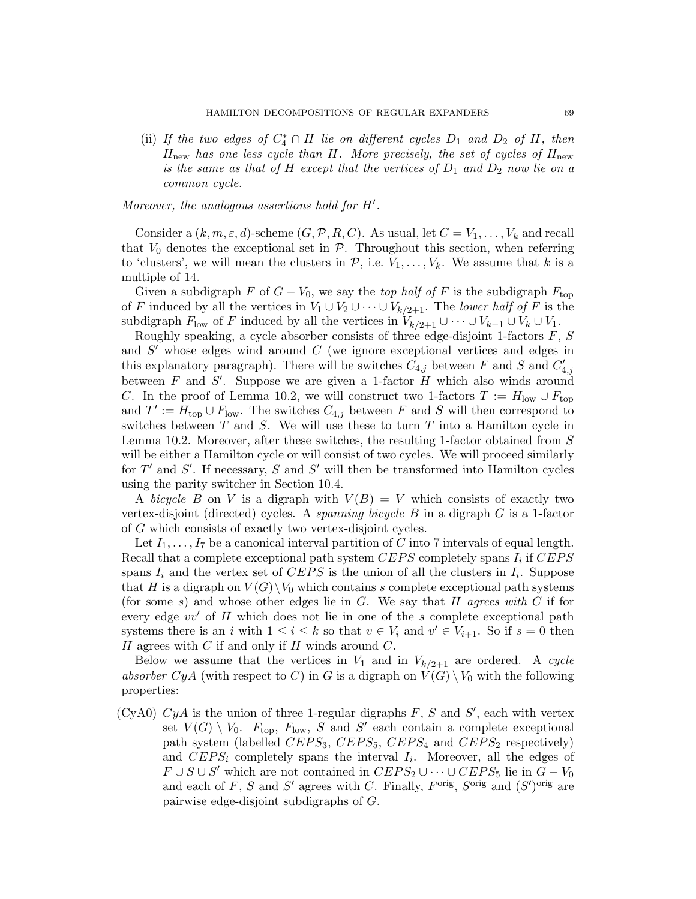(ii) If the two edges of  $C_4^* \cap H$  lie on different cycles  $D_1$  and  $D_2$  of H, then  $H_{\text{new}}$  has one less cycle than H. More precisely, the set of cycles of  $H_{\text{new}}$ is the same as that of H except that the vertices of  $D_1$  and  $D_2$  now lie on a common cycle.

Moreover, the analogous assertions hold for  $H'$ .

Consider a  $(k, m, \varepsilon, d)$ -scheme  $(G, \mathcal{P}, R, C)$ . As usual, let  $C = V_1, \ldots, V_k$  and recall that  $V_0$  denotes the exceptional set in  $P$ . Throughout this section, when referring to 'clusters', we will mean the clusters in  $P$ , i.e.  $V_1, \ldots, V_k$ . We assume that k is a multiple of 14.

Given a subdigraph F of  $G - V_0$ , we say the top half of F is the subdigraph  $F_{\text{top}}$ of F induced by all the vertices in  $V_1 \cup V_2 \cup \cdots \cup V_{k/2+1}$ . The lower half of F is the subdigraph  $F_{\text{low}}$  of F induced by all the vertices in  $V_{k/2+1} \cup \cdots \cup V_{k-1} \cup V_k \cup V_1$ .

Roughly speaking, a cycle absorber consists of three edge-disjoint 1-factors  $F, S$ and  $S'$  whose edges wind around  $C$  (we ignore exceptional vertices and edges in this explanatory paragraph). There will be switches  $C_{4,j}$  between F and S and  $C'_{4,j}$ between F and S'. Suppose we are given a 1-factor H which also winds around C. In the proof of Lemma 10.2, we will construct two 1-factors  $T := H_{\text{low}} \cup F_{\text{top}}$ and  $T' := H_{\text{top}} \cup F_{\text{low}}$ . The switches  $C_{4,j}$  between F and S will then correspond to switches between  $T$  and  $S$ . We will use these to turn  $T$  into a Hamilton cycle in Lemma 10.2. Moreover, after these switches, the resulting 1-factor obtained from S will be either a Hamilton cycle or will consist of two cycles. We will proceed similarly for  $T'$  and  $S'$ . If necessary,  $S$  and  $S'$  will then be transformed into Hamilton cycles using the parity switcher in Section 10.4.

A bicycle B on V is a digraph with  $V(B) = V$  which consists of exactly two vertex-disjoint (directed) cycles. A *spanning bicycle B* in a digraph  $G$  is a 1-factor of G which consists of exactly two vertex-disjoint cycles.

Let  $I_1, \ldots, I_7$  be a canonical interval partition of C into 7 intervals of equal length. Recall that a complete exceptional path system  $CEPS$  completely spans  $I_i$  if  $CEPS$ spans  $I_i$  and the vertex set of CEPS is the union of all the clusters in  $I_i$ . Suppose that H is a digraph on  $V(G)\backslash V_0$  which contains s complete exceptional path systems (for some s) and whose other edges lie in  $G$ . We say that H agrees with C if for every edge  $vv'$  of H which does not lie in one of the s complete exceptional path systems there is an i with  $1 \leq i \leq k$  so that  $v \in V_i$  and  $v' \in V_{i+1}$ . So if  $s = 0$  then  $H$  agrees with  $C$  if and only if  $H$  winds around  $C$ .

Below we assume that the vertices in  $V_1$  and in  $V_{k/2+1}$  are ordered. A cycle absorber CyA (with respect to C) in G is a digraph on  $V(G) \setminus V_0$  with the following properties:

(CyA0)  $CyA$  is the union of three 1-regular digraphs F, S and S', each with vertex set  $V(G) \setminus V_0$ .  $F_{top}$ ,  $F_{low}$ , S and S' each contain a complete exceptional path system (labelled  $CEPS_3$ ,  $CEPS_5$ ,  $CEPS_4$  and  $CEPS_2$  respectively) and  $CEPS_i$  completely spans the interval  $I_i$ . Moreover, all the edges of  $F \cup S \cup S'$  which are not contained in  $CEPS_2 \cup \cdots \cup CEPS_5$  lie in  $G-V_0$ and each of F, S and S' agrees with C. Finally,  $F^{\text{orig}}$ ,  $S^{\text{orig}}$  and  $(S')^{\text{orig}}$  are pairwise edge-disjoint subdigraphs of G.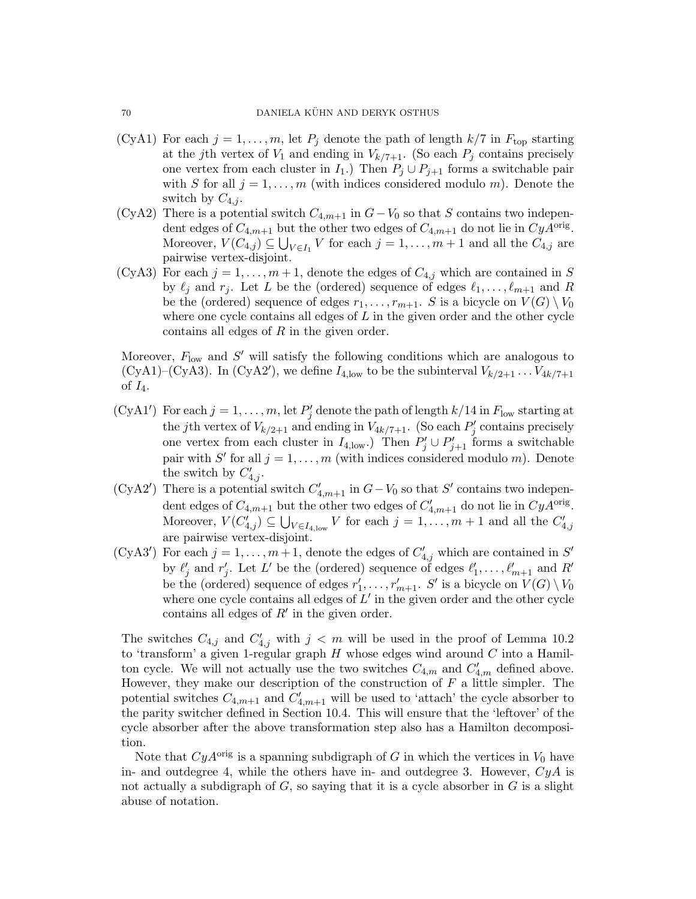- (CyA1) For each  $j = 1, ..., m$ , let  $P_j$  denote the path of length  $k/7$  in  $F_{top}$  starting at the jth vertex of  $V_1$  and ending in  $V_{k/7+1}$ . (So each  $P_j$  contains precisely one vertex from each cluster in  $I_1$ .) Then  $P_i \cup P_{i+1}$  forms a switchable pair with S for all  $j = 1, \ldots, m$  (with indices considered modulo m). Denote the switch by  $C_{4,j}$ .
- (CyA2) There is a potential switch  $C_{4,m+1}$  in  $G-V_0$  so that S contains two independent edges of  $C_{4,m+1}$  but the other two edges of  $C_{4,m+1}$  do not lie in  $CyA<sup>orig</sup>$ . Moreover,  $V(C_{4,j}) \subseteq \bigcup_{V \in I_1} V$  for each  $j = 1, ..., m + 1$  and all the  $C_{4,j}$  are pairwise vertex-disjoint.
- (CyA3) For each  $j = 1, \ldots, m + 1$ , denote the edges of  $C_{4,j}$  which are contained in S by  $\ell_j$  and  $r_j$ . Let L be the (ordered) sequence of edges  $\ell_1, \ldots, \ell_{m+1}$  and R be the (ordered) sequence of edges  $r_1, \ldots, r_{m+1}$ . S is a bicycle on  $V(G) \setminus V_0$ where one cycle contains all edges of  $L$  in the given order and the other cycle contains all edges of R in the given order.

Moreover,  $F_{\text{low}}$  and  $S'$  will satisfy the following conditions which are analogous to (CyA1)–(CyA3). In (CyA2'), we define  $I_{4,low}$  to be the subinterval  $V_{k/2+1} \ldots V_{4k/7+1}$ of  $I_4$ .

- (CyA1') For each  $j = 1, ..., m$ , let  $P'_j$  denote the path of length  $k/14$  in  $F_{\text{low}}$  starting at the jth vertex of  $V_{k/2+1}$  and ending in  $V_{4k/7+1}$ . (So each  $P'_{j}$  contains precisely one vertex from each cluster in  $I_{4, \text{low}}$ .) Then  $P'_j \cup P'_{j+1}$  forms a switchable pair with S' for all  $j = 1, ..., m$  (with indices considered modulo m). Denote the switch by  $C'_{4,j}$ .
- (CyA2') There is a potential switch  $C'_{4,m+1}$  in  $G-V_0$  so that S' contains two independent edges of  $C_{4,m+1}$  but the other two edges of  $C'_{4,m+1}$  do not lie in  $CyA^{\text{orig}}$ . Moreover,  $V(C'_{4,j}) \subseteq \bigcup_{V \in I_{4, \text{low}}} V$  for each  $j = 1, \ldots, m + 1$  and all the  $C'_{4,j}$ are pairwise vertex-disjoint.
- (CyA3') For each  $j = 1, ..., m + 1$ , denote the edges of  $C'_{4,j}$  which are contained in S' by  $\ell'_j$  and  $r'_j$ . Let L' be the (ordered) sequence of edges  $\ell'_1, \ldots, \ell'_{m+1}$  and R' be the (ordered) sequence of edges  $r'_1, \ldots, r'_{m+1}$ . S' is a bicycle on  $V(G) \setminus V_0$ where one cycle contains all edges of  $L'$  in the given order and the other cycle contains all edges of  $R'$  in the given order.

The switches  $C_{4,j}$  and  $C'_{4,j}$  with  $j < m$  will be used in the proof of Lemma 10.2 to 'transform' a given 1-regular graph  $H$  whose edges wind around  $C$  into a Hamilton cycle. We will not actually use the two switches  $C_{4,m}$  and  $C'_{4,m}$  defined above. However, they make our description of the construction of  $F$  a little simpler. The potential switches  $C_{4,m+1}$  and  $C'_{4,m+1}$  will be used to 'attach' the cycle absorber to the parity switcher defined in Section 10.4. This will ensure that the 'leftover' of the cycle absorber after the above transformation step also has a Hamilton decomposition.

Note that  $CyA<sup>orig</sup>$  is a spanning subdigraph of G in which the vertices in  $V_0$  have in- and outdegree 4, while the others have in- and outdegree 3. However,  $CyA$  is not actually a subdigraph of  $G$ , so saying that it is a cycle absorber in  $G$  is a slight abuse of notation.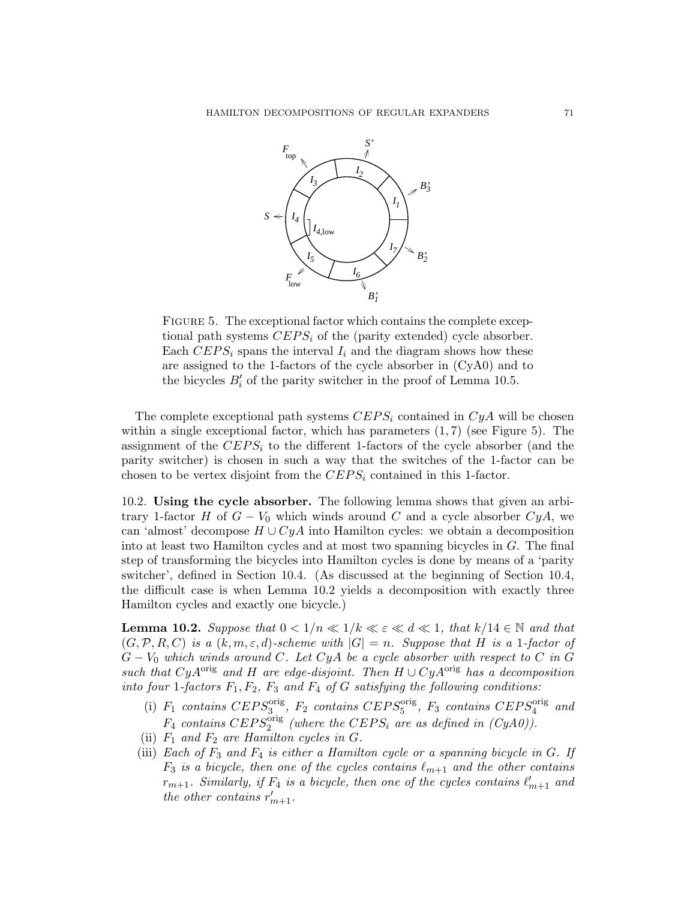

FIGURE 5. The exceptional factor which contains the complete exceptional path systems  $CEPS_i$  of the (parity extended) cycle absorber. Each  $CEPS_i$  spans the interval  $I_i$  and the diagram shows how these are assigned to the 1-factors of the cycle absorber in (CyA0) and to the bicycles  $B_i'$  of the parity switcher in the proof of Lemma 10.5.

The complete exceptional path systems  $CEPS_i$  contained in  $CyA$  will be chosen within a single exceptional factor, which has parameters  $(1, 7)$  (see Figure 5). The assignment of the  $CEPS_i$  to the different 1-factors of the cycle absorber (and the parity switcher) is chosen in such a way that the switches of the 1-factor can be chosen to be vertex disjoint from the  $CEPS_i$  contained in this 1-factor.

10.2. Using the cycle absorber. The following lemma shows that given an arbitrary 1-factor H of  $G - V_0$  which winds around C and a cycle absorber  $C y A$ , we can 'almost' decompose  $H \cup CyA$  into Hamilton cycles: we obtain a decomposition into at least two Hamilton cycles and at most two spanning bicycles in G. The final step of transforming the bicycles into Hamilton cycles is done by means of a 'parity switcher', defined in Section 10.4. (As discussed at the beginning of Section 10.4, the difficult case is when Lemma 10.2 yields a decomposition with exactly three Hamilton cycles and exactly one bicycle.)

**Lemma 10.2.** Suppose that  $0 < 1/n \ll 1/k \ll \varepsilon \ll d \ll 1$ , that  $k/14 \in \mathbb{N}$  and that  $(G, \mathcal{P}, R, C)$  is a  $(k, m, \varepsilon, d)$ -scheme with  $|G| = n$ . Suppose that H is a 1-factor of  $G-V_0$  which winds around C. Let CyA be a cycle absorber with respect to C in G such that CyA<sup>orig</sup> and H are edge-disjoint. Then  $H \cup CyA^{orig}$  has a decomposition into four 1-factors  $F_1, F_2, F_3$  and  $F_4$  of G satisfying the following conditions:

- (i)  $F_1$  contains  $CEPS_3^{\text{orig}}$ ,  $F_2$  contains  $CEPS_5^{\text{orig}}$ ,  $F_3$  contains  $CEPS_4^{\text{orig}}$  and  $F_4$  contains  $CEPS_2^{orig}$  (where the  $CEPS_i$  are as defined in (CyA0)).
- (ii)  $F_1$  and  $F_2$  are Hamilton cycles in G.
- (iii) Each of  $F_3$  and  $F_4$  is either a Hamilton cycle or a spanning bicycle in G. If  $F_3$  is a bicycle, then one of the cycles contains  $\ell_{m+1}$  and the other contains  $r_{m+1}$ . Similarly, if  $F_4$  is a bicycle, then one of the cycles contains  $\ell'_{m+1}$  and the other contains  $r'_{m+1}$ .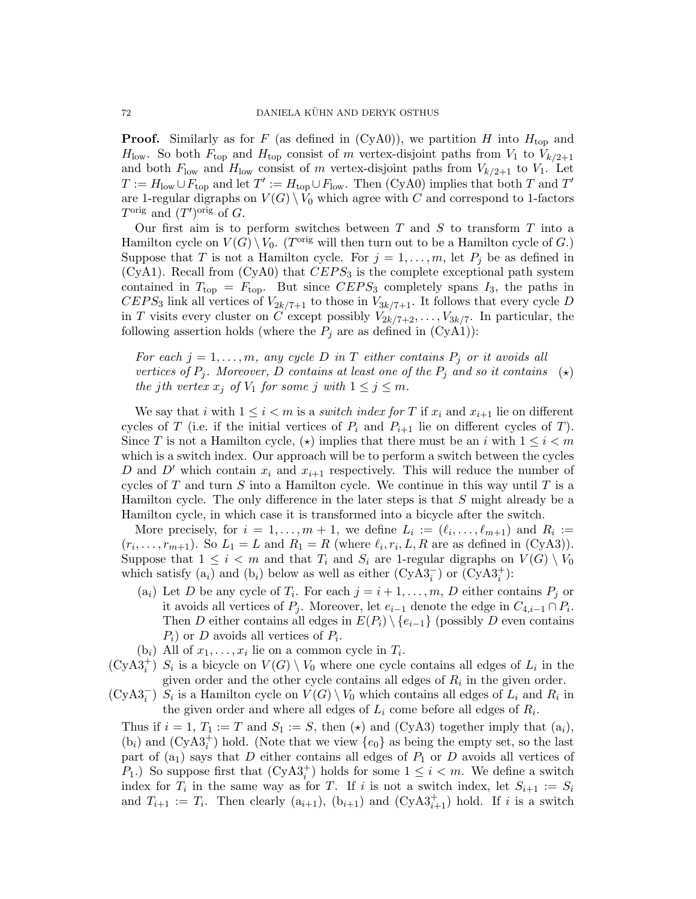**Proof.** Similarly as for F (as defined in (CyA0)), we partition H into  $H_{top}$  and  $H_{\text{low}}$ . So both  $F_{\text{top}}$  and  $H_{\text{top}}$  consist of m vertex-disjoint paths from  $V_1$  to  $V_{k/2+1}$ and both  $F_{\text{low}}$  and  $H_{\text{low}}$  consist of m vertex-disjoint paths from  $V_{k/2+1}$  to  $V_1$ . Let  $T := H_{\text{low}} \cup F_{\text{top}}$  and let  $T' := H_{\text{top}} \cup F_{\text{low}}$ . Then (CyA0) implies that both T and T' are 1-regular digraphs on  $V(G) \setminus V_0$  which agree with C and correspond to 1-factors  $T^{\text{orig}}$  and  $(T')^{\text{orig}}$  of G.

Our first aim is to perform switches between  $T$  and  $S$  to transform  $T$  into a Hamilton cycle on  $V(G) \setminus V_0$ . (T<sup>orig</sup> will then turn out to be a Hamilton cycle of G.) Suppose that T is not a Hamilton cycle. For  $j = 1, \ldots, m$ , let  $P_j$  be as defined in  $(CyA1)$ . Recall from  $(CyA0)$  that  $CEPS<sub>3</sub>$  is the complete exceptional path system contained in  $T_{top} = F_{top}$ . But since  $CEPS_3$  completely spans  $I_3$ , the paths in  $CEPS_3$  link all vertices of  $V_{2k/7+1}$  to those in  $V_{3k/7+1}$ . It follows that every cycle D in T visits every cluster on C except possibly  $V_{2k/7+2}, \ldots, V_{3k/7}$ . In particular, the following assertion holds (where the  $P_i$  are as defined in  $(CyA1)$ ):

For each  $j = 1, \ldots, m$ , any cycle D in T either contains  $P_j$  or it avoids all vertices of  $P_i$ . Moreover, D contains at least one of the  $P_i$  and so it contains the jth vertex  $x_j$  of  $V_1$  for some j with  $1 \leq j \leq m$ .  $(\star)$ 

We say that i with  $1 \leq i < m$  is a switch index for T if  $x_i$  and  $x_{i+1}$  lie on different cycles of T (i.e. if the initial vertices of  $P_i$  and  $P_{i+1}$  lie on different cycles of T). Since T is not a Hamilton cycle,  $(\star)$  implies that there must be an i with  $1 \leq i < m$ which is a switch index. Our approach will be to perform a switch between the cycles D and D' which contain  $x_i$  and  $x_{i+1}$  respectively. This will reduce the number of cycles of  $T$  and turn  $S$  into a Hamilton cycle. We continue in this way until  $T$  is a Hamilton cycle. The only difference in the later steps is that S might already be a Hamilton cycle, in which case it is transformed into a bicycle after the switch.

More precisely, for  $i = 1, ..., m + 1$ , we define  $L_i := (\ell_i, ..., \ell_{m+1})$  and  $R_i :=$  $(r_i, \ldots, r_{m+1})$ . So  $L_1 = L$  and  $R_1 = R$  (where  $\ell_i, r_i, L, R$  are as defined in (CyA3)). Suppose that  $1 \leq i \leq m$  and that  $T_i$  and  $S_i$  are 1-regular digraphs on  $V(G) \setminus V_0$ which satisfy  $(a_i)$  and  $(b_i)$  below as well as either  $(CyA3_i^-)$  or  $(CyA3_i^+)$ :

- (a<sub>i</sub>) Let D be any cycle of  $T_i$ . For each  $j = i + 1, \ldots, m$ , D either contains  $P_j$  or it avoids all vertices of  $P_j$ . Moreover, let  $e_{i-1}$  denote the edge in  $C_{4,i-1} \cap P_i$ . Then D either contains all edges in  $E(P_i) \setminus \{e_{i-1}\}\$  (possibly D even contains  $P_i$ ) or D avoids all vertices of  $P_i$ .
- $(b_i)$  All of  $x_1, \ldots, x_i$  lie on a common cycle in  $T_i$ .
- $(CyA3<sub>i</sub><sup>+</sup>)$  S<sub>i</sub> is a bicycle on  $V(G) \setminus V_0$  where one cycle contains all edges of  $L_i$  in the given order and the other cycle contains all edges of  $R_i$  in the given order.
- $(CyA3<sub>i</sub><sup>-</sup>)$   $S<sub>i</sub>$  is a Hamilton cycle on  $V(G) \setminus V_0$  which contains all edges of  $L<sub>i</sub>$  and  $R<sub>i</sub>$  in the given order and where all edges of  $L_i$  come before all edges of  $R_i$ .

Thus if  $i = 1, T_1 := T$  and  $S_1 := S$ , then  $(\star)$  and  $(CyA3)$  together imply that  $(a_i)$ ,  $(b_i)$  and  $(CyA3_i^+)$  hold. (Note that we view  $\{e_0\}$  as being the empty set, so the last part of  $(a_1)$  says that D either contains all edges of  $P_1$  or D avoids all vertices of  $P_1$ .) So suppose first that  $(CyA3_i^+)$  holds for some  $1 \leq i < m$ . We define a switch index for  $T_i$  in the same way as for T. If i is not a switch index, let  $S_{i+1} := S_i$ and  $T_{i+1} := T_i$ . Then clearly  $(a_{i+1}), (b_{i+1})$  and  $(CyA3^+_{i+1})$  hold. If i is a switch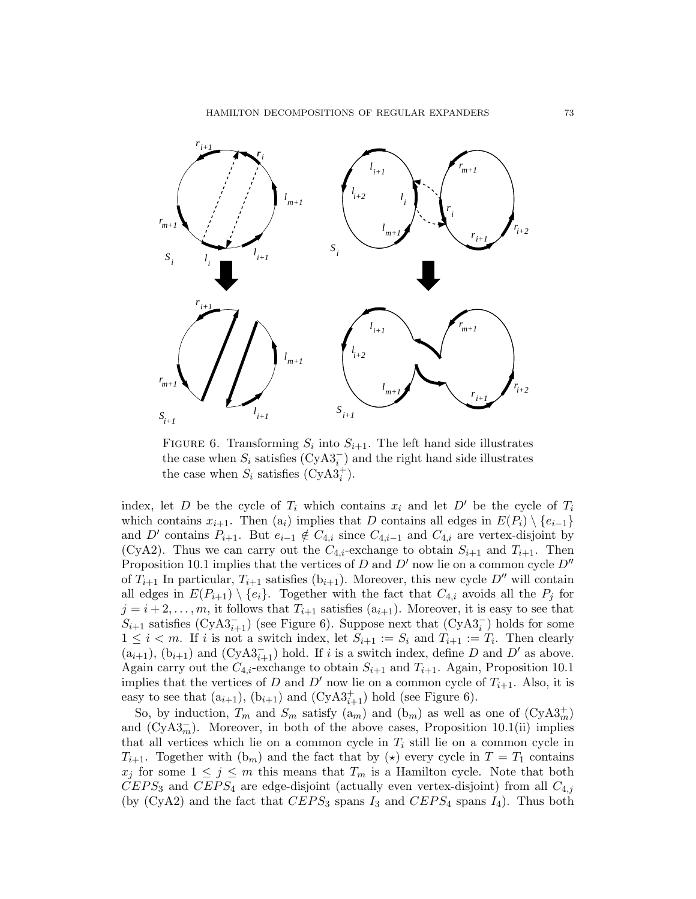HAMILTON DECOMPOSITIONS OF REGULAR EXPANDERS 73



FIGURE 6. Transforming  $S_i$  into  $S_{i+1}$ . The left hand side illustrates the case when  $S_i$  satisfies  $(\text{CyA3}_i^-)$  and the right hand side illustrates the case when  $S_i$  satisfies  $(CyA3_i^+)$ .

index, let D be the cycle of  $T_i$  which contains  $x_i$  and let D' be the cycle of  $T_i$ which contains  $x_{i+1}$ . Then  $(a_i)$  implies that D contains all edges in  $E(P_i) \setminus \{e_{i-1}\}\$ and D' contains  $P_{i+1}$ . But  $e_{i-1} \notin C_{4,i}$  since  $C_{4,i-1}$  and  $C_{4,i}$  are vertex-disjoint by (CyA2). Thus we can carry out the  $C_{4,i}$ -exchange to obtain  $S_{i+1}$  and  $T_{i+1}$ . Then Proposition 10.1 implies that the vertices of D and D' now lie on a common cycle  $D''$ of  $T_{i+1}$  In particular,  $T_{i+1}$  satisfies  $(b_{i+1})$ . Moreover, this new cycle D'' will contain all edges in  $E(P_{i+1}) \setminus \{e_i\}$ . Together with the fact that  $C_{4,i}$  avoids all the  $P_i$  for  $j = i + 2, \ldots, m$ , it follows that  $T_{i+1}$  satisfies  $(a_{i+1})$ . Moreover, it is easy to see that  $S_{i+1}$  satisfies  $(CyA3<sub>i+1</sub><sup>-</sup>)$  (see Figure 6). Suppose next that  $(CyA3<sub>i</sub><sup>-</sup>)$  holds for some  $1 \leq i < m$ . If i is not a switch index, let  $S_{i+1} := S_i$  and  $T_{i+1} := T_i$ . Then clearly  $(a_{i+1}), (b_{i+1})$  and  $(CyA3<sub>i+1</sub><sup>-1</sup>)$  hold. If i is a switch index, define D and D' as above. Again carry out the  $C_{4,i}$ -exchange to obtain  $S_{i+1}$  and  $T_{i+1}$ . Again, Proposition 10.1 implies that the vertices of D and D' now lie on a common cycle of  $T_{i+1}$ . Also, it is easy to see that  $(a_{i+1}), (b_{i+1})$  and  $(CyA3<sub>i+1</sub><sup>+</sup>)$  hold (see Figure 6).

So, by induction,  $T_m$  and  $S_m$  satisfy  $(a_m)$  and  $(b_m)$  as well as one of  $(CyA3<sub>m</sub><sup>+</sup>)$ and  $(CyA3<sub>m</sub>)$ . Moreover, in both of the above cases, Proposition 10.1(ii) implies that all vertices which lie on a common cycle in  $T_i$  still lie on a common cycle in  $T_{i+1}$ . Together with  $(b_m)$  and the fact that by  $(\star)$  every cycle in  $T = T_1$  contains  $x_j$  for some  $1 \leq j \leq m$  this means that  $T_m$  is a Hamilton cycle. Note that both  $CEPS_3$  and  $CEPS_4$  are edge-disjoint (actually even vertex-disjoint) from all  $C_{4,j}$ (by  $(CyA2)$  and the fact that  $CEPS_3$  spans  $I_3$  and  $CEPS_4$  spans  $I_4$ ). Thus both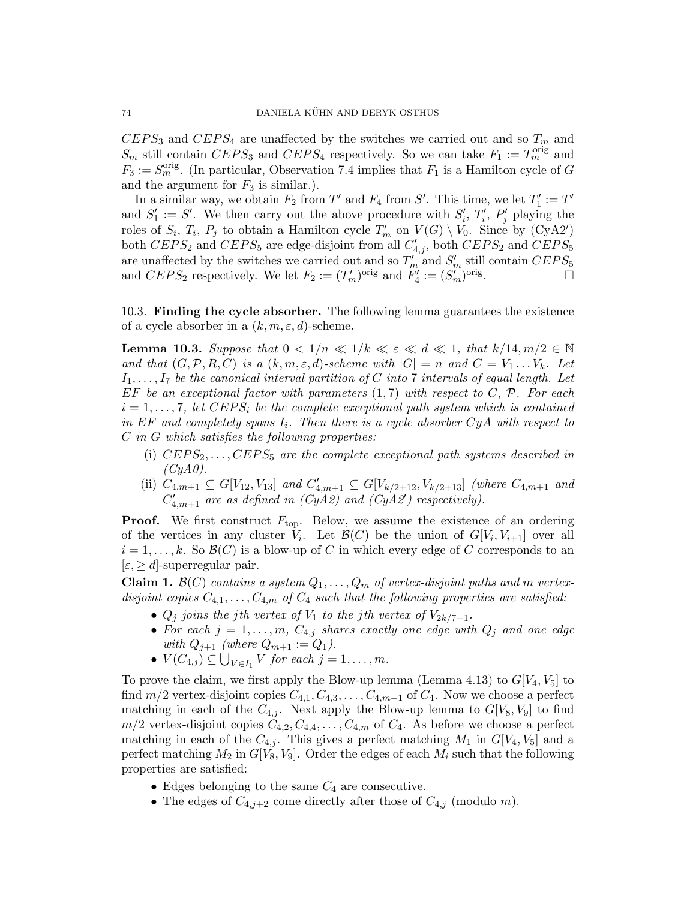$CEPS_3$  and  $CEPS_4$  are unaffected by the switches we carried out and so  $T_m$  and  $S_m$  still contain  $CEPS_3$  and  $CEPS_4$  respectively. So we can take  $F_1 := T_m^{\text{orig}}$  and  $F_3 := S_m^{\text{orig}}$ . (In particular, Observation 7.4 implies that  $F_1$  is a Hamilton cycle of G and the argument for  $F_3$  is similar.).

In a similar way, we obtain  $F_2$  from  $T'$  and  $F_4$  from  $S'$ . This time, we let  $T_1' := T'$ and  $S'_1 := S'$ . We then carry out the above procedure with  $S'_i$ ,  $T'_i$ ,  $P'_j$  playing the roles of  $S_i$ ,  $T_i$ ,  $P_j$  to obtain a Hamilton cycle  $T'_m$  on  $V(G) \setminus V_0$ . Since by  $(CyA2')$ both  $CEPS_2$  and  $CEPS_5$  are edge-disjoint from all  $C'_{4,j}$ , both  $CEPS_2$  and  $CEPS_5$ are unaffected by the switches we carried out and so  $T'_m$  and  $S'_m$  still contain  $CEPS_5$ and  $CEPS_2$  respectively. We let  $F_2 := (T'_m)^{\text{orig}}$  and  $F'_4 := (S'_m)^{\text{orig}}$ . — П

10.3. Finding the cycle absorber. The following lemma guarantees the existence of a cycle absorber in a  $(k, m, \varepsilon, d)$ -scheme.

**Lemma 10.3.** Suppose that  $0 < 1/n \ll 1/k \ll \varepsilon \ll d \ll 1$ , that  $k/14, m/2 \in \mathbb{N}$ and that  $(G, \mathcal{P}, R, C)$  is a  $(k, m, \varepsilon, d)$ -scheme with  $|G| = n$  and  $C = V_1 \dots V_k$ . Let  $I_1, \ldots, I_7$  be the canonical interval partition of C into 7 intervals of equal length. Let EF be an exceptional factor with parameters  $(1, 7)$  with respect to C, P. For each  $i = 1, \ldots, 7$ , let CEPS<sub>i</sub> be the complete exceptional path system which is contained in EF and completely spans  $I_i$ . Then there is a cycle absorber  $CyA$  with respect to  $C$  in  $G$  which satisfies the following properties:

- (i)  $CEPS_2, \ldots, CEPS_5$  are the complete exceptional path systems described in  $(CyA0)$ .
- (ii)  $C_{4,m+1} \subseteq G[V_{12}, V_{13}]$  and  $C'_{4,m+1} \subseteq G[V_{k/2+12}, V_{k/2+13}]$  (where  $C_{4,m+1}$  and  $C'_{4,m+1}$  are as defined in (CyA2) and (CyA2') respectively).

**Proof.** We first construct  $F_{top}$ . Below, we assume the existence of an ordering of the vertices in any cluster  $V_i$ . Let  $\mathcal{B}(C)$  be the union of  $G[V_i, V_{i+1}]$  over all  $i = 1, \ldots, k$ . So  $\mathcal{B}(C)$  is a blow-up of C in which every edge of C corresponds to an  $[\varepsilon, \geq d]$ -superregular pair.

**Claim 1.**  $\mathcal{B}(C)$  contains a system  $Q_1, \ldots, Q_m$  of vertex-disjoint paths and m vertexdisjoint copies  $C_{4,1}, \ldots, C_{4,m}$  of  $C_4$  such that the following properties are satisfied:

- $Q_j$  joins the jth vertex of  $V_1$  to the jth vertex of  $V_{2k/7+1}$ .
- For each  $j = 1, \ldots, m$ ,  $C_{4,j}$  shares exactly one edge with  $Q_j$  and one edge with  $Q_{j+1}$  (where  $Q_{m+1} := Q_1$ ).
- $V(C_{4,j}) \subseteq \bigcup_{V \in I_1} V$  for each  $j = 1, \ldots, m$ .

To prove the claim, we first apply the Blow-up lemma (Lemma 4.13) to  $G[V_4, V_5]$  to find  $m/2$  vertex-disjoint copies  $C_{4,1}, C_{4,3}, \ldots, C_{4,m-1}$  of  $C_4$ . Now we choose a perfect matching in each of the  $C_{4,j}$ . Next apply the Blow-up lemma to  $G[V_8, V_9]$  to find  $m/2$  vertex-disjoint copies  $C_{4,2}, C_{4,4}, \ldots, C_{4,m}$  of  $C_4$ . As before we choose a perfect matching in each of the  $C_{4,j}$ . This gives a perfect matching  $M_1$  in  $G[V_4, V_5]$  and a perfect matching  $M_2$  in  $G[V_8, V_9]$ . Order the edges of each  $M_i$  such that the following properties are satisfied:

- Edges belonging to the same  $C_4$  are consecutive.
- The edges of  $C_{4,j+2}$  come directly after those of  $C_{4,j}$  (modulo m).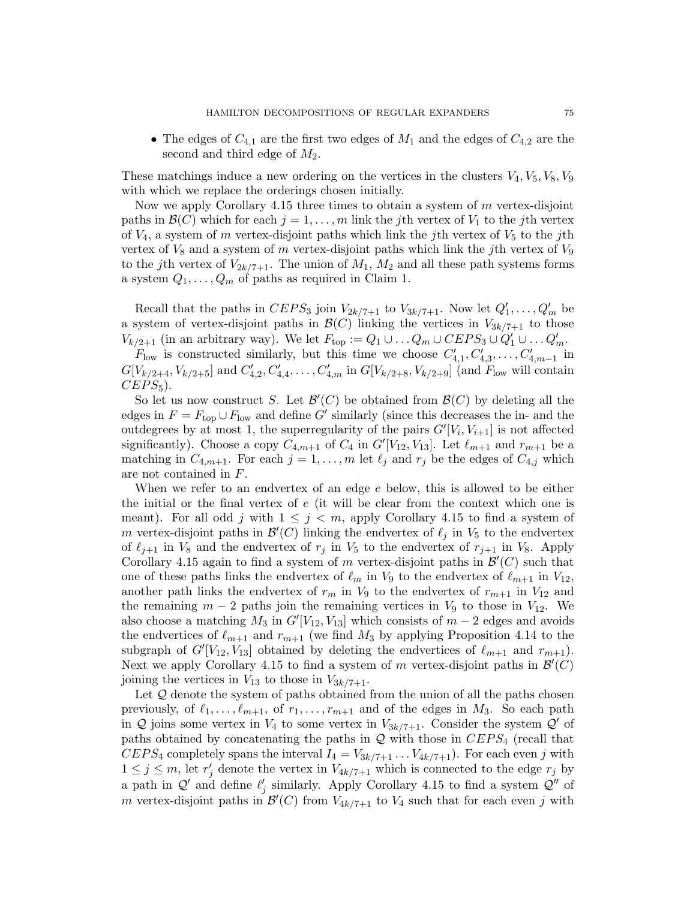• The edges of  $C_{4,1}$  are the first two edges of  $M_1$  and the edges of  $C_{4,2}$  are the second and third edge of  $M_2$ .

These matchings induce a new ordering on the vertices in the clusters  $V_4, V_5, V_8, V_9$ with which we replace the orderings chosen initially.

Now we apply Corollary 4.15 three times to obtain a system of  $m$  vertex-disjoint paths in  $\mathcal{B}(C)$  which for each  $j = 1, \ldots, m$  link the jth vertex of  $V_1$  to the jth vertex of  $V_4$ , a system of m vertex-disjoint paths which link the jth vertex of  $V_5$  to the jth vertex of  $V_8$  and a system of m vertex-disjoint paths which link the jth vertex of  $V_9$ to the jth vertex of  $V_{2k/7+1}$ . The union of  $M_1$ ,  $M_2$  and all these path systems forms a system  $Q_1, \ldots, Q_m$  of paths as required in Claim 1.

Recall that the paths in  $CEPS_3$  join  $V_{2k/7+1}$  to  $V_{3k/7+1}$ . Now let  $Q'_1, \ldots, Q'_m$  be a system of vertex-disjoint paths in  $\mathcal{B}(C)$  linking the vertices in  $V_{3k/7+1}$  to those  $V_{k/2+1}$  (in an arbitrary way). We let  $F_{\text{top}} := Q_1 \cup \ldots Q_m \cup CEPS_3 \cup Q'_1 \cup \ldots Q'_m$ .

 $F_{\text{low}}$  is constructed similarly, but this time we choose  $C'_{4,1}, C'_{4,3}, \ldots, C'_{4,m-1}$  in  $G[V_{k/2+4}, V_{k/2+5}]$  and  $C'_{4,2}, C'_{4,4}, \ldots, C'_{4,m}$  in  $G[V_{k/2+8}, V_{k/2+9}]$  (and  $F_{\text{low}}$  will contain  $CEPS_5$ ).

So let us now construct S. Let  $\mathcal{B}'(C)$  be obtained from  $\mathcal{B}(C)$  by deleting all the edges in  $F = F_{\text{top}} \cup F_{\text{low}}$  and define G' similarly (since this decreases the in- and the outdegrees by at most 1, the superregularity of the pairs  $G'[V_i, V_{i+1}]$  is not affected significantly). Choose a copy  $C_{4,m+1}$  of  $C_4$  in  $G'[V_{12}, V_{13}]$ . Let  $\ell_{m+1}$  and  $r_{m+1}$  be a matching in  $C_{4,m+1}$ . For each  $j = 1, \ldots, m$  let  $\ell_j$  and  $r_j$  be the edges of  $C_{4,j}$  which are not contained in F.

When we refer to an endvertex of an edge e below, this is allowed to be either the initial or the final vertex of e (it will be clear from the context which one is meant). For all odd j with  $1 \leq j \leq m$ , apply Corollary 4.15 to find a system of m vertex-disjoint paths in  $\mathcal{B}'(C)$  linking the endvertex of  $\ell_j$  in  $V_5$  to the endvertex of  $\ell_{j+1}$  in  $V_8$  and the endvertex of  $r_j$  in  $V_5$  to the endvertex of  $r_{j+1}$  in  $V_8$ . Apply Corollary 4.15 again to find a system of m vertex-disjoint paths in  $\mathcal{B}'(C)$  such that one of these paths links the endvertex of  $\ell_m$  in  $V_9$  to the endvertex of  $\ell_{m+1}$  in  $V_{12}$ , another path links the endvertex of  $r_m$  in  $V_9$  to the endvertex of  $r_{m+1}$  in  $V_{12}$  and the remaining  $m-2$  paths join the remaining vertices in  $V_9$  to those in  $V_{12}$ . We also choose a matching  $M_3$  in  $G'[V_{12}, V_{13}]$  which consists of  $m-2$  edges and avoids the endvertices of  $\ell_{m+1}$  and  $r_{m+1}$  (we find  $M_3$  by applying Proposition 4.14 to the subgraph of  $G'[V_{12}, V_{13}]$  obtained by deleting the endvertices of  $\ell_{m+1}$  and  $r_{m+1}$ ). Next we apply Corollary 4.15 to find a system of m vertex-disjoint paths in  $\mathcal{B}'(C)$ joining the vertices in  $V_{13}$  to those in  $V_{3k/7+1}$ .

Let  $Q$  denote the system of paths obtained from the union of all the paths chosen previously, of  $\ell_1, \ldots, \ell_{m+1}$ , of  $r_1, \ldots, r_{m+1}$  and of the edges in  $M_3$ . So each path in  $Q$  joins some vertex in  $V_4$  to some vertex in  $V_{3k/7+1}$ . Consider the system  $Q'$  of paths obtained by concatenating the paths in  $\mathcal Q$  with those in  $CEPS_4$  (recall that  $CEPS_4$  completely spans the interval  $I_4 = V_{3k/7+1} \ldots V_{4k/7+1}$ . For each even j with  $1 \leq j \leq m$ , let  $r'_j$  denote the vertex in  $V_{4k/7+1}$  which is connected to the edge  $r_j$  by a path in  $\mathcal{Q}'$  and define  $\ell'_j$  similarly. Apply Corollary 4.15 to find a system  $\mathcal{Q}''$  of m vertex-disjoint paths in  $\mathcal{B}'(C)$  from  $V_{4k/7+1}$  to  $V_4$  such that for each even j with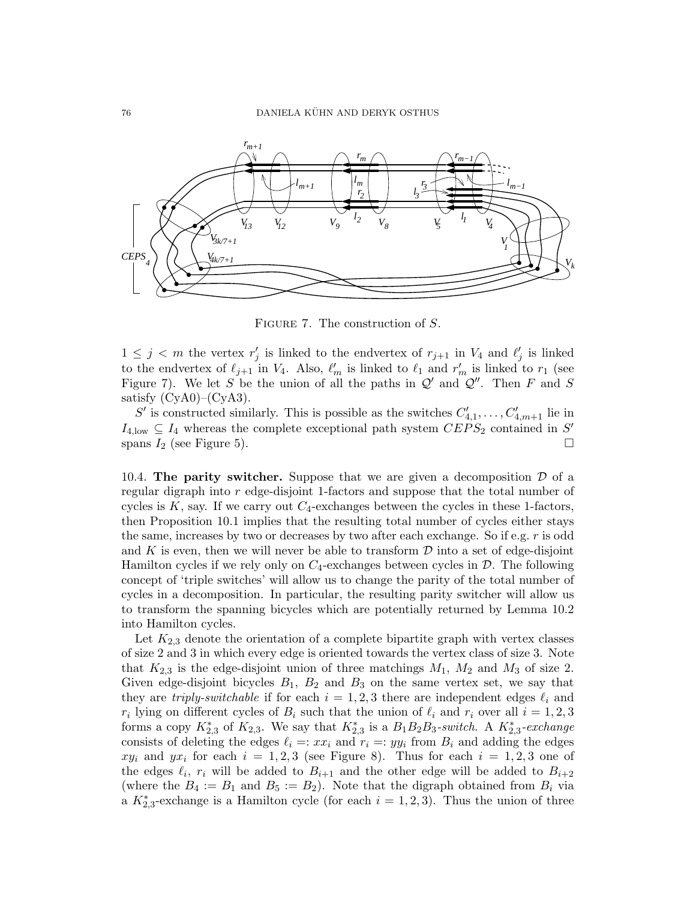

FIGURE 7. The construction of S.

 $1 \leq j \leq m$  the vertex  $r'_j$  is linked to the endvertex of  $r_{j+1}$  in  $V_4$  and  $\ell'_j$  is linked to the endvertex of  $\ell_{j+1}$  in  $V_4$ . Also,  $\ell'_m$  is linked to  $\ell_1$  and  $r'_m$  is linked to  $r_1$  (see Figure 7). We let S be the union of all the paths in  $\mathcal{Q}'$  and  $\mathcal{Q}''$ . Then F and S satisfy  $(CyA0)$ – $(CyA3)$ .

S' is constructed similarly. This is possible as the switches  $C'_{4,1}, \ldots, C'_{4,m+1}$  lie in  $I_{4,\text{low}} \subseteq I_4$  whereas the complete exceptional path system  $CEPS_2$  contained in S' spans  $I_2$  (see Figure 5).

10.4. The parity switcher. Suppose that we are given a decomposition  $\mathcal D$  of a regular digraph into r edge-disjoint 1-factors and suppose that the total number of cycles is  $K$ , say. If we carry out  $C_4$ -exchanges between the cycles in these 1-factors, then Proposition 10.1 implies that the resulting total number of cycles either stays the same, increases by two or decreases by two after each exchange. So if e.g. r is odd and  $K$  is even, then we will never be able to transform  $\mathcal D$  into a set of edge-disjoint Hamilton cycles if we rely only on  $C_4$ -exchanges between cycles in  $\mathcal{D}$ . The following concept of 'triple switches' will allow us to change the parity of the total number of cycles in a decomposition. In particular, the resulting parity switcher will allow us to transform the spanning bicycles which are potentially returned by Lemma 10.2 into Hamilton cycles.

Let  $K_{2,3}$  denote the orientation of a complete bipartite graph with vertex classes of size 2 and 3 in which every edge is oriented towards the vertex class of size 3. Note that  $K_{2,3}$  is the edge-disjoint union of three matchings  $M_1$ ,  $M_2$  and  $M_3$  of size 2. Given edge-disjoint bicycles  $B_1$ ,  $B_2$  and  $B_3$  on the same vertex set, we say that they are *triply-switchable* if for each  $i = 1, 2, 3$  there are independent edges  $\ell_i$  and  $r_i$  lying on different cycles of  $B_i$  such that the union of  $\ell_i$  and  $r_i$  over all  $i = 1, 2, 3$ forms a copy  $K_{2,3}^*$  of  $K_{2,3}$ . We say that  $K_{2,3}^*$  is a  $B_1B_2B_3$ -switch. A  $K_{2,3}^*$ -exchange consists of deleting the edges  $\ell_i =: xx_i$  and  $r_i =: yy_i$  from  $B_i$  and adding the edges  $xy_i$  and  $yx_i$  for each  $i = 1, 2, 3$  (see Figure 8). Thus for each  $i = 1, 2, 3$  one of the edges  $\ell_i$ ,  $r_i$  will be added to  $B_{i+1}$  and the other edge will be added to  $B_{i+2}$ (where the  $B_4 := B_1$  and  $B_5 := B_2$ ). Note that the digraph obtained from  $B_i$  via a  $K_{2,3}^*$ -exchange is a Hamilton cycle (for each  $i = 1, 2, 3$ ). Thus the union of three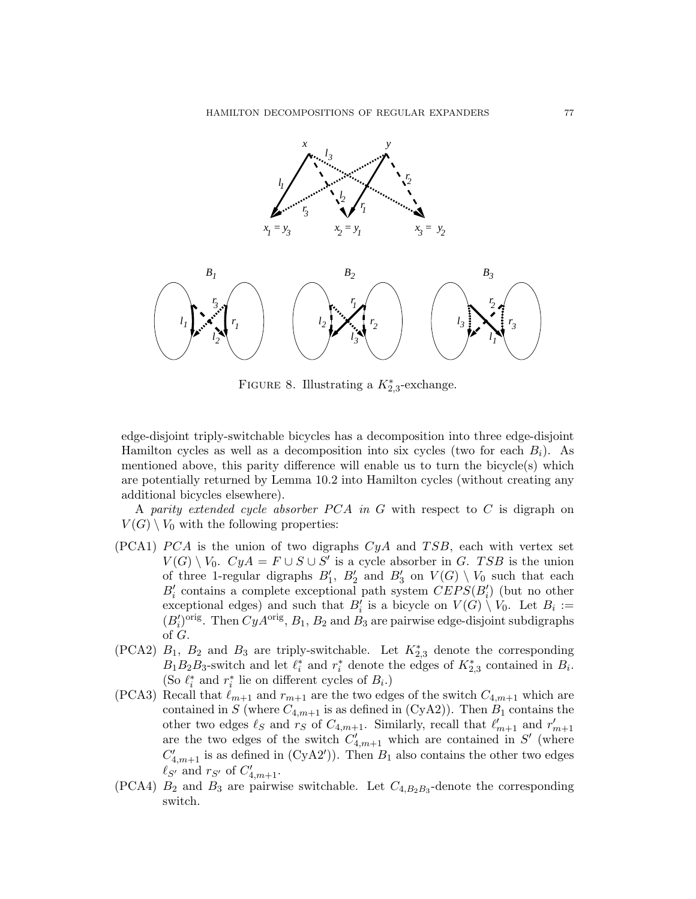

FIGURE 8. Illustrating a  $K_{2,3}^*$ -exchange.

edge-disjoint triply-switchable bicycles has a decomposition into three edge-disjoint Hamilton cycles as well as a decomposition into six cycles (two for each  $B_i$ ). As mentioned above, this parity difference will enable us to turn the bicycle(s) which are potentially returned by Lemma 10.2 into Hamilton cycles (without creating any additional bicycles elsewhere).

A parity extended cycle absorber  $PCA$  in G with respect to C is digraph on  $V(G) \setminus V_0$  with the following properties:

- $(PCA1)$   $PCA$  is the union of two digraphs  $CyA$  and  $TSB$ , each with vertex set  $V(G) \setminus V_0$ .  $CyA = F \cup S \cup S'$  is a cycle absorber in G. TSB is the union of three 1-regular digraphs  $B'_1$ ,  $B'_2$  and  $B'_3$  on  $V(G) \setminus V_0$  such that each  $B_i'$  contains a complete exceptional path system  $CEPS(B_i')$  (but no other exceptional edges) and such that  $B_i'$  is a bicycle on  $V(G) \setminus V_0$ . Let  $B_i :=$  $(B_i')^{\text{orig}}$ . Then  $CyA^{\text{orig}}$ ,  $B_1$ ,  $B_2$  and  $B_3$  are pairwise edge-disjoint subdigraphs of G.
- (PCA2)  $B_1$ ,  $B_2$  and  $B_3$  are triply-switchable. Let  $K_{2,3}^*$  denote the corresponding  $B_1 B_2 B_3$ -switch and let  $\ell_i^*$  and  $r_i^*$  denote the edges of  $K_{2,3}^*$  contained in  $B_i$ . (So  $\ell_i^*$  and  $r_i^*$  lie on different cycles of  $B_i$ .)
- (PCA3) Recall that  $\ell_{m+1}$  and  $r_{m+1}$  are the two edges of the switch  $C_{4,m+1}$  which are contained in S (where  $C_{4,m+1}$  is as defined in (CyA2)). Then  $B_1$  contains the other two edges  $\ell_S$  and  $r_S$  of  $C_{4,m+1}$ . Similarly, recall that  $\ell'_{m+1}$  and  $r'_{m+1}$ are the two edges of the switch  $C'_{4,m+1}$  which are contained in S' (where  $C'_{4,m+1}$  is as defined in (CyA2')). Then  $B_1$  also contains the other two edges  $\ell_{S'}$  and  $r_{S'}$  of  $C'_{4,m+1}$ .
- (PCA4)  $B_2$  and  $B_3$  are pairwise switchable. Let  $C_{4,B_2B_3}$ -denote the corresponding switch.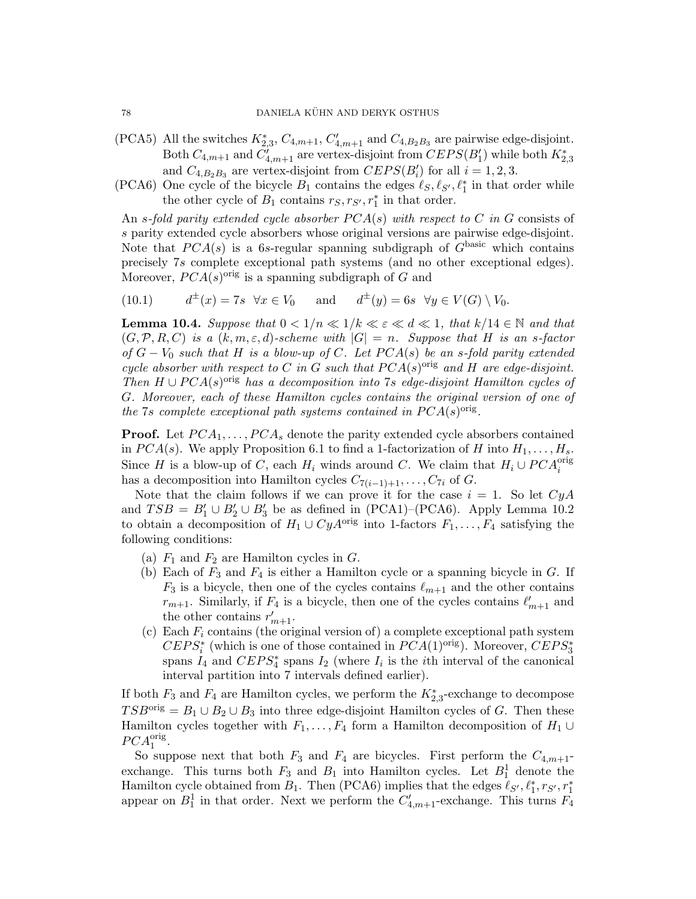- (PCA5) All the switches  $K_{2,3}^*$ ,  $C_{4,m+1}$ ,  $C'_{4,m+1}$  and  $C_{4,B_2B_3}$  are pairwise edge-disjoint. Both  $C_{4,m+1}$  and  $C'_{4,m+1}$  are vertex-disjoint from  $CEPS(B'_{1})$  while both  $K_{2,3}^{*}$ and  $C_{4,B_2B_3}$  are vertex-disjoint from  $CEPS(B'_i)$  for all  $i = 1, 2, 3$ .
- (PCA6) One cycle of the bicycle  $B_1$  contains the edges  $\ell_S, \ell_{S'}, \ell_1^*$  in that order while the other cycle of  $B_1$  contains  $r_S, r_{S'}, r_1^*$  in that order.

An s-fold parity extended cycle absorber  $PCA(s)$  with respect to C in G consists of s parity extended cycle absorbers whose original versions are pairwise edge-disjoint. Note that  $PCA(s)$  is a 6s-regular spanning subdigraph of  $G<sup>basic</sup>$  which contains precisely 7s complete exceptional path systems (and no other exceptional edges). Moreover,  $PCA(s)$ <sup>orig</sup> is a spanning subdigraph of G and

(10.1) 
$$
d^{\pm}(x) = 7s \quad \forall x \in V_0 \quad \text{and} \quad d^{\pm}(y) = 6s \quad \forall y \in V(G) \setminus V_0.
$$

**Lemma 10.4.** Suppose that  $0 < 1/n \ll 1/k \ll \varepsilon \ll d \ll 1$ , that  $k/14 \in \mathbb{N}$  and that  $(G, \mathcal{P}, R, C)$  is a  $(k, m, \varepsilon, d)$ -scheme with  $|G| = n$ . Suppose that H is an s-factor of  $G - V_0$  such that H is a blow-up of C. Let  $PCA(s)$  be an s-fold parity extended cycle absorber with respect to C in G such that  $PCA(s)^{orig}$  and H are edge-disjoint. Then  $H \cup PCA(s)$ <sup>orig</sup> has a decomposition into 7s edge-disjoint Hamilton cycles of G. Moreover, each of these Hamilton cycles contains the original version of one of the 7s complete exceptional path systems contained in  $PCA(s)^{orig}$ .

**Proof.** Let  $PCA_1, \ldots, PCA_s$  denote the parity extended cycle absorbers contained in  $PCA(s)$ . We apply Proposition 6.1 to find a 1-factorization of H into  $H_1, \ldots, H_s$ . Since H is a blow-up of C, each  $H_i$  winds around C. We claim that  $H_i \cup PCA_i^{\text{orig}}$ has a decomposition into Hamilton cycles  $C_{7(i-1)+1}, \ldots, C_{7i}$  of G.

Note that the claim follows if we can prove it for the case  $i = 1$ . So let  $CyA$ and  $TSB = B'_1 \cup B'_2 \cup B'_3$  be as defined in (PCA1)–(PCA6). Apply Lemma 10.2 to obtain a decomposition of  $H_1 \cup CyA^{\text{orig}}$  into 1-factors  $F_1, \ldots, F_4$  satisfying the following conditions:

- (a)  $F_1$  and  $F_2$  are Hamilton cycles in  $G$ .
- (b) Each of  $F_3$  and  $F_4$  is either a Hamilton cycle or a spanning bicycle in  $G$ . If  $F_3$  is a bicycle, then one of the cycles contains  $\ell_{m+1}$  and the other contains  $r_{m+1}$ . Similarly, if  $F_4$  is a bicycle, then one of the cycles contains  $\ell'_{m+1}$  and the other contains  $r'_{m+1}$ .
- (c) Each  $F_i$  contains (the original version of) a complete exceptional path system  $CEPS_i^*$  (which is one of those contained in  $PCA(1)^{orig}$ ). Moreover,  $CEPS_3^*$ spans  $I_4$  and  $CEPS_4^*$  spans  $I_2$  (where  $I_i$  is the *i*th interval of the canonical interval partition into 7 intervals defined earlier).

If both  $F_3$  and  $F_4$  are Hamilton cycles, we perform the  $K_{2,3}^*$ -exchange to decompose  $TSB^{\text{orig}} = B_1 \cup B_2 \cup B_3$  into three edge-disjoint Hamilton cycles of G. Then these Hamilton cycles together with  $F_1, \ldots, F_4$  form a Hamilton decomposition of  $H_1 \cup$  $PCA_1^{\text{orig}}.$ 

So suppose next that both  $F_3$  and  $F_4$  are bicycles. First perform the  $C_{4,m+1}$ exchange. This turns both  $F_3$  and  $B_1$  into Hamilton cycles. Let  $B_1^1$  denote the Hamilton cycle obtained from  $B_1$ . Then (PCA6) implies that the edges  $\ell_{S'}$ ,  $\ell_1^*, r_{S'}, r_1^*$ appear on  $B_1^1$  in that order. Next we perform the  $C'_{4,m+1}$ -exchange. This turns  $\overline{F_4}$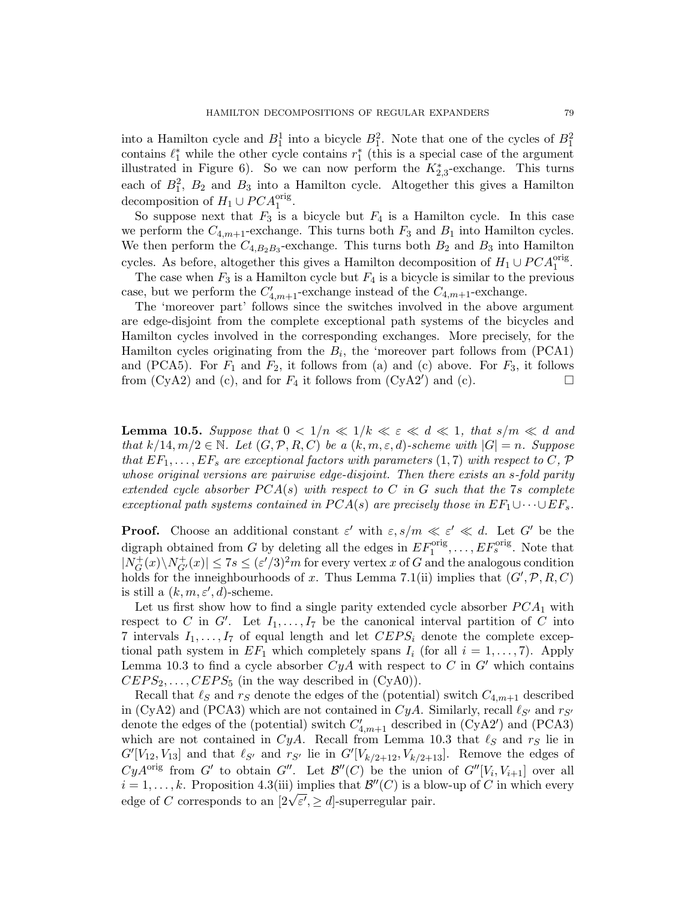into a Hamilton cycle and  $B_1^1$  into a bicycle  $B_1^2$ . Note that one of the cycles of  $B_1^2$ contains  $\ell_1^*$  while the other cycle contains  $r_1^*$  (this is a special case of the argument illustrated in Figure 6). So we can now perform the  $K_{2,3}^*$ -exchange. This turns each of  $B_1^2$ ,  $B_2$  and  $B_3$  into a Hamilton cycle. Altogether this gives a Hamilton decomposition of  $H_1 \cup PCA_1^{\text{orig}}$ .

So suppose next that  $F_3$  is a bicycle but  $F_4$  is a Hamilton cycle. In this case we perform the  $C_{4,m+1}$ -exchange. This turns both  $F_3$  and  $B_1$  into Hamilton cycles. We then perform the  $C_{4,B_2B_3}$ -exchange. This turns both  $B_2$  and  $B_3$  into Hamilton cycles. As before, altogether this gives a Hamilton decomposition of  $H_1 \cup PCA_1^{\text{orig}}$ .

The case when  $F_3$  is a Hamilton cycle but  $F_4$  is a bicycle is similar to the previous case, but we perform the  $C'_{4,m+1}$ -exchange instead of the  $C_{4,m+1}$ -exchange.

The 'moreover part' follows since the switches involved in the above argument are edge-disjoint from the complete exceptional path systems of the bicycles and Hamilton cycles involved in the corresponding exchanges. More precisely, for the Hamilton cycles originating from the  $B_i$ , the 'moreover part follows from (PCA1) and (PCA5). For  $F_1$  and  $F_2$ , it follows from (a) and (c) above. For  $F_3$ , it follows from  $(CyA2)$  and  $(c)$ , and for  $F_4$  it follows from  $(CyA2')$  and  $(c)$ .

**Lemma 10.5.** Suppose that  $0 < 1/n \ll 1/k \ll \varepsilon \ll d \ll 1$ , that  $s/m \ll d$  and that  $k/14, m/2 \in \mathbb{N}$ . Let  $(G, \mathcal{P}, R, C)$  be a  $(k, m, \varepsilon, d)$ -scheme with  $|G| = n$ . Suppose that  $EF_1, \ldots, EF_s$  are exceptional factors with parameters  $(1, 7)$  with respect to C, P whose original versions are pairwise edge-disjoint. Then there exists an s-fold parity extended cycle absorber  $PCA(s)$  with respect to C in G such that the 7s complete exceptional path systems contained in  $PCA(s)$  are precisely those in  $EF_1 \cup \cdots \cup EF_s$ .

**Proof.** Choose an additional constant  $\varepsilon'$  with  $\varepsilon$ ,  $s/m \ll \varepsilon' \ll d$ . Let G' be the digraph obtained from G by deleting all the edges in  $EF_1^{\text{orig}}, \ldots, EF_s^{\text{orig}}$ . Note that  $|N_G^+|$  $\vert G^+_G(x)\backslash N^+_{G'}(x)\vert \leq 7s \leq (\varepsilon'/3)^2m$  for every vertex x of G and the analogous condition holds for the inneighbourhoods of x. Thus Lemma 7.1(ii) implies that  $(G', \mathcal{P}, R, C)$ is still a  $(k, m, \varepsilon', d)$ -scheme.

Let us first show how to find a single parity extended cycle absorber  $PCA_1$  with respect to C in G'. Let  $I_1, \ldots, I_7$  be the canonical interval partition of C into 7 intervals  $I_1, \ldots, I_7$  of equal length and let  $CEPS_i$  denote the complete exceptional path system in  $EF_1$  which completely spans  $I_i$  (for all  $i = 1, \ldots, 7$ ). Apply Lemma 10.3 to find a cycle absorber  $CyA$  with respect to C in G' which contains  $CEPS_2, \ldots, CEPS_5$  (in the way described in  $(CyA0)$ ).

Recall that  $\ell_S$  and  $r_S$  denote the edges of the (potential) switch  $C_{4,m+1}$  described in (CyA2) and (PCA3) which are not contained in  $CyA$ . Similarly, recall  $\ell_{S'}$  and  $r_{S'}$ denote the edges of the (potential) switch  $C'_{4,m+1}$  described in (CyA2') and (PCA3) which are not contained in CyA. Recall from Lemma 10.3 that  $\ell_S$  and  $r_S$  lie in  $G'[V_{12}, V_{13}]$  and that  $\ell_{S'}$  and  $r_{S'}$  lie in  $G'[V_{k/2+12}, V_{k/2+13}]$ . Remove the edges of CyA<sup>orig</sup> from G' to obtain G''. Let  $\mathcal{B}''(C)$  be the union of  $G''[V_i, V_{i+1}]$  over all  $i = 1, \ldots, k$ . Proposition 4.3(iii) implies that  $\mathcal{B}''(C)$  is a blow-up of C in which every  $u = 1, \ldots, \kappa$ . Proposition 4.5(iii) implies that  $\mathcal{B}$  (C) is a bidedge of C corresponds to an  $[2\sqrt{\varepsilon'}, \geq d]$ -superregular pair.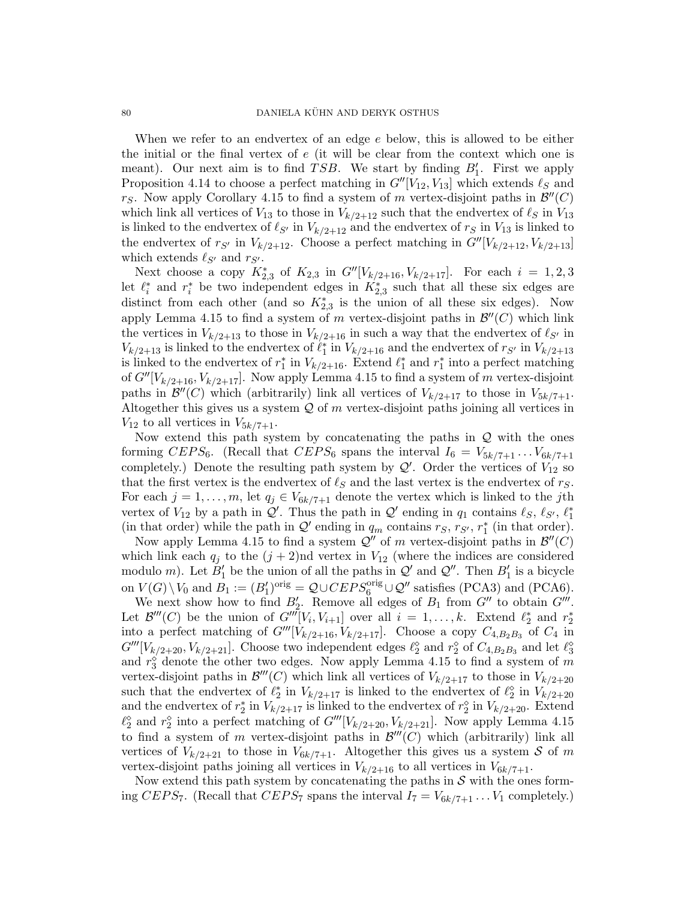When we refer to an endvertex of an edge e below, this is allowed to be either the initial or the final vertex of e (it will be clear from the context which one is meant). Our next aim is to find  $TSB$ . We start by finding  $B'_1$ . First we apply Proposition 4.14 to choose a perfect matching in  $G''[V_{12}, V_{13}]$  which extends  $\ell_S$  and rs. Now apply Corollary 4.15 to find a system of m vertex-disjoint paths in  $\mathcal{B}''(C)$ which link all vertices of  $V_{13}$  to those in  $V_{k/2+12}$  such that the endvertex of  $\ell_S$  in  $V_{13}$ is linked to the endvertex of  $\ell_{S'}$  in  $V_{k/2+12}$  and the endvertex of  $r_S$  in  $V_{13}$  is linked to the endvertex of  $r_{S'}$  in  $V_{k/2+12}$ . Choose a perfect matching in  $G''[V_{k/2+12}, V_{k/2+13}]$ which extends  $\ell_{S'}$  and  $r_{S'}$ .

Next choose a copy  $K_{2,3}^*$  of  $K_{2,3}$  in  $G''[V_{k/2+16}, V_{k/2+17}]$ . For each  $i = 1, 2, 3$ let  $\ell_i^*$  and  $r_i^*$  be two independent edges in  $K_{2,3}^*$  such that all these six edges are distinct from each other (and so  $K_{2,3}^*$  is the union of all these six edges). Now apply Lemma 4.15 to find a system of m vertex-disjoint paths in  $\mathcal{B}''(C)$  which link the vertices in  $V_{k/2+13}$  to those in  $V_{k/2+16}$  in such a way that the endvertex of  $\ell_{S'}$  in  $V_{k/2+13}$  is linked to the endvertex of  $\ell_1^*$  in  $V_{k/2+16}$  and the endvertex of  $r_{S'}$  in  $V_{k/2+13}$ is linked to the endvertex of  $r_1^*$  in  $V_{k/2+16}$ . Extend  $\ell_1^*$  and  $r_1^*$  into a perfect matching of  $G''[V_{k/2+16}, V_{k/2+17}]$ . Now apply Lemma 4.15 to find a system of m vertex-disjoint paths in  $\mathcal{B}''(C)$  which (arbitrarily) link all vertices of  $V_{k/2+17}$  to those in  $V_{5k/7+1}$ . Altogether this gives us a system  $Q$  of m vertex-disjoint paths joining all vertices in  $V_{12}$  to all vertices in  $V_{5k/7+1}$ .

Now extend this path system by concatenating the paths in  $Q$  with the ones forming  $CEPS_6$ . (Recall that  $CEPS_6$  spans the interval  $I_6 = V_{5k/7+1} \ldots V_{6k/7+1}$ completely.) Denote the resulting path system by  $\mathcal{Q}'$ . Order the vertices of  $V_{12}$  so that the first vertex is the endvertex of  $\ell_S$  and the last vertex is the endvertex of  $r_S$ . For each  $j = 1, \ldots, m$ , let  $q_j \in V_{6k/7+1}$  denote the vertex which is linked to the jth vertex of  $V_{12}$  by a path in  $\mathcal{Q}'$ . Thus the path in  $\mathcal{Q}'$  ending in  $q_1$  contains  $\ell_S$ ,  $\ell_{S'}$ ,  $\ell_1^*$ (in that order) while the path in  $\mathcal{Q}'$  ending in  $q_m$  contains  $r_S, r_{S'}$ ,  $r_1^*$  (in that order).

Now apply Lemma 4.15 to find a system  $\mathcal{Q}''$  of m vertex-disjoint paths in  $\mathcal{B}''(C)$ which link each  $q_j$  to the  $(j + 2)$ nd vertex in  $V_{12}$  (where the indices are considered modulo m). Let  $B_1'$  be the union of all the paths in  $\mathcal{Q}'$  and  $\mathcal{Q}''$ . Then  $B_1'$  is a bicycle on  $V(G) \setminus V_0$  and  $B_1 := (B'_1)^{orig} = \mathcal{Q} \cup CEPS_6^{orig} \cup \mathcal{Q}''$  satisfies (PCA3) and (PCA6).

We next show how to find  $B'_2$ . Remove all edges of  $B_1$  from  $G''$  to obtain  $G'''$ . Let  $\mathcal{B}'''(C)$  be the union of  $G'''[V_i, V_{i+1}]$  over all  $i = 1, ..., k$ . Extend  $\ell_2^*$  and  $r_2^*$ into a perfect matching of  $G'''[\dot{V}_{k/2+16}, \dot{V}_{k/2+17}]$ . Choose a copy  $C_{4,B_2B_3}$  of  $C_4$  in  $G'''[V_{k/2+20}, V_{k/2+21}]$ . Choose two independent edges  $\ell_2^{\diamond}$  and  $r_2^{\diamond}$  of  $C_{4,B_2B_3}$  and let  $\ell_3^{\diamond}$ and  $r_3^{\diamond}$  denote the other two edges. Now apply Lemma 4.15 to find a system of m vertex-disjoint paths in  $\mathcal{B}'''(C)$  which link all vertices of  $V_{k/2+17}$  to those in  $V_{k/2+20}$ such that the endvertex of  $\ell_2^*$  in  $V_{k/2+17}$  is linked to the endvertex of  $\ell_2^{\circ}$  in  $V_{k/2+20}$ and the endvertex of  $r_2^*$  in  $V_{k/2+17}$  is linked to the endvertex of  $r_2^{\circ}$  in  $V_{k/2+20}$ . Extend  $\ell_2^{\diamond}$  and  $r_2^{\diamond}$  into a perfect matching of  $G'''[V_{k/2+20}, V_{k/2+21}]$ . Now apply Lemma 4.15 to find a system of m vertex-disjoint paths in  $\mathcal{B}'''(C)$  which (arbitrarily) link all vertices of  $V_{k/2+21}$  to those in  $V_{6k/7+1}$ . Altogether this gives us a system S of m vertex-disjoint paths joining all vertices in  $V_{k/2+16}$  to all vertices in  $V_{6k/7+1}$ .

Now extend this path system by concatenating the paths in  $S$  with the ones forming CEPS<sub>7</sub>. (Recall that CEPS<sub>7</sub> spans the interval  $I_7 = V_{6k/7+1} \dots V_1$  completely.)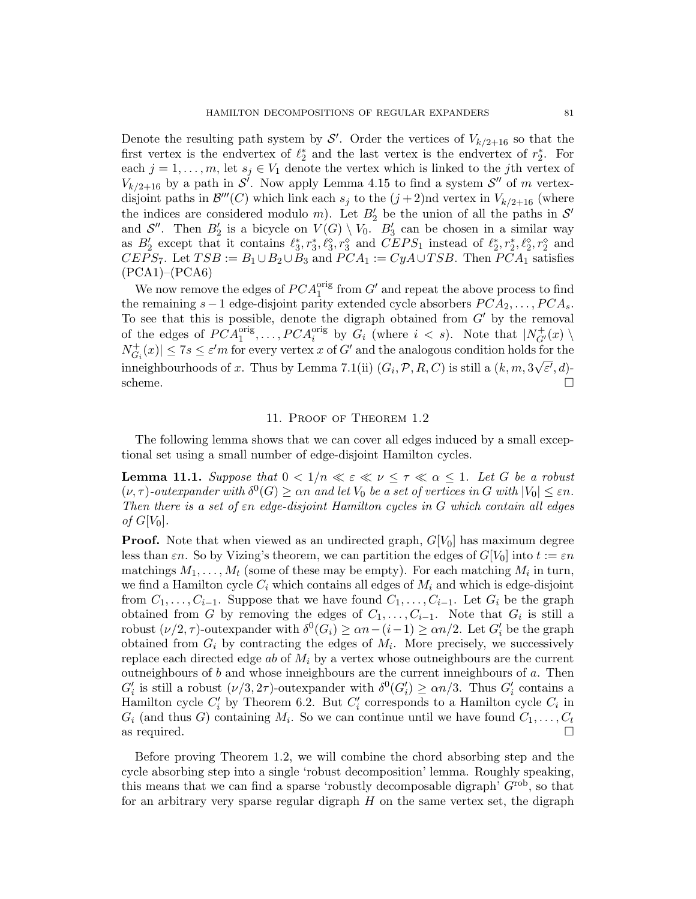Denote the resulting path system by  $\mathcal{S}'$ . Order the vertices of  $V_{k/2+16}$  so that the first vertex is the endvertex of  $\ell_2^*$  and the last vertex is the endvertex of  $r_2^*$ . For each  $j = 1, \ldots, m$ , let  $s_j \in V_1$  denote the vertex which is linked to the jth vertex of  $V_{k/2+16}$  by a path in  $\mathcal{S}'$ . Now apply Lemma 4.15 to find a system  $\mathcal{S}''$  of m vertexdisjoint paths in  $\mathcal{B}'''(C)$  which link each  $s_j$  to the  $(j+2)$ nd vertex in  $V_{k/2+16}$  (where the indices are considered modulo m). Let  $B'_2$  be the union of all the paths in  $\mathcal{S}'$ and  $S''$ . Then  $B'_2$  is a bicycle on  $V(G) \setminus V_0$ .  $B'_3$  can be chosen in a similar way as  $B'_2$  except that it contains  $\ell_3^*, r_3^*, \ell_3^{\diamond}, r_3^{\diamond}$  and  $CEPS_1$  instead of  $\ell_2^*, r_2^*, \ell_2^{\diamond}, r_2^{\diamond}$  and  $CEPS_7$ . Let  $TSB := B_1 \cup B_2 \cup B_3$  and  $PCA_1 := CyA \cup TSB$ . Then  $PCA_1$  satisfies (PCA1)–(PCA6)

We now remove the edges of  $PCA_1^{orig}$  from  $G'$  and repeat the above process to find the remaining  $s - 1$  edge-disjoint parity extended cycle absorbers  $PCA_2, \ldots, PCA_s$ . To see that this is possible, denote the digraph obtained from  $G'$  by the removal of the edges of  $PCA_1^{orig}, \ldots, PCA_i^{orig}$  by  $G_i$  (where  $i < s$ ). Note that  $|N_{G'}^+(x) \setminus$  $N_G^+$  $|\mathcal{F}_{G_i}(x)| \leq 7s \leq \varepsilon'm$  for every vertex x of G' and the analogous condition holds for the inneighbourhoods of x. Thus by Lemma 7.1(ii)  $(G_i, \mathcal{P}, R, C)$  is still a  $(k, m, 3\sqrt{\varepsilon'}, d)$ - $\Box$ scheme.  $\Box$ 

# 11. Proof of Theorem 1.2

The following lemma shows that we can cover all edges induced by a small exceptional set using a small number of edge-disjoint Hamilton cycles.

**Lemma 11.1.** Suppose that  $0 < 1/n \ll \varepsilon \ll \nu \leq \tau \ll \alpha \leq 1$ . Let G be a robust  $(\nu, \tau)$ -outexpander with  $\delta^0(G) \geq \alpha n$  and let  $V_0$  be a set of vertices in G with  $|V_0| \leq \varepsilon n$ . Then there is a set of  $\varepsilon n$  edge-disjoint Hamilton cycles in G which contain all edges of  $G[V_0]$ .

**Proof.** Note that when viewed as an undirected graph,  $G[V_0]$  has maximum degree less than  $\varepsilon n$ . So by Vizing's theorem, we can partition the edges of  $G[V_0]$  into  $t := \varepsilon n$ matchings  $M_1, \ldots, M_t$  (some of these may be empty). For each matching  $M_i$  in turn, we find a Hamilton cycle  $C_i$  which contains all edges of  $M_i$  and which is edge-disjoint from  $C_1, \ldots, C_{i-1}$ . Suppose that we have found  $C_1, \ldots, C_{i-1}$ . Let  $G_i$  be the graph obtained from G by removing the edges of  $C_1, \ldots, C_{i-1}$ . Note that  $G_i$  is still a robust  $(\nu/2, \tau)$ -outexpander with  $\delta^0(G_i) \ge \alpha n - (i-1) \ge \alpha n/2$ . Let  $G_i'$  be the graph obtained from  $G_i$  by contracting the edges of  $M_i$ . More precisely, we successively replace each directed edge ab of  $M_i$  by a vertex whose outneighbours are the current outneighbours of  $b$  and whose inneighbours are the current inneighbours of  $a$ . Then  $G'_{i}$  is still a robust  $(\nu/3, 2\tau)$ -outexpander with  $\delta^{0}(G'_{i}) \geq \alpha n/3$ . Thus  $G'_{i}$  contains a Hamilton cycle  $C_i'$  by Theorem 6.2. But  $C_i'$  corresponds to a Hamilton cycle  $C_i$  in  $G_i$  (and thus G) containing  $M_i$ . So we can continue until we have found  $C_1, \ldots, C_t$ as required.  $\square$ 

Before proving Theorem 1.2, we will combine the chord absorbing step and the cycle absorbing step into a single 'robust decomposition' lemma. Roughly speaking, this means that we can find a sparse 'robustly decomposable digraph'  $G<sup>rob</sup>$ , so that for an arbitrary very sparse regular digraph  $H$  on the same vertex set, the digraph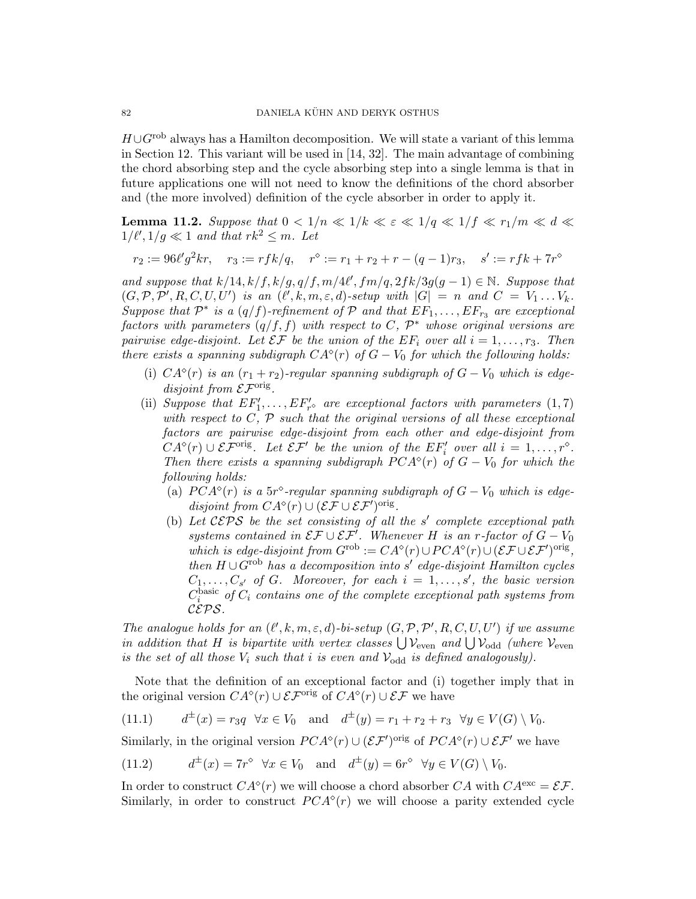$H \cup G^{\text{rob}}$  always has a Hamilton decomposition. We will state a variant of this lemma in Section 12. This variant will be used in [14, 32]. The main advantage of combining the chord absorbing step and the cycle absorbing step into a single lemma is that in future applications one will not need to know the definitions of the chord absorber and (the more involved) definition of the cycle absorber in order to apply it.

**Lemma 11.2.** Suppose that  $0 < 1/n \ll 1/k \ll \varepsilon \ll 1/q \ll 1/f \ll r_1/m \ll d \ll$  $1/\ell', 1/g \ll 1$  and that  $rk^2 \leq m$ . Let

$$
r_2 := 96\ell' g^2 k r, \quad r_3 := r f k / q, \quad r^\diamond := r_1 + r_2 + r - (q - 1)r_3, \quad s' := r f k + 7r^\diamond
$$

and suppose that  $k/14$ ,  $k/f$ ,  $k/g$ ,  $q/f$ ,  $m/4\ell'$ ,  $fm/q$ ,  $2fk/3g(g-1) \in \mathbb{N}$ . Suppose that  $(G, \mathcal{P}, \mathcal{P}', R, C, U, U')$  is an  $(\ell', k, m, \varepsilon, d)$ -setup with  $|G| = n$  and  $C = V_1 \dots V_k$ . Suppose that  $\mathcal{P}^*$  is a  $(q/f)$ -refinement of  $\mathcal P$  and that  $EF_1, \ldots, EF_{r_3}$  are exceptional factors with parameters  $(q/f, f)$  with respect to C,  $\mathcal{P}^*$  whose original versions are pairwise edge-disjoint. Let  $\mathcal{EF}$  be the union of the  $EF_i$  over all  $i = 1, \ldots, r_3$ . Then there exists a spanning subdigraph  $CA^{\circ}(r)$  of  $G-V_0$  for which the following holds:

- (i)  $CA^{\circ}(r)$  is an  $(r_1+r_2)$ -regular spanning subdigraph of  $G-V_0$  which is edgedisjoint from  $\mathcal{EF}^{\text{orig}}$ .
- (ii) Suppose that  $EF'_1, \ldots, EF'_{r}$  are exceptional factors with parameters  $(1, 7)$ with respect to  $C, \, P$  such that the original versions of all these exceptional factors are pairwise edge-disjoint from each other and edge-disjoint from  $CA^{\circ}(r) \cup \mathcal{EF}^{\text{orig}}$ . Let  $\mathcal{EF}'$  be the union of the  $EF'_{i}$  over all  $i = 1, ..., r^{\circ}$ . Then there exists a spanning subdigraph  $PCA^{\circ}(r)$  of  $G-V_0$  for which the following holds:
	- (a)  $PCA^{\circ}(r)$  is a 5r<sup>\o</sup>-regular spanning subdigraph of  $G-V_0$  which is edgedisjoint from  $CA^{\diamond}(r) \cup (\mathcal{EF} \cup \mathcal{EF}')^{\text{orig}}$ .
	- (b) Let  $CEPS$  be the set consisting of all the s' complete exceptional path systems contained in  $\mathcal{EF} \cup \mathcal{EF}'$ . Whenever H is an r-factor of  $G-V_0$ which is edge-disjoint from  $G^{\rm rob} := CA^{\diamond}(r) \cup PCA^{\diamond}(r) \cup (\mathcal{EF} \cup \mathcal{EF}')^{\rm orig},$ then  $H \cup G^{rob}$  has a decomposition into s' edge-disjoint Hamilton cycles  $C_1, \ldots, C_{s'}$  of G. Moreover, for each  $i = 1, \ldots, s'$ , the basic version  $C_i^{\text{basic}}$  of  $C_i$  contains one of the complete exceptional path systems from CEPS.

The analogue holds for an  $(\ell', k, m, \varepsilon, d)$ -bi-setup  $(G, \mathcal{P}, \mathcal{P}', R, C, U, U')$  if we assume in addition that H is bipartite with vertex classes  $\bigcup \mathcal{V}_{even}$  and  $\bigcup \mathcal{V}_{odd}$  (where  $\mathcal{V}_{even}$ is the set of all those  $V_i$  such that i is even and  $V_{odd}$  is defined analogously).

Note that the definition of an exceptional factor and (i) together imply that in the original version  $CA^{\diamond}(r) \cup \mathcal{EF}^{\text{orig}}$  of  $CA^{\diamond}(r) \cup \mathcal{EF}$  we have

(11.1) 
$$
d^{\pm}(x) = r_3 q \quad \forall x \in V_0
$$
 and  $d^{\pm}(y) = r_1 + r_2 + r_3 \quad \forall y \in V(G) \setminus V_0$ .

Similarly, in the original version  $PCA^{\diamond}(r) \cup (\mathcal{EF}')^{\text{orig}}$  of  $PCA^{\diamond}(r) \cup \mathcal{EF}'$  we have

(11.2) 
$$
d^{\pm}(x) = 7r^{\diamond} \quad \forall x \in V_0 \quad \text{and} \quad d^{\pm}(y) = 6r^{\diamond} \quad \forall y \in V(G) \setminus V_0.
$$

In order to construct  $CA^{\circ}(r)$  we will choose a chord absorber CA with  $CA^{\text{exc}} = \mathcal{EF}$ . Similarly, in order to construct  $PCA^{\diamond}(r)$  we will choose a parity extended cycle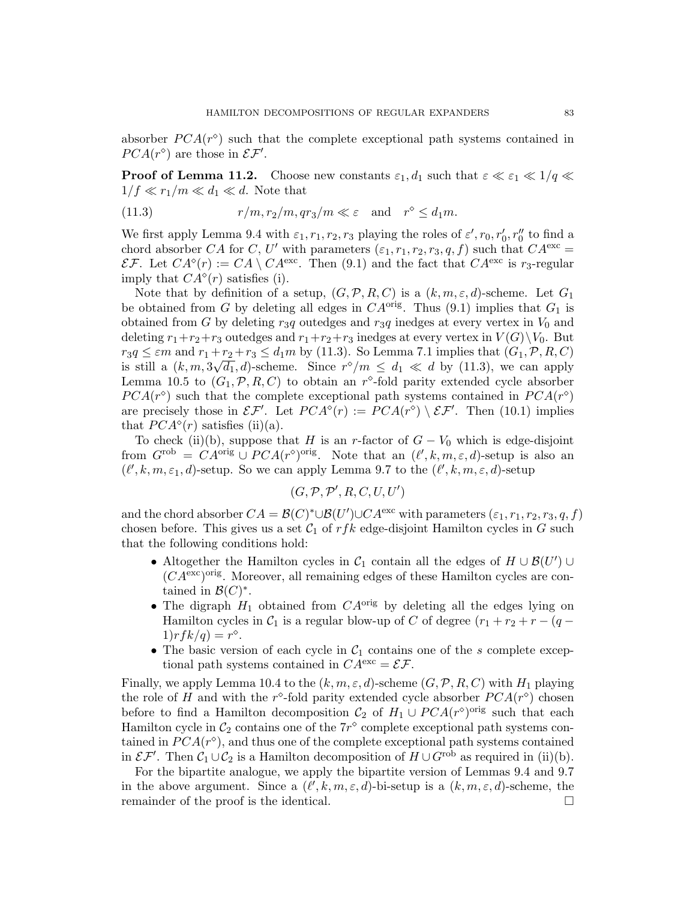absorber  $PCA(r^{\circ})$  such that the complete exceptional path systems contained in  $PCA(r^{\diamond})$  are those in  $\mathcal{EF}'$ .

**Proof of Lemma 11.2.** Choose new constants  $\varepsilon_1, d_1$  such that  $\varepsilon \ll \varepsilon_1 \ll 1/q \ll$  $1/f \ll r_1/m \ll d_1 \ll d$ . Note that

(11.3) 
$$
r/m, r_2/m, qr_3/m \ll \varepsilon \text{ and } r^{\diamond} \leq d_1 m.
$$

We first apply Lemma 9.4 with  $\varepsilon_1, r_1, r_2, r_3$  playing the roles of  $\varepsilon', r_0, r'_0, r''_0$  to find a chord absorber CA for C, U' with parameters  $(\varepsilon_1, r_1, r_2, r_3, q, f)$  such that  $CA^{\text{exc}} =$ EF. Let  $CA^{\circ}(r) := CA \setminus CA^{\text{exc}}$ . Then (9.1) and the fact that  $CA^{\text{exc}}$  is  $r_3$ -regular imply that  $CA^{\diamond}(r)$  satisfies (i).

Note that by definition of a setup,  $(G, \mathcal{P}, R, C)$  is a  $(k, m, \varepsilon, d)$ -scheme. Let  $G_1$ be obtained from G by deleting all edges in  $CA^{orig}$ . Thus (9.1) implies that  $G_1$  is obtained from G by deleting  $r_3q$  outedges and  $r_3q$  inedges at every vertex in  $V_0$  and deleting  $r_1+r_2+r_3$  outedges and  $r_1+r_2+r_3$  inedges at every vertex in  $V(G)\backslash V_0$ . But  $r_3q \leq \varepsilon m$  and  $r_1+r_2+r_3 \leq d_1m$  by (11.3). So Lemma 7.1 implies that  $(G_1, \mathcal{P}, R, C)$ is still a  $(k, m, 3\sqrt{d_1}, d)$ -scheme. Since  $r^{\diamond}/m \leq d_1 \ll d$  by (11.3), we can apply Lemma 10.5 to  $(G_1, \mathcal{P}, R, C)$  to obtain an r<sup>o</sup>-fold parity extended cycle absorber  $PCA(r^{\diamond})$  such that the complete exceptional path systems contained in  $PCA(r^{\diamond})$ are precisely those in  $\mathcal{EF}'$ . Let  $PCA^{\diamond}(r) := PCA(r^{\diamond}) \setminus \mathcal{EF}'$ . Then (10.1) implies that  $PCA^{\diamond}(r)$  satisfies (ii)(a).

To check (ii)(b), suppose that H is an r-factor of  $G - V_0$  which is edge-disjoint from  $G^{\text{rob}} = CA^{\text{orig}} \cup PCA(r^{\diamond})^{\text{orig}}$ . Note that an  $(\ell', k, m, \varepsilon, d)$ -setup is also an  $(\ell', k, m, \varepsilon_1, d)$ -setup. So we can apply Lemma 9.7 to the  $(\ell', k, m, \varepsilon, d)$ -setup

$$
(G,\mathcal{P},\mathcal{P}',R,C,U,U')
$$

and the chord absorber  $CA = \mathcal{B}(C)^* \cup \mathcal{B}(U') \cup CA^{\text{exc}}$  with parameters  $(\varepsilon_1, r_1, r_2, r_3, q, f)$ chosen before. This gives us a set  $C_1$  of rfk edge-disjoint Hamilton cycles in G such that the following conditions hold:

- Altogether the Hamilton cycles in  $C_1$  contain all the edges of  $H \cup \mathcal{B}(U') \cup$  $(CA<sup>exc</sup>)<sup>orig</sup>$ . Moreover, all remaining edges of these Hamilton cycles are contained in  $\mathcal{B}(C)^*$ .
- The digraph  $H_1$  obtained from  $CA^{orig}$  by deleting all the edges lying on Hamilton cycles in  $C_1$  is a regular blow-up of C of degree  $(r_1 + r_2 + r - (q 1)$ r  $fk/q$ ) = r<sup> $\diamond$ </sup>.
- The basic version of each cycle in  $C_1$  contains one of the s complete exceptional path systems contained in  $CA^{\text{exc}} = \mathcal{EF}$ .

Finally, we apply Lemma 10.4 to the  $(k, m, \varepsilon, d)$ -scheme  $(G, \mathcal{P}, R, C)$  with  $H_1$  playing the role of H and with the r<sup>o</sup>-fold parity extended cycle absorber  $PCA(r^{\diamond})$  chosen before to find a Hamilton decomposition  $C_2$  of  $H_1 \cup PCA(r^{\diamond})^{\text{orig}}$  such that each Hamilton cycle in  $\mathcal{C}_2$  contains one of the  $7r^{\diamond}$  complete exceptional path systems contained in  $PCA(r^{\diamond})$ , and thus one of the complete exceptional path systems contained in  $\mathcal{EF}'$ . Then  $\mathcal{C}_1 \cup \mathcal{C}_2$  is a Hamilton decomposition of  $H \cup G^{\text{rob}}$  as required in (ii)(b).

For the bipartite analogue, we apply the bipartite version of Lemmas 9.4 and 9.7 in the above argument. Since a  $(\ell', k, m, \varepsilon, d)$ -bi-setup is a  $(k, m, \varepsilon, d)$ -scheme, the remainder of the proof is the identical.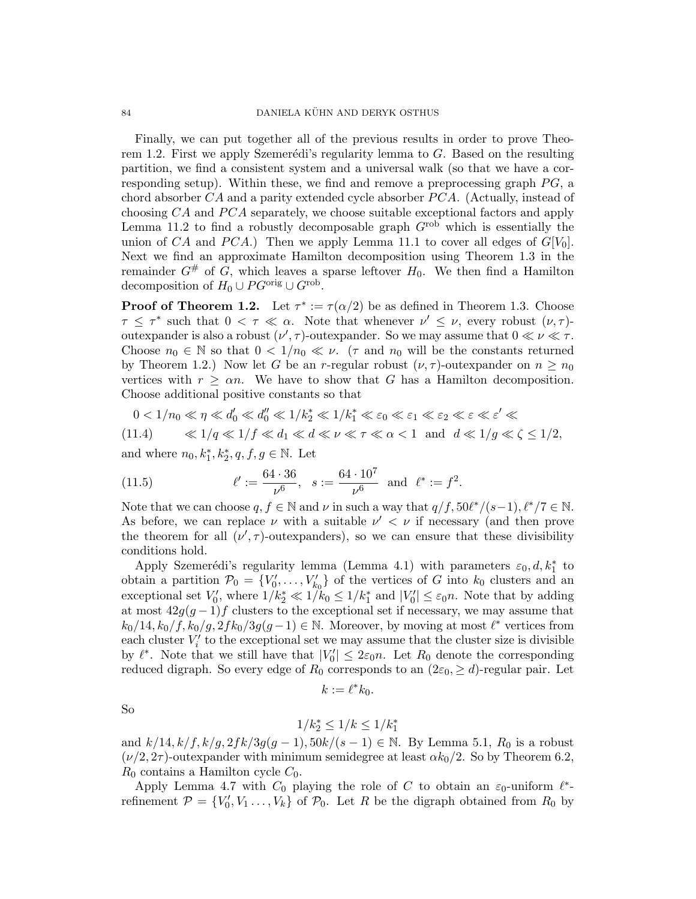Finally, we can put together all of the previous results in order to prove Theorem 1.2. First we apply Szemerédi's regularity lemma to  $G$ . Based on the resulting partition, we find a consistent system and a universal walk (so that we have a corresponding setup). Within these, we find and remove a preprocessing graph  $PG$ , a chord absorber  $CA$  and a parity extended cycle absorber  $PCA$ . (Actually, instead of choosing  $CA$  and  $PCA$  separately, we choose suitable exceptional factors and apply Lemma 11.2 to find a robustly decomposable graph  $G<sup>rob</sup>$  which is essentially the union of CA and PCA.) Then we apply Lemma 11.1 to cover all edges of  $G[V_0]$ . Next we find an approximate Hamilton decomposition using Theorem 1.3 in the remainder  $G^{\#}$  of  $G$ , which leaves a sparse leftover  $H_0$ . We then find a Hamilton decomposition of  $H_0 \cup PG^{\text{orig}} \cup G^{\text{rob}}$ .

**Proof of Theorem 1.2.** Let  $\tau^* := \tau(\alpha/2)$  be as defined in Theorem 1.3. Choose  $\tau \leq \tau^*$  such that  $0 < \tau \ll \alpha$ . Note that whenever  $\nu' \leq \nu$ , every robust  $(\nu, \tau)$ outexpander is also a robust  $(\nu', \tau)$ -outexpander. So we may assume that  $0 \ll \nu \ll \tau$ . Choose  $n_0 \in \mathbb{N}$  so that  $0 < 1/n_0 \ll \nu$ . ( $\tau$  and  $n_0$  will be the constants returned by Theorem 1.2.) Now let G be an r-regular robust  $(\nu, \tau)$ -outexpander on  $n \geq n_0$ vertices with  $r \geq \alpha n$ . We have to show that G has a Hamilton decomposition. Choose additional positive constants so that

$$
0<1/n_0\ll \eta \ll d_0'\ll d_0''\ll 1/k_2^*\ll 1/k_1^*\ll \varepsilon_0\ll \varepsilon_1\ll \varepsilon_2\ll \varepsilon\ll \varepsilon'\ll 1
$$

$$
(11.4) \t\t \ll 1/q \ll 1/f \ll d_1 \ll d \ll \nu \ll \tau \ll \alpha < 1 \text{ and } d \ll 1/g \ll \zeta \le 1/2,
$$

and where  $n_0, k_1^*, k_2^*, q, f, g \in \mathbb{N}$ . Let

(11.5) 
$$
\ell' := \frac{64 \cdot 36}{\nu^6}, \quad s := \frac{64 \cdot 10^7}{\nu^6} \text{ and } \ell^* := f^2.
$$

Note that we can choose  $q, f \in \mathbb{N}$  and  $\nu$  in such a way that  $q/f, 50\ell^*/(s-1), \ell^*/7 \in \mathbb{N}$ . As before, we can replace  $\nu$  with a suitable  $\nu' < \nu$  if necessary (and then prove the theorem for all  $(\nu', \tau)$ -outexpanders), so we can ensure that these divisibility conditions hold.

Apply Szemerédi's regularity lemma (Lemma 4.1) with parameters  $\varepsilon_0, d, k_1^*$  to obtain a partition  $\mathcal{P}_0 = \{V'_0, \ldots, V'_{k_0}\}\$  of the vertices of G into  $k_0$  clusters and an exceptional set  $V'_0$ , where  $1/k_2^* \ll 1/k_0 \leq 1/k_1^*$  and  $|V'_0| \leq \varepsilon_0 n$ . Note that by adding at most  $42g(g-1)f$  clusters to the exceptional set if necessary, we may assume that  $k_0/14, k_0/f, k_0/g, 2fk_0/3g(g-1) \in \mathbb{N}$ . Moreover, by moving at most  $\ell^*$  vertices from each cluster  $V_i'$  to the exceptional set we may assume that the cluster size is divisible by  $\ell^*$ . Note that we still have that  $|V_0'| \leq 2\varepsilon_0 n$ . Let  $R_0$  denote the corresponding reduced digraph. So every edge of  $R_0$  corresponds to an  $(2\varepsilon_0, \ge d)$ -regular pair. Let

$$
k:=\ell^*k_0.
$$

So

$$
1/k_2^* \le 1/k \le 1/k_1^*
$$

and  $k/14$ ,  $k/f$ ,  $k/g$ ,  $2fk/3g(g-1)$ ,  $50k/(s-1) \in \mathbb{N}$ . By Lemma 5.1,  $R_0$  is a robust  $(\nu/2, 2\tau)$ -outexpander with minimum semidegree at least  $\alpha k_0/2$ . So by Theorem 6.2,  $R_0$  contains a Hamilton cycle  $C_0$ .

Apply Lemma 4.7 with  $C_0$  playing the role of C to obtain an  $\varepsilon_0$ -uniform  $\ell^*$ refinement  $\mathcal{P} = \{V'_0, V_1, \ldots, V_k\}$  of  $\mathcal{P}_0$ . Let R be the digraph obtained from  $R_0$  by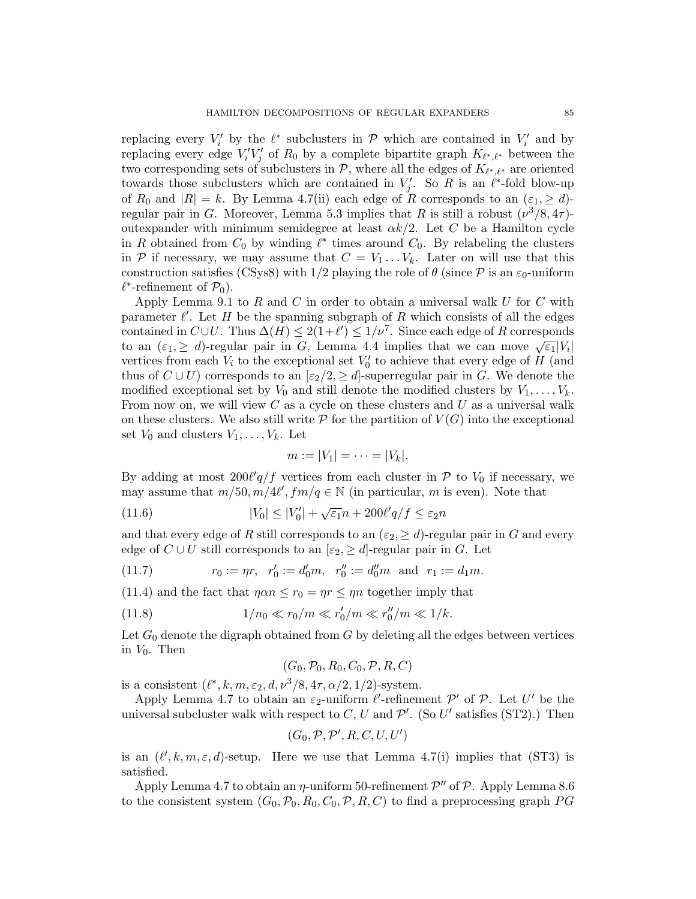replacing every  $V_i'$  by the  $\ell^*$  subclusters in  $\mathcal P$  which are contained in  $V_i'$  and by replacing every edge  $V_i'V_j'$  of  $R_0$  by a complete bipartite graph  $K_{\ell^*,\ell^*}$  between the two corresponding sets of subclusters in  $P$ , where all the edges of  $K_{\ell^*,\ell^*}$  are oriented towards those subclusters which are contained in  $V'_j$ . So R is an  $\ell^*$ -fold blow-up of  $R_0$  and  $|R| = k$ . By Lemma 4.7(ii) each edge of R corresponds to an  $(\varepsilon_1, \geq d)$ regular pair in G. Moreover, Lemma 5.3 implies that R is still a robust  $(\nu^3/8, 4\tau)$ outexpander with minimum semidegree at least  $\alpha k/2$ . Let C be a Hamilton cycle in R obtained from  $C_0$  by winding  $\ell^*$  times around  $C_0$ . By relabeling the clusters in P if necessary, we may assume that  $C = V_1 \dots V_k$ . Later on will use that this construction satisfies (CSys8) with  $1/2$  playing the role of  $\theta$  (since  $\mathcal P$  is an  $\varepsilon_0$ -uniform  $\ell^*$ -refinement of  $\mathcal{P}_0$ ).

Apply Lemma 9.1 to R and C in order to obtain a universal walk U for C with parameter  $\ell'$ . Let H be the spanning subgraph of R which consists of all the edges contained in  $C \cup U$ . Thus  $\Delta(H) \leq 2(1+\ell') \leq 1/\nu^7$ . Since each edge of R corresponds to an  $(\varepsilon_1, \geq d)$ -regular pair in G, Lemma 4.4 implies that we can move  $\sqrt{\varepsilon_1}|V_i|$ vertices from each  $V_i$  to the exceptional set  $V'_0$  to achieve that every edge of  $H$  (and thus of  $C \cup U$ ) corresponds to an  $[\epsilon_2/2, \geq d]$ -superregular pair in G. We denote the modified exceptional set by  $V_0$  and still denote the modified clusters by  $V_1, \ldots, V_k$ . From now on, we will view  $C$  as a cycle on these clusters and  $U$  as a universal walk on these clusters. We also still write  $P$  for the partition of  $V(G)$  into the exceptional set  $V_0$  and clusters  $V_1, \ldots, V_k$ . Let

$$
m:=|V_1|=\cdots=|V_k|.
$$

By adding at most  $200\ell'q/f$  vertices from each cluster in  $P$  to  $V_0$  if necessary, we may assume that  $m/50$ ,  $m/4\ell'$ ,  $fm/q \in \mathbb{N}$  (in particular, m is even). Note that

(11.6) 
$$
|V_0| \le |V'_0| + \sqrt{\varepsilon_1}n + 200\ell'q/f \le \varepsilon_2 n
$$

and that every edge of R still corresponds to an  $(\varepsilon_2, \geq d)$ -regular pair in G and every edge of  $C \cup U$  still corresponds to an  $[\varepsilon_2, \geq d]$ -regular pair in G. Let

(11.7) 
$$
r_0 := \eta r, \ \ r'_0 := d'_0 m, \ \ r''_0 := d''_0 m \text{ and } r_1 := d_1 m.
$$

(11.4) and the fact that  $\eta \alpha n \leq r_0 = \eta r \leq \eta n$  together imply that

(11.8) 
$$
1/n_0 \ll r_0/m \ll r'_0/m \ll r''_0/m \ll 1/k.
$$

Let  $G_0$  denote the digraph obtained from  $G$  by deleting all the edges between vertices in  $V_0$ . Then

$$
(G_0, \mathcal{P}_0, R_0, C_0, \mathcal{P}, R, C)
$$

is a consistent  $(\ell^*, k, m, \varepsilon_2, d, \nu^3/8, 4\tau, \alpha/2, 1/2)$ -system.

Apply Lemma 4.7 to obtain an  $\varepsilon_2$ -uniform  $\ell'$ -refinement  $\mathcal{P}'$  of  $\mathcal{P}$ . Let U' be the universal subcluster walk with respect to C, U and  $\mathcal{P}'$ . (So U' satisfies (ST2).) Then

$$
(G_0, \mathcal{P}, \mathcal{P}', R, C, U, U')
$$

is an  $(\ell', k, m, \varepsilon, d)$ -setup. Here we use that Lemma 4.7(i) implies that (ST3) is satisfied.

Apply Lemma 4.7 to obtain an  $\eta$ -uniform 50-refinement  $\mathcal{P}''$  of  $\mathcal{P}$ . Apply Lemma 8.6 to the consistent system  $(G_0, \mathcal{P}_0, R_0, C_0, \mathcal{P}, R, C)$  to find a preprocessing graph PG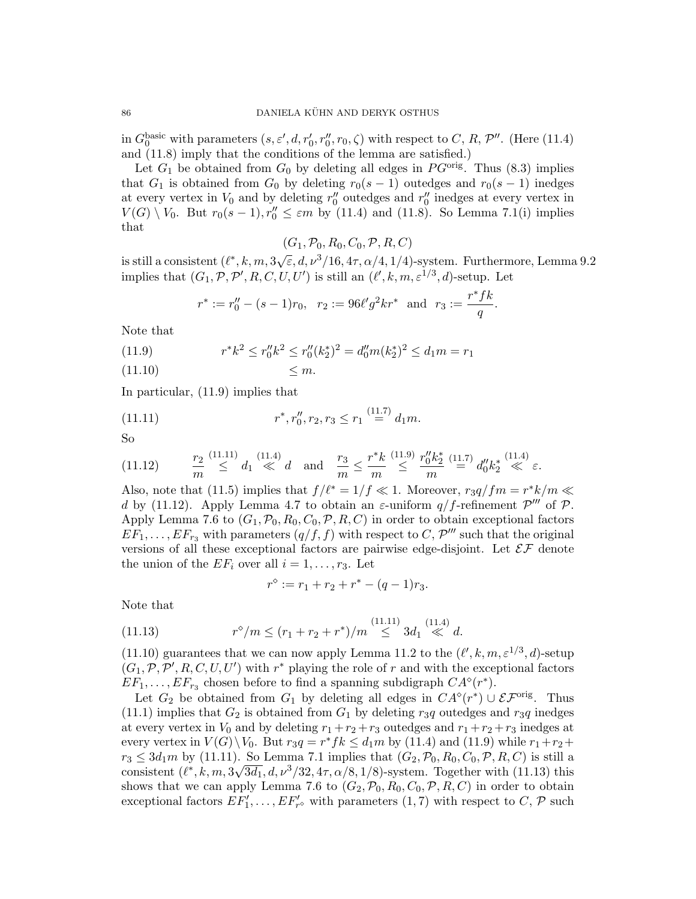in  $G_0^{\text{basic}}$  with parameters  $(s, \varepsilon', d, r'_0, r''_0, r_0, \zeta)$  with respect to C, R, P''. (Here (11.4) and (11.8) imply that the conditions of the lemma are satisfied.)

Let  $G_1$  be obtained from  $G_0$  by deleting all edges in  $PG<sup>orig</sup>$ . Thus (8.3) implies that  $G_1$  is obtained from  $G_0$  by deleting  $r_0(s-1)$  outedges and  $r_0(s-1)$  inedges at every vertex in  $V_0$  and by deleting  $r''_0$  outedges and  $r''_0$  inedges at every vertex in  $V(G) \setminus V_0$ . But  $r_0(s-1), r''_0 \leq \varepsilon m$  by (11.4) and (11.8). So Lemma 7.1(i) implies that

 $(G_1, \mathcal{P}_0, R_0, C_0, \mathcal{P}, R, C)$ 

is still a consistent  $(\ell^*, k, m, 3\sqrt{\epsilon}, d, \nu^3/16, 4\tau, \alpha/4, 1/4)$ -system. Furthermore, Lemma 9.2 implies that  $(G_1, \mathcal{P}, \mathcal{P}', R, C, U, U')$  is still an  $(\ell', k, m, \varepsilon^{1/3}, d)$ -setup. Let

$$
r^* := r''_0 - (s - 1)r_0
$$
,  $r_2 := 96\ell'g^2kr^*$  and  $r_3 := \frac{r^*fk}{q}$ .

Note that

(11.9) 
$$
r^*k^2 \le r''_0k^2 \le r''_0(k_2^*)^2 = d''_0m(k_2^*)^2 \le d_1m = r_1
$$

 $(11.10) \leq m$ .

In particular, (11.9) implies that

(11.11) 
$$
r^*, r''_0, r_2, r_3 \le r_1 \stackrel{(11.7)}{=} d_1 m.
$$

So

$$
(11.12) \qquad \frac{r_2}{m} \stackrel{(11.11)}{\leq} d_1 \stackrel{(11.4)}{\ll} d \quad \text{and} \quad \frac{r_3}{m} \leq \frac{r^*k}{m} \stackrel{(11.9)}{\leq} \frac{r_0''k_2^*}{m} \stackrel{(11.7)}{=} d_0''k_2^* \stackrel{(11.4)}{\ll} \varepsilon.
$$

Also, note that (11.5) implies that  $f/\ell^* = 1/f \ll 1$ . Moreover,  $r_3q/fm = r^*k/m \ll 1$ . d by (11.12). Apply Lemma 4.7 to obtain an  $\varepsilon$ -uniform  $q/f$ -refinement  $\mathcal{P}'''$  of  $\mathcal{P}$ . Apply Lemma 7.6 to  $(G_1, \mathcal{P}_0, R_0, C_0, \mathcal{P}, R, C)$  in order to obtain exceptional factors  $EF_1, \ldots, EF_{r_3}$  with parameters  $(q/f, f)$  with respect to  $C, \mathcal{P}'''$  such that the original versions of all these exceptional factors are pairwise edge-disjoint. Let  $\mathcal{EF}$  denote the union of the  $EF_i$  over all  $i = 1, \ldots, r_3$ . Let

$$
r^{\diamond} := r_1 + r_2 + r^* - (q - 1)r_3.
$$

Note that

(11.13) 
$$
r^{\diamond}/m \le (r_1 + r_2 + r^*)/m \stackrel{(11.11)}{\le} 3d_1 \stackrel{(11.4)}{\ll} d.
$$

(11.10) guarantees that we can now apply Lemma 11.2 to the  $(\ell', k, m, \varepsilon^{1/3}, d)$ -setup  $(G_1, \mathcal{P}, \mathcal{P}', R, C, U, U')$  with  $r^*$  playing the role of r and with the exceptional factors  $EF_1, \ldots, EF_{r_3}$  chosen before to find a spanning subdigraph  $CA^{\diamond}(r^*)$ .

Let  $G_2$  be obtained from  $G_1$  by deleting all edges in  $CA^{\diamond}(r^*) \cup \mathcal{EF}^{\text{orig}}$ . Thus (11.1) implies that  $G_2$  is obtained from  $G_1$  by deleting  $r_3q$  outedges and  $r_3q$  inedges at every vertex in  $V_0$  and by deleting  $r_1 + r_2 + r_3$  outedges and  $r_1 + r_2 + r_3$  inedges at every vertex in  $V(G) \backslash V_0$ . But  $r_3q = r^*fk \leq d_1m$  by (11.4) and (11.9) while  $r_1+r_2+$  $r_3 \leq 3d_1m$  by (11.11). So Lemma 7.1 implies that  $(G_2, \mathcal{P}_0, R_0, C_0, \mathcal{P}, R, C)$  is still a consistent  $(\ell^*, k, m, 3\sqrt{3d_1}, d, \nu^3/32, 4\tau, \alpha/8, 1/8)$ -system. Together with (11.13) this shows that we can apply Lemma 7.6 to  $(G_2, \mathcal{P}_0, R_0, C_0, \mathcal{P}, R, C)$  in order to obtain exceptional factors  $EF'_1, \ldots, EF'_{r^{\diamond}}$  with parameters  $(1, 7)$  with respect to C, P such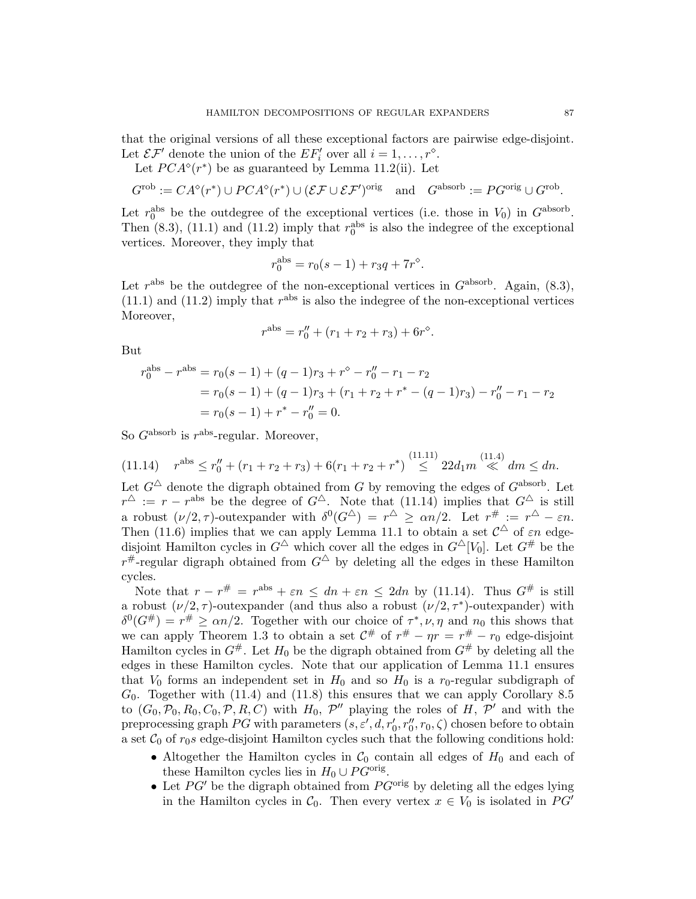that the original versions of all these exceptional factors are pairwise edge-disjoint. Let  $\mathcal{EF}'$  denote the union of the  $EF'_i$  over all  $i = 1, \ldots, r^{\circ}$ .

Let  $PCA^{\diamond}(r^*)$  be as guaranteed by Lemma 11.2(ii). Let

$$
G^{\text{rob}} := CA^{\circ}(r^*) \cup PCA^{\circ}(r^*) \cup (\mathcal{EF} \cup \mathcal{EF}')^{\text{orig}} \quad \text{and} \quad G^{\text{absorb}} := PG^{\text{orig}} \cup G^{\text{rob}}.
$$

Let  $r_0^{\text{abs}}$  be the outdegree of the exceptional vertices (i.e. those in  $V_0$ ) in  $G^{\text{absorb}}$ . Then  $(8.3)$ ,  $(11.1)$  and  $(11.2)$  imply that  $r_0^{\text{abs}}$  is also the indegree of the exceptional vertices. Moreover, they imply that

$$
r_0^{\text{abs}} = r_0(s-1) + r_3q + 7r^{\diamond}.
$$

Let  $r<sup>abs</sup>$  be the outdegree of the non-exceptional vertices in  $G<sup>absorb</sup>$ . Again, (8.3),  $(11.1)$  and  $(11.2)$  imply that  $r^{abs}$  is also the indegree of the non-exceptional vertices Moreover,

$$
r^{\text{abs}} = r_0'' + (r_1 + r_2 + r_3) + 6r^{\diamond}
$$

.

But

$$
r_0^{\text{abs}} - r^{\text{abs}} = r_0(s - 1) + (q - 1)r_3 + r^\diamond - r_0'' - r_1 - r_2
$$
  
=  $r_0(s - 1) + (q - 1)r_3 + (r_1 + r_2 + r^* - (q - 1)r_3) - r_0'' - r_1 - r_2$   
=  $r_0(s - 1) + r^* - r_0'' = 0.$ 

So  $G^{\text{absorb}}$  is  $r^{\text{abs}}$ -regular. Moreover,

$$
(11.14) \quad r^{\text{abs}} \le r_0'' + (r_1 + r_2 + r_3) + 6(r_1 + r_2 + r^*) \stackrel{(11.11)}{\le} 22d_1 m \stackrel{(11.4)}{\ll} dm \le dn.
$$

Let  $G^{\triangle}$  denote the digraph obtained from G by removing the edges of  $G^{absorb}$ . Let  $r^{\Delta}$  :=  $r - r^{\text{abs}}$  be the degree of  $G^{\Delta}$ . Note that (11.14) implies that  $G^{\Delta}$  is still a robust  $(\nu/2, \tau)$ -outexpander with  $\delta^0(G^{\Delta}) = r^{\Delta} \ge \alpha n/2$ . Let  $r^{\#} := r^{\Delta} - \varepsilon n$ . Then (11.6) implies that we can apply Lemma 11.1 to obtain a set  $\mathcal{C}^{\Delta}$  of  $\varepsilon n$  edgedisjoint Hamilton cycles in  $G^{\Delta}$  which cover all the edges in  $G^{\Delta}[V_0]$ . Let  $G^{\#}$  be the  $r^{\#}$ -regular digraph obtained from  $G^{\triangle}$  by deleting all the edges in these Hamilton cycles.

Note that  $r - r^{\#} = r^{abs} + \varepsilon n \leq dn + \varepsilon n \leq 2dn$  by (11.14). Thus  $G^{\#}$  is still a robust  $(\nu/2, \tau)$ -outexpander (and thus also a robust  $(\nu/2, \tau^*)$ -outexpander) with  $\delta^0(G^{\#}) = r^{\#} \ge \alpha n/2$ . Together with our choice of  $\tau^*, \nu, \eta$  and  $n_0$  this shows that we can apply Theorem 1.3 to obtain a set  $\mathcal{C}^{\#}$  of  $r^{\#} - \eta r = r^{\#} - r_0$  edge-disjoint Hamilton cycles in  $G^{\#}$ . Let  $H_0$  be the digraph obtained from  $G^{\#}$  by deleting all the edges in these Hamilton cycles. Note that our application of Lemma 11.1 ensures that  $V_0$  forms an independent set in  $H_0$  and so  $H_0$  is a  $r_0$ -regular subdigraph of  $G_0$ . Together with (11.4) and (11.8) this ensures that we can apply Corollary 8.5 to  $(G_0, \mathcal{P}_0, R_0, C_0, \mathcal{P}, R, C)$  with  $H_0$ ,  $\mathcal{P}''$  playing the roles of  $H, \mathcal{P}'$  and with the preprocessing graph  $PG$  with parameters  $(s, \varepsilon', d, r'_0, r''_0, r_0, \zeta)$  chosen before to obtain a set  $\mathcal{C}_0$  of  $r_0s$  edge-disjoint Hamilton cycles such that the following conditions hold:

- Altogether the Hamilton cycles in  $\mathcal{C}_0$  contain all edges of  $H_0$  and each of these Hamilton cycles lies in  $H_0 \cup PG^{\text{orig}}$ .
- Let  $PG'$  be the digraph obtained from  $PG<sup>orig</sup>$  by deleting all the edges lying in the Hamilton cycles in  $C_0$ . Then every vertex  $x \in V_0$  is isolated in PG'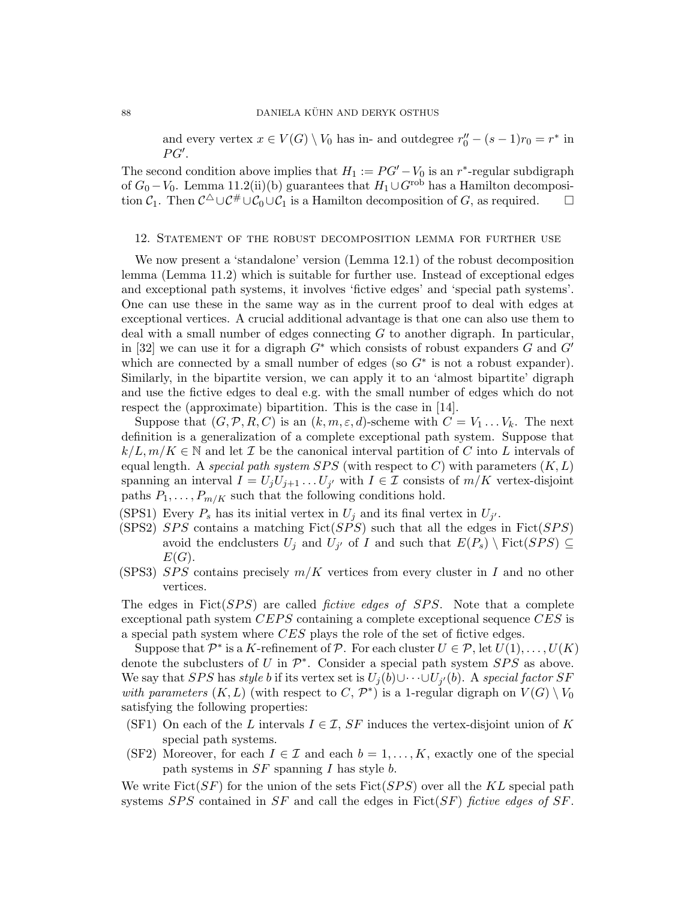and every vertex  $x \in V(G) \setminus V_0$  has in- and outdegree  $r''_0 - (s - 1)r_0 = r^*$  in  $PG'.$ 

The second condition above implies that  $H_1 := PG' - V_0$  is an r<sup>\*</sup>-regular subdigraph of  $G_0 - V_0$ . Lemma 11.2(ii)(b) guarantees that  $H_1 \cup G^{\text{rob}}$  has a Hamilton decomposition  $C_1$ . Then  $C^{\Delta} \cup C^{\#} \cup C_0 \cup C_1$  is a Hamilton decomposition of G, as required.  $\square$ 

#### 12. Statement of the robust decomposition lemma for further use

We now present a 'standalone' version (Lemma 12.1) of the robust decomposition lemma (Lemma 11.2) which is suitable for further use. Instead of exceptional edges and exceptional path systems, it involves 'fictive edges' and 'special path systems'. One can use these in the same way as in the current proof to deal with edges at exceptional vertices. A crucial additional advantage is that one can also use them to deal with a small number of edges connecting G to another digraph. In particular, in [32] we can use it for a digraph  $G^*$  which consists of robust expanders G and  $G'$ which are connected by a small number of edges (so  $G^*$  is not a robust expander). Similarly, in the bipartite version, we can apply it to an 'almost bipartite' digraph and use the fictive edges to deal e.g. with the small number of edges which do not respect the (approximate) bipartition. This is the case in [14].

Suppose that  $(G, \mathcal{P}, R, C)$  is an  $(k, m, \varepsilon, d)$ -scheme with  $C = V_1 \dots V_k$ . The next definition is a generalization of a complete exceptional path system. Suppose that  $k/L, m/K \in \mathbb{N}$  and let  $\mathcal I$  be the canonical interval partition of C into L intervals of equal length. A special path system SPS (with respect to C) with parameters  $(K, L)$ spanning an interval  $I = U_j U_{j+1} \dots U_{j'}$  with  $I \in \mathcal{I}$  consists of  $m/K$  vertex-disjoint paths  $P_1, \ldots, P_{m/K}$  such that the following conditions hold.

- (SPS1) Every  $P_s$  has its initial vertex in  $U_j$  and its final vertex in  $U_{j'}$ .
- (SPS2) SPS contains a matching Fict(SPS) such that all the edges in Fict(SPS) avoid the endclusters  $U_j$  and  $U_{j'}$  of I and such that  $E(P_s) \setminus \text{Fict}(SPS) \subseteq$  $E(G).$
- (SPS3) SPS contains precisely  $m/K$  vertices from every cluster in I and no other vertices.

The edges in  $Fict(SPS)$  are called *fictive edges of SPS*. Note that a complete exceptional path system  $CEPS$  containing a complete exceptional sequence  $CES$  is a special path system where CES plays the role of the set of fictive edges.

Suppose that  $\mathcal{P}^*$  is a K-refinement of  $\mathcal{P}$ . For each cluster  $U \in \mathcal{P}$ , let  $U(1), \ldots, U(K)$ denote the subclusters of U in  $\mathcal{P}^*$ . Consider a special path system  $SPS$  as above. We say that SPS has *style b* if its vertex set is  $U_j(b) \cup \cdots \cup U_{j'}(b)$ . A *special factor SF* with parameters  $(K, L)$  (with respect to C,  $\mathcal{P}^*$ ) is a 1-regular digraph on  $V(G) \setminus V_0$ satisfying the following properties:

- (SF1) On each of the L intervals  $I \in \mathcal{I}$ , SF induces the vertex-disjoint union of K special path systems.
- (SF2) Moreover, for each  $I \in \mathcal{I}$  and each  $b = 1, \ldots, K$ , exactly one of the special path systems in  $SF$  spanning I has style b.

We write  $Fict(SF)$  for the union of the sets  $Fict(SPS)$  over all the KL special path systems SPS contained in SF and call the edges in  $Fict(SF)$  fictive edges of SF.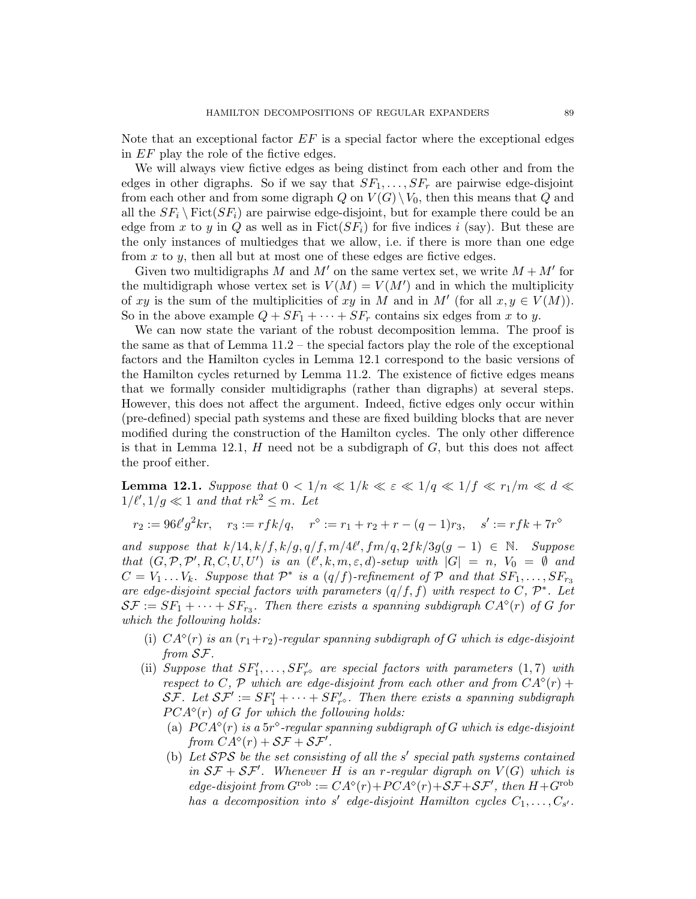Note that an exceptional factor  $EF$  is a special factor where the exceptional edges in EF play the role of the fictive edges.

We will always view fictive edges as being distinct from each other and from the edges in other digraphs. So if we say that  $SF_1, \ldots, SF_r$  are pairwise edge-disjoint from each other and from some digraph Q on  $V(G) \setminus V_0$ , then this means that Q and all the  $SF_i \setminus \text{Fict}(SF_i)$  are pairwise edge-disjoint, but for example there could be an edge from x to y in Q as well as in  $Fict(SF_i)$  for five indices i (say). But these are the only instances of multiedges that we allow, i.e. if there is more than one edge from  $x$  to  $y$ , then all but at most one of these edges are fictive edges.

Given two multidigraphs M and M' on the same vertex set, we write  $M + M'$  for the multidigraph whose vertex set is  $V(M) = V(M')$  and in which the multiplicity of xy is the sum of the multiplicities of xy in M and in M' (for all  $x, y \in V(M)$ ). So in the above example  $Q + SF_1 + \cdots + SF_r$  contains six edges from x to y.

We can now state the variant of the robust decomposition lemma. The proof is the same as that of Lemma 11.2 – the special factors play the role of the exceptional factors and the Hamilton cycles in Lemma 12.1 correspond to the basic versions of the Hamilton cycles returned by Lemma 11.2. The existence of fictive edges means that we formally consider multidigraphs (rather than digraphs) at several steps. However, this does not affect the argument. Indeed, fictive edges only occur within (pre-defined) special path systems and these are fixed building blocks that are never modified during the construction of the Hamilton cycles. The only other difference is that in Lemma 12.1,  $H$  need not be a subdigraph of  $G$ , but this does not affect the proof either.

**Lemma 12.1.** Suppose that  $0 < 1/n \ll 1/k \ll \varepsilon \ll 1/q \ll 1/f \ll r_1/m \ll d \ll$  $1/\ell', 1/g \ll 1$  and that  $rk^2 \leq m$ . Let

 $r_2 := 96\ell' g^2 k r$ ,  $r_3 := r f k / q$ ,  $r^{\diamond} := r_1 + r_2 + r - (q - 1)r_3$ ,  $s' := r f k + 7r^{\diamond}$ 

and suppose that  $k/14$ ,  $k/f$ ,  $k/g$ ,  $q/f$ ,  $m/4\ell'$ ,  $fm/q$ ,  $2fk/3g(g-1) \in \mathbb{N}$ . Suppose that  $(G, \mathcal{P}, \mathcal{P}', R, C, U, U')$  is an  $(\ell', k, m, \varepsilon, d)$ -setup with  $|G| = n$ ,  $V_0 = \emptyset$  and  $C = V_1 \dots V_k$ . Suppose that  $\mathcal{P}^*$  is a  $(q/f)$ -refinement of  $\mathcal{P}$  and that  $SF_1, \dots, SF_{r_3}$ are edge-disjoint special factors with parameters  $(q/f, f)$  with respect to C,  $\mathcal{P}^*$ . Let  $\mathcal{SF} := SF_1 + \cdots + SF_{r_3}$ . Then there exists a spanning subdigraph  $CA^{\diamond}(r)$  of G for which the following holds:

- (i)  $CA^{\circ}(r)$  is an  $(r_1+r_2)$ -regular spanning subdigraph of G which is edge-disjoint from SF.
- (ii) Suppose that  $SF'_1, \ldots, SF'_{r}$  are special factors with parameters  $(1, 7)$  with respect to C, P which are edge-disjoint from each other and from  $CA^{\diamond}(r)$  +  $\mathcal{S}\mathcal{F}$ . Let  $\mathcal{S}\mathcal{F}':=SF_1' + \cdots + SF_{r^{\diamond}}'$ . Then there exists a spanning subdigraph  $PCA<sup>°</sup>(r)$  of G for which the following holds:
	- (a)  $PCA^{\diamond}(r)$  is a 5r $^{\diamond}$ -regular spanning subdigraph of G which is edge-disjoint from  $\ddot{CA}^{\diamond}(r) + \mathcal{SF} + \mathcal{SF}'$ .
	- (b) Let  $SPS$  be the set consisting of all the s' special path systems contained in  $SF + SF'$ . Whenever H is an r-regular digraph on  $V(G)$  which is edge-disjoint from  $G^{rob} := CA^{\diamond}(r) + PCA^{\diamond}(r) + SF + SF'$ , then  $H + G^{rob}$ has a decomposition into s' edge-disjoint Hamilton cycles  $C_1, \ldots, C_{s'}$ .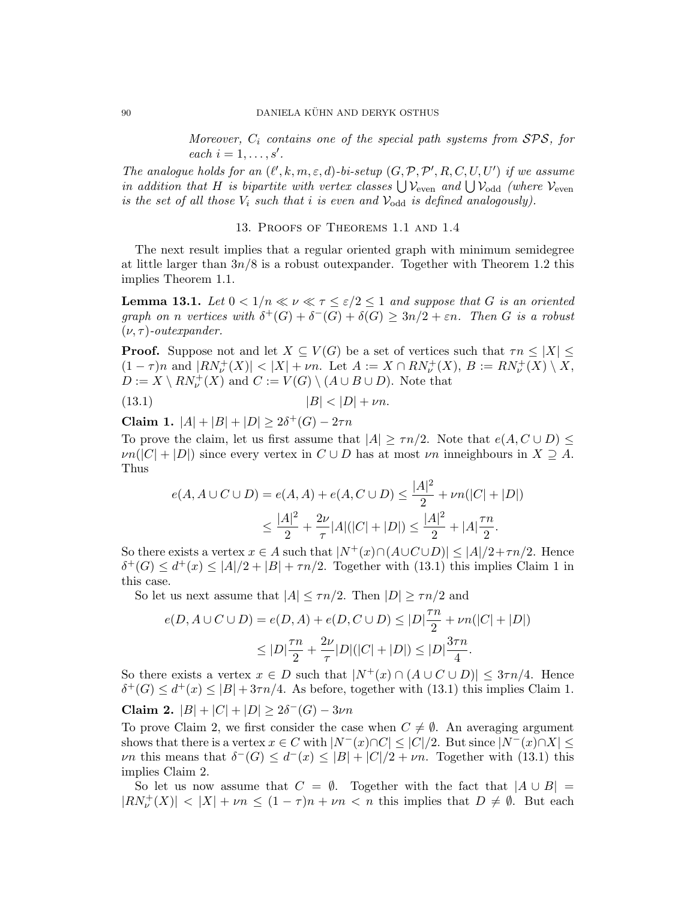Moreover,  $C_i$  contains one of the special path systems from  $SPS$ , for  $each i = 1, \ldots, s'.$ 

The analogue holds for an  $(\ell', k, m, \varepsilon, d)$ -bi-setup  $(G, \mathcal{P}, \mathcal{P}', R, C, U, U')$  if we assume in addition that H is bipartite with vertex classes  $\bigcup \mathcal{V}_{even}$  and  $\bigcup \mathcal{V}_{odd}$  (where  $\mathcal{V}_{even}$ is the set of all those  $V_i$  such that i is even and  $V_{odd}$  is defined analogously).

### 13. Proofs of Theorems 1.1 and 1.4

The next result implies that a regular oriented graph with minimum semidegree at little larger than  $3n/8$  is a robust outexpander. Together with Theorem 1.2 this implies Theorem 1.1.

**Lemma 13.1.** Let  $0 < 1/n \ll \nu \ll \tau \leq \varepsilon/2 \leq 1$  and suppose that G is an oriented graph on n vertices with  $\delta^+(G) + \delta^-(G) + \delta(G) \geq 3n/2 + \varepsilon n$ . Then G is a robust  $(\nu, \tau)$ -outexpander.

**Proof.** Suppose not and let  $X \subseteq V(G)$  be a set of vertices such that  $\tau n \leq |X| \leq$  $(1 - \tau)n$  and  $|RN_{\nu}^{+}(X)| < |X| + \nu n$ . Let  $A := X \cap RN_{\nu}^{+}(X)$ ,  $B := RN_{\nu}^{+}(X) \setminus X$ ,  $D := X \setminus RN_{\nu}^+(X)$  and  $C := V(G) \setminus (A \cup B \cup D)$ . Note that

$$
(13.1) \t\t |B| < |D| + \nu n.
$$

Claim 1.  $|A| + |B| + |D| \ge 2\delta^+(G) - 2\tau n$ 

To prove the claim, let us first assume that  $|A| > \tau n/2$ . Note that  $e(A, C \cup D)$  $\nu n(|C| + |D|)$  since every vertex in  $C \cup D$  has at most  $\nu n$  inneighbours in  $X \supseteq A$ . Thus

$$
e(A, A \cup C \cup D) = e(A, A) + e(A, C \cup D) \le \frac{|A|^2}{2} + \nu n(|C| + |D|)
$$
  

$$
\le \frac{|A|^2}{2} + \frac{2\nu}{\tau} |A|(|C| + |D|) \le \frac{|A|^2}{2} + |A|\frac{\tau n}{2}.
$$

So there exists a vertex  $x \in A$  such that  $|N^+(x) \cap (A \cup C \cup D)| \leq |A|/2 + \tau n/2$ . Hence  $\delta^+(G) \leq d^+(x) \leq |A|/2 + |B| + \tau n/2$ . Together with (13.1) this implies Claim 1 in this case.

So let us next assume that  $|A| \leq \tau n/2$ . Then  $|D| \geq \tau n/2$  and

$$
e(D, A \cup C \cup D) = e(D, A) + e(D, C \cup D) \le |D|\frac{\tau n}{2} + \nu n(|C| + |D|)
$$
  

$$
\le |D|\frac{\tau n}{2} + \frac{2\nu}{\tau}|D|(|C| + |D|) \le |D|\frac{3\tau n}{4}.
$$

So there exists a vertex  $x \in D$  such that  $|N^+(x) \cap (A \cup C \cup D)| \leq 3\tau n/4$ . Hence  $\delta^+(G) \leq d^+(x) \leq |B| + 3\tau n/4$ . As before, together with (13.1) this implies Claim 1. Claim 2.  $|B| + |C| + |D| \geq 2\delta^{-}(G) - 3\nu n$ 

To prove Claim 2, we first consider the case when  $C \neq \emptyset$ . An averaging argument shows that there is a vertex  $x \in C$  with  $|N^-(x) \cap C| \leq |C|/2$ . But since  $|N^-(x) \cap X| \leq$ *vn* this means that  $\delta^{-}(G) \leq d^{-}(x) \leq |B| + |C|/2 + \nu n$ . Together with (13.1) this implies Claim 2.

So let us now assume that  $C = \emptyset$ . Together with the fact that  $|A \cup B|$  $|RN_{\nu}^{+}(X)| < |X| + \nu n \leq (1 - \tau)n + \nu n < n$  this implies that  $D \neq \emptyset$ . But each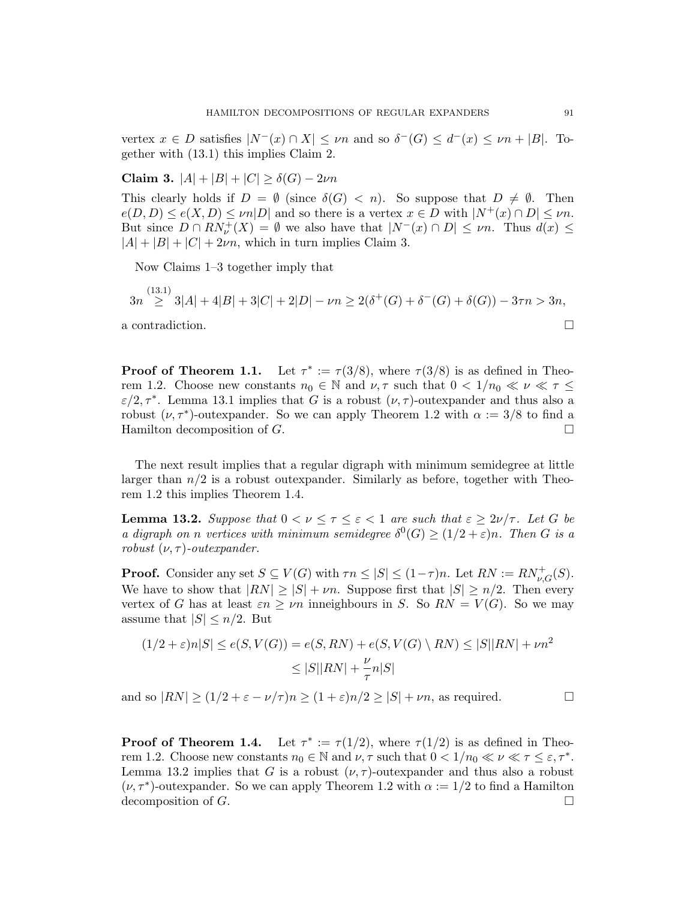vertex  $x \in D$  satisfies  $|N^-(x) \cap X| \leq \nu n$  and so  $\delta^-(G) \leq d^-(x) \leq \nu n + |B|$ . Together with (13.1) this implies Claim 2.

Claim 3.  $|A| + |B| + |C| \ge \delta(G) - 2\nu n$ 

This clearly holds if  $D = \emptyset$  (since  $\delta(G) < n$ ). So suppose that  $D \neq \emptyset$ . Then  $e(D, D) \leq e(X, D) \leq \nu n |D|$  and so there is a vertex  $x \in D$  with  $|N^+(x) \cap D| \leq \nu n$ . But since  $D \cap RN_{\nu}^{+}(X) = \emptyset$  we also have that  $|N^{-}(x) \cap D| \leq \nu n$ . Thus  $d(x) \leq$  $|A| + |B| + |C| + 2\nu n$ , which in turn implies Claim 3.

Now Claims 1–3 together imply that

$$
3n \stackrel{(13.1)}{\geq} 3|A| + 4|B| + 3|C| + 2|D| - \nu n \geq 2(\delta^+(G) + \delta^-(G) + \delta(G)) - 3\tau n > 3n,
$$

a contradiction.

**Proof of Theorem 1.1.** Let  $\tau^* := \tau(3/8)$ , where  $\tau(3/8)$  is as defined in Theorem 1.2. Choose new constants  $n_0 \in \mathbb{N}$  and  $\nu, \tau$  such that  $0 < 1/n_0 \ll \nu \ll \tau \leq$  $\varepsilon/2, \tau^*$ . Lemma 13.1 implies that G is a robust  $(\nu, \tau)$ -outexpander and thus also a robust  $(\nu, \tau^*)$ -outexpander. So we can apply Theorem 1.2 with  $\alpha := 3/8$  to find a Hamilton decomposition of  $G$ .

The next result implies that a regular digraph with minimum semidegree at little larger than  $n/2$  is a robust outexpander. Similarly as before, together with Theorem 1.2 this implies Theorem 1.4.

**Lemma 13.2.** Suppose that  $0 < \nu \leq \tau \leq \varepsilon < 1$  are such that  $\varepsilon \geq 2\nu/\tau$ . Let G be a digraph on n vertices with minimum semidegree  $\delta^0(G) \geq (1/2 + \varepsilon)n$ . Then G is a robust  $(\nu, \tau)$ -outexpander.

**Proof.** Consider any set  $S \subseteq V(G)$  with  $\tau n \leq |S| \leq (1 - \tau)n$ . Let  $RN := RN_{\nu,G}^+(S)$ . We have to show that  $|RN| \geq |S| + \nu n$ . Suppose first that  $|S| \geq n/2$ . Then every vertex of G has at least  $\varepsilon n \geq \nu n$  inneighbours in S. So  $RN = V(G)$ . So we may assume that  $|S| \leq n/2$ . But

$$
(1/2 + \varepsilon)n|S| \le e(S, V(G)) = e(S, RN) + e(S, V(G) \setminus RN) \le |S||RN| + \nu n^2
$$
  

$$
\le |S||RN| + \frac{\nu}{\tau}n|S|
$$

and so  $|RN| \geq (1/2 + \varepsilon - \nu/\tau)n \geq (1+\varepsilon)n/2 \geq |S| + \nu n$ , as required.

**Proof of Theorem 1.4.** Let  $\tau^* := \tau(1/2)$ , where  $\tau(1/2)$  is as defined in Theorem 1.2. Choose new constants  $n_0 \in \mathbb{N}$  and  $\nu, \tau$  such that  $0 < 1/n_0 \ll \nu \ll \tau \leq \varepsilon, \tau^*$ . Lemma 13.2 implies that G is a robust  $(\nu, \tau)$ -outexpander and thus also a robust  $(\nu, \tau^*)$ -outexpander. So we can apply Theorem 1.2 with  $\alpha := 1/2$  to find a Hamilton decomposition of  $G$ .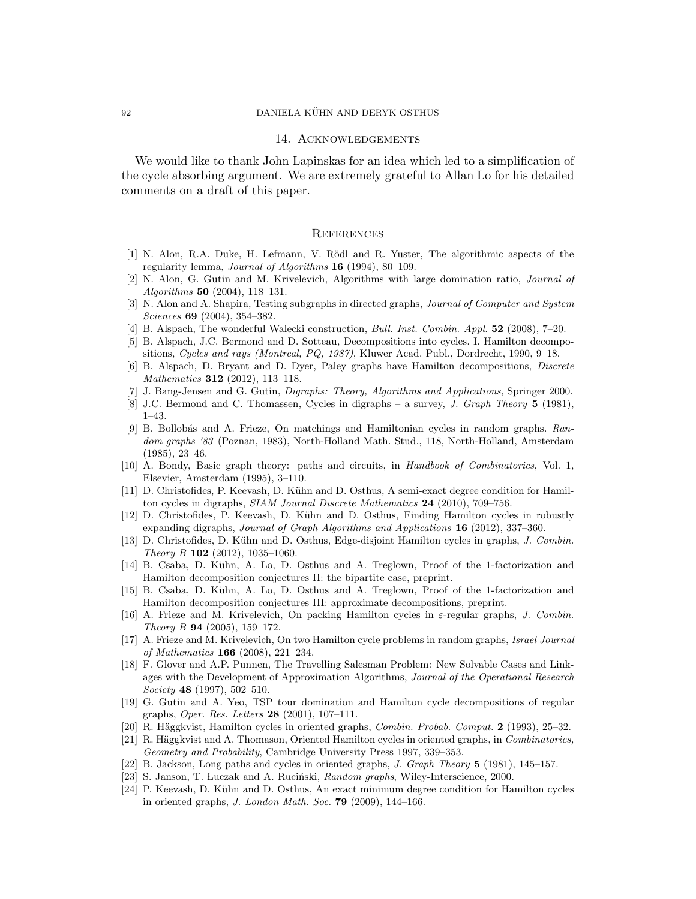#### 14. Acknowledgements

We would like to thank John Lapinskas for an idea which led to a simplification of the cycle absorbing argument. We are extremely grateful to Allan Lo for his detailed comments on a draft of this paper.

## **REFERENCES**

- [1] N. Alon, R.A. Duke, H. Lefmann, V. Rödl and R. Yuster, The algorithmic aspects of the regularity lemma, Journal of Algorithms 16 (1994), 80–109.
- [2] N. Alon, G. Gutin and M. Krivelevich, Algorithms with large domination ratio, Journal of Algorithms 50 (2004), 118–131.
- [3] N. Alon and A. Shapira, Testing subgraphs in directed graphs, Journal of Computer and System Sciences 69 (2004), 354–382.
- [4] B. Alspach, The wonderful Walecki construction, Bull. Inst. Combin. Appl. 52 (2008), 7–20.
- [5] B. Alspach, J.C. Bermond and D. Sotteau, Decompositions into cycles. I. Hamilton decompositions, Cycles and rays (Montreal, PQ, 1987), Kluwer Acad. Publ., Dordrecht, 1990, 9–18.
- [6] B. Alspach, D. Bryant and D. Dyer, Paley graphs have Hamilton decompositions, Discrete Mathematics 312 (2012), 113–118.
- [7] J. Bang-Jensen and G. Gutin, Digraphs: Theory, Algorithms and Applications, Springer 2000.
- [8] J.C. Bermond and C. Thomassen, Cycles in digraphs a survey, J. Graph Theory 5 (1981), 1–43.
- [9] B. Bollobás and A. Frieze, On matchings and Hamiltonian cycles in random graphs. Random graphs '83 (Poznan, 1983), North-Holland Math. Stud., 118, North-Holland, Amsterdam (1985), 23–46.
- [10] A. Bondy, Basic graph theory: paths and circuits, in Handbook of Combinatorics, Vol. 1, Elsevier, Amsterdam (1995), 3–110.
- [11] D. Christofides, P. Keevash, D. Kühn and D. Osthus, A semi-exact degree condition for Hamilton cycles in digraphs, SIAM Journal Discrete Mathematics 24 (2010), 709–756.
- [12] D. Christofides, P. Keevash, D. Kühn and D. Osthus, Finding Hamilton cycles in robustly expanding digraphs, Journal of Graph Algorithms and Applications 16 (2012), 337–360.
- [13] D. Christofides, D. Kühn and D. Osthus, Edge-disjoint Hamilton cycles in graphs, J. Combin. Theory B 102 (2012), 1035-1060.
- [14] B. Csaba, D. K¨uhn, A. Lo, D. Osthus and A. Treglown, Proof of the 1-factorization and Hamilton decomposition conjectures II: the bipartite case, preprint.
- [15] B. Csaba, D. K¨uhn, A. Lo, D. Osthus and A. Treglown, Proof of the 1-factorization and Hamilton decomposition conjectures III: approximate decompositions, preprint.
- [16] A. Frieze and M. Krivelevich, On packing Hamilton cycles in  $\varepsilon$ -regular graphs, J. Combin. Theory B 94 (2005), 159–172.
- [17] A. Frieze and M. Krivelevich, On two Hamilton cycle problems in random graphs, Israel Journal of Mathematics 166 (2008), 221–234.
- [18] F. Glover and A.P. Punnen, The Travelling Salesman Problem: New Solvable Cases and Linkages with the Development of Approximation Algorithms, Journal of the Operational Research Society 48 (1997), 502–510.
- [19] G. Gutin and A. Yeo, TSP tour domination and Hamilton cycle decompositions of regular graphs, Oper. Res. Letters 28 (2001), 107–111.
- [20] R. Häggkvist, Hamilton cycles in oriented graphs, *Combin. Probab. Comput.* 2 (1993), 25–32.
- [21] R. Häggkvist and A. Thomason, Oriented Hamilton cycles in oriented graphs, in Combinatorics, Geometry and Probability, Cambridge University Press 1997, 339–353.
- [22] B. Jackson, Long paths and cycles in oriented graphs, J. Graph Theory 5 (1981), 145–157.
- [23] S. Janson, T. Łuczak and A. Ruciński, *Random graphs*, Wiley-Interscience, 2000.
- [24] P. Keevash, D. Kühn and D. Osthus, An exact minimum degree condition for Hamilton cycles in oriented graphs, *J. London Math. Soc.* **79** (2009),  $144-166$ .